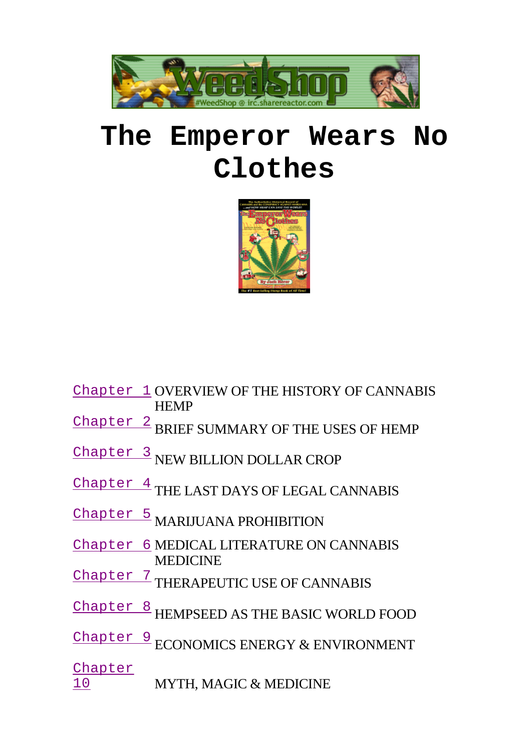

# **The Emperor Wears No Clothes**



|                       | Chapter 1 OVERVIEW OF THE HISTORY OF CANNABIS<br><b>HEMP</b>               |
|-----------------------|----------------------------------------------------------------------------|
|                       | Chapter 2 BRIEF SUMMARY OF THE USES OF HEMP                                |
|                       | $\frac{\text{Chapter 3}}{\text{NEW BILLION DOLLAR CROP}}$                  |
|                       | $\frac{\text{Chapter 4}}{\text{THE LAST DAYS OF LEGAL CANNABIS}}$          |
|                       | $\frac{\text{Chapter 5}}{\text{MARIIUANA}$ PROHIBITION                     |
|                       | Chapter 6 MEDICAL LITERATURE ON CANNABIS<br><b>MEDICINE</b>                |
|                       | Chapter 7 THERAPEUTIC USE OF CANNABIS                                      |
|                       | $\frac{\text{Chapter 8}}{\text{CHapter}}$ HEMPSEED AS THE BASIC WORLD FOOD |
|                       | $\frac{\text{Chapter 9}}{\text{ECONOMICS ENERGY \& ENVIRONMENT}}$          |
| Chapter<br><u> 10</u> | <b>MYTH, MAGIC &amp; MEDICINE</b>                                          |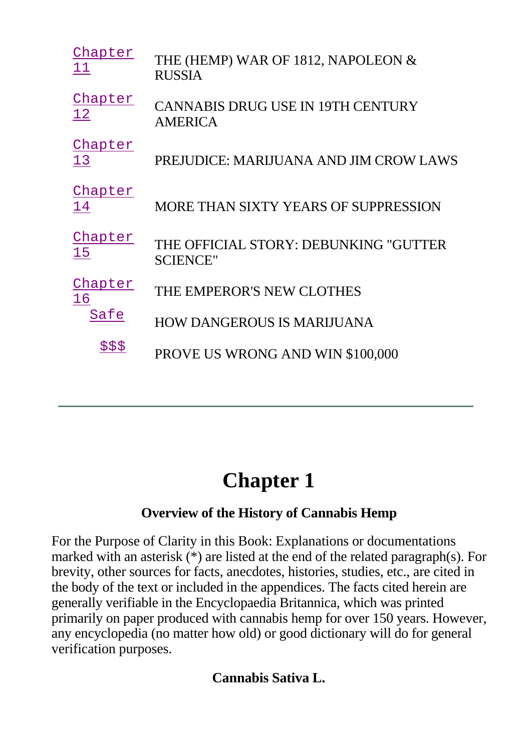| Chapter<br>11         | THE (HEMP) WAR OF 1812, NAPOLEON &<br><b>RUSSIA</b>      |
|-----------------------|----------------------------------------------------------|
| Chapter<br>12         | CANNABIS DRUG USE IN 19TH CENTURY<br><b>AMERICA</b>      |
| Chapter<br>13         | PREJUDICE: MARIJUANA AND JIM CROW LAWS                   |
| Chapter<br><u> 14</u> | MORE THAN SIXTY YEARS OF SUPPRESSION                     |
| Chapter<br><u> 15</u> | THE OFFICIAL STORY: DEBUNKING "GUTTER<br><b>SCIENCE"</b> |
| Chapter<br>16         | THE EMPEROR'S NEW CLOTHES                                |
| Safe                  | <b>HOW DANGEROUS IS MARIJUANA</b>                        |
| \$\$\$                | PROVE US WRONG AND WIN \$100,000                         |

## **Chapter 1**

## **Overview of the History of Cannabis Hemp**

For the Purpose of Clarity in this Book: Explanations or documentations marked with an asterisk (\*) are listed at the end of the related paragraph(s). For brevity, other sources for facts, anecdotes, histories, studies, etc., are cited in the body of the text or included in the appendices. The facts cited herein are generally verifiable in the Encyclopaedia Britannica, which was printed primarily on paper produced with cannabis hemp for over 150 years. However, any encyclopedia (no matter how old) or good dictionary will do for general verification purposes.

## **Cannabis Sativa L.**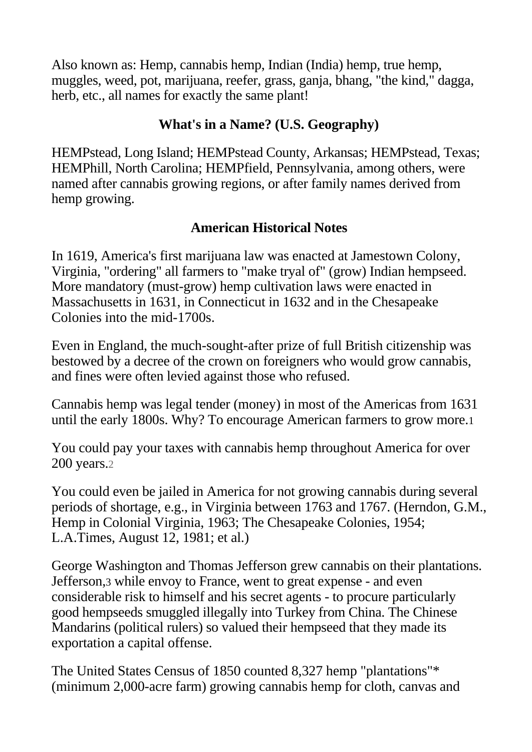Also known as: Hemp, cannabis hemp, Indian (India) hemp, true hemp, muggles, weed, pot, marijuana, reefer, grass, ganja, bhang, "the kind," dagga, herb, etc., all names for exactly the same plant!

#### **What's in a Name? (U.S. Geography)**

HEMPstead, Long Island; HEMPstead County, Arkansas; HEMPstead, Texas; HEMPhill, North Carolina; HEMPfield, Pennsylvania, among others, were named after cannabis growing regions, or after family names derived from hemp growing.

#### **American Historical Notes**

In 1619, America's first marijuana law was enacted at Jamestown Colony, Virginia, "ordering" all farmers to "make tryal of" (grow) Indian hempseed. More mandatory (must-grow) hemp cultivation laws were enacted in Massachusetts in 1631, in Connecticut in 1632 and in the Chesapeake Colonies into the mid-1700s.

Even in England, the much-sought-after prize of full British citizenship was bestowed by a decree of the crown on foreigners who would grow cannabis, and fines were often levied against those who refused.

Cannabis hemp was legal tender (money) in most of the Americas from 1631 until the early 1800s. Why? To encourage American farmers to grow more.1

You could pay your taxes with cannabis hemp throughout America for over 200 years.2

You could even be jailed in America for not growing cannabis during several periods of shortage, e.g., in Virginia between 1763 and 1767. (Herndon, G.M., Hemp in Colonial Virginia, 1963; The Chesapeake Colonies, 1954; L.A.Times, August 12, 1981; et al.)

George Washington and Thomas Jefferson grew cannabis on their plantations. Jefferson,3 while envoy to France, went to great expense - and even considerable risk to himself and his secret agents - to procure particularly good hempseeds smuggled illegally into Turkey from China. The Chinese Mandarins (political rulers) so valued their hempseed that they made its exportation a capital offense.

The United States Census of 1850 counted 8,327 hemp "plantations"\* (minimum 2,000-acre farm) growing cannabis hemp for cloth, canvas and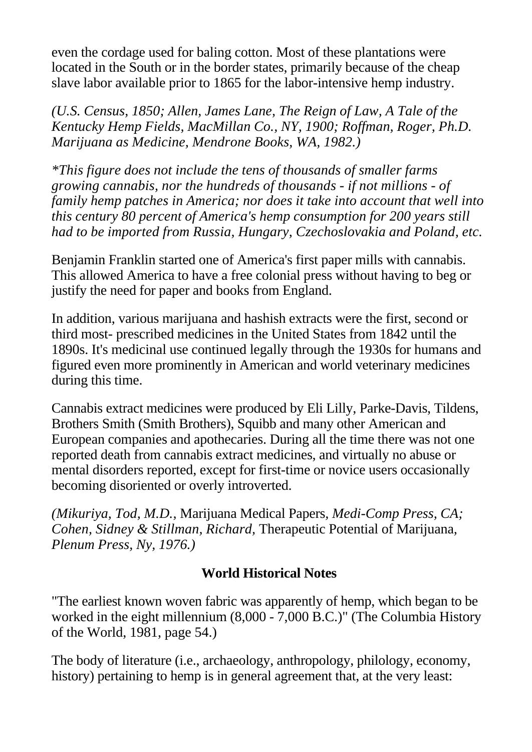even the cordage used for baling cotton. Most of these plantations were located in the South or in the border states, primarily because of the cheap slave labor available prior to 1865 for the labor-intensive hemp industry.

*(U.S. Census, 1850; Allen, James Lane, The Reign of Law, A Tale of the Kentucky Hemp Fields, MacMillan Co., NY, 1900; Roffman, Roger, Ph.D. Marijuana as Medicine, Mendrone Books, WA, 1982.)* 

*\*This figure does not include the tens of thousands of smaller farms growing cannabis, nor the hundreds of thousands - if not millions - of family hemp patches in America; nor does it take into account that well into this century 80 percent of America's hemp consumption for 200 years still had to be imported from Russia, Hungary, Czechoslovakia and Poland, etc.* 

Benjamin Franklin started one of America's first paper mills with cannabis. This allowed America to have a free colonial press without having to beg or justify the need for paper and books from England.

In addition, various marijuana and hashish extracts were the first, second or third most- prescribed medicines in the United States from 1842 until the 1890s. It's medicinal use continued legally through the 1930s for humans and figured even more prominently in American and world veterinary medicines during this time.

Cannabis extract medicines were produced by Eli Lilly, Parke-Davis, Tildens, Brothers Smith (Smith Brothers), Squibb and many other American and European companies and apothecaries. During all the time there was not one reported death from cannabis extract medicines, and virtually no abuse or mental disorders reported, except for first-time or novice users occasionally becoming disoriented or overly introverted.

*(Mikuriya, Tod, M.D.,* Marijuana Medical Papers*, Medi-Comp Press, CA; Cohen, Sidney & Stillman, Richard,* Therapeutic Potential of Marijuana*, Plenum Press, Ny, 1976.)* 

#### **World Historical Notes**

"The earliest known woven fabric was apparently of hemp, which began to be worked in the eight millennium (8,000 - 7,000 B.C.)" (The Columbia History of the World, 1981, page 54.)

The body of literature (i.e., archaeology, anthropology, philology, economy, history) pertaining to hemp is in general agreement that, at the very least: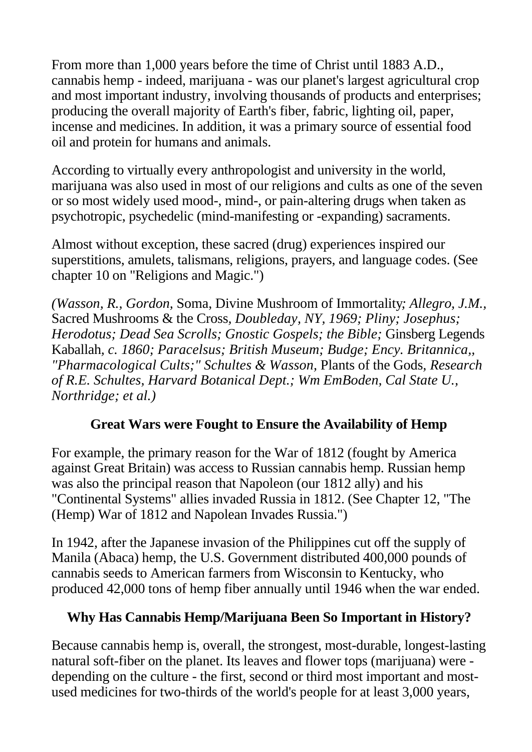From more than 1,000 years before the time of Christ until 1883 A.D., cannabis hemp - indeed, marijuana - was our planet's largest agricultural crop and most important industry, involving thousands of products and enterprises; producing the overall majority of Earth's fiber, fabric, lighting oil, paper, incense and medicines. In addition, it was a primary source of essential food oil and protein for humans and animals.

According to virtually every anthropologist and university in the world, marijuana was also used in most of our religions and cults as one of the seven or so most widely used mood-, mind-, or pain-altering drugs when taken as psychotropic, psychedelic (mind-manifesting or -expanding) sacraments.

Almost without exception, these sacred (drug) experiences inspired our superstitions, amulets, talismans, religions, prayers, and language codes. (See chapter 10 on "Religions and Magic.")

*(Wasson, R., Gordon,* Soma, Divine Mushroom of Immortality*; Allegro, J.M.,* Sacred Mushrooms & the Cross*, Doubleday, NY, 1969; Pliny; Josephus; Herodotus; Dead Sea Scrolls; Gnostic Gospels; the Bible;* Ginsberg Legends Kaballah*, c. 1860; Paracelsus; British Museum; Budge; Ency. Britannica,, "Pharmacological Cults;" Schultes & Wasson,* Plants of the Gods*, Research of R.E. Schultes, Harvard Botanical Dept.; Wm EmBoden, Cal State U., Northridge; et al.)* 

#### **Great Wars were Fought to Ensure the Availability of Hemp**

For example, the primary reason for the War of 1812 (fought by America against Great Britain) was access to Russian cannabis hemp. Russian hemp was also the principal reason that Napoleon (our 1812 ally) and his "Continental Systems" allies invaded Russia in 1812. (See Chapter 12, "The (Hemp) War of 1812 and Napolean Invades Russia.")

In 1942, after the Japanese invasion of the Philippines cut off the supply of Manila (Abaca) hemp, the U.S. Government distributed 400,000 pounds of cannabis seeds to American farmers from Wisconsin to Kentucky, who produced 42,000 tons of hemp fiber annually until 1946 when the war ended.

## **Why Has Cannabis Hemp/Marijuana Been So Important in History?**

Because cannabis hemp is, overall, the strongest, most-durable, longest-lasting natural soft-fiber on the planet. Its leaves and flower tops (marijuana) were depending on the culture - the first, second or third most important and mostused medicines for two-thirds of the world's people for at least 3,000 years,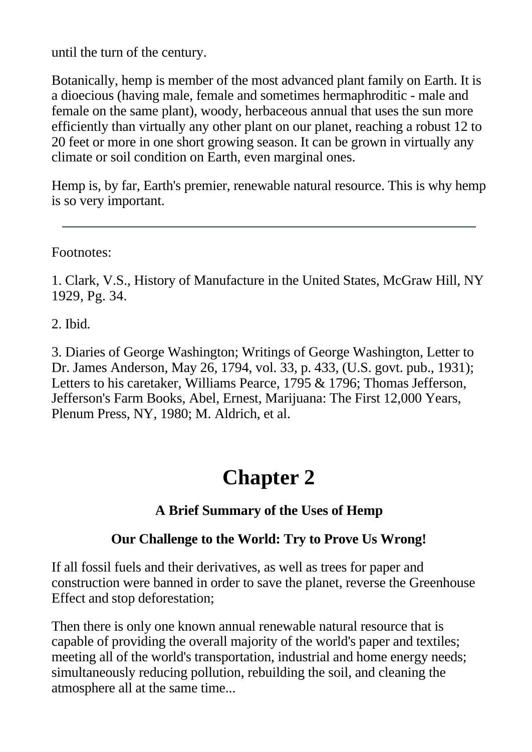until the turn of the century.

Botanically, hemp is member of the most advanced plant family on Earth. It is a dioecious (having male, female and sometimes hermaphroditic - male and female on the same plant), woody, herbaceous annual that uses the sun more efficiently than virtually any other plant on our planet, reaching a robust 12 to 20 feet or more in one short growing season. It can be grown in virtually any climate or soil condition on Earth, even marginal ones.

Hemp is, by far, Earth's premier, renewable natural resource. This is why hemp is so very important.

Footnotes:

1. Clark, V.S., History of Manufacture in the United States, McGraw Hill, NY 1929, Pg. 34.

2. Ibid.

3. Diaries of George Washington; Writings of George Washington, Letter to Dr. James Anderson, May 26, 1794, vol. 33, p. 433, (U.S. govt. pub., 1931); Letters to his caretaker, Williams Pearce, 1795 & 1796; Thomas Jefferson, Jefferson's Farm Books, Abel, Ernest, Marijuana: The First 12,000 Years, Plenum Press, NY, 1980; M. Aldrich, et al.

## **Chapter 2**

#### **A Brief Summary of the Uses of Hemp**

#### **Our Challenge to the World: Try to Prove Us Wrong!**

If all fossil fuels and their derivatives, as well as trees for paper and construction were banned in order to save the planet, reverse the Greenhouse Effect and stop deforestation;

Then there is only one known annual renewable natural resource that is capable of providing the overall majority of the world's paper and textiles; meeting all of the world's transportation, industrial and home energy needs; simultaneously reducing pollution, rebuilding the soil, and cleaning the atmosphere all at the same time...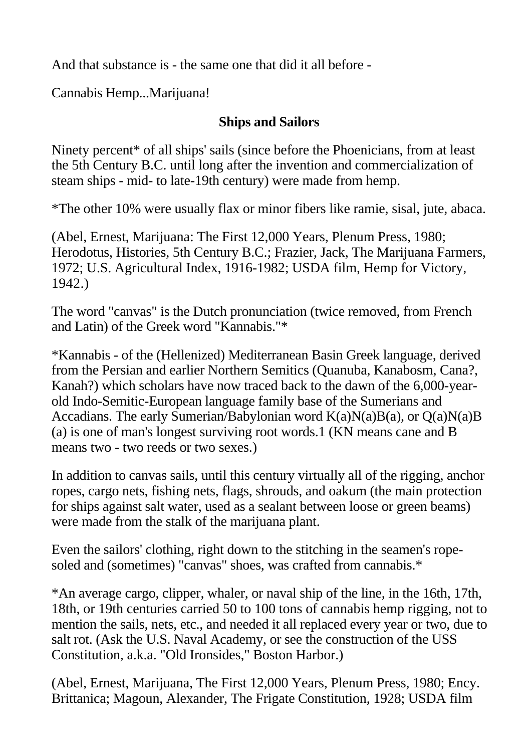And that substance is - the same one that did it all before -

Cannabis Hemp...Marijuana!

### **Ships and Sailors**

Ninety percent<sup>\*</sup> of all ships' sails (since before the Phoenicians, from at least the 5th Century B.C. until long after the invention and commercialization of steam ships - mid- to late-19th century) were made from hemp.

\*The other 10% were usually flax or minor fibers like ramie, sisal, jute, abaca.

(Abel, Ernest, Marijuana: The First 12,000 Years, Plenum Press, 1980; Herodotus, Histories, 5th Century B.C.; Frazier, Jack, The Marijuana Farmers, 1972; U.S. Agricultural Index, 1916-1982; USDA film, Hemp for Victory, 1942.)

The word "canvas" is the Dutch pronunciation (twice removed, from French and Latin) of the Greek word "Kannabis."\*

\*Kannabis - of the (Hellenized) Mediterranean Basin Greek language, derived from the Persian and earlier Northern Semitics (Quanuba, Kanabosm, Cana?, Kanah?) which scholars have now traced back to the dawn of the 6,000-yearold Indo-Semitic-European language family base of the Sumerians and Accadians. The early Sumerian/Babylonian word K(a)N(a)B(a), or Q(a)N(a)B (a) is one of man's longest surviving root words.1 (KN means cane and B means two - two reeds or two sexes.)

In addition to canvas sails, until this century virtually all of the rigging, anchor ropes, cargo nets, fishing nets, flags, shrouds, and oakum (the main protection for ships against salt water, used as a sealant between loose or green beams) were made from the stalk of the marijuana plant.

Even the sailors' clothing, right down to the stitching in the seamen's ropesoled and (sometimes) "canvas" shoes, was crafted from cannabis.\*

\*An average cargo, clipper, whaler, or naval ship of the line, in the 16th, 17th, 18th, or 19th centuries carried 50 to 100 tons of cannabis hemp rigging, not to mention the sails, nets, etc., and needed it all replaced every year or two, due to salt rot. (Ask the U.S. Naval Academy, or see the construction of the USS Constitution, a.k.a. "Old Ironsides," Boston Harbor.)

(Abel, Ernest, Marijuana, The First 12,000 Years, Plenum Press, 1980; Ency. Brittanica; Magoun, Alexander, The Frigate Constitution, 1928; USDA film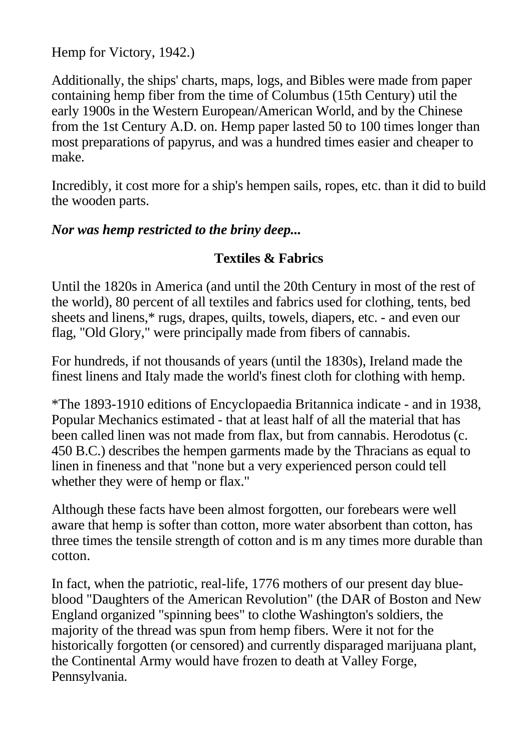Hemp for Victory, 1942.)

Additionally, the ships' charts, maps, logs, and Bibles were made from paper containing hemp fiber from the time of Columbus (15th Century) util the early 1900s in the Western European/American World, and by the Chinese from the 1st Century A.D. on. Hemp paper lasted 50 to 100 times longer than most preparations of papyrus, and was a hundred times easier and cheaper to make.

Incredibly, it cost more for a ship's hempen sails, ropes, etc. than it did to build the wooden parts.

*Nor was hemp restricted to the briny deep...* 

## **Textiles & Fabrics**

Until the 1820s in America (and until the 20th Century in most of the rest of the world), 80 percent of all textiles and fabrics used for clothing, tents, bed sheets and linens,\* rugs, drapes, quilts, towels, diapers, etc. - and even our flag, "Old Glory," were principally made from fibers of cannabis.

For hundreds, if not thousands of years (until the 1830s), Ireland made the finest linens and Italy made the world's finest cloth for clothing with hemp.

\*The 1893-1910 editions of Encyclopaedia Britannica indicate - and in 1938, Popular Mechanics estimated - that at least half of all the material that has been called linen was not made from flax, but from cannabis. Herodotus (c. 450 B.C.) describes the hempen garments made by the Thracians as equal to linen in fineness and that "none but a very experienced person could tell whether they were of hemp or flax."

Although these facts have been almost forgotten, our forebears were well aware that hemp is softer than cotton, more water absorbent than cotton, has three times the tensile strength of cotton and is m any times more durable than cotton.

In fact, when the patriotic, real-life, 1776 mothers of our present day blueblood "Daughters of the American Revolution" (the DAR of Boston and New England organized "spinning bees" to clothe Washington's soldiers, the majority of the thread was spun from hemp fibers. Were it not for the historically forgotten (or censored) and currently disparaged marijuana plant, the Continental Army would have frozen to death at Valley Forge, Pennsylvania.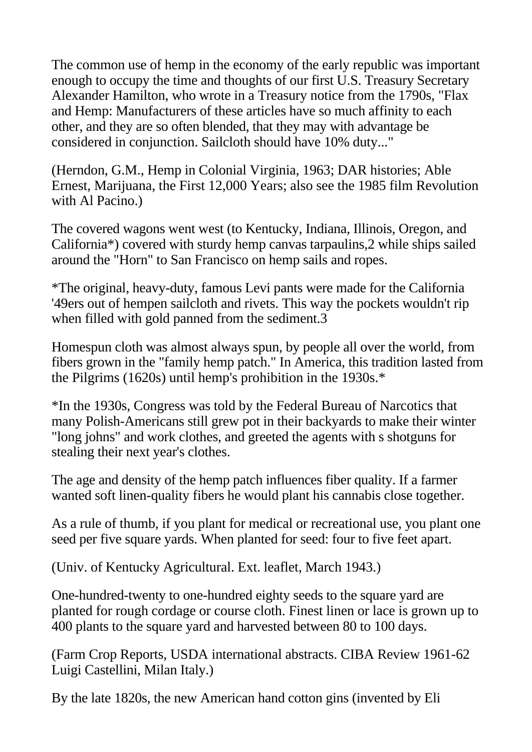The common use of hemp in the economy of the early republic was important enough to occupy the time and thoughts of our first U.S. Treasury Secretary Alexander Hamilton, who wrote in a Treasury notice from the 1790s, "Flax and Hemp: Manufacturers of these articles have so much affinity to each other, and they are so often blended, that they may with advantage be considered in conjunction. Sailcloth should have 10% duty..."

(Herndon, G.M., Hemp in Colonial Virginia, 1963; DAR histories; Able Ernest, Marijuana, the First 12,000 Years; also see the 1985 film Revolution with Al Pacino.)

The covered wagons went west (to Kentucky, Indiana, Illinois, Oregon, and California\*) covered with sturdy hemp canvas tarpaulins,2 while ships sailed around the "Horn" to San Francisco on hemp sails and ropes.

\*The original, heavy-duty, famous Levi pants were made for the California '49ers out of hempen sailcloth and rivets. This way the pockets wouldn't rip when filled with gold panned from the sediment.3

Homespun cloth was almost always spun, by people all over the world, from fibers grown in the "family hemp patch." In America, this tradition lasted from the Pilgrims (1620s) until hemp's prohibition in the 1930s.\*

\*In the 1930s, Congress was told by the Federal Bureau of Narcotics that many Polish-Americans still grew pot in their backyards to make their winter "long johns" and work clothes, and greeted the agents with s shotguns for stealing their next year's clothes.

The age and density of the hemp patch influences fiber quality. If a farmer wanted soft linen-quality fibers he would plant his cannabis close together.

As a rule of thumb, if you plant for medical or recreational use, you plant one seed per five square yards. When planted for seed: four to five feet apart.

(Univ. of Kentucky Agricultural. Ext. leaflet, March 1943.)

One-hundred-twenty to one-hundred eighty seeds to the square yard are planted for rough cordage or course cloth. Finest linen or lace is grown up to 400 plants to the square yard and harvested between 80 to 100 days.

(Farm Crop Reports, USDA international abstracts. CIBA Review 1961-62 Luigi Castellini, Milan Italy.)

By the late 1820s, the new American hand cotton gins (invented by Eli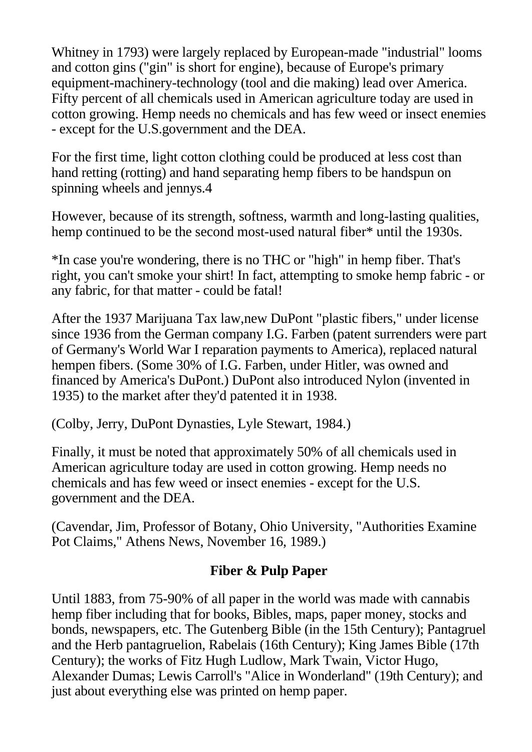Whitney in 1793) were largely replaced by European-made "industrial" looms and cotton gins ("gin" is short for engine), because of Europe's primary equipment-machinery-technology (tool and die making) lead over America. Fifty percent of all chemicals used in American agriculture today are used in cotton growing. Hemp needs no chemicals and has few weed or insect enemies - except for the U.S.government and the DEA.

For the first time, light cotton clothing could be produced at less cost than hand retting (rotting) and hand separating hemp fibers to be handspun on spinning wheels and jennys.4

However, because of its strength, softness, warmth and long-lasting qualities, hemp continued to be the second most-used natural fiber\* until the 1930s.

\*In case you're wondering, there is no THC or "high" in hemp fiber. That's right, you can't smoke your shirt! In fact, attempting to smoke hemp fabric - or any fabric, for that matter - could be fatal!

After the 1937 Marijuana Tax law,new DuPont "plastic fibers," under license since 1936 from the German company I.G. Farben (patent surrenders were part of Germany's World War I reparation payments to America), replaced natural hempen fibers. (Some 30% of I.G. Farben, under Hitler, was owned and financed by America's DuPont.) DuPont also introduced Nylon (invented in 1935) to the market after they'd patented it in 1938.

(Colby, Jerry, DuPont Dynasties, Lyle Stewart, 1984.)

Finally, it must be noted that approximately 50% of all chemicals used in American agriculture today are used in cotton growing. Hemp needs no chemicals and has few weed or insect enemies - except for the U.S. government and the DEA.

(Cavendar, Jim, Professor of Botany, Ohio University, "Authorities Examine Pot Claims," Athens News, November 16, 1989.)

## **Fiber & Pulp Paper**

Until 1883, from 75-90% of all paper in the world was made with cannabis hemp fiber including that for books, Bibles, maps, paper money, stocks and bonds, newspapers, etc. The Gutenberg Bible (in the 15th Century); Pantagruel and the Herb pantagruelion, Rabelais (16th Century); King James Bible (17th Century); the works of Fitz Hugh Ludlow, Mark Twain, Victor Hugo, Alexander Dumas; Lewis Carroll's "Alice in Wonderland" (19th Century); and just about everything else was printed on hemp paper.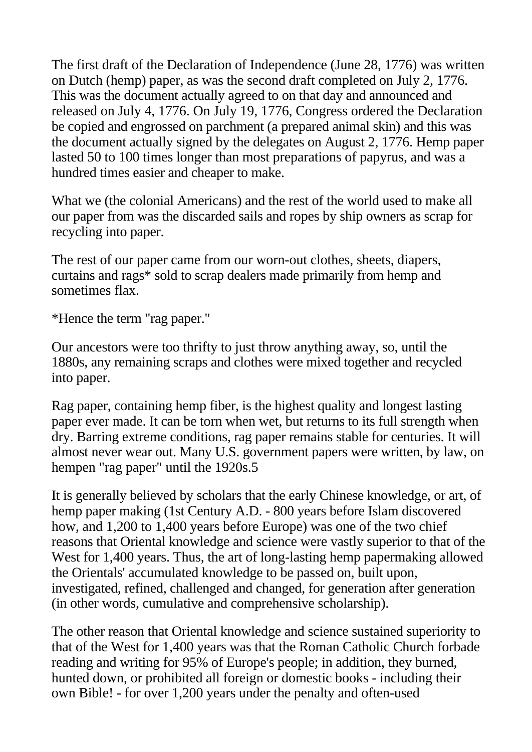The first draft of the Declaration of Independence (June 28, 1776) was written on Dutch (hemp) paper, as was the second draft completed on July 2, 1776. This was the document actually agreed to on that day and announced and released on July 4, 1776. On July 19, 1776, Congress ordered the Declaration be copied and engrossed on parchment (a prepared animal skin) and this was the document actually signed by the delegates on August 2, 1776. Hemp paper lasted 50 to 100 times longer than most preparations of papyrus, and was a hundred times easier and cheaper to make.

What we (the colonial Americans) and the rest of the world used to make all our paper from was the discarded sails and ropes by ship owners as scrap for recycling into paper.

The rest of our paper came from our worn-out clothes, sheets, diapers, curtains and rags\* sold to scrap dealers made primarily from hemp and sometimes flax.

\*Hence the term "rag paper."

Our ancestors were too thrifty to just throw anything away, so, until the 1880s, any remaining scraps and clothes were mixed together and recycled into paper.

Rag paper, containing hemp fiber, is the highest quality and longest lasting paper ever made. It can be torn when wet, but returns to its full strength when dry. Barring extreme conditions, rag paper remains stable for centuries. It will almost never wear out. Many U.S. government papers were written, by law, on hempen "rag paper" until the 1920s.5

It is generally believed by scholars that the early Chinese knowledge, or art, of hemp paper making (1st Century A.D. - 800 years before Islam discovered how, and 1,200 to 1,400 years before Europe) was one of the two chief reasons that Oriental knowledge and science were vastly superior to that of the West for 1,400 years. Thus, the art of long-lasting hemp papermaking allowed the Orientals' accumulated knowledge to be passed on, built upon, investigated, refined, challenged and changed, for generation after generation (in other words, cumulative and comprehensive scholarship).

The other reason that Oriental knowledge and science sustained superiority to that of the West for 1,400 years was that the Roman Catholic Church forbade reading and writing for 95% of Europe's people; in addition, they burned, hunted down, or prohibited all foreign or domestic books - including their own Bible! - for over 1,200 years under the penalty and often-used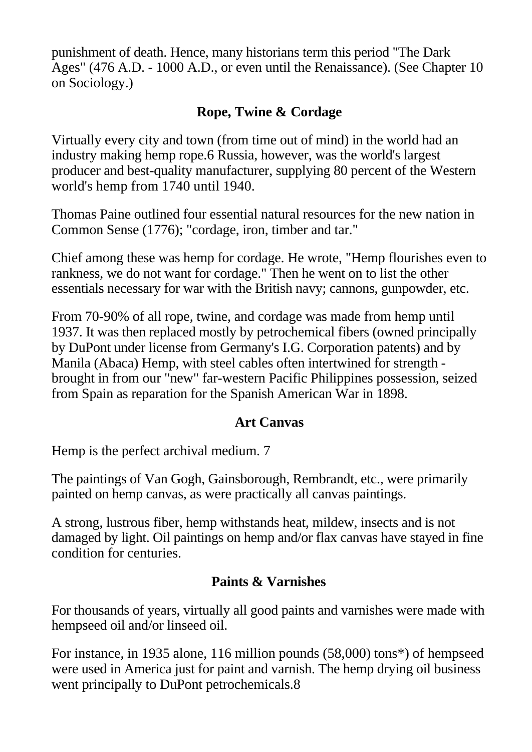punishment of death. Hence, many historians term this period "The Dark Ages" (476 A.D. - 1000 A.D., or even until the Renaissance). (See Chapter 10 on Sociology.)

## **Rope, Twine & Cordage**

Virtually every city and town (from time out of mind) in the world had an industry making hemp rope.6 Russia, however, was the world's largest producer and best-quality manufacturer, supplying 80 percent of the Western world's hemp from 1740 until 1940.

Thomas Paine outlined four essential natural resources for the new nation in Common Sense (1776); "cordage, iron, timber and tar."

Chief among these was hemp for cordage. He wrote, "Hemp flourishes even to rankness, we do not want for cordage." Then he went on to list the other essentials necessary for war with the British navy; cannons, gunpowder, etc.

From 70-90% of all rope, twine, and cordage was made from hemp until 1937. It was then replaced mostly by petrochemical fibers (owned principally by DuPont under license from Germany's I.G. Corporation patents) and by Manila (Abaca) Hemp, with steel cables often intertwined for strength brought in from our "new" far-western Pacific Philippines possession, seized from Spain as reparation for the Spanish American War in 1898.

## **Art Canvas**

Hemp is the perfect archival medium. 7

The paintings of Van Gogh, Gainsborough, Rembrandt, etc., were primarily painted on hemp canvas, as were practically all canvas paintings.

A strong, lustrous fiber, hemp withstands heat, mildew, insects and is not damaged by light. Oil paintings on hemp and/or flax canvas have stayed in fine condition for centuries.

#### **Paints & Varnishes**

For thousands of years, virtually all good paints and varnishes were made with hempseed oil and/or linseed oil.

For instance, in 1935 alone, 116 million pounds (58,000) tons\*) of hempseed were used in America just for paint and varnish. The hemp drying oil business went principally to DuPont petrochemicals.8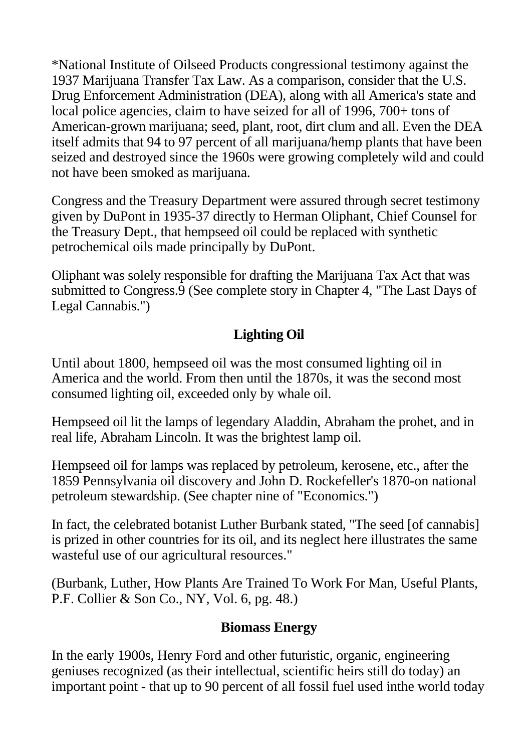\*National Institute of Oilseed Products congressional testimony against the 1937 Marijuana Transfer Tax Law. As a comparison, consider that the U.S. Drug Enforcement Administration (DEA), along with all America's state and local police agencies, claim to have seized for all of 1996, 700+ tons of American-grown marijuana; seed, plant, root, dirt clum and all. Even the DEA itself admits that 94 to 97 percent of all marijuana/hemp plants that have been seized and destroyed since the 1960s were growing completely wild and could not have been smoked as marijuana.

Congress and the Treasury Department were assured through secret testimony given by DuPont in 1935-37 directly to Herman Oliphant, Chief Counsel for the Treasury Dept., that hempseed oil could be replaced with synthetic petrochemical oils made principally by DuPont.

Oliphant was solely responsible for drafting the Marijuana Tax Act that was submitted to Congress.9 (See complete story in Chapter 4, "The Last Days of Legal Cannabis.")

## **Lighting Oil**

Until about 1800, hempseed oil was the most consumed lighting oil in America and the world. From then until the 1870s, it was the second most consumed lighting oil, exceeded only by whale oil.

Hempseed oil lit the lamps of legendary Aladdin, Abraham the prohet, and in real life, Abraham Lincoln. It was the brightest lamp oil.

Hempseed oil for lamps was replaced by petroleum, kerosene, etc., after the 1859 Pennsylvania oil discovery and John D. Rockefeller's 1870-on national petroleum stewardship. (See chapter nine of "Economics.")

In fact, the celebrated botanist Luther Burbank stated, "The seed [of cannabis] is prized in other countries for its oil, and its neglect here illustrates the same wasteful use of our agricultural resources."

(Burbank, Luther, How Plants Are Trained To Work For Man, Useful Plants, P.F. Collier & Son Co., NY, Vol. 6, pg. 48.)

#### **Biomass Energy**

In the early 1900s, Henry Ford and other futuristic, organic, engineering geniuses recognized (as their intellectual, scientific heirs still do today) an important point - that up to 90 percent of all fossil fuel used inthe world today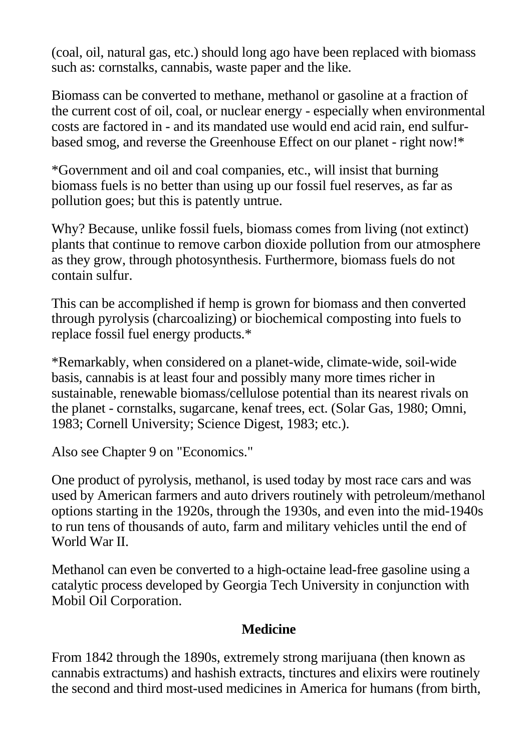(coal, oil, natural gas, etc.) should long ago have been replaced with biomass such as: cornstalks, cannabis, waste paper and the like.

Biomass can be converted to methane, methanol or gasoline at a fraction of the current cost of oil, coal, or nuclear energy - especially when environmental costs are factored in - and its mandated use would end acid rain, end sulfurbased smog, and reverse the Greenhouse Effect on our planet - right now!\*

\*Government and oil and coal companies, etc., will insist that burning biomass fuels is no better than using up our fossil fuel reserves, as far as pollution goes; but this is patently untrue.

Why? Because, unlike fossil fuels, biomass comes from living (not extinct) plants that continue to remove carbon dioxide pollution from our atmosphere as they grow, through photosynthesis. Furthermore, biomass fuels do not contain sulfur.

This can be accomplished if hemp is grown for biomass and then converted through pyrolysis (charcoalizing) or biochemical composting into fuels to replace fossil fuel energy products.\*

\*Remarkably, when considered on a planet-wide, climate-wide, soil-wide basis, cannabis is at least four and possibly many more times richer in sustainable, renewable biomass/cellulose potential than its nearest rivals on the planet - cornstalks, sugarcane, kenaf trees, ect. (Solar Gas, 1980; Omni, 1983; Cornell University; Science Digest, 1983; etc.).

Also see Chapter 9 on "Economics."

One product of pyrolysis, methanol, is used today by most race cars and was used by American farmers and auto drivers routinely with petroleum/methanol options starting in the 1920s, through the 1930s, and even into the mid-1940s to run tens of thousands of auto, farm and military vehicles until the end of World War II.

Methanol can even be converted to a high-octaine lead-free gasoline using a catalytic process developed by Georgia Tech University in conjunction with Mobil Oil Corporation.

#### **Medicine**

From 1842 through the 1890s, extremely strong marijuana (then known as cannabis extractums) and hashish extracts, tinctures and elixirs were routinely the second and third most-used medicines in America for humans (from birth,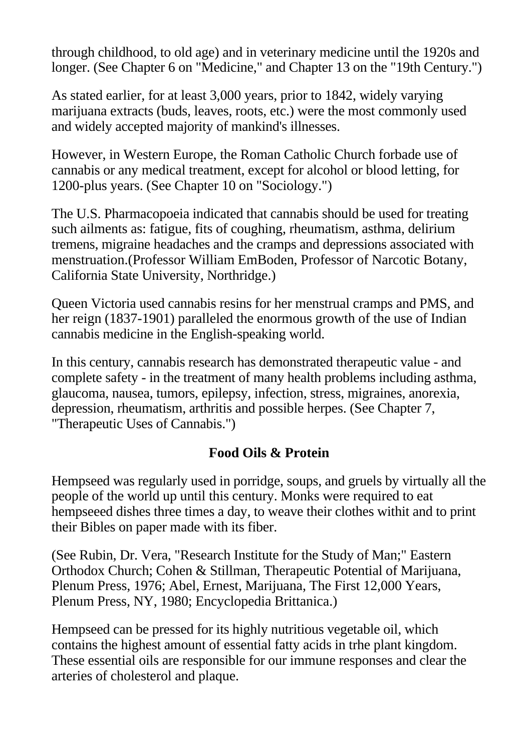through childhood, to old age) and in veterinary medicine until the 1920s and longer. (See Chapter 6 on "Medicine," and Chapter 13 on the "19th Century.")

As stated earlier, for at least 3,000 years, prior to 1842, widely varying marijuana extracts (buds, leaves, roots, etc.) were the most commonly used and widely accepted majority of mankind's illnesses.

However, in Western Europe, the Roman Catholic Church forbade use of cannabis or any medical treatment, except for alcohol or blood letting, for 1200-plus years. (See Chapter 10 on "Sociology.")

The U.S. Pharmacopoeia indicated that cannabis should be used for treating such ailments as: fatigue, fits of coughing, rheumatism, asthma, delirium tremens, migraine headaches and the cramps and depressions associated with menstruation.(Professor William EmBoden, Professor of Narcotic Botany, California State University, Northridge.)

Queen Victoria used cannabis resins for her menstrual cramps and PMS, and her reign (1837-1901) paralleled the enormous growth of the use of Indian cannabis medicine in the English-speaking world.

In this century, cannabis research has demonstrated therapeutic value - and complete safety - in the treatment of many health problems including asthma, glaucoma, nausea, tumors, epilepsy, infection, stress, migraines, anorexia, depression, rheumatism, arthritis and possible herpes. (See Chapter 7, "Therapeutic Uses of Cannabis.")

#### **Food Oils & Protein**

Hempseed was regularly used in porridge, soups, and gruels by virtually all the people of the world up until this century. Monks were required to eat hempseeed dishes three times a day, to weave their clothes withit and to print their Bibles on paper made with its fiber.

(See Rubin, Dr. Vera, "Research Institute for the Study of Man;" Eastern Orthodox Church; Cohen & Stillman, Therapeutic Potential of Marijuana, Plenum Press, 1976; Abel, Ernest, Marijuana, The First 12,000 Years, Plenum Press, NY, 1980; Encyclopedia Brittanica.)

Hempseed can be pressed for its highly nutritious vegetable oil, which contains the highest amount of essential fatty acids in trhe plant kingdom. These essential oils are responsible for our immune responses and clear the arteries of cholesterol and plaque.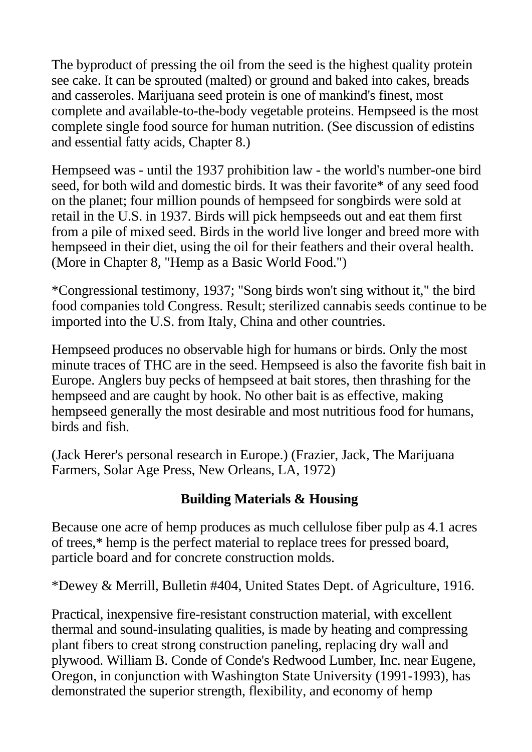The byproduct of pressing the oil from the seed is the highest quality protein see cake. It can be sprouted (malted) or ground and baked into cakes, breads and casseroles. Marijuana seed protein is one of mankind's finest, most complete and available-to-the-body vegetable proteins. Hempseed is the most complete single food source for human nutrition. (See discussion of edistins and essential fatty acids, Chapter 8.)

Hempseed was - until the 1937 prohibition law - the world's number-one bird seed, for both wild and domestic birds. It was their favorite\* of any seed food on the planet; four million pounds of hempseed for songbirds were sold at retail in the U.S. in 1937. Birds will pick hempseeds out and eat them first from a pile of mixed seed. Birds in the world live longer and breed more with hempseed in their diet, using the oil for their feathers and their overal health. (More in Chapter 8, "Hemp as a Basic World Food.")

\*Congressional testimony, 1937; "Song birds won't sing without it," the bird food companies told Congress. Result; sterilized cannabis seeds continue to be imported into the U.S. from Italy, China and other countries.

Hempseed produces no observable high for humans or birds. Only the most minute traces of THC are in the seed. Hempseed is also the favorite fish bait in Europe. Anglers buy pecks of hempseed at bait stores, then thrashing for the hempseed and are caught by hook. No other bait is as effective, making hempseed generally the most desirable and most nutritious food for humans, birds and fish.

(Jack Herer's personal research in Europe.) (Frazier, Jack, The Marijuana Farmers, Solar Age Press, New Orleans, LA, 1972)

#### **Building Materials & Housing**

Because one acre of hemp produces as much cellulose fiber pulp as 4.1 acres of trees,\* hemp is the perfect material to replace trees for pressed board, particle board and for concrete construction molds.

\*Dewey & Merrill, Bulletin #404, United States Dept. of Agriculture, 1916.

Practical, inexpensive fire-resistant construction material, with excellent thermal and sound-insulating qualities, is made by heating and compressing plant fibers to creat strong construction paneling, replacing dry wall and plywood. William B. Conde of Conde's Redwood Lumber, Inc. near Eugene, Oregon, in conjunction with Washington State University (1991-1993), has demonstrated the superior strength, flexibility, and economy of hemp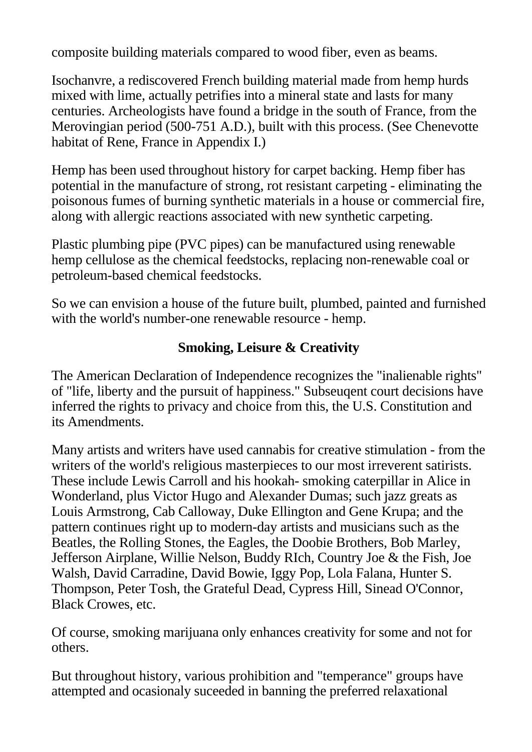composite building materials compared to wood fiber, even as beams.

Isochanvre, a rediscovered French building material made from hemp hurds mixed with lime, actually petrifies into a mineral state and lasts for many centuries. Archeologists have found a bridge in the south of France, from the Merovingian period (500-751 A.D.), built with this process. (See Chenevotte habitat of Rene, France in Appendix I.)

Hemp has been used throughout history for carpet backing. Hemp fiber has potential in the manufacture of strong, rot resistant carpeting - eliminating the poisonous fumes of burning synthetic materials in a house or commercial fire, along with allergic reactions associated with new synthetic carpeting.

Plastic plumbing pipe (PVC pipes) can be manufactured using renewable hemp cellulose as the chemical feedstocks, replacing non-renewable coal or petroleum-based chemical feedstocks.

So we can envision a house of the future built, plumbed, painted and furnished with the world's number-one renewable resource - hemp.

## **Smoking, Leisure & Creativity**

The American Declaration of Independence recognizes the "inalienable rights" of "life, liberty and the pursuit of happiness." Subseuqent court decisions have inferred the rights to privacy and choice from this, the U.S. Constitution and its Amendments.

Many artists and writers have used cannabis for creative stimulation - from the writers of the world's religious masterpieces to our most irreverent satirists. These include Lewis Carroll and his hookah- smoking caterpillar in Alice in Wonderland, plus Victor Hugo and Alexander Dumas; such jazz greats as Louis Armstrong, Cab Calloway, Duke Ellington and Gene Krupa; and the pattern continues right up to modern-day artists and musicians such as the Beatles, the Rolling Stones, the Eagles, the Doobie Brothers, Bob Marley, Jefferson Airplane, Willie Nelson, Buddy RIch, Country Joe & the Fish, Joe Walsh, David Carradine, David Bowie, Iggy Pop, Lola Falana, Hunter S. Thompson, Peter Tosh, the Grateful Dead, Cypress Hill, Sinead O'Connor, Black Crowes, etc.

Of course, smoking marijuana only enhances creativity for some and not for others.

But throughout history, various prohibition and "temperance" groups have attempted and ocasionaly suceeded in banning the preferred relaxational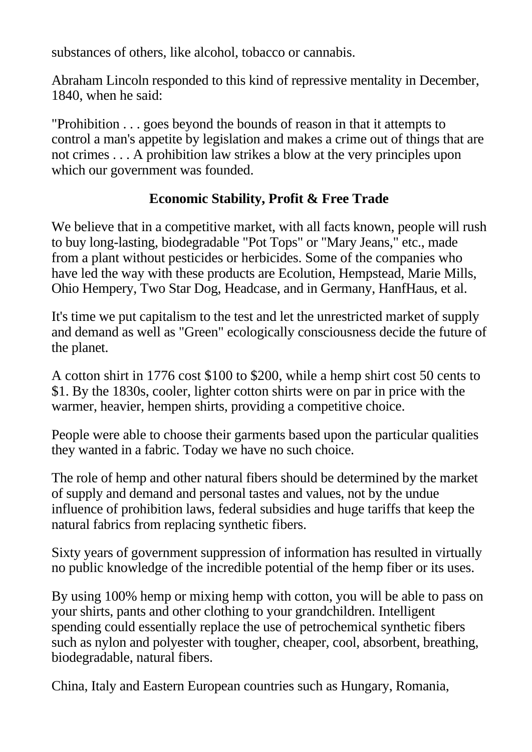substances of others, like alcohol, tobacco or cannabis.

Abraham Lincoln responded to this kind of repressive mentality in December, 1840, when he said:

"Prohibition . . . goes beyond the bounds of reason in that it attempts to control a man's appetite by legislation and makes a crime out of things that are not crimes . . . A prohibition law strikes a blow at the very principles upon which our government was founded.

## **Economic Stability, Profit & Free Trade**

We believe that in a competitive market, with all facts known, people will rush to buy long-lasting, biodegradable "Pot Tops" or "Mary Jeans," etc., made from a plant without pesticides or herbicides. Some of the companies who have led the way with these products are Ecolution, Hempstead, Marie Mills, Ohio Hempery, Two Star Dog, Headcase, and in Germany, HanfHaus, et al.

It's time we put capitalism to the test and let the unrestricted market of supply and demand as well as "Green" ecologically consciousness decide the future of the planet.

A cotton shirt in 1776 cost \$100 to \$200, while a hemp shirt cost 50 cents to \$1. By the 1830s, cooler, lighter cotton shirts were on par in price with the warmer, heavier, hempen shirts, providing a competitive choice.

People were able to choose their garments based upon the particular qualities they wanted in a fabric. Today we have no such choice.

The role of hemp and other natural fibers should be determined by the market of supply and demand and personal tastes and values, not by the undue influence of prohibition laws, federal subsidies and huge tariffs that keep the natural fabrics from replacing synthetic fibers.

Sixty years of government suppression of information has resulted in virtually no public knowledge of the incredible potential of the hemp fiber or its uses.

By using 100% hemp or mixing hemp with cotton, you will be able to pass on your shirts, pants and other clothing to your grandchildren. Intelligent spending could essentially replace the use of petrochemical synthetic fibers such as nylon and polyester with tougher, cheaper, cool, absorbent, breathing, biodegradable, natural fibers.

China, Italy and Eastern European countries such as Hungary, Romania,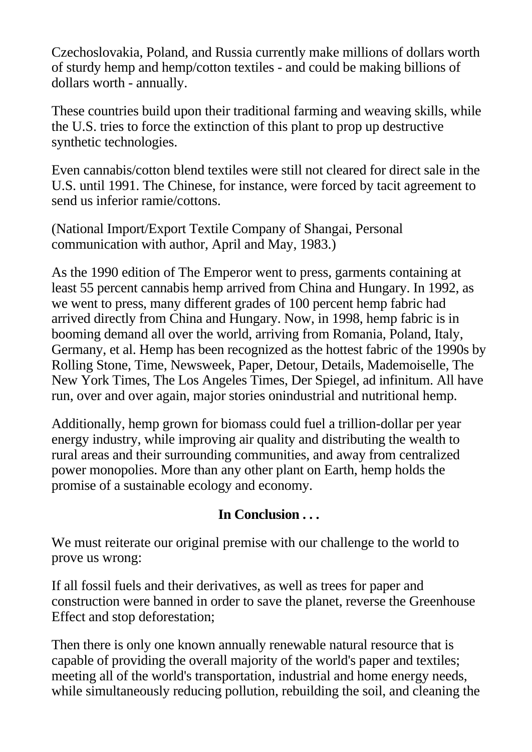Czechoslovakia, Poland, and Russia currently make millions of dollars worth of sturdy hemp and hemp/cotton textiles - and could be making billions of dollars worth - annually.

These countries build upon their traditional farming and weaving skills, while the U.S. tries to force the extinction of this plant to prop up destructive synthetic technologies.

Even cannabis/cotton blend textiles were still not cleared for direct sale in the U.S. until 1991. The Chinese, for instance, were forced by tacit agreement to send us inferior ramie/cottons.

(National Import/Export Textile Company of Shangai, Personal communication with author, April and May, 1983.)

As the 1990 edition of The Emperor went to press, garments containing at least 55 percent cannabis hemp arrived from China and Hungary. In 1992, as we went to press, many different grades of 100 percent hemp fabric had arrived directly from China and Hungary. Now, in 1998, hemp fabric is in booming demand all over the world, arriving from Romania, Poland, Italy, Germany, et al. Hemp has been recognized as the hottest fabric of the 1990s by Rolling Stone, Time, Newsweek, Paper, Detour, Details, Mademoiselle, The New York Times, The Los Angeles Times, Der Spiegel, ad infinitum. All have run, over and over again, major stories onindustrial and nutritional hemp.

Additionally, hemp grown for biomass could fuel a trillion-dollar per year energy industry, while improving air quality and distributing the wealth to rural areas and their surrounding communities, and away from centralized power monopolies. More than any other plant on Earth, hemp holds the promise of a sustainable ecology and economy.

#### **In Conclusion . . .**

We must reiterate our original premise with our challenge to the world to prove us wrong:

If all fossil fuels and their derivatives, as well as trees for paper and construction were banned in order to save the planet, reverse the Greenhouse Effect and stop deforestation;

Then there is only one known annually renewable natural resource that is capable of providing the overall majority of the world's paper and textiles; meeting all of the world's transportation, industrial and home energy needs, while simultaneously reducing pollution, rebuilding the soil, and cleaning the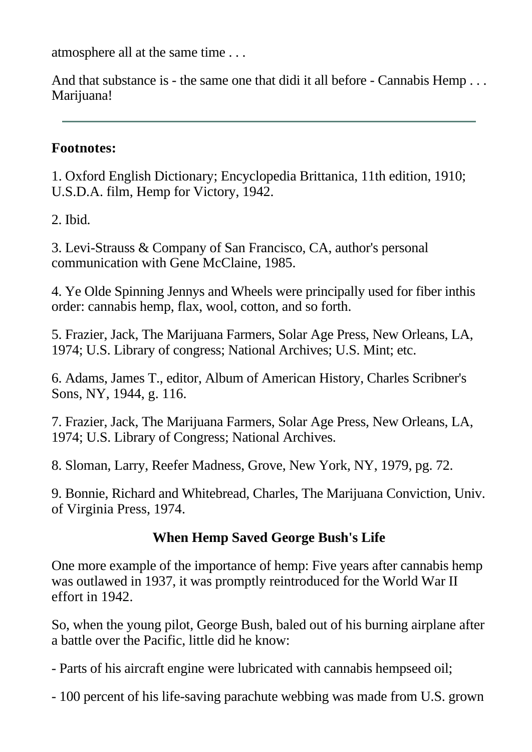atmosphere all at the same time . . .

And that substance is - the same one that didi it all before - Cannabis Hemp... Marijuana!

#### **Footnotes:**

1. Oxford English Dictionary; Encyclopedia Brittanica, 11th edition, 1910; U.S.D.A. film, Hemp for Victory, 1942.

2. Ibid.

3. Levi-Strauss & Company of San Francisco, CA, author's personal communication with Gene McClaine, 1985.

4. Ye Olde Spinning Jennys and Wheels were principally used for fiber inthis order: cannabis hemp, flax, wool, cotton, and so forth.

5. Frazier, Jack, The Marijuana Farmers, Solar Age Press, New Orleans, LA, 1974; U.S. Library of congress; National Archives; U.S. Mint; etc.

6. Adams, James T., editor, Album of American History, Charles Scribner's Sons, NY, 1944, g. 116.

7. Frazier, Jack, The Marijuana Farmers, Solar Age Press, New Orleans, LA, 1974; U.S. Library of Congress; National Archives.

8. Sloman, Larry, Reefer Madness, Grove, New York, NY, 1979, pg. 72.

9. Bonnie, Richard and Whitebread, Charles, The Marijuana Conviction, Univ. of Virginia Press, 1974.

#### **When Hemp Saved George Bush's Life**

One more example of the importance of hemp: Five years after cannabis hemp was outlawed in 1937, it was promptly reintroduced for the World War II effort in 1942.

So, when the young pilot, George Bush, baled out of his burning airplane after a battle over the Pacific, little did he know:

- Parts of his aircraft engine were lubricated with cannabis hempseed oil;

- 100 percent of his life-saving parachute webbing was made from U.S. grown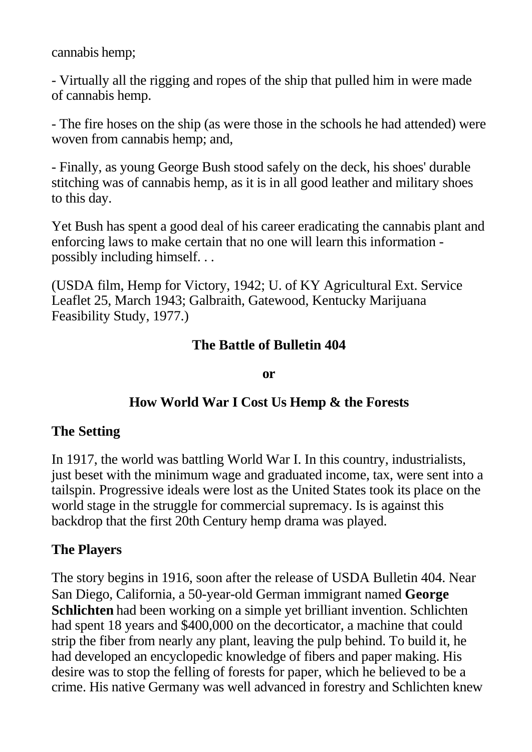cannabis hemp;

- Virtually all the rigging and ropes of the ship that pulled him in were made of cannabis hemp.

- The fire hoses on the ship (as were those in the schools he had attended) were woven from cannabis hemp; and,

- Finally, as young George Bush stood safely on the deck, his shoes' durable stitching was of cannabis hemp, as it is in all good leather and military shoes to this day.

Yet Bush has spent a good deal of his career eradicating the cannabis plant and enforcing laws to make certain that no one will learn this information possibly including himself. . .

(USDA film, Hemp for Victory, 1942; U. of KY Agricultural Ext. Service Leaflet 25, March 1943; Galbraith, Gatewood, Kentucky Marijuana Feasibility Study, 1977.)

#### **The Battle of Bulletin 404**

**or** 

#### **How World War I Cost Us Hemp & the Forests**

#### **The Setting**

In 1917, the world was battling World War I. In this country, industrialists, just beset with the minimum wage and graduated income, tax, were sent into a tailspin. Progressive ideals were lost as the United States took its place on the world stage in the struggle for commercial supremacy. Is is against this backdrop that the first 20th Century hemp drama was played.

#### **The Players**

The story begins in 1916, soon after the release of USDA Bulletin 404. Near San Diego, California, a 50-year-old German immigrant named **George Schlichten** had been working on a simple yet brilliant invention. Schlichten had spent 18 years and \$400,000 on the decorticator, a machine that could strip the fiber from nearly any plant, leaving the pulp behind. To build it, he had developed an encyclopedic knowledge of fibers and paper making. His desire was to stop the felling of forests for paper, which he believed to be a crime. His native Germany was well advanced in forestry and Schlichten knew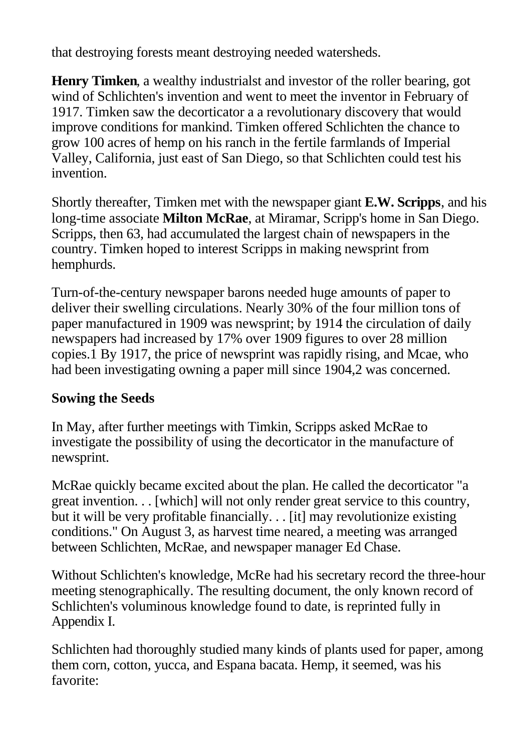that destroying forests meant destroying needed watersheds.

**Henry Timken**, a wealthy industrialst and investor of the roller bearing, got wind of Schlichten's invention and went to meet the inventor in February of 1917. Timken saw the decorticator a a revolutionary discovery that would improve conditions for mankind. Timken offered Schlichten the chance to grow 100 acres of hemp on his ranch in the fertile farmlands of Imperial Valley, California, just east of San Diego, so that Schlichten could test his invention.

Shortly thereafter, Timken met with the newspaper giant **E.W. Scripps**, and his long-time associate **Milton McRae**, at Miramar, Scripp's home in San Diego. Scripps, then 63, had accumulated the largest chain of newspapers in the country. Timken hoped to interest Scripps in making newsprint from hemphurds.

Turn-of-the-century newspaper barons needed huge amounts of paper to deliver their swelling circulations. Nearly 30% of the four million tons of paper manufactured in 1909 was newsprint; by 1914 the circulation of daily newspapers had increased by 17% over 1909 figures to over 28 million copies.1 By 1917, the price of newsprint was rapidly rising, and Mcae, who had been investigating owning a paper mill since 1904,2 was concerned.

## **Sowing the Seeds**

In May, after further meetings with Timkin, Scripps asked McRae to investigate the possibility of using the decorticator in the manufacture of newsprint.

McRae quickly became excited about the plan. He called the decorticator "a great invention. . . [which] will not only render great service to this country, but it will be very profitable financially. . . [it] may revolutionize existing conditions." On August 3, as harvest time neared, a meeting was arranged between Schlichten, McRae, and newspaper manager Ed Chase.

Without Schlichten's knowledge, McRe had his secretary record the three-hour meeting stenographically. The resulting document, the only known record of Schlichten's voluminous knowledge found to date, is reprinted fully in Appendix I.

Schlichten had thoroughly studied many kinds of plants used for paper, among them corn, cotton, yucca, and Espana bacata. Hemp, it seemed, was his favorite: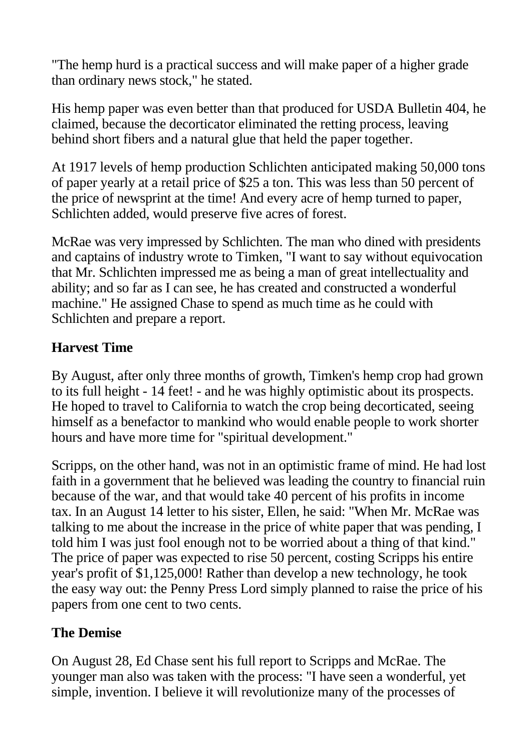"The hemp hurd is a practical success and will make paper of a higher grade than ordinary news stock," he stated.

His hemp paper was even better than that produced for USDA Bulletin 404, he claimed, because the decorticator eliminated the retting process, leaving behind short fibers and a natural glue that held the paper together.

At 1917 levels of hemp production Schlichten anticipated making 50,000 tons of paper yearly at a retail price of \$25 a ton. This was less than 50 percent of the price of newsprint at the time! And every acre of hemp turned to paper, Schlichten added, would preserve five acres of forest.

McRae was very impressed by Schlichten. The man who dined with presidents and captains of industry wrote to Timken, "I want to say without equivocation that Mr. Schlichten impressed me as being a man of great intellectuality and ability; and so far as I can see, he has created and constructed a wonderful machine." He assigned Chase to spend as much time as he could with Schlichten and prepare a report.

## **Harvest Time**

By August, after only three months of growth, Timken's hemp crop had grown to its full height - 14 feet! - and he was highly optimistic about its prospects. He hoped to travel to California to watch the crop being decorticated, seeing himself as a benefactor to mankind who would enable people to work shorter hours and have more time for "spiritual development."

Scripps, on the other hand, was not in an optimistic frame of mind. He had lost faith in a government that he believed was leading the country to financial ruin because of the war, and that would take 40 percent of his profits in income tax. In an August 14 letter to his sister, Ellen, he said: "When Mr. McRae was talking to me about the increase in the price of white paper that was pending, I told him I was just fool enough not to be worried about a thing of that kind." The price of paper was expected to rise 50 percent, costing Scripps his entire year's profit of \$1,125,000! Rather than develop a new technology, he took the easy way out: the Penny Press Lord simply planned to raise the price of his papers from one cent to two cents.

## **The Demise**

On August 28, Ed Chase sent his full report to Scripps and McRae. The younger man also was taken with the process: "I have seen a wonderful, yet simple, invention. I believe it will revolutionize many of the processes of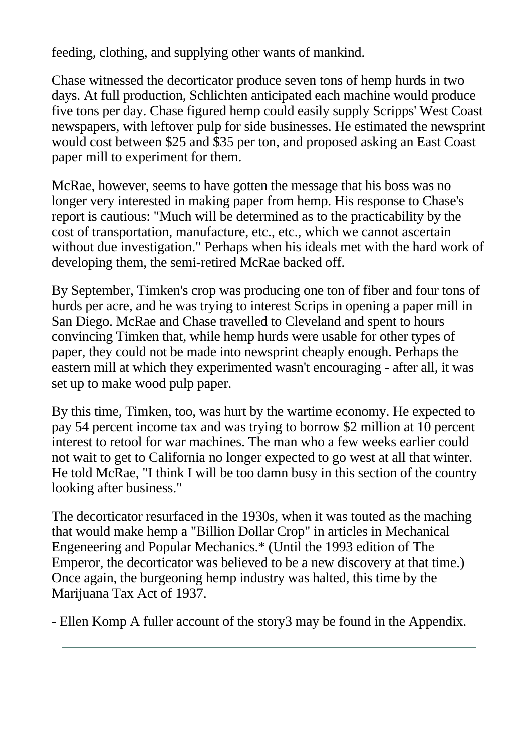feeding, clothing, and supplying other wants of mankind.

Chase witnessed the decorticator produce seven tons of hemp hurds in two days. At full production, Schlichten anticipated each machine would produce five tons per day. Chase figured hemp could easily supply Scripps' West Coast newspapers, with leftover pulp for side businesses. He estimated the newsprint would cost between \$25 and \$35 per ton, and proposed asking an East Coast paper mill to experiment for them.

McRae, however, seems to have gotten the message that his boss was no longer very interested in making paper from hemp. His response to Chase's report is cautious: "Much will be determined as to the practicability by the cost of transportation, manufacture, etc., etc., which we cannot ascertain without due investigation." Perhaps when his ideals met with the hard work of developing them, the semi-retired McRae backed off.

By September, Timken's crop was producing one ton of fiber and four tons of hurds per acre, and he was trying to interest Scrips in opening a paper mill in San Diego. McRae and Chase travelled to Cleveland and spent to hours convincing Timken that, while hemp hurds were usable for other types of paper, they could not be made into newsprint cheaply enough. Perhaps the eastern mill at which they experimented wasn't encouraging - after all, it was set up to make wood pulp paper.

By this time, Timken, too, was hurt by the wartime economy. He expected to pay 54 percent income tax and was trying to borrow \$2 million at 10 percent interest to retool for war machines. The man who a few weeks earlier could not wait to get to California no longer expected to go west at all that winter. He told McRae, "I think I will be too damn busy in this section of the country looking after business."

The decorticator resurfaced in the 1930s, when it was touted as the maching that would make hemp a "Billion Dollar Crop" in articles in Mechanical Engeneering and Popular Mechanics.\* (Until the 1993 edition of The Emperor, the decorticator was believed to be a new discovery at that time.) Once again, the burgeoning hemp industry was halted, this time by the Marijuana Tax Act of 1937.

- Ellen Komp A fuller account of the story3 may be found in the Appendix.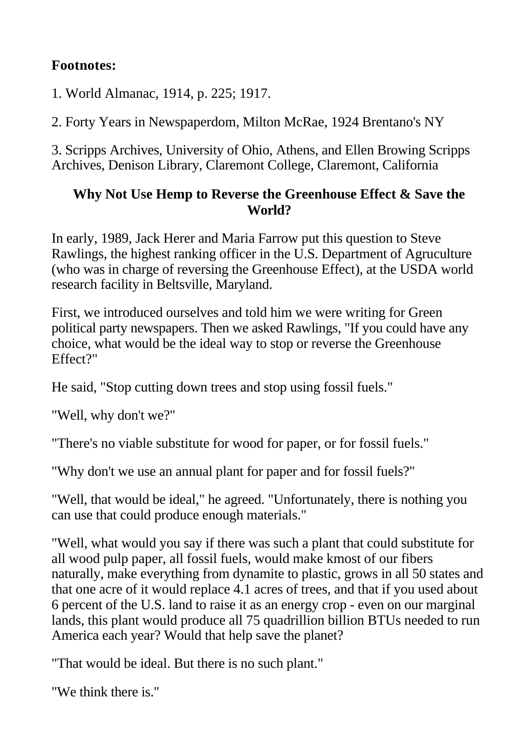## **Footnotes:**

1. World Almanac, 1914, p. 225; 1917.

2. Forty Years in Newspaperdom, Milton McRae, 1924 Brentano's NY

3. Scripps Archives, University of Ohio, Athens, and Ellen Browing Scripps Archives, Denison Library, Claremont College, Claremont, California

#### **Why Not Use Hemp to Reverse the Greenhouse Effect & Save the World?**

In early, 1989, Jack Herer and Maria Farrow put this question to Steve Rawlings, the highest ranking officer in the U.S. Department of Agruculture (who was in charge of reversing the Greenhouse Effect), at the USDA world research facility in Beltsville, Maryland.

First, we introduced ourselves and told him we were writing for Green political party newspapers. Then we asked Rawlings, "If you could have any choice, what would be the ideal way to stop or reverse the Greenhouse Effect?"

He said, "Stop cutting down trees and stop using fossil fuels."

"Well, why don't we?"

"There's no viable substitute for wood for paper, or for fossil fuels."

"Why don't we use an annual plant for paper and for fossil fuels?"

"Well, that would be ideal," he agreed. "Unfortunately, there is nothing you can use that could produce enough materials."

"Well, what would you say if there was such a plant that could substitute for all wood pulp paper, all fossil fuels, would make kmost of our fibers naturally, make everything from dynamite to plastic, grows in all 50 states and that one acre of it would replace 4.1 acres of trees, and that if you used about 6 percent of the U.S. land to raise it as an energy crop - even on our marginal lands, this plant would produce all 75 quadrillion billion BTUs needed to run America each year? Would that help save the planet?

"That would be ideal. But there is no such plant."

"We think there is."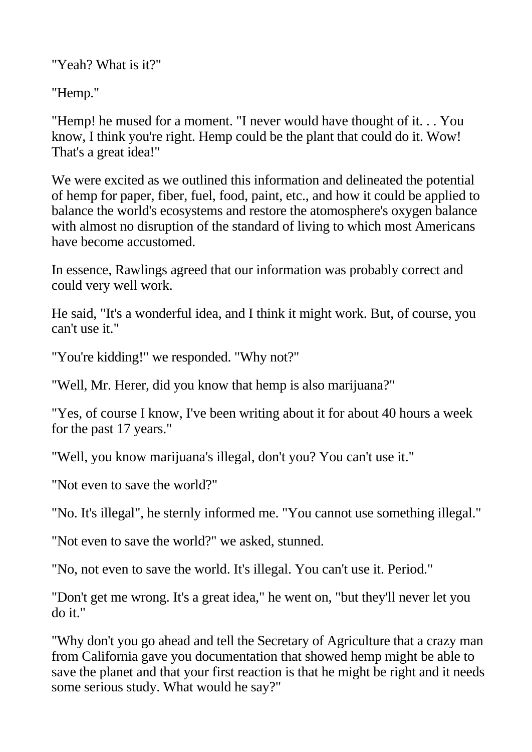"Yeah? What is it?"

"Hemp."

"Hemp! he mused for a moment. "I never would have thought of it. . . You know, I think you're right. Hemp could be the plant that could do it. Wow! That's a great idea!"

We were excited as we outlined this information and delineated the potential of hemp for paper, fiber, fuel, food, paint, etc., and how it could be applied to balance the world's ecosystems and restore the atomosphere's oxygen balance with almost no disruption of the standard of living to which most Americans have become accustomed.

In essence, Rawlings agreed that our information was probably correct and could very well work.

He said, "It's a wonderful idea, and I think it might work. But, of course, you can't use it."

"You're kidding!" we responded. "Why not?"

"Well, Mr. Herer, did you know that hemp is also marijuana?"

"Yes, of course I know, I've been writing about it for about 40 hours a week for the past 17 years."

"Well, you know marijuana's illegal, don't you? You can't use it."

"Not even to save the world?"

"No. It's illegal", he sternly informed me. "You cannot use something illegal."

"Not even to save the world?" we asked, stunned.

"No, not even to save the world. It's illegal. You can't use it. Period."

"Don't get me wrong. It's a great idea," he went on, "but they'll never let you do it."

"Why don't you go ahead and tell the Secretary of Agriculture that a crazy man from California gave you documentation that showed hemp might be able to save the planet and that your first reaction is that he might be right and it needs some serious study. What would he say?"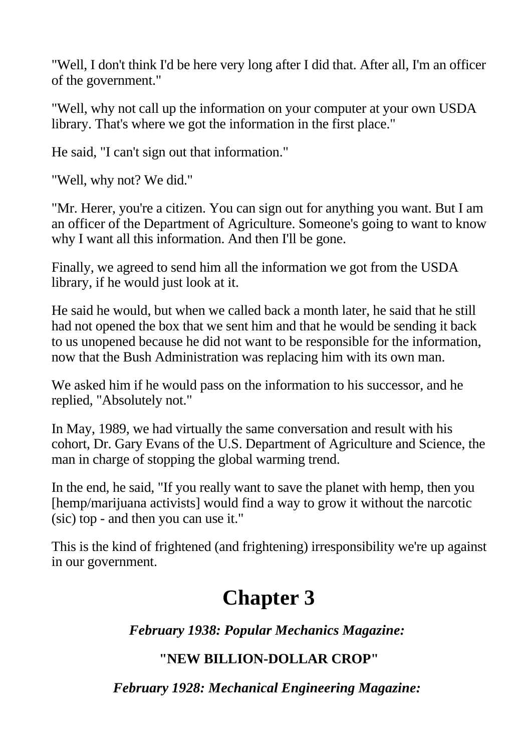"Well, I don't think I'd be here very long after I did that. After all, I'm an officer of the government."

"Well, why not call up the information on your computer at your own USDA library. That's where we got the information in the first place."

He said, "I can't sign out that information."

"Well, why not? We did."

"Mr. Herer, you're a citizen. You can sign out for anything you want. But I am an officer of the Department of Agriculture. Someone's going to want to know why I want all this information. And then I'll be gone.

Finally, we agreed to send him all the information we got from the USDA library, if he would just look at it.

He said he would, but when we called back a month later, he said that he still had not opened the box that we sent him and that he would be sending it back to us unopened because he did not want to be responsible for the information, now that the Bush Administration was replacing him with its own man.

We asked him if he would pass on the information to his successor, and he replied, "Absolutely not."

In May, 1989, we had virtually the same conversation and result with his cohort, Dr. Gary Evans of the U.S. Department of Agriculture and Science, the man in charge of stopping the global warming trend.

In the end, he said, "If you really want to save the planet with hemp, then you [hemp/marijuana activists] would find a way to grow it without the narcotic (sic) top - and then you can use it."

This is the kind of frightened (and frightening) irresponsibility we're up against in our government.

## **Chapter 3**

*February 1938: Popular Mechanics Magazine:* 

## **"NEW BILLION-DOLLAR CROP"**

*February 1928: Mechanical Engineering Magazine:*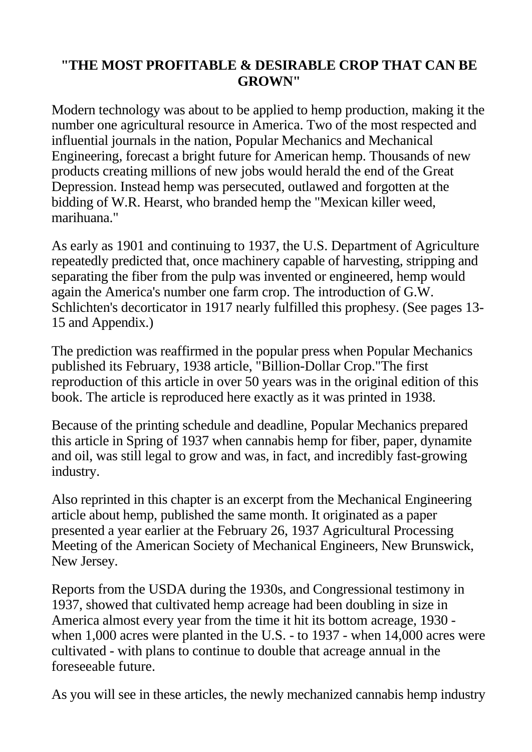#### **"THE MOST PROFITABLE & DESIRABLE CROP THAT CAN BE GROWN"**

Modern technology was about to be applied to hemp production, making it the number one agricultural resource in America. Two of the most respected and influential journals in the nation, Popular Mechanics and Mechanical Engineering, forecast a bright future for American hemp. Thousands of new products creating millions of new jobs would herald the end of the Great Depression. Instead hemp was persecuted, outlawed and forgotten at the bidding of W.R. Hearst, who branded hemp the "Mexican killer weed, marihuana."

As early as 1901 and continuing to 1937, the U.S. Department of Agriculture repeatedly predicted that, once machinery capable of harvesting, stripping and separating the fiber from the pulp was invented or engineered, hemp would again the America's number one farm crop. The introduction of G.W. Schlichten's decorticator in 1917 nearly fulfilled this prophesy. (See pages 13- 15 and Appendix.)

The prediction was reaffirmed in the popular press when Popular Mechanics published its February, 1938 article, "Billion-Dollar Crop."The first reproduction of this article in over 50 years was in the original edition of this book. The article is reproduced here exactly as it was printed in 1938.

Because of the printing schedule and deadline, Popular Mechanics prepared this article in Spring of 1937 when cannabis hemp for fiber, paper, dynamite and oil, was still legal to grow and was, in fact, and incredibly fast-growing industry.

Also reprinted in this chapter is an excerpt from the Mechanical Engineering article about hemp, published the same month. It originated as a paper presented a year earlier at the February 26, 1937 Agricultural Processing Meeting of the American Society of Mechanical Engineers, New Brunswick, New Jersey.

Reports from the USDA during the 1930s, and Congressional testimony in 1937, showed that cultivated hemp acreage had been doubling in size in America almost every year from the time it hit its bottom acreage, 1930 when 1,000 acres were planted in the U.S. - to 1937 - when 14,000 acres were cultivated - with plans to continue to double that acreage annual in the foreseeable future.

As you will see in these articles, the newly mechanized cannabis hemp industry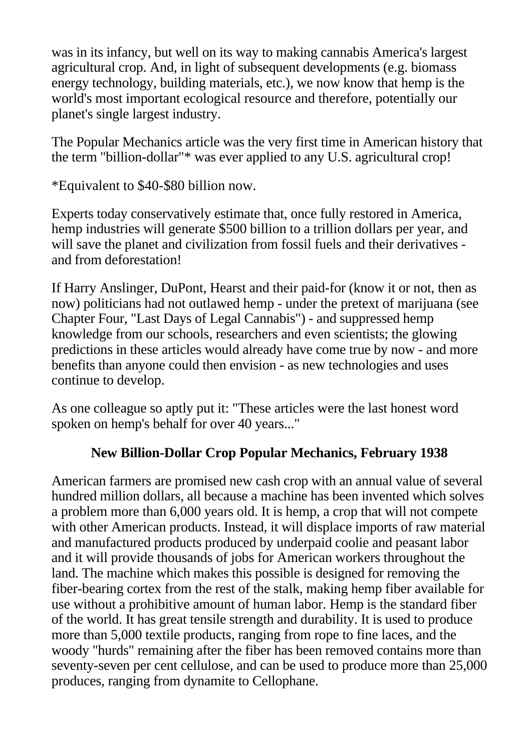was in its infancy, but well on its way to making cannabis America's largest agricultural crop. And, in light of subsequent developments (e.g. biomass energy technology, building materials, etc.), we now know that hemp is the world's most important ecological resource and therefore, potentially our planet's single largest industry.

The Popular Mechanics article was the very first time in American history that the term "billion-dollar"\* was ever applied to any U.S. agricultural crop!

\*Equivalent to \$40-\$80 billion now.

Experts today conservatively estimate that, once fully restored in America, hemp industries will generate \$500 billion to a trillion dollars per year, and will save the planet and civilization from fossil fuels and their derivatives and from deforestation!

If Harry Anslinger, DuPont, Hearst and their paid-for (know it or not, then as now) politicians had not outlawed hemp - under the pretext of marijuana (see Chapter Four, "Last Days of Legal Cannabis") - and suppressed hemp knowledge from our schools, researchers and even scientists; the glowing predictions in these articles would already have come true by now - and more benefits than anyone could then envision - as new technologies and uses continue to develop.

As one colleague so aptly put it: "These articles were the last honest word spoken on hemp's behalf for over 40 years..."

#### **New Billion-Dollar Crop Popular Mechanics, February 1938**

American farmers are promised new cash crop with an annual value of several hundred million dollars, all because a machine has been invented which solves a problem more than 6,000 years old. It is hemp, a crop that will not compete with other American products. Instead, it will displace imports of raw material and manufactured products produced by underpaid coolie and peasant labor and it will provide thousands of jobs for American workers throughout the land. The machine which makes this possible is designed for removing the fiber-bearing cortex from the rest of the stalk, making hemp fiber available for use without a prohibitive amount of human labor. Hemp is the standard fiber of the world. It has great tensile strength and durability. It is used to produce more than 5,000 textile products, ranging from rope to fine laces, and the woody "hurds" remaining after the fiber has been removed contains more than seventy-seven per cent cellulose, and can be used to produce more than 25,000 produces, ranging from dynamite to Cellophane.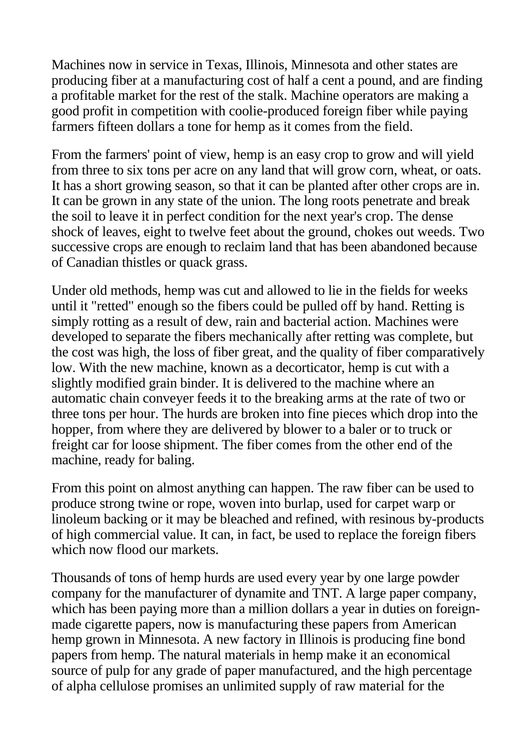Machines now in service in Texas, Illinois, Minnesota and other states are producing fiber at a manufacturing cost of half a cent a pound, and are finding a profitable market for the rest of the stalk. Machine operators are making a good profit in competition with coolie-produced foreign fiber while paying farmers fifteen dollars a tone for hemp as it comes from the field.

From the farmers' point of view, hemp is an easy crop to grow and will yield from three to six tons per acre on any land that will grow corn, wheat, or oats. It has a short growing season, so that it can be planted after other crops are in. It can be grown in any state of the union. The long roots penetrate and break the soil to leave it in perfect condition for the next year's crop. The dense shock of leaves, eight to twelve feet about the ground, chokes out weeds. Two successive crops are enough to reclaim land that has been abandoned because of Canadian thistles or quack grass.

Under old methods, hemp was cut and allowed to lie in the fields for weeks until it "retted" enough so the fibers could be pulled off by hand. Retting is simply rotting as a result of dew, rain and bacterial action. Machines were developed to separate the fibers mechanically after retting was complete, but the cost was high, the loss of fiber great, and the quality of fiber comparatively low. With the new machine, known as a decorticator, hemp is cut with a slightly modified grain binder. It is delivered to the machine where an automatic chain conveyer feeds it to the breaking arms at the rate of two or three tons per hour. The hurds are broken into fine pieces which drop into the hopper, from where they are delivered by blower to a baler or to truck or freight car for loose shipment. The fiber comes from the other end of the machine, ready for baling.

From this point on almost anything can happen. The raw fiber can be used to produce strong twine or rope, woven into burlap, used for carpet warp or linoleum backing or it may be bleached and refined, with resinous by-products of high commercial value. It can, in fact, be used to replace the foreign fibers which now flood our markets.

Thousands of tons of hemp hurds are used every year by one large powder company for the manufacturer of dynamite and TNT. A large paper company, which has been paying more than a million dollars a year in duties on foreignmade cigarette papers, now is manufacturing these papers from American hemp grown in Minnesota. A new factory in Illinois is producing fine bond papers from hemp. The natural materials in hemp make it an economical source of pulp for any grade of paper manufactured, and the high percentage of alpha cellulose promises an unlimited supply of raw material for the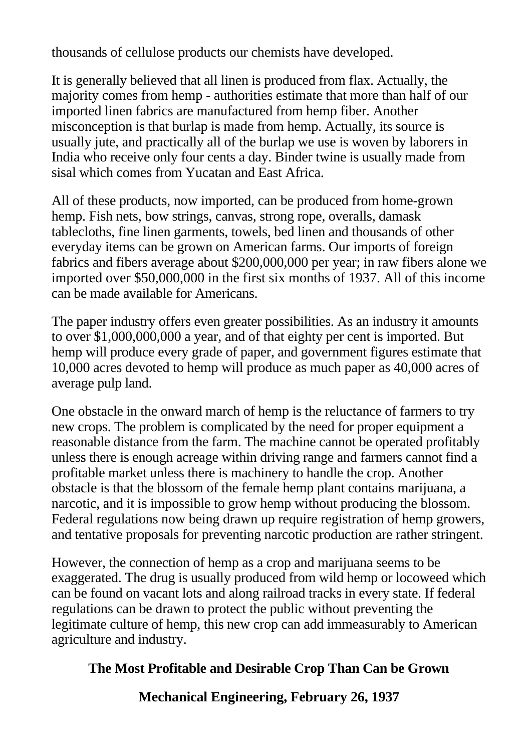thousands of cellulose products our chemists have developed.

It is generally believed that all linen is produced from flax. Actually, the majority comes from hemp - authorities estimate that more than half of our imported linen fabrics are manufactured from hemp fiber. Another misconception is that burlap is made from hemp. Actually, its source is usually jute, and practically all of the burlap we use is woven by laborers in India who receive only four cents a day. Binder twine is usually made from sisal which comes from Yucatan and East Africa.

All of these products, now imported, can be produced from home-grown hemp. Fish nets, bow strings, canvas, strong rope, overalls, damask tablecloths, fine linen garments, towels, bed linen and thousands of other everyday items can be grown on American farms. Our imports of foreign fabrics and fibers average about \$200,000,000 per year; in raw fibers alone we imported over \$50,000,000 in the first six months of 1937. All of this income can be made available for Americans.

The paper industry offers even greater possibilities. As an industry it amounts to over \$1,000,000,000 a year, and of that eighty per cent is imported. But hemp will produce every grade of paper, and government figures estimate that 10,000 acres devoted to hemp will produce as much paper as 40,000 acres of average pulp land.

One obstacle in the onward march of hemp is the reluctance of farmers to try new crops. The problem is complicated by the need for proper equipment a reasonable distance from the farm. The machine cannot be operated profitably unless there is enough acreage within driving range and farmers cannot find a profitable market unless there is machinery to handle the crop. Another obstacle is that the blossom of the female hemp plant contains marijuana, a narcotic, and it is impossible to grow hemp without producing the blossom. Federal regulations now being drawn up require registration of hemp growers, and tentative proposals for preventing narcotic production are rather stringent.

However, the connection of hemp as a crop and marijuana seems to be exaggerated. The drug is usually produced from wild hemp or locoweed which can be found on vacant lots and along railroad tracks in every state. If federal regulations can be drawn to protect the public without preventing the legitimate culture of hemp, this new crop can add immeasurably to American agriculture and industry.

## **The Most Profitable and Desirable Crop Than Can be Grown**

**Mechanical Engineering, February 26, 1937**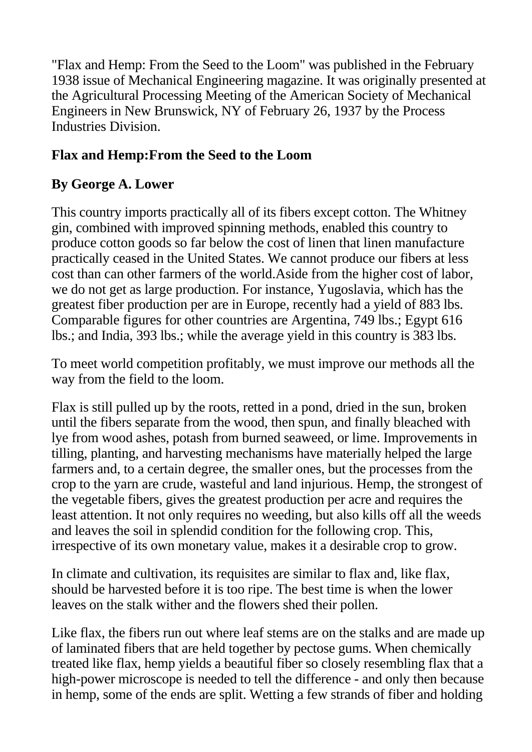"Flax and Hemp: From the Seed to the Loom" was published in the February 1938 issue of Mechanical Engineering magazine. It was originally presented at the Agricultural Processing Meeting of the American Society of Mechanical Engineers in New Brunswick, NY of February 26, 1937 by the Process Industries Division.

## **Flax and Hemp:From the Seed to the Loom**

## **By George A. Lower**

This country imports practically all of its fibers except cotton. The Whitney gin, combined with improved spinning methods, enabled this country to produce cotton goods so far below the cost of linen that linen manufacture practically ceased in the United States. We cannot produce our fibers at less cost than can other farmers of the world.Aside from the higher cost of labor, we do not get as large production. For instance, Yugoslavia, which has the greatest fiber production per are in Europe, recently had a yield of 883 lbs. Comparable figures for other countries are Argentina, 749 lbs.; Egypt 616 lbs.; and India, 393 lbs.; while the average yield in this country is 383 lbs.

To meet world competition profitably, we must improve our methods all the way from the field to the loom.

Flax is still pulled up by the roots, retted in a pond, dried in the sun, broken until the fibers separate from the wood, then spun, and finally bleached with lye from wood ashes, potash from burned seaweed, or lime. Improvements in tilling, planting, and harvesting mechanisms have materially helped the large farmers and, to a certain degree, the smaller ones, but the processes from the crop to the yarn are crude, wasteful and land injurious. Hemp, the strongest of the vegetable fibers, gives the greatest production per acre and requires the least attention. It not only requires no weeding, but also kills off all the weeds and leaves the soil in splendid condition for the following crop. This, irrespective of its own monetary value, makes it a desirable crop to grow.

In climate and cultivation, its requisites are similar to flax and, like flax, should be harvested before it is too ripe. The best time is when the lower leaves on the stalk wither and the flowers shed their pollen.

Like flax, the fibers run out where leaf stems are on the stalks and are made up of laminated fibers that are held together by pectose gums. When chemically treated like flax, hemp yields a beautiful fiber so closely resembling flax that a high-power microscope is needed to tell the difference - and only then because in hemp, some of the ends are split. Wetting a few strands of fiber and holding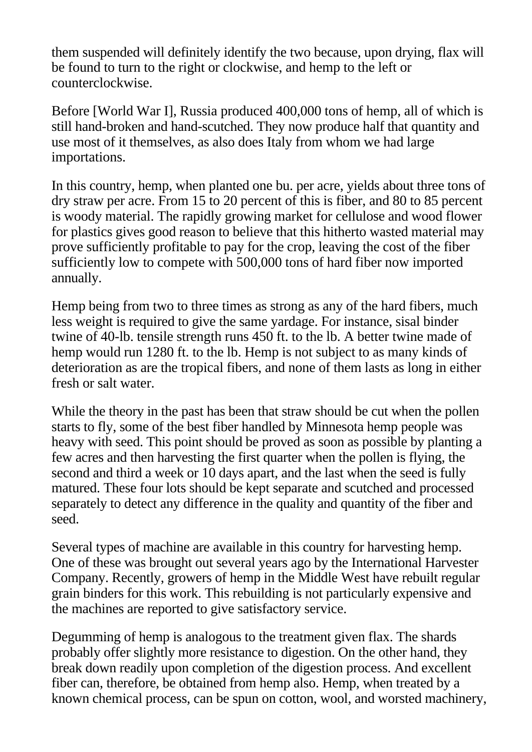them suspended will definitely identify the two because, upon drying, flax will be found to turn to the right or clockwise, and hemp to the left or counterclockwise.

Before [World War I], Russia produced 400,000 tons of hemp, all of which is still hand-broken and hand-scutched. They now produce half that quantity and use most of it themselves, as also does Italy from whom we had large importations.

In this country, hemp, when planted one bu. per acre, yields about three tons of dry straw per acre. From 15 to 20 percent of this is fiber, and 80 to 85 percent is woody material. The rapidly growing market for cellulose and wood flower for plastics gives good reason to believe that this hitherto wasted material may prove sufficiently profitable to pay for the crop, leaving the cost of the fiber sufficiently low to compete with 500,000 tons of hard fiber now imported annually.

Hemp being from two to three times as strong as any of the hard fibers, much less weight is required to give the same yardage. For instance, sisal binder twine of 40-lb. tensile strength runs 450 ft. to the lb. A better twine made of hemp would run 1280 ft. to the lb. Hemp is not subject to as many kinds of deterioration as are the tropical fibers, and none of them lasts as long in either fresh or salt water.

While the theory in the past has been that straw should be cut when the pollen starts to fly, some of the best fiber handled by Minnesota hemp people was heavy with seed. This point should be proved as soon as possible by planting a few acres and then harvesting the first quarter when the pollen is flying, the second and third a week or 10 days apart, and the last when the seed is fully matured. These four lots should be kept separate and scutched and processed separately to detect any difference in the quality and quantity of the fiber and seed.

Several types of machine are available in this country for harvesting hemp. One of these was brought out several years ago by the International Harvester Company. Recently, growers of hemp in the Middle West have rebuilt regular grain binders for this work. This rebuilding is not particularly expensive and the machines are reported to give satisfactory service.

Degumming of hemp is analogous to the treatment given flax. The shards probably offer slightly more resistance to digestion. On the other hand, they break down readily upon completion of the digestion process. And excellent fiber can, therefore, be obtained from hemp also. Hemp, when treated by a known chemical process, can be spun on cotton, wool, and worsted machinery,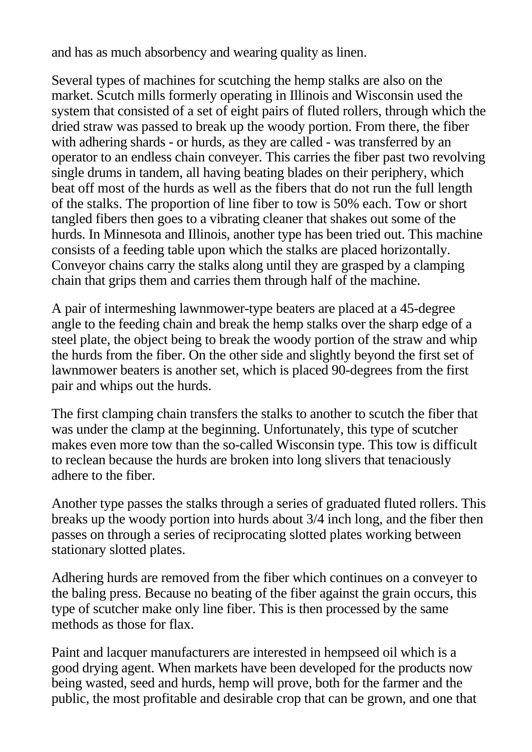and has as much absorbency and wearing quality as linen.

Several types of machines for scutching the hemp stalks are also on the market. Scutch mills formerly operating in Illinois and Wisconsin used the system that consisted of a set of eight pairs of fluted rollers, through which the dried straw was passed to break up the woody portion. From there, the fiber with adhering shards - or hurds, as they are called - was transferred by an operator to an endless chain conveyer. This carries the fiber past two revolving single drums in tandem, all having beating blades on their periphery, which beat off most of the hurds as well as the fibers that do not run the full length of the stalks. The proportion of line fiber to tow is 50% each. Tow or short tangled fibers then goes to a vibrating cleaner that shakes out some of the hurds. In Minnesota and Illinois, another type has been tried out. This machine consists of a feeding table upon which the stalks are placed horizontally. Conveyor chains carry the stalks along until they are grasped by a clamping chain that grips them and carries them through half of the machine.

A pair of intermeshing lawnmower-type beaters are placed at a 45-degree angle to the feeding chain and break the hemp stalks over the sharp edge of a steel plate, the object being to break the woody portion of the straw and whip the hurds from the fiber. On the other side and slightly beyond the first set of lawnmower beaters is another set, which is placed 90-degrees from the first pair and whips out the hurds.

The first clamping chain transfers the stalks to another to scutch the fiber that was under the clamp at the beginning. Unfortunately, this type of scutcher makes even more tow than the so-called Wisconsin type. This tow is difficult to reclean because the hurds are broken into long slivers that tenaciously adhere to the fiber.

Another type passes the stalks through a series of graduated fluted rollers. This breaks up the woody portion into hurds about 3/4 inch long, and the fiber then passes on through a series of reciprocating slotted plates working between stationary slotted plates.

Adhering hurds are removed from the fiber which continues on a conveyer to the baling press. Because no beating of the fiber against the grain occurs, this type of scutcher make only line fiber. This is then processed by the same methods as those for flax.

Paint and lacquer manufacturers are interested in hempseed oil which is a good drying agent. When markets have been developed for the products now being wasted, seed and hurds, hemp will prove, both for the farmer and the public, the most profitable and desirable crop that can be grown, and one that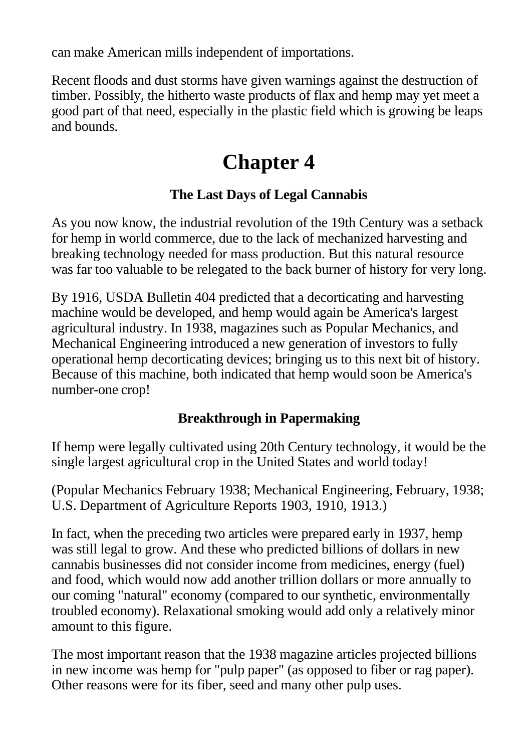can make American mills independent of importations.

Recent floods and dust storms have given warnings against the destruction of timber. Possibly, the hitherto waste products of flax and hemp may yet meet a good part of that need, especially in the plastic field which is growing be leaps and bounds.

## **Chapter 4**

## **The Last Days of Legal Cannabis**

As you now know, the industrial revolution of the 19th Century was a setback for hemp in world commerce, due to the lack of mechanized harvesting and breaking technology needed for mass production. But this natural resource was far too valuable to be relegated to the back burner of history for very long.

By 1916, USDA Bulletin 404 predicted that a decorticating and harvesting machine would be developed, and hemp would again be America's largest agricultural industry. In 1938, magazines such as Popular Mechanics, and Mechanical Engineering introduced a new generation of investors to fully operational hemp decorticating devices; bringing us to this next bit of history. Because of this machine, both indicated that hemp would soon be America's number-one crop!

## **Breakthrough in Papermaking**

If hemp were legally cultivated using 20th Century technology, it would be the single largest agricultural crop in the United States and world today!

(Popular Mechanics February 1938; Mechanical Engineering, February, 1938; U.S. Department of Agriculture Reports 1903, 1910, 1913.)

In fact, when the preceding two articles were prepared early in 1937, hemp was still legal to grow. And these who predicted billions of dollars in new cannabis businesses did not consider income from medicines, energy (fuel) and food, which would now add another trillion dollars or more annually to our coming "natural" economy (compared to our synthetic, environmentally troubled economy). Relaxational smoking would add only a relatively minor amount to this figure.

The most important reason that the 1938 magazine articles projected billions in new income was hemp for "pulp paper" (as opposed to fiber or rag paper). Other reasons were for its fiber, seed and many other pulp uses.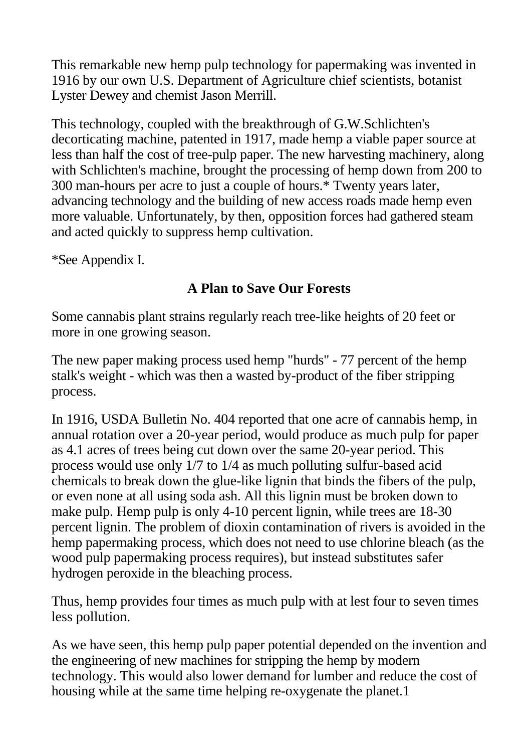This remarkable new hemp pulp technology for papermaking was invented in 1916 by our own U.S. Department of Agriculture chief scientists, botanist Lyster Dewey and chemist Jason Merrill.

This technology, coupled with the breakthrough of G.W.Schlichten's decorticating machine, patented in 1917, made hemp a viable paper source at less than half the cost of tree-pulp paper. The new harvesting machinery, along with Schlichten's machine, brought the processing of hemp down from 200 to 300 man-hours per acre to just a couple of hours.\* Twenty years later, advancing technology and the building of new access roads made hemp even more valuable. Unfortunately, by then, opposition forces had gathered steam and acted quickly to suppress hemp cultivation.

\*See Appendix I.

## **A Plan to Save Our Forests**

Some cannabis plant strains regularly reach tree-like heights of 20 feet or more in one growing season.

The new paper making process used hemp "hurds" - 77 percent of the hemp stalk's weight - which was then a wasted by-product of the fiber stripping process.

In 1916, USDA Bulletin No. 404 reported that one acre of cannabis hemp, in annual rotation over a 20-year period, would produce as much pulp for paper as 4.1 acres of trees being cut down over the same 20-year period. This process would use only 1/7 to 1/4 as much polluting sulfur-based acid chemicals to break down the glue-like lignin that binds the fibers of the pulp, or even none at all using soda ash. All this lignin must be broken down to make pulp. Hemp pulp is only 4-10 percent lignin, while trees are 18-30 percent lignin. The problem of dioxin contamination of rivers is avoided in the hemp papermaking process, which does not need to use chlorine bleach (as the wood pulp papermaking process requires), but instead substitutes safer hydrogen peroxide in the bleaching process.

Thus, hemp provides four times as much pulp with at lest four to seven times less pollution.

As we have seen, this hemp pulp paper potential depended on the invention and the engineering of new machines for stripping the hemp by modern technology. This would also lower demand for lumber and reduce the cost of housing while at the same time helping re-oxygenate the planet.1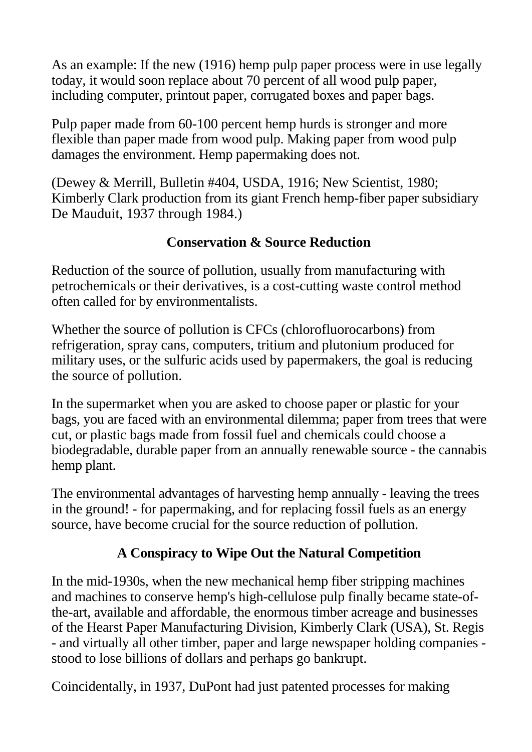As an example: If the new (1916) hemp pulp paper process were in use legally today, it would soon replace about 70 percent of all wood pulp paper, including computer, printout paper, corrugated boxes and paper bags.

Pulp paper made from 60-100 percent hemp hurds is stronger and more flexible than paper made from wood pulp. Making paper from wood pulp damages the environment. Hemp papermaking does not.

(Dewey & Merrill, Bulletin #404, USDA, 1916; New Scientist, 1980; Kimberly Clark production from its giant French hemp-fiber paper subsidiary De Mauduit, 1937 through 1984.)

## **Conservation & Source Reduction**

Reduction of the source of pollution, usually from manufacturing with petrochemicals or their derivatives, is a cost-cutting waste control method often called for by environmentalists.

Whether the source of pollution is CFCs (chlorofluorocarbons) from refrigeration, spray cans, computers, tritium and plutonium produced for military uses, or the sulfuric acids used by papermakers, the goal is reducing the source of pollution.

In the supermarket when you are asked to choose paper or plastic for your bags, you are faced with an environmental dilemma; paper from trees that were cut, or plastic bags made from fossil fuel and chemicals could choose a biodegradable, durable paper from an annually renewable source - the cannabis hemp plant.

The environmental advantages of harvesting hemp annually - leaving the trees in the ground! - for papermaking, and for replacing fossil fuels as an energy source, have become crucial for the source reduction of pollution.

## **A Conspiracy to Wipe Out the Natural Competition**

In the mid-1930s, when the new mechanical hemp fiber stripping machines and machines to conserve hemp's high-cellulose pulp finally became state-ofthe-art, available and affordable, the enormous timber acreage and businesses of the Hearst Paper Manufacturing Division, Kimberly Clark (USA), St. Regis - and virtually all other timber, paper and large newspaper holding companies stood to lose billions of dollars and perhaps go bankrupt.

Coincidentally, in 1937, DuPont had just patented processes for making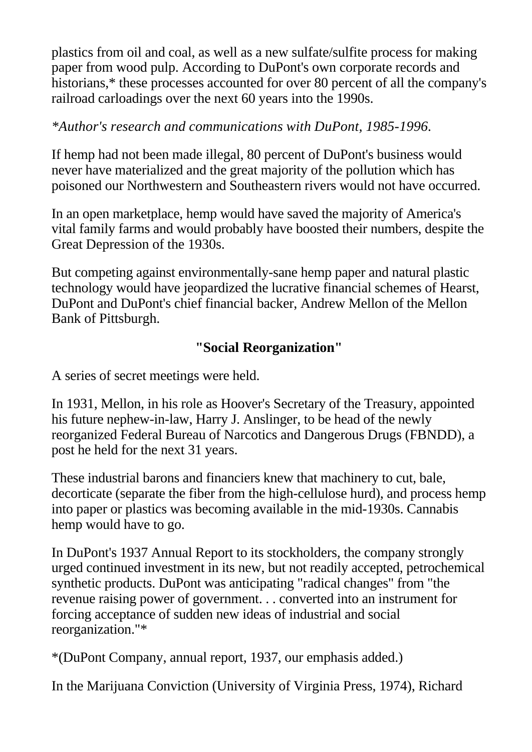plastics from oil and coal, as well as a new sulfate/sulfite process for making paper from wood pulp. According to DuPont's own corporate records and historians,\* these processes accounted for over 80 percent of all the company's railroad carloadings over the next 60 years into the 1990s.

#### *\*Author's research and communications with DuPont, 1985-1996.*

If hemp had not been made illegal, 80 percent of DuPont's business would never have materialized and the great majority of the pollution which has poisoned our Northwestern and Southeastern rivers would not have occurred.

In an open marketplace, hemp would have saved the majority of America's vital family farms and would probably have boosted their numbers, despite the Great Depression of the 1930s.

But competing against environmentally-sane hemp paper and natural plastic technology would have jeopardized the lucrative financial schemes of Hearst, DuPont and DuPont's chief financial backer, Andrew Mellon of the Mellon Bank of Pittsburgh.

#### **"Social Reorganization"**

A series of secret meetings were held.

In 1931, Mellon, in his role as Hoover's Secretary of the Treasury, appointed his future nephew-in-law, Harry J. Anslinger, to be head of the newly reorganized Federal Bureau of Narcotics and Dangerous Drugs (FBNDD), a post he held for the next 31 years.

These industrial barons and financiers knew that machinery to cut, bale, decorticate (separate the fiber from the high-cellulose hurd), and process hemp into paper or plastics was becoming available in the mid-1930s. Cannabis hemp would have to go.

In DuPont's 1937 Annual Report to its stockholders, the company strongly urged continued investment in its new, but not readily accepted, petrochemical synthetic products. DuPont was anticipating "radical changes" from "the revenue raising power of government. . . converted into an instrument for forcing acceptance of sudden new ideas of industrial and social reorganization."\*

\*(DuPont Company, annual report, 1937, our emphasis added.)

In the Marijuana Conviction (University of Virginia Press, 1974), Richard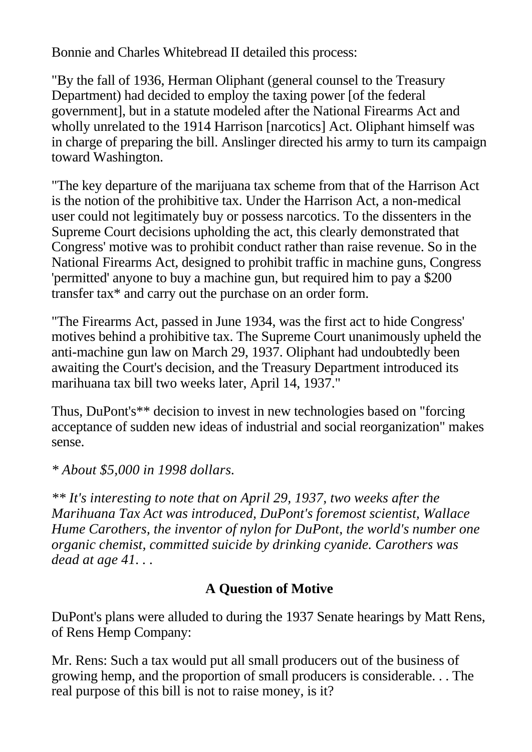Bonnie and Charles Whitebread II detailed this process:

"By the fall of 1936, Herman Oliphant (general counsel to the Treasury Department) had decided to employ the taxing power [of the federal government], but in a statute modeled after the National Firearms Act and wholly unrelated to the 1914 Harrison [narcotics] Act. Oliphant himself was in charge of preparing the bill. Anslinger directed his army to turn its campaign toward Washington.

"The key departure of the marijuana tax scheme from that of the Harrison Act is the notion of the prohibitive tax. Under the Harrison Act, a non-medical user could not legitimately buy or possess narcotics. To the dissenters in the Supreme Court decisions upholding the act, this clearly demonstrated that Congress' motive was to prohibit conduct rather than raise revenue. So in the National Firearms Act, designed to prohibit traffic in machine guns, Congress 'permitted' anyone to buy a machine gun, but required him to pay a \$200 transfer tax\* and carry out the purchase on an order form.

"The Firearms Act, passed in June 1934, was the first act to hide Congress' motives behind a prohibitive tax. The Supreme Court unanimously upheld the anti-machine gun law on March 29, 1937. Oliphant had undoubtedly been awaiting the Court's decision, and the Treasury Department introduced its marihuana tax bill two weeks later, April 14, 1937."

Thus, DuPont's\*\* decision to invest in new technologies based on "forcing acceptance of sudden new ideas of industrial and social reorganization" makes sense.

*\* About \$5,000 in 1998 dollars.* 

*\*\* It's interesting to note that on April 29, 1937, two weeks after the Marihuana Tax Act was introduced, DuPont's foremost scientist, Wallace Hume Carothers, the inventor of nylon for DuPont, the world's number one organic chemist, committed suicide by drinking cyanide. Carothers was dead at age 41. . .* 

## **A Question of Motive**

DuPont's plans were alluded to during the 1937 Senate hearings by Matt Rens, of Rens Hemp Company:

Mr. Rens: Such a tax would put all small producers out of the business of growing hemp, and the proportion of small producers is considerable. . . The real purpose of this bill is not to raise money, is it?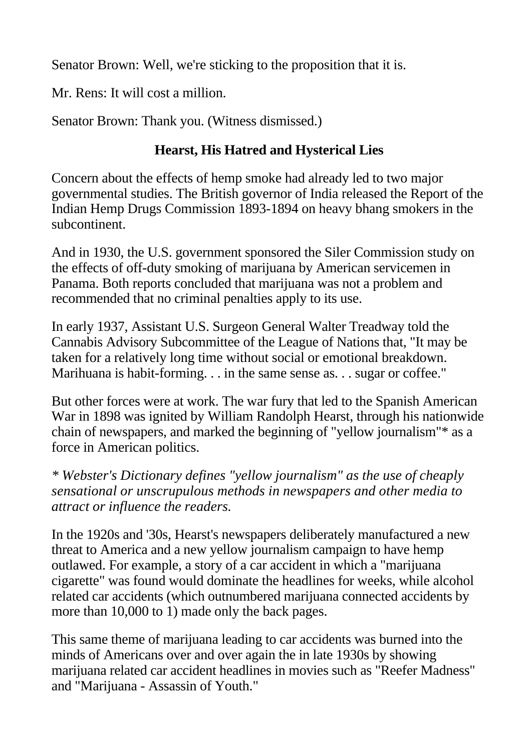Senator Brown: Well, we're sticking to the proposition that it is.

Mr. Rens: It will cost a million.

Senator Brown: Thank you. (Witness dismissed.)

## **Hearst, His Hatred and Hysterical Lies**

Concern about the effects of hemp smoke had already led to two major governmental studies. The British governor of India released the Report of the Indian Hemp Drugs Commission 1893-1894 on heavy bhang smokers in the subcontinent.

And in 1930, the U.S. government sponsored the Siler Commission study on the effects of off-duty smoking of marijuana by American servicemen in Panama. Both reports concluded that marijuana was not a problem and recommended that no criminal penalties apply to its use.

In early 1937, Assistant U.S. Surgeon General Walter Treadway told the Cannabis Advisory Subcommittee of the League of Nations that, "It may be taken for a relatively long time without social or emotional breakdown. Marihuana is habit-forming. . . in the same sense as. . . sugar or coffee."

But other forces were at work. The war fury that led to the Spanish American War in 1898 was ignited by William Randolph Hearst, through his nationwide chain of newspapers, and marked the beginning of "yellow journalism"\* as a force in American politics.

*\* Webster's Dictionary defines "yellow journalism" as the use of cheaply sensational or unscrupulous methods in newspapers and other media to attract or influence the readers.* 

In the 1920s and '30s, Hearst's newspapers deliberately manufactured a new threat to America and a new yellow journalism campaign to have hemp outlawed. For example, a story of a car accident in which a "marijuana cigarette" was found would dominate the headlines for weeks, while alcohol related car accidents (which outnumbered marijuana connected accidents by more than 10,000 to 1) made only the back pages.

This same theme of marijuana leading to car accidents was burned into the minds of Americans over and over again the in late 1930s by showing marijuana related car accident headlines in movies such as "Reefer Madness" and "Marijuana - Assassin of Youth."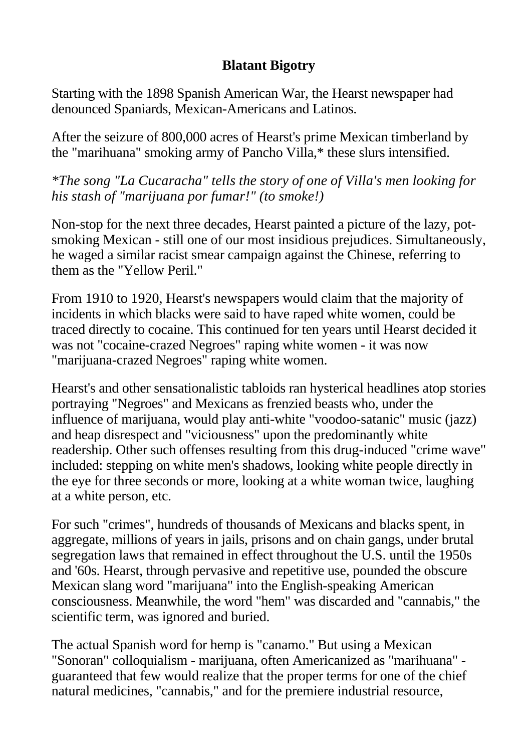#### **Blatant Bigotry**

Starting with the 1898 Spanish American War, the Hearst newspaper had denounced Spaniards, Mexican-Americans and Latinos.

After the seizure of 800,000 acres of Hearst's prime Mexican timberland by the "marihuana" smoking army of Pancho Villa,\* these slurs intensified.

*\*The song "La Cucaracha" tells the story of one of Villa's men looking for his stash of "marijuana por fumar!" (to smoke!)* 

Non-stop for the next three decades, Hearst painted a picture of the lazy, potsmoking Mexican - still one of our most insidious prejudices. Simultaneously, he waged a similar racist smear campaign against the Chinese, referring to them as the "Yellow Peril."

From 1910 to 1920, Hearst's newspapers would claim that the majority of incidents in which blacks were said to have raped white women, could be traced directly to cocaine. This continued for ten years until Hearst decided it was not "cocaine-crazed Negroes" raping white women - it was now "marijuana-crazed Negroes" raping white women.

Hearst's and other sensationalistic tabloids ran hysterical headlines atop stories portraying "Negroes" and Mexicans as frenzied beasts who, under the influence of marijuana, would play anti-white "voodoo-satanic" music (jazz) and heap disrespect and "viciousness" upon the predominantly white readership. Other such offenses resulting from this drug-induced "crime wave" included: stepping on white men's shadows, looking white people directly in the eye for three seconds or more, looking at a white woman twice, laughing at a white person, etc.

For such "crimes", hundreds of thousands of Mexicans and blacks spent, in aggregate, millions of years in jails, prisons and on chain gangs, under brutal segregation laws that remained in effect throughout the U.S. until the 1950s and '60s. Hearst, through pervasive and repetitive use, pounded the obscure Mexican slang word "marijuana" into the English-speaking American consciousness. Meanwhile, the word "hem" was discarded and "cannabis," the scientific term, was ignored and buried.

The actual Spanish word for hemp is "canamo." But using a Mexican "Sonoran" colloquialism - marijuana, often Americanized as "marihuana" guaranteed that few would realize that the proper terms for one of the chief natural medicines, "cannabis," and for the premiere industrial resource,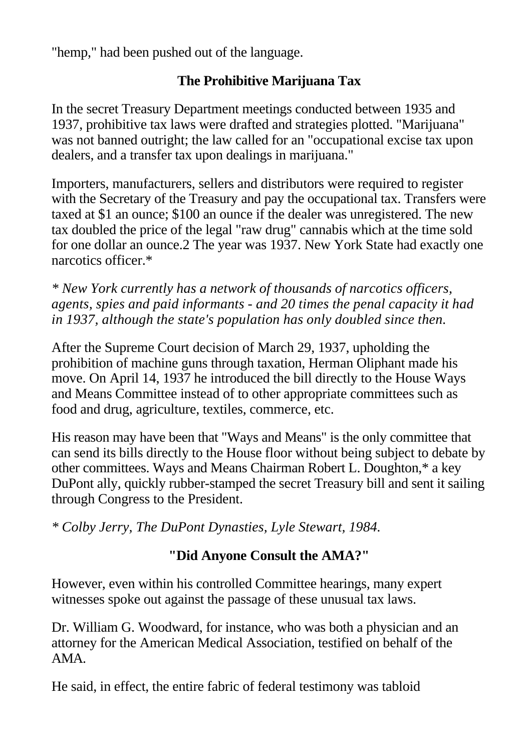"hemp," had been pushed out of the language.

#### **The Prohibitive Marijuana Tax**

In the secret Treasury Department meetings conducted between 1935 and 1937, prohibitive tax laws were drafted and strategies plotted. "Marijuana" was not banned outright; the law called for an "occupational excise tax upon dealers, and a transfer tax upon dealings in marijuana."

Importers, manufacturers, sellers and distributors were required to register with the Secretary of the Treasury and pay the occupational tax. Transfers were taxed at \$1 an ounce; \$100 an ounce if the dealer was unregistered. The new tax doubled the price of the legal "raw drug" cannabis which at the time sold for one dollar an ounce.2 The year was 1937. New York State had exactly one narcotics officer.\*

*\* New York currently has a network of thousands of narcotics officers, agents, spies and paid informants - and 20 times the penal capacity it had in 1937, although the state's population has only doubled since then.* 

After the Supreme Court decision of March 29, 1937, upholding the prohibition of machine guns through taxation, Herman Oliphant made his move. On April 14, 1937 he introduced the bill directly to the House Ways and Means Committee instead of to other appropriate committees such as food and drug, agriculture, textiles, commerce, etc.

His reason may have been that "Ways and Means" is the only committee that can send its bills directly to the House floor without being subject to debate by other committees. Ways and Means Chairman Robert L. Doughton,\* a key DuPont ally, quickly rubber-stamped the secret Treasury bill and sent it sailing through Congress to the President.

*\* Colby Jerry, The DuPont Dynasties, Lyle Stewart, 1984.* 

## **"Did Anyone Consult the AMA?"**

However, even within his controlled Committee hearings, many expert witnesses spoke out against the passage of these unusual tax laws.

Dr. William G. Woodward, for instance, who was both a physician and an attorney for the American Medical Association, testified on behalf of the AMA.

He said, in effect, the entire fabric of federal testimony was tabloid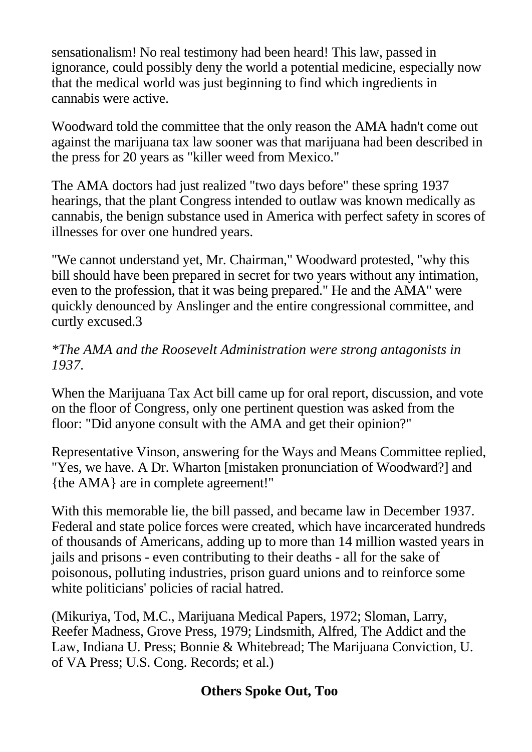sensationalism! No real testimony had been heard! This law, passed in ignorance, could possibly deny the world a potential medicine, especially now that the medical world was just beginning to find which ingredients in cannabis were active.

Woodward told the committee that the only reason the AMA hadn't come out against the marijuana tax law sooner was that marijuana had been described in the press for 20 years as "killer weed from Mexico."

The AMA doctors had just realized "two days before" these spring 1937 hearings, that the plant Congress intended to outlaw was known medically as cannabis, the benign substance used in America with perfect safety in scores of illnesses for over one hundred years.

"We cannot understand yet, Mr. Chairman," Woodward protested, "why this bill should have been prepared in secret for two years without any intimation, even to the profession, that it was being prepared." He and the AMA" were quickly denounced by Anslinger and the entire congressional committee, and curtly excused.3

#### *\*The AMA and the Roosevelt Administration were strong antagonists in 1937.*

When the Marijuana Tax Act bill came up for oral report, discussion, and vote on the floor of Congress, only one pertinent question was asked from the floor: "Did anyone consult with the AMA and get their opinion?"

Representative Vinson, answering for the Ways and Means Committee replied, "Yes, we have. A Dr. Wharton [mistaken pronunciation of Woodward?] and {the AMA} are in complete agreement!"

With this memorable lie, the bill passed, and became law in December 1937. Federal and state police forces were created, which have incarcerated hundreds of thousands of Americans, adding up to more than 14 million wasted years in jails and prisons - even contributing to their deaths - all for the sake of poisonous, polluting industries, prison guard unions and to reinforce some white politicians' policies of racial hatred.

(Mikuriya, Tod, M.C., Marijuana Medical Papers, 1972; Sloman, Larry, Reefer Madness, Grove Press, 1979; Lindsmith, Alfred, The Addict and the Law, Indiana U. Press; Bonnie & Whitebread; The Marijuana Conviction, U. of VA Press; U.S. Cong. Records; et al.)

## **Others Spoke Out, Too**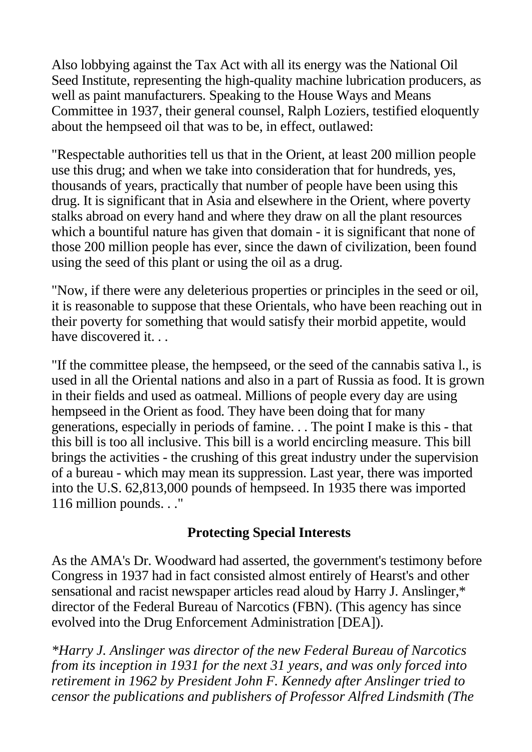Also lobbying against the Tax Act with all its energy was the National Oil Seed Institute, representing the high-quality machine lubrication producers, as well as paint manufacturers. Speaking to the House Ways and Means Committee in 1937, their general counsel, Ralph Loziers, testified eloquently about the hempseed oil that was to be, in effect, outlawed:

"Respectable authorities tell us that in the Orient, at least 200 million people use this drug; and when we take into consideration that for hundreds, yes, thousands of years, practically that number of people have been using this drug. It is significant that in Asia and elsewhere in the Orient, where poverty stalks abroad on every hand and where they draw on all the plant resources which a bountiful nature has given that domain - it is significant that none of those 200 million people has ever, since the dawn of civilization, been found using the seed of this plant or using the oil as a drug.

"Now, if there were any deleterious properties or principles in the seed or oil, it is reasonable to suppose that these Orientals, who have been reaching out in their poverty for something that would satisfy their morbid appetite, would have discovered it...

"If the committee please, the hempseed, or the seed of the cannabis sativa l., is used in all the Oriental nations and also in a part of Russia as food. It is grown in their fields and used as oatmeal. Millions of people every day are using hempseed in the Orient as food. They have been doing that for many generations, especially in periods of famine. . . The point I make is this - that this bill is too all inclusive. This bill is a world encircling measure. This bill brings the activities - the crushing of this great industry under the supervision of a bureau - which may mean its suppression. Last year, there was imported into the U.S. 62,813,000 pounds of hempseed. In 1935 there was imported 116 million pounds. . ."

#### **Protecting Special Interests**

As the AMA's Dr. Woodward had asserted, the government's testimony before Congress in 1937 had in fact consisted almost entirely of Hearst's and other sensational and racist newspaper articles read aloud by Harry J. Anslinger,\* director of the Federal Bureau of Narcotics (FBN). (This agency has since evolved into the Drug Enforcement Administration [DEA]).

*\*Harry J. Anslinger was director of the new Federal Bureau of Narcotics from its inception in 1931 for the next 31 years, and was only forced into retirement in 1962 by President John F. Kennedy after Anslinger tried to censor the publications and publishers of Professor Alfred Lindsmith (The*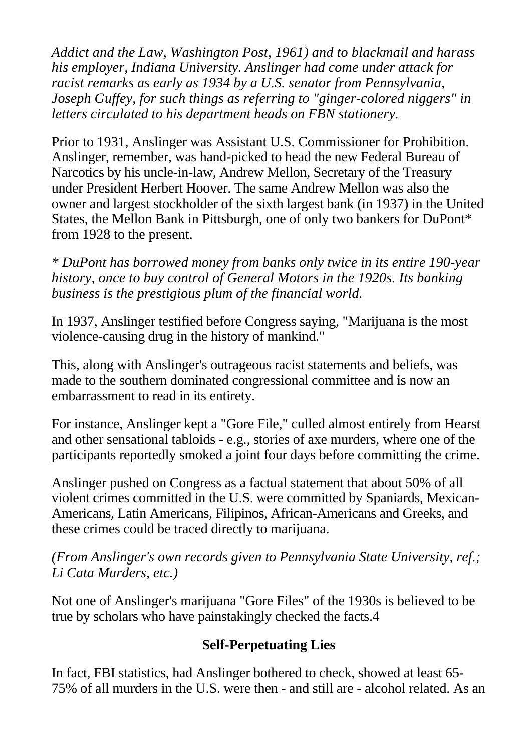*Addict and the Law, Washington Post, 1961) and to blackmail and harass his employer, Indiana University. Anslinger had come under attack for racist remarks as early as 1934 by a U.S. senator from Pennsylvania, Joseph Guffey, for such things as referring to "ginger-colored niggers" in letters circulated to his department heads on FBN stationery.* 

Prior to 1931, Anslinger was Assistant U.S. Commissioner for Prohibition. Anslinger, remember, was hand-picked to head the new Federal Bureau of Narcotics by his uncle-in-law, Andrew Mellon, Secretary of the Treasury under President Herbert Hoover. The same Andrew Mellon was also the owner and largest stockholder of the sixth largest bank (in 1937) in the United States, the Mellon Bank in Pittsburgh, one of only two bankers for DuPont\* from 1928 to the present.

*\* DuPont has borrowed money from banks only twice in its entire 190-year history, once to buy control of General Motors in the 1920s. Its banking business is the prestigious plum of the financial world.* 

In 1937, Anslinger testified before Congress saying, "Marijuana is the most violence-causing drug in the history of mankind."

This, along with Anslinger's outrageous racist statements and beliefs, was made to the southern dominated congressional committee and is now an embarrassment to read in its entirety.

For instance, Anslinger kept a "Gore File," culled almost entirely from Hearst and other sensational tabloids - e.g., stories of axe murders, where one of the participants reportedly smoked a joint four days before committing the crime.

Anslinger pushed on Congress as a factual statement that about 50% of all violent crimes committed in the U.S. were committed by Spaniards, Mexican-Americans, Latin Americans, Filipinos, African-Americans and Greeks, and these crimes could be traced directly to marijuana.

*(From Anslinger's own records given to Pennsylvania State University, ref.; Li Cata Murders, etc.)* 

Not one of Anslinger's marijuana "Gore Files" of the 1930s is believed to be true by scholars who have painstakingly checked the facts.4

#### **Self-Perpetuating Lies**

In fact, FBI statistics, had Anslinger bothered to check, showed at least 65- 75% of all murders in the U.S. were then - and still are - alcohol related. As an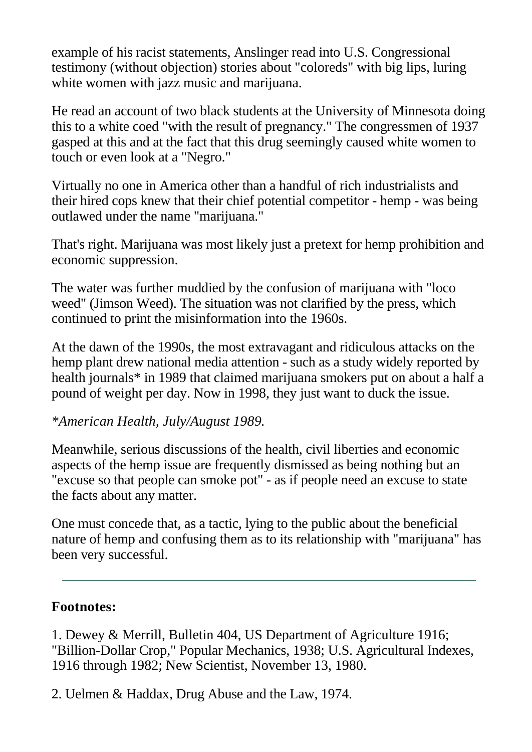example of his racist statements, Anslinger read into U.S. Congressional testimony (without objection) stories about "coloreds" with big lips, luring white women with jazz music and marijuana.

He read an account of two black students at the University of Minnesota doing this to a white coed "with the result of pregnancy." The congressmen of 1937 gasped at this and at the fact that this drug seemingly caused white women to touch or even look at a "Negro."

Virtually no one in America other than a handful of rich industrialists and their hired cops knew that their chief potential competitor - hemp - was being outlawed under the name "marijuana."

That's right. Marijuana was most likely just a pretext for hemp prohibition and economic suppression.

The water was further muddied by the confusion of marijuana with "loco weed" (Jimson Weed). The situation was not clarified by the press, which continued to print the misinformation into the 1960s.

At the dawn of the 1990s, the most extravagant and ridiculous attacks on the hemp plant drew national media attention - such as a study widely reported by health journals\* in 1989 that claimed marijuana smokers put on about a half a pound of weight per day. Now in 1998, they just want to duck the issue.

*\*American Health, July/August 1989.* 

Meanwhile, serious discussions of the health, civil liberties and economic aspects of the hemp issue are frequently dismissed as being nothing but an "excuse so that people can smoke pot" - as if people need an excuse to state the facts about any matter.

One must concede that, as a tactic, lying to the public about the beneficial nature of hemp and confusing them as to its relationship with "marijuana" has been very successful.

#### **Footnotes:**

1. Dewey & Merrill, Bulletin 404, US Department of Agriculture 1916; "Billion-Dollar Crop," Popular Mechanics, 1938; U.S. Agricultural Indexes, 1916 through 1982; New Scientist, November 13, 1980.

2. Uelmen & Haddax, Drug Abuse and the Law, 1974.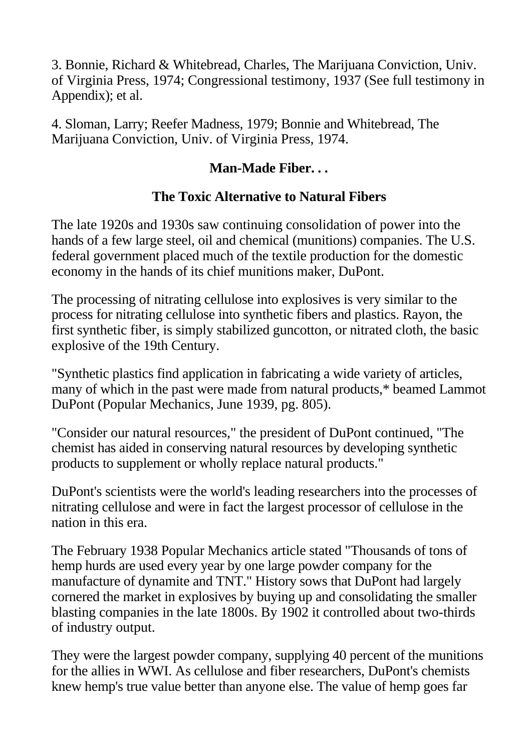3. Bonnie, Richard & Whitebread, Charles, The Marijuana Conviction, Univ. of Virginia Press, 1974; Congressional testimony, 1937 (See full testimony in Appendix); et al.

4. Sloman, Larry; Reefer Madness, 1979; Bonnie and Whitebread, The Marijuana Conviction, Univ. of Virginia Press, 1974.

#### **Man-Made Fiber. . .**

## **The Toxic Alternative to Natural Fibers**

The late 1920s and 1930s saw continuing consolidation of power into the hands of a few large steel, oil and chemical (munitions) companies. The U.S. federal government placed much of the textile production for the domestic economy in the hands of its chief munitions maker, DuPont.

The processing of nitrating cellulose into explosives is very similar to the process for nitrating cellulose into synthetic fibers and plastics. Rayon, the first synthetic fiber, is simply stabilized guncotton, or nitrated cloth, the basic explosive of the 19th Century.

"Synthetic plastics find application in fabricating a wide variety of articles, many of which in the past were made from natural products,\* beamed Lammot DuPont (Popular Mechanics, June 1939, pg. 805).

"Consider our natural resources," the president of DuPont continued, "The chemist has aided in conserving natural resources by developing synthetic products to supplement or wholly replace natural products."

DuPont's scientists were the world's leading researchers into the processes of nitrating cellulose and were in fact the largest processor of cellulose in the nation in this era.

The February 1938 Popular Mechanics article stated "Thousands of tons of hemp hurds are used every year by one large powder company for the manufacture of dynamite and TNT." History sows that DuPont had largely cornered the market in explosives by buying up and consolidating the smaller blasting companies in the late 1800s. By 1902 it controlled about two-thirds of industry output.

They were the largest powder company, supplying 40 percent of the munitions for the allies in WWI. As cellulose and fiber researchers, DuPont's chemists knew hemp's true value better than anyone else. The value of hemp goes far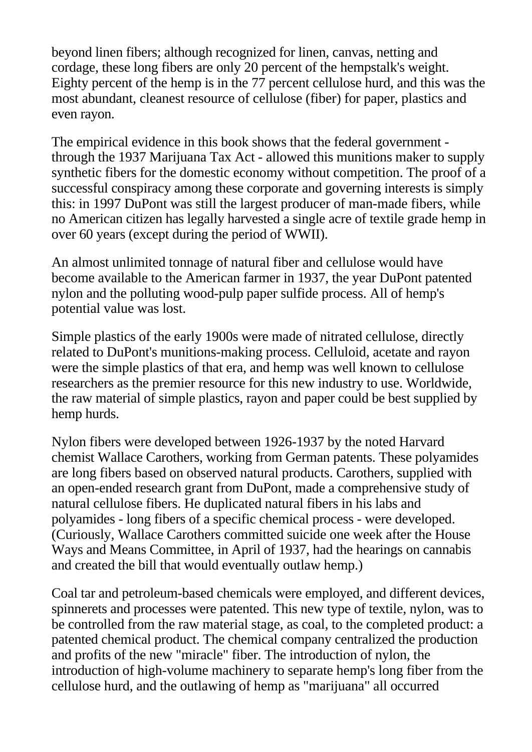beyond linen fibers; although recognized for linen, canvas, netting and cordage, these long fibers are only 20 percent of the hempstalk's weight. Eighty percent of the hemp is in the 77 percent cellulose hurd, and this was the most abundant, cleanest resource of cellulose (fiber) for paper, plastics and even rayon.

The empirical evidence in this book shows that the federal government through the 1937 Marijuana Tax Act - allowed this munitions maker to supply synthetic fibers for the domestic economy without competition. The proof of a successful conspiracy among these corporate and governing interests is simply this: in 1997 DuPont was still the largest producer of man-made fibers, while no American citizen has legally harvested a single acre of textile grade hemp in over 60 years (except during the period of WWII).

An almost unlimited tonnage of natural fiber and cellulose would have become available to the American farmer in 1937, the year DuPont patented nylon and the polluting wood-pulp paper sulfide process. All of hemp's potential value was lost.

Simple plastics of the early 1900s were made of nitrated cellulose, directly related to DuPont's munitions-making process. Celluloid, acetate and rayon were the simple plastics of that era, and hemp was well known to cellulose researchers as the premier resource for this new industry to use. Worldwide, the raw material of simple plastics, rayon and paper could be best supplied by hemp hurds.

Nylon fibers were developed between 1926-1937 by the noted Harvard chemist Wallace Carothers, working from German patents. These polyamides are long fibers based on observed natural products. Carothers, supplied with an open-ended research grant from DuPont, made a comprehensive study of natural cellulose fibers. He duplicated natural fibers in his labs and polyamides - long fibers of a specific chemical process - were developed. (Curiously, Wallace Carothers committed suicide one week after the House Ways and Means Committee, in April of 1937, had the hearings on cannabis and created the bill that would eventually outlaw hemp.)

Coal tar and petroleum-based chemicals were employed, and different devices, spinnerets and processes were patented. This new type of textile, nylon, was to be controlled from the raw material stage, as coal, to the completed product: a patented chemical product. The chemical company centralized the production and profits of the new "miracle" fiber. The introduction of nylon, the introduction of high-volume machinery to separate hemp's long fiber from the cellulose hurd, and the outlawing of hemp as "marijuana" all occurred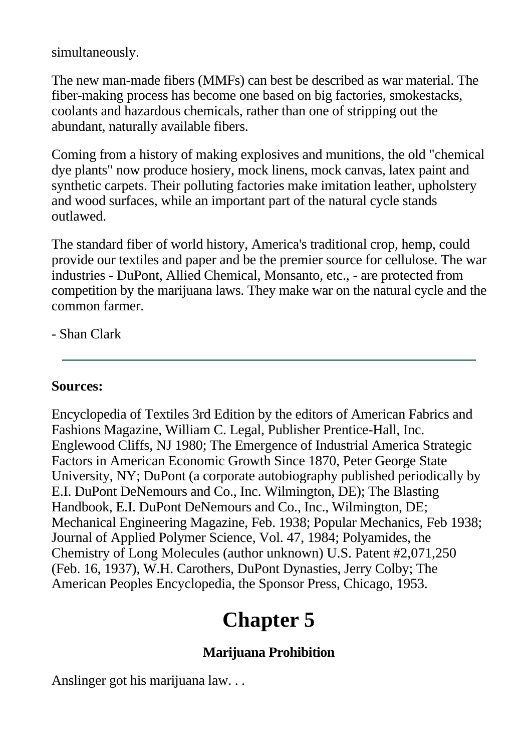simultaneously.

The new man-made fibers (MMFs) can best be described as war material. The fiber-making process has become one based on big factories, smokestacks, coolants and hazardous chemicals, rather than one of stripping out the abundant, naturally available fibers.

Coming from a history of making explosives and munitions, the old "chemical dye plants" now produce hosiery, mock linens, mock canvas, latex paint and synthetic carpets. Their polluting factories make imitation leather, upholstery and wood surfaces, while an important part of the natural cycle stands outlawed.

The standard fiber of world history, America's traditional crop, hemp, could provide our textiles and paper and be the premier source for cellulose. The war industries - DuPont, Allied Chemical, Monsanto, etc., - are protected from competition by the marijuana laws. They make war on the natural cycle and the common farmer.

- Shan Clark

#### **Sources:**

Encyclopedia of Textiles 3rd Edition by the editors of American Fabrics and Fashions Magazine, William C. Legal, Publisher Prentice-Hall, Inc. Englewood Cliffs, NJ 1980; The Emergence of Industrial America Strategic Factors in American Economic Growth Since 1870, Peter George State University, NY; DuPont (a corporate autobiography published periodically by E.I. DuPont DeNemours and Co., Inc. Wilmington, DE); The Blasting Handbook, E.I. DuPont DeNemours and Co., Inc., Wilmington, DE; Mechanical Engineering Magazine, Feb. 1938; Popular Mechanics, Feb 1938; Journal of Applied Polymer Science, Vol. 47, 1984; Polyamides, the Chemistry of Long Molecules (author unknown) U.S. Patent #2,071,250 (Feb. 16, 1937), W.H. Carothers, DuPont Dynasties, Jerry Colby; The American Peoples Encyclopedia, the Sponsor Press, Chicago, 1953.

## **Chapter 5**

#### **Marijuana Prohibition**

Anslinger got his marijuana law. . .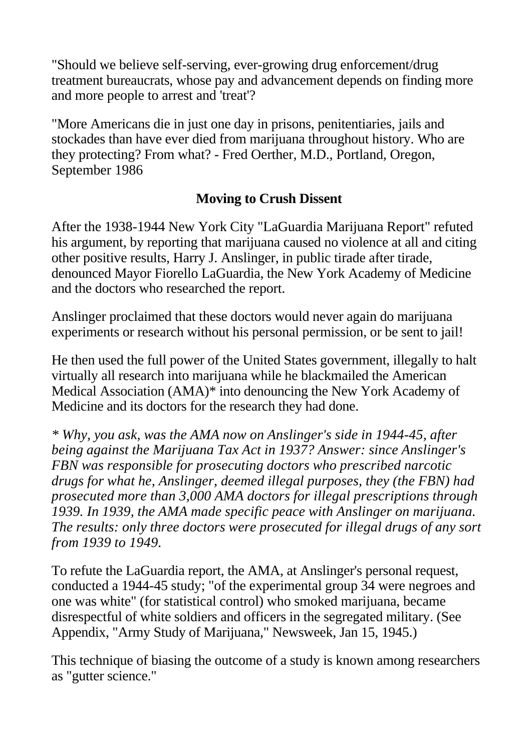"Should we believe self-serving, ever-growing drug enforcement/drug treatment bureaucrats, whose pay and advancement depends on finding more and more people to arrest and 'treat'?

"More Americans die in just one day in prisons, penitentiaries, jails and stockades than have ever died from marijuana throughout history. Who are they protecting? From what? - Fred Oerther, M.D., Portland, Oregon, September 1986

#### **Moving to Crush Dissent**

After the 1938-1944 New York City "LaGuardia Marijuana Report" refuted his argument, by reporting that marijuana caused no violence at all and citing other positive results, Harry J. Anslinger, in public tirade after tirade, denounced Mayor Fiorello LaGuardia, the New York Academy of Medicine and the doctors who researched the report.

Anslinger proclaimed that these doctors would never again do marijuana experiments or research without his personal permission, or be sent to jail!

He then used the full power of the United States government, illegally to halt virtually all research into marijuana while he blackmailed the American Medical Association (AMA)\* into denouncing the New York Academy of Medicine and its doctors for the research they had done.

*\* Why, you ask, was the AMA now on Anslinger's side in 1944-45, after being against the Marijuana Tax Act in 1937? Answer: since Anslinger's FBN was responsible for prosecuting doctors who prescribed narcotic drugs for what he, Anslinger, deemed illegal purposes, they (the FBN) had prosecuted more than 3,000 AMA doctors for illegal prescriptions through 1939. In 1939, the AMA made specific peace with Anslinger on marijuana. The results: only three doctors were prosecuted for illegal drugs of any sort from 1939 to 1949.* 

To refute the LaGuardia report, the AMA, at Anslinger's personal request, conducted a 1944-45 study; "of the experimental group 34 were negroes and one was white" (for statistical control) who smoked marijuana, became disrespectful of white soldiers and officers in the segregated military. (See Appendix, "Army Study of Marijuana," Newsweek, Jan 15, 1945.)

This technique of biasing the outcome of a study is known among researchers as "gutter science."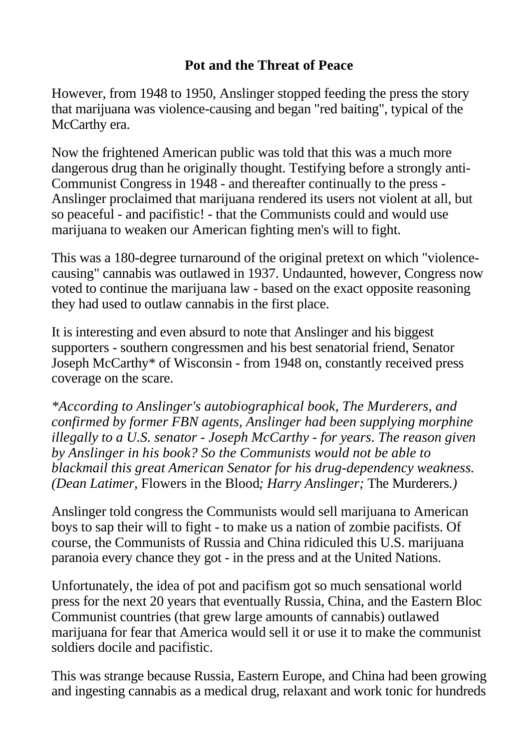#### **Pot and the Threat of Peace**

However, from 1948 to 1950, Anslinger stopped feeding the press the story that marijuana was violence-causing and began "red baiting", typical of the McCarthy era.

Now the frightened American public was told that this was a much more dangerous drug than he originally thought. Testifying before a strongly anti-Communist Congress in 1948 - and thereafter continually to the press - Anslinger proclaimed that marijuana rendered its users not violent at all, but so peaceful - and pacifistic! - that the Communists could and would use marijuana to weaken our American fighting men's will to fight.

This was a 180-degree turnaround of the original pretext on which "violencecausing" cannabis was outlawed in 1937. Undaunted, however, Congress now voted to continue the marijuana law - based on the exact opposite reasoning they had used to outlaw cannabis in the first place.

It is interesting and even absurd to note that Anslinger and his biggest supporters - southern congressmen and his best senatorial friend, Senator Joseph McCarthy\* of Wisconsin - from 1948 on, constantly received press coverage on the scare.

*\*According to Anslinger's autobiographical book, The Murderers, and confirmed by former FBN agents, Anslinger had been supplying morphine illegally to a U.S. senator - Joseph McCarthy - for years. The reason given by Anslinger in his book? So the Communists would not be able to blackmail this great American Senator for his drug-dependency weakness. (Dean Latimer,* Flowers in the Blood*; Harry Anslinger;* The Murderers*.)* 

Anslinger told congress the Communists would sell marijuana to American boys to sap their will to fight - to make us a nation of zombie pacifists. Of course, the Communists of Russia and China ridiculed this U.S. marijuana paranoia every chance they got - in the press and at the United Nations.

Unfortunately, the idea of pot and pacifism got so much sensational world press for the next 20 years that eventually Russia, China, and the Eastern Bloc Communist countries (that grew large amounts of cannabis) outlawed marijuana for fear that America would sell it or use it to make the communist soldiers docile and pacifistic.

This was strange because Russia, Eastern Europe, and China had been growing and ingesting cannabis as a medical drug, relaxant and work tonic for hundreds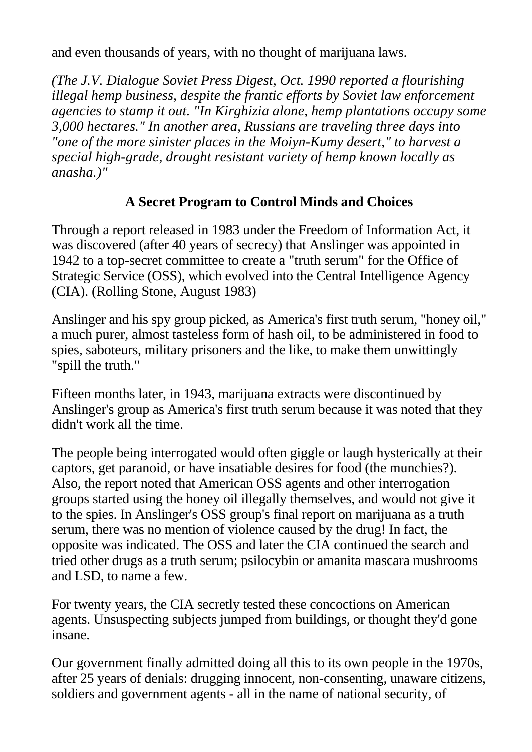and even thousands of years, with no thought of marijuana laws.

*(The J.V. Dialogue Soviet Press Digest, Oct. 1990 reported a flourishing illegal hemp business, despite the frantic efforts by Soviet law enforcement agencies to stamp it out. "In Kirghizia alone, hemp plantations occupy some 3,000 hectares." In another area, Russians are traveling three days into "one of the more sinister places in the Moiyn-Kumy desert," to harvest a special high-grade, drought resistant variety of hemp known locally as anasha.)"* 

## **A Secret Program to Control Minds and Choices**

Through a report released in 1983 under the Freedom of Information Act, it was discovered (after 40 years of secrecy) that Anslinger was appointed in 1942 to a top-secret committee to create a "truth serum" for the Office of Strategic Service (OSS), which evolved into the Central Intelligence Agency (CIA). (Rolling Stone, August 1983)

Anslinger and his spy group picked, as America's first truth serum, "honey oil," a much purer, almost tasteless form of hash oil, to be administered in food to spies, saboteurs, military prisoners and the like, to make them unwittingly "spill the truth."

Fifteen months later, in 1943, marijuana extracts were discontinued by Anslinger's group as America's first truth serum because it was noted that they didn't work all the time.

The people being interrogated would often giggle or laugh hysterically at their captors, get paranoid, or have insatiable desires for food (the munchies?). Also, the report noted that American OSS agents and other interrogation groups started using the honey oil illegally themselves, and would not give it to the spies. In Anslinger's OSS group's final report on marijuana as a truth serum, there was no mention of violence caused by the drug! In fact, the opposite was indicated. The OSS and later the CIA continued the search and tried other drugs as a truth serum; psilocybin or amanita mascara mushrooms and LSD, to name a few.

For twenty years, the CIA secretly tested these concoctions on American agents. Unsuspecting subjects jumped from buildings, or thought they'd gone insane.

Our government finally admitted doing all this to its own people in the 1970s, after 25 years of denials: drugging innocent, non-consenting, unaware citizens, soldiers and government agents - all in the name of national security, of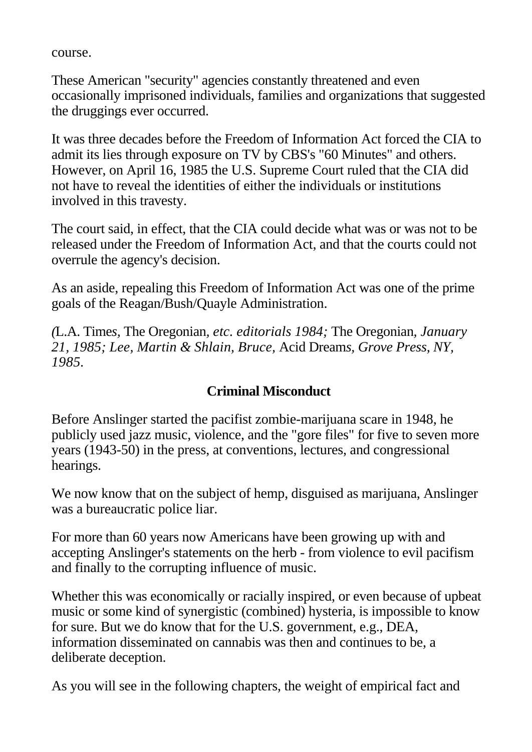course.

These American "security" agencies constantly threatened and even occasionally imprisoned individuals, families and organizations that suggested the druggings ever occurred.

It was three decades before the Freedom of Information Act forced the CIA to admit its lies through exposure on TV by CBS's "60 Minutes" and others. However, on April 16, 1985 the U.S. Supreme Court ruled that the CIA did not have to reveal the identities of either the individuals or institutions involved in this travesty.

The court said, in effect, that the CIA could decide what was or was not to be released under the Freedom of Information Act, and that the courts could not overrule the agency's decision.

As an aside, repealing this Freedom of Information Act was one of the prime goals of the Reagan/Bush/Quayle Administration.

*(*L.A. Time*s,* The Oregonian*, etc. editorials 1984;* The Oregonian*, January 21, 1985; Lee, Martin & Shlain, Bruce,* Acid Dream*s, Grove Press, NY, 1985.* 

#### **Criminal Misconduct**

Before Anslinger started the pacifist zombie-marijuana scare in 1948, he publicly used jazz music, violence, and the "gore files" for five to seven more years (1943-50) in the press, at conventions, lectures, and congressional hearings.

We now know that on the subject of hemp, disguised as marijuana, Anslinger was a bureaucratic police liar.

For more than 60 years now Americans have been growing up with and accepting Anslinger's statements on the herb - from violence to evil pacifism and finally to the corrupting influence of music.

Whether this was economically or racially inspired, or even because of upbeat music or some kind of synergistic (combined) hysteria, is impossible to know for sure. But we do know that for the U.S. government, e.g., DEA, information disseminated on cannabis was then and continues to be, a deliberate deception.

As you will see in the following chapters, the weight of empirical fact and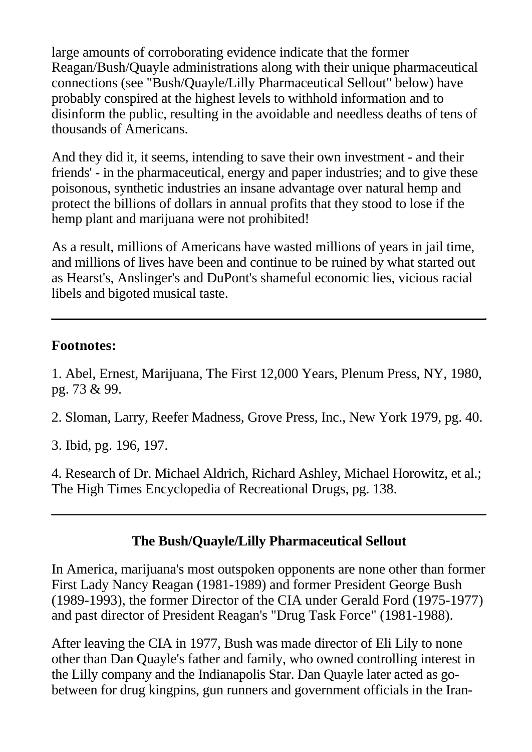large amounts of corroborating evidence indicate that the former Reagan/Bush/Quayle administrations along with their unique pharmaceutical connections (see "Bush/Quayle/Lilly Pharmaceutical Sellout" below) have probably conspired at the highest levels to withhold information and to disinform the public, resulting in the avoidable and needless deaths of tens of thousands of Americans.

And they did it, it seems, intending to save their own investment - and their friends' - in the pharmaceutical, energy and paper industries; and to give these poisonous, synthetic industries an insane advantage over natural hemp and protect the billions of dollars in annual profits that they stood to lose if the hemp plant and marijuana were not prohibited!

As a result, millions of Americans have wasted millions of years in jail time, and millions of lives have been and continue to be ruined by what started out as Hearst's, Anslinger's and DuPont's shameful economic lies, vicious racial libels and bigoted musical taste.

#### **Footnotes:**

1. Abel, Ernest, Marijuana, The First 12,000 Years, Plenum Press, NY, 1980, pg. 73 & 99.

2. Sloman, Larry, Reefer Madness, Grove Press, Inc., New York 1979, pg. 40.

3. Ibid, pg. 196, 197.

4. Research of Dr. Michael Aldrich, Richard Ashley, Michael Horowitz, et al.; The High Times Encyclopedia of Recreational Drugs, pg. 138.

#### **The Bush/Quayle/Lilly Pharmaceutical Sellout**

In America, marijuana's most outspoken opponents are none other than former First Lady Nancy Reagan (1981-1989) and former President George Bush (1989-1993), the former Director of the CIA under Gerald Ford (1975-1977) and past director of President Reagan's "Drug Task Force" (1981-1988).

After leaving the CIA in 1977, Bush was made director of Eli Lily to none other than Dan Quayle's father and family, who owned controlling interest in the Lilly company and the Indianapolis Star. Dan Quayle later acted as gobetween for drug kingpins, gun runners and government officials in the Iran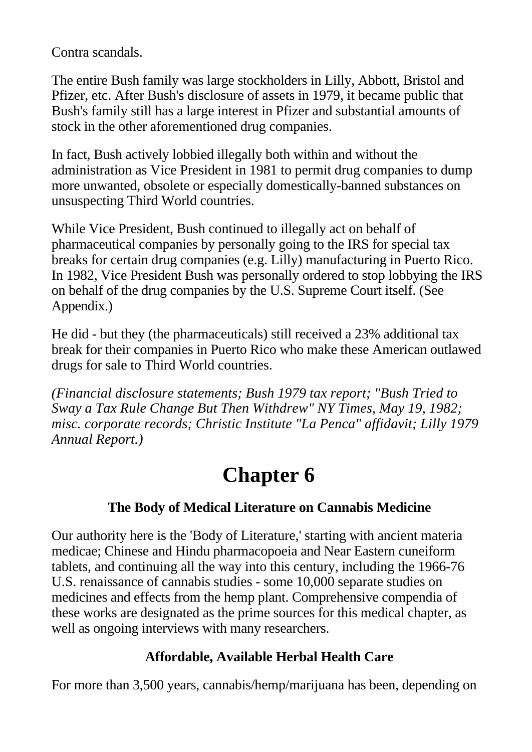Contra scandals.

The entire Bush family was large stockholders in Lilly, Abbott, Bristol and Pfizer, etc. After Bush's disclosure of assets in 1979, it became public that Bush's family still has a large interest in Pfizer and substantial amounts of stock in the other aforementioned drug companies.

In fact, Bush actively lobbied illegally both within and without the administration as Vice President in 1981 to permit drug companies to dump more unwanted, obsolete or especially domestically-banned substances on unsuspecting Third World countries.

While Vice President, Bush continued to illegally act on behalf of pharmaceutical companies by personally going to the IRS for special tax breaks for certain drug companies (e.g. Lilly) manufacturing in Puerto Rico. In 1982, Vice President Bush was personally ordered to stop lobbying the IRS on behalf of the drug companies by the U.S. Supreme Court itself. (See Appendix.)

He did - but they (the pharmaceuticals) still received a 23% additional tax break for their companies in Puerto Rico who make these American outlawed drugs for sale to Third World countries.

*(Financial disclosure statements; Bush 1979 tax report; "Bush Tried to Sway a Tax Rule Change But Then Withdrew" NY Times, May 19, 1982; misc. corporate records; Christic Institute "La Penca" affidavit; Lilly 1979 Annual Report.)* 

## **Chapter 6**

## **The Body of Medical Literature on Cannabis Medicine**

Our authority here is the 'Body of Literature,' starting with ancient materia medicae; Chinese and Hindu pharmacopoeia and Near Eastern cuneiform tablets, and continuing all the way into this century, including the 1966-76 U.S. renaissance of cannabis studies - some 10,000 separate studies on medicines and effects from the hemp plant. Comprehensive compendia of these works are designated as the prime sources for this medical chapter, as well as ongoing interviews with many researchers.

## **Affordable, Available Herbal Health Care**

For more than 3,500 years, cannabis/hemp/marijuana has been, depending on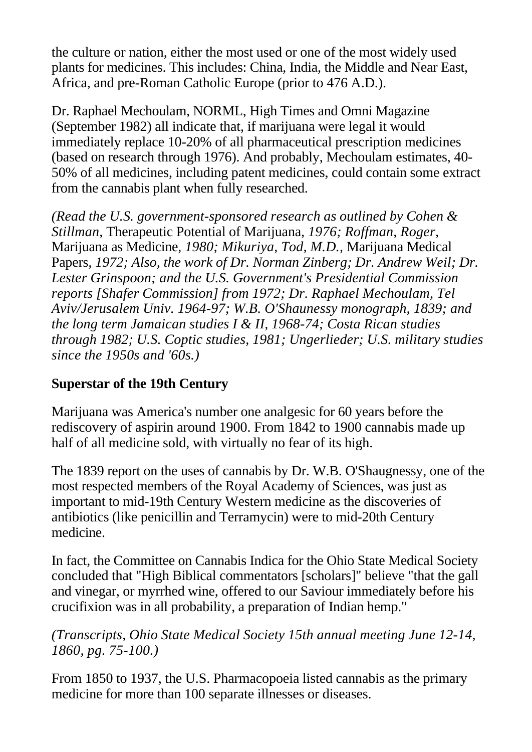the culture or nation, either the most used or one of the most widely used plants for medicines. This includes: China, India, the Middle and Near East, Africa, and pre-Roman Catholic Europe (prior to 476 A.D.).

Dr. Raphael Mechoulam, NORML, High Times and Omni Magazine (September 1982) all indicate that, if marijuana were legal it would immediately replace 10-20% of all pharmaceutical prescription medicines (based on research through 1976). And probably, Mechoulam estimates, 40- 50% of all medicines, including patent medicines, could contain some extract from the cannabis plant when fully researched.

*(Read the U.S. government-sponsored research as outlined by Cohen & Stillman,* Therapeutic Potential of Marijuana*, 1976; Roffman, Roger,*  Marijuana as Medicine*, 1980; Mikuriya, Tod, M.D.,* Marijuana Medical Papers*, 1972; Also, the work of Dr. Norman Zinberg; Dr. Andrew Weil; Dr. Lester Grinspoon; and the U.S. Government's Presidential Commission reports [Shafer Commission] from 1972; Dr. Raphael Mechoulam, Tel Aviv/Jerusalem Univ. 1964-97; W.B. O'Shaunessy monograph, 1839; and the long term Jamaican studies I & II, 1968-74; Costa Rican studies through 1982; U.S. Coptic studies, 1981; Ungerlieder; U.S. military studies since the 1950s and '60s.)* 

#### **Superstar of the 19th Century**

Marijuana was America's number one analgesic for 60 years before the rediscovery of aspirin around 1900. From 1842 to 1900 cannabis made up half of all medicine sold, with virtually no fear of its high.

The 1839 report on the uses of cannabis by Dr. W.B. O'Shaugnessy, one of the most respected members of the Royal Academy of Sciences, was just as important to mid-19th Century Western medicine as the discoveries of antibiotics (like penicillin and Terramycin) were to mid-20th Century medicine.

In fact, the Committee on Cannabis Indica for the Ohio State Medical Society concluded that "High Biblical commentators [scholars]" believe "that the gall and vinegar, or myrrhed wine, offered to our Saviour immediately before his crucifixion was in all probability, a preparation of Indian hemp."

#### *(Transcripts, Ohio State Medical Society 15th annual meeting June 12-14, 1860, pg. 75-100.)*

From 1850 to 1937, the U.S. Pharmacopoeia listed cannabis as the primary medicine for more than 100 separate illnesses or diseases.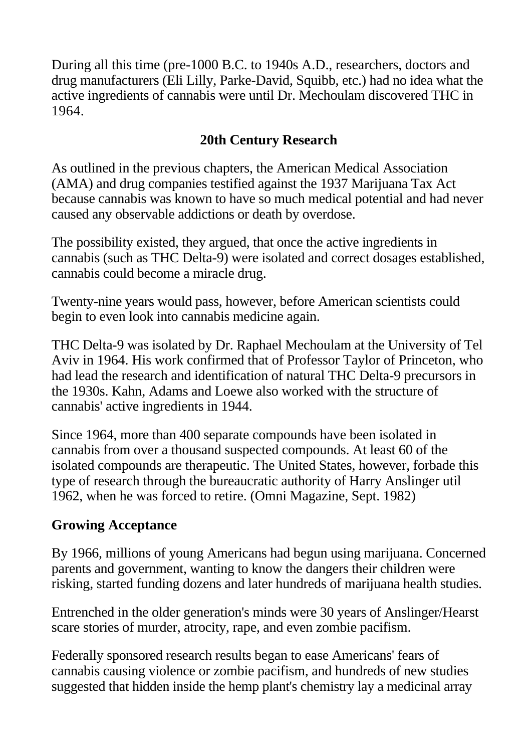During all this time (pre-1000 B.C. to 1940s A.D., researchers, doctors and drug manufacturers (Eli Lilly, Parke-David, Squibb, etc.) had no idea what the active ingredients of cannabis were until Dr. Mechoulam discovered THC in 1964.

## **20th Century Research**

As outlined in the previous chapters, the American Medical Association (AMA) and drug companies testified against the 1937 Marijuana Tax Act because cannabis was known to have so much medical potential and had never caused any observable addictions or death by overdose.

The possibility existed, they argued, that once the active ingredients in cannabis (such as THC Delta-9) were isolated and correct dosages established, cannabis could become a miracle drug.

Twenty-nine years would pass, however, before American scientists could begin to even look into cannabis medicine again.

THC Delta-9 was isolated by Dr. Raphael Mechoulam at the University of Tel Aviv in 1964. His work confirmed that of Professor Taylor of Princeton, who had lead the research and identification of natural THC Delta-9 precursors in the 1930s. Kahn, Adams and Loewe also worked with the structure of cannabis' active ingredients in 1944.

Since 1964, more than 400 separate compounds have been isolated in cannabis from over a thousand suspected compounds. At least 60 of the isolated compounds are therapeutic. The United States, however, forbade this type of research through the bureaucratic authority of Harry Anslinger util 1962, when he was forced to retire. (Omni Magazine, Sept. 1982)

#### **Growing Acceptance**

By 1966, millions of young Americans had begun using marijuana. Concerned parents and government, wanting to know the dangers their children were risking, started funding dozens and later hundreds of marijuana health studies.

Entrenched in the older generation's minds were 30 years of Anslinger/Hearst scare stories of murder, atrocity, rape, and even zombie pacifism.

Federally sponsored research results began to ease Americans' fears of cannabis causing violence or zombie pacifism, and hundreds of new studies suggested that hidden inside the hemp plant's chemistry lay a medicinal array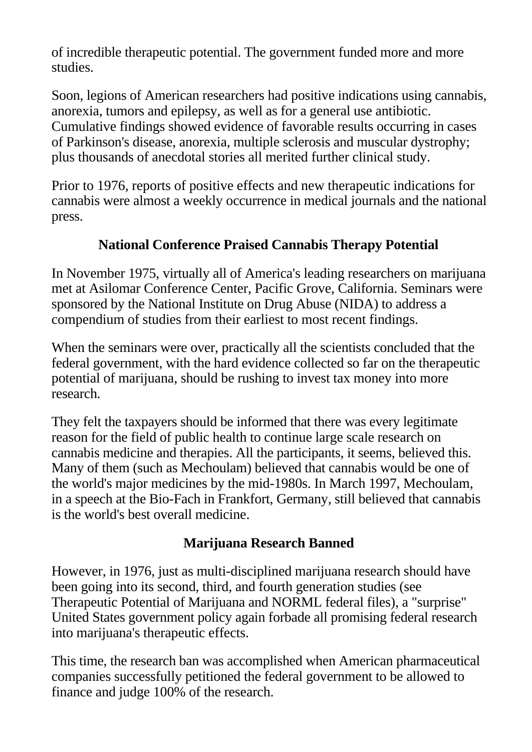of incredible therapeutic potential. The government funded more and more studies.

Soon, legions of American researchers had positive indications using cannabis, anorexia, tumors and epilepsy, as well as for a general use antibiotic. Cumulative findings showed evidence of favorable results occurring in cases of Parkinson's disease, anorexia, multiple sclerosis and muscular dystrophy; plus thousands of anecdotal stories all merited further clinical study.

Prior to 1976, reports of positive effects and new therapeutic indications for cannabis were almost a weekly occurrence in medical journals and the national press.

## **National Conference Praised Cannabis Therapy Potential**

In November 1975, virtually all of America's leading researchers on marijuana met at Asilomar Conference Center, Pacific Grove, California. Seminars were sponsored by the National Institute on Drug Abuse (NIDA) to address a compendium of studies from their earliest to most recent findings.

When the seminars were over, practically all the scientists concluded that the federal government, with the hard evidence collected so far on the therapeutic potential of marijuana, should be rushing to invest tax money into more research.

They felt the taxpayers should be informed that there was every legitimate reason for the field of public health to continue large scale research on cannabis medicine and therapies. All the participants, it seems, believed this. Many of them (such as Mechoulam) believed that cannabis would be one of the world's major medicines by the mid-1980s. In March 1997, Mechoulam, in a speech at the Bio-Fach in Frankfort, Germany, still believed that cannabis is the world's best overall medicine.

#### **Marijuana Research Banned**

However, in 1976, just as multi-disciplined marijuana research should have been going into its second, third, and fourth generation studies (see Therapeutic Potential of Marijuana and NORML federal files), a "surprise" United States government policy again forbade all promising federal research into marijuana's therapeutic effects.

This time, the research ban was accomplished when American pharmaceutical companies successfully petitioned the federal government to be allowed to finance and judge 100% of the research.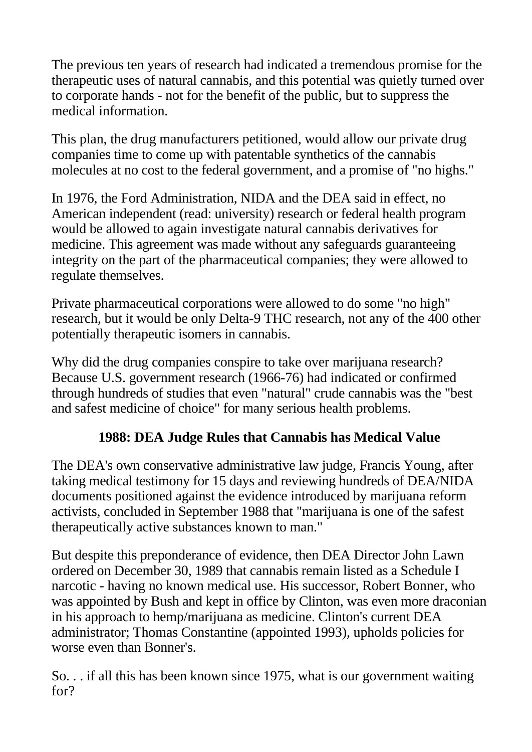The previous ten years of research had indicated a tremendous promise for the therapeutic uses of natural cannabis, and this potential was quietly turned over to corporate hands - not for the benefit of the public, but to suppress the medical information.

This plan, the drug manufacturers petitioned, would allow our private drug companies time to come up with patentable synthetics of the cannabis molecules at no cost to the federal government, and a promise of "no highs."

In 1976, the Ford Administration, NIDA and the DEA said in effect, no American independent (read: university) research or federal health program would be allowed to again investigate natural cannabis derivatives for medicine. This agreement was made without any safeguards guaranteeing integrity on the part of the pharmaceutical companies; they were allowed to regulate themselves.

Private pharmaceutical corporations were allowed to do some "no high" research, but it would be only Delta-9 THC research, not any of the 400 other potentially therapeutic isomers in cannabis.

Why did the drug companies conspire to take over marijuana research? Because U.S. government research (1966-76) had indicated or confirmed through hundreds of studies that even "natural" crude cannabis was the "best and safest medicine of choice" for many serious health problems.

## **1988: DEA Judge Rules that Cannabis has Medical Value**

The DEA's own conservative administrative law judge, Francis Young, after taking medical testimony for 15 days and reviewing hundreds of DEA/NIDA documents positioned against the evidence introduced by marijuana reform activists, concluded in September 1988 that "marijuana is one of the safest therapeutically active substances known to man."

But despite this preponderance of evidence, then DEA Director John Lawn ordered on December 30, 1989 that cannabis remain listed as a Schedule I narcotic - having no known medical use. His successor, Robert Bonner, who was appointed by Bush and kept in office by Clinton, was even more draconian in his approach to hemp/marijuana as medicine. Clinton's current DEA administrator; Thomas Constantine (appointed 1993), upholds policies for worse even than Bonner's.

So. . . if all this has been known since 1975, what is our government waiting for?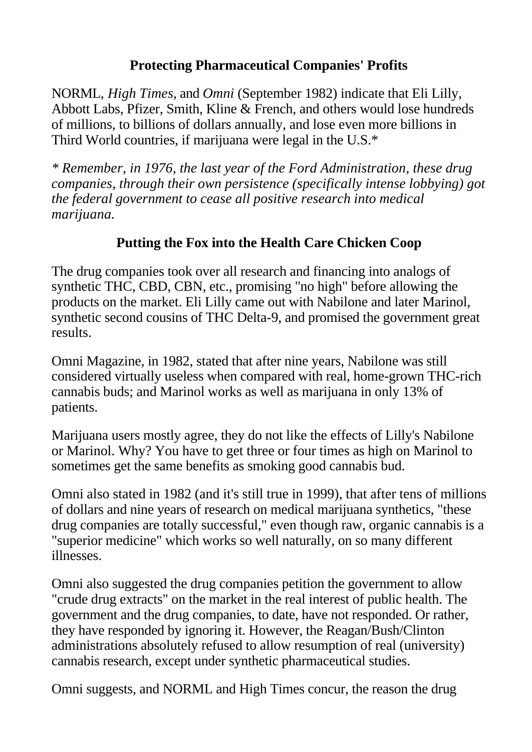#### **Protecting Pharmaceutical Companies' Profits**

NORML, *High Times*, and *Omni* (September 1982) indicate that Eli Lilly, Abbott Labs, Pfizer, Smith, Kline & French, and others would lose hundreds of millions, to billions of dollars annually, and lose even more billions in Third World countries, if marijuana were legal in the U.S.\*

*\* Remember, in 1976, the last year of the Ford Administration, these drug companies, through their own persistence (specifically intense lobbying) got the federal government to cease all positive research into medical marijuana.* 

#### **Putting the Fox into the Health Care Chicken Coop**

The drug companies took over all research and financing into analogs of synthetic THC, CBD, CBN, etc., promising "no high" before allowing the products on the market. Eli Lilly came out with Nabilone and later Marinol, synthetic second cousins of THC Delta-9, and promised the government great results.

Omni Magazine, in 1982, stated that after nine years, Nabilone was still considered virtually useless when compared with real, home-grown THC-rich cannabis buds; and Marinol works as well as marijuana in only 13% of patients.

Marijuana users mostly agree, they do not like the effects of Lilly's Nabilone or Marinol. Why? You have to get three or four times as high on Marinol to sometimes get the same benefits as smoking good cannabis bud.

Omni also stated in 1982 (and it's still true in 1999), that after tens of millions of dollars and nine years of research on medical marijuana synthetics, "these drug companies are totally successful," even though raw, organic cannabis is a "superior medicine" which works so well naturally, on so many different illnesses.

Omni also suggested the drug companies petition the government to allow "crude drug extracts" on the market in the real interest of public health. The government and the drug companies, to date, have not responded. Or rather, they have responded by ignoring it. However, the Reagan/Bush/Clinton administrations absolutely refused to allow resumption of real (university) cannabis research, except under synthetic pharmaceutical studies.

Omni suggests, and NORML and High Times concur, the reason the drug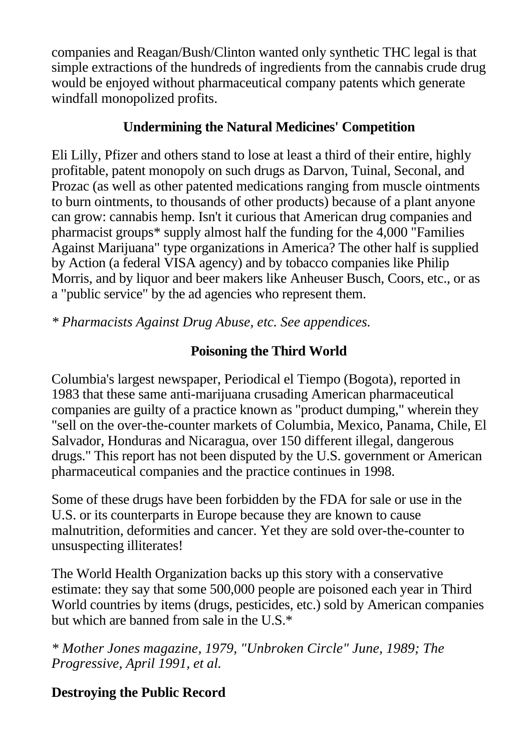companies and Reagan/Bush/Clinton wanted only synthetic THC legal is that simple extractions of the hundreds of ingredients from the cannabis crude drug would be enjoyed without pharmaceutical company patents which generate windfall monopolized profits.

## **Undermining the Natural Medicines' Competition**

Eli Lilly, Pfizer and others stand to lose at least a third of their entire, highly profitable, patent monopoly on such drugs as Darvon, Tuinal, Seconal, and Prozac (as well as other patented medications ranging from muscle ointments to burn ointments, to thousands of other products) because of a plant anyone can grow: cannabis hemp. Isn't it curious that American drug companies and pharmacist groups\* supply almost half the funding for the 4,000 "Families Against Marijuana" type organizations in America? The other half is supplied by Action (a federal VISA agency) and by tobacco companies like Philip Morris, and by liquor and beer makers like Anheuser Busch, Coors, etc., or as a "public service" by the ad agencies who represent them.

*\* Pharmacists Against Drug Abuse, etc. See appendices.* 

## **Poisoning the Third World**

Columbia's largest newspaper, Periodical el Tiempo (Bogota), reported in 1983 that these same anti-marijuana crusading American pharmaceutical companies are guilty of a practice known as "product dumping," wherein they "sell on the over-the-counter markets of Columbia, Mexico, Panama, Chile, El Salvador, Honduras and Nicaragua, over 150 different illegal, dangerous drugs." This report has not been disputed by the U.S. government or American pharmaceutical companies and the practice continues in 1998.

Some of these drugs have been forbidden by the FDA for sale or use in the U.S. or its counterparts in Europe because they are known to cause malnutrition, deformities and cancer. Yet they are sold over-the-counter to unsuspecting illiterates!

The World Health Organization backs up this story with a conservative estimate: they say that some 500,000 people are poisoned each year in Third World countries by items (drugs, pesticides, etc.) sold by American companies but which are banned from sale in the U.S.\*

*\* Mother Jones magazine, 1979, "Unbroken Circle" June, 1989; The Progressive, April 1991, et al.* 

## **Destroying the Public Record**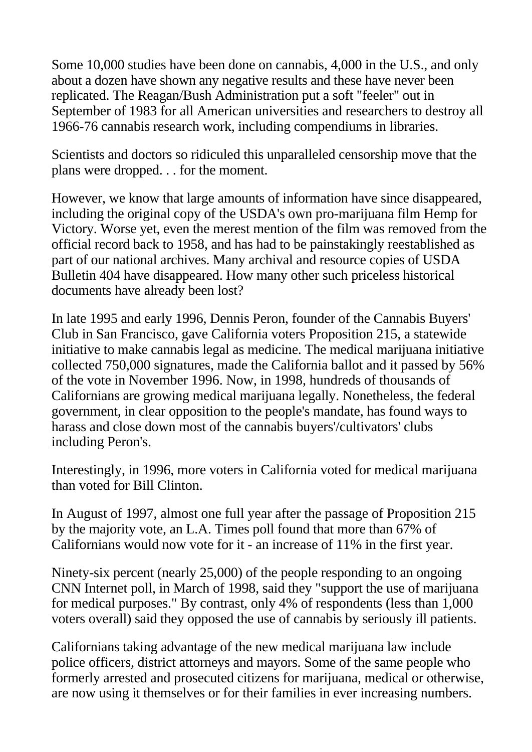Some 10,000 studies have been done on cannabis, 4,000 in the U.S., and only about a dozen have shown any negative results and these have never been replicated. The Reagan/Bush Administration put a soft "feeler" out in September of 1983 for all American universities and researchers to destroy all 1966-76 cannabis research work, including compendiums in libraries.

Scientists and doctors so ridiculed this unparalleled censorship move that the plans were dropped. . . for the moment.

However, we know that large amounts of information have since disappeared, including the original copy of the USDA's own pro-marijuana film Hemp for Victory. Worse yet, even the merest mention of the film was removed from the official record back to 1958, and has had to be painstakingly reestablished as part of our national archives. Many archival and resource copies of USDA Bulletin 404 have disappeared. How many other such priceless historical documents have already been lost?

In late 1995 and early 1996, Dennis Peron, founder of the Cannabis Buyers' Club in San Francisco, gave California voters Proposition 215, a statewide initiative to make cannabis legal as medicine. The medical marijuana initiative collected 750,000 signatures, made the California ballot and it passed by 56% of the vote in November 1996. Now, in 1998, hundreds of thousands of Californians are growing medical marijuana legally. Nonetheless, the federal government, in clear opposition to the people's mandate, has found ways to harass and close down most of the cannabis buyers'/cultivators' clubs including Peron's.

Interestingly, in 1996, more voters in California voted for medical marijuana than voted for Bill Clinton.

In August of 1997, almost one full year after the passage of Proposition 215 by the majority vote, an L.A. Times poll found that more than 67% of Californians would now vote for it - an increase of 11% in the first year.

Ninety-six percent (nearly 25,000) of the people responding to an ongoing CNN Internet poll, in March of 1998, said they "support the use of marijuana for medical purposes." By contrast, only 4% of respondents (less than 1,000 voters overall) said they opposed the use of cannabis by seriously ill patients.

Californians taking advantage of the new medical marijuana law include police officers, district attorneys and mayors. Some of the same people who formerly arrested and prosecuted citizens for marijuana, medical or otherwise, are now using it themselves or for their families in ever increasing numbers.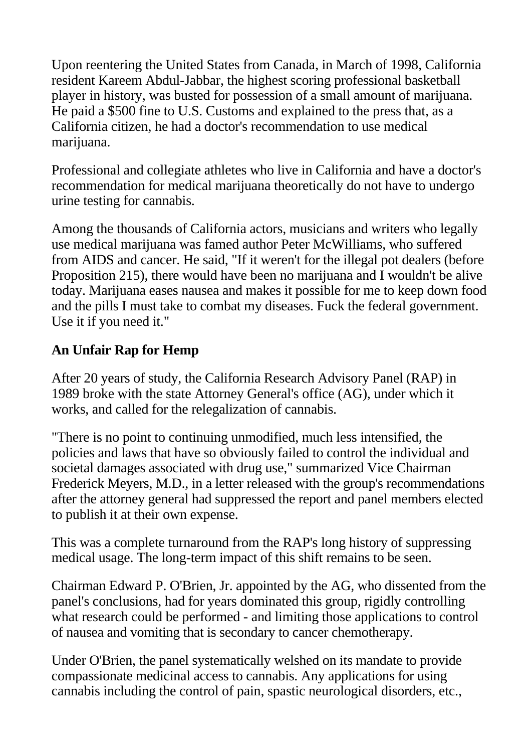Upon reentering the United States from Canada, in March of 1998, California resident Kareem Abdul-Jabbar, the highest scoring professional basketball player in history, was busted for possession of a small amount of marijuana. He paid a \$500 fine to U.S. Customs and explained to the press that, as a California citizen, he had a doctor's recommendation to use medical marijuana.

Professional and collegiate athletes who live in California and have a doctor's recommendation for medical marijuana theoretically do not have to undergo urine testing for cannabis.

Among the thousands of California actors, musicians and writers who legally use medical marijuana was famed author Peter McWilliams, who suffered from AIDS and cancer. He said, "If it weren't for the illegal pot dealers (before Proposition 215), there would have been no marijuana and I wouldn't be alive today. Marijuana eases nausea and makes it possible for me to keep down food and the pills I must take to combat my diseases. Fuck the federal government. Use it if you need it."

## **An Unfair Rap for Hemp**

After 20 years of study, the California Research Advisory Panel (RAP) in 1989 broke with the state Attorney General's office (AG), under which it works, and called for the relegalization of cannabis.

"There is no point to continuing unmodified, much less intensified, the policies and laws that have so obviously failed to control the individual and societal damages associated with drug use," summarized Vice Chairman Frederick Meyers, M.D., in a letter released with the group's recommendations after the attorney general had suppressed the report and panel members elected to publish it at their own expense.

This was a complete turnaround from the RAP's long history of suppressing medical usage. The long-term impact of this shift remains to be seen.

Chairman Edward P. O'Brien, Jr. appointed by the AG, who dissented from the panel's conclusions, had for years dominated this group, rigidly controlling what research could be performed - and limiting those applications to control of nausea and vomiting that is secondary to cancer chemotherapy.

Under O'Brien, the panel systematically welshed on its mandate to provide compassionate medicinal access to cannabis. Any applications for using cannabis including the control of pain, spastic neurological disorders, etc.,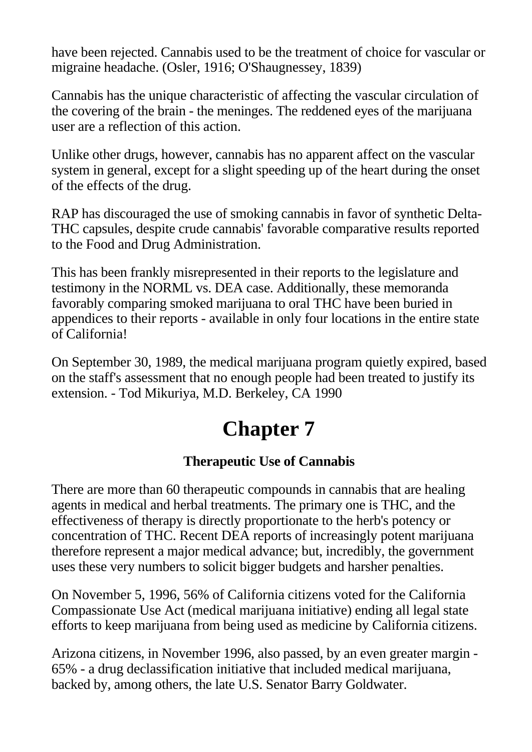have been rejected. Cannabis used to be the treatment of choice for vascular or migraine headache. (Osler, 1916; O'Shaugnessey, 1839)

Cannabis has the unique characteristic of affecting the vascular circulation of the covering of the brain - the meninges. The reddened eyes of the marijuana user are a reflection of this action.

Unlike other drugs, however, cannabis has no apparent affect on the vascular system in general, except for a slight speeding up of the heart during the onset of the effects of the drug.

RAP has discouraged the use of smoking cannabis in favor of synthetic Delta-THC capsules, despite crude cannabis' favorable comparative results reported to the Food and Drug Administration.

This has been frankly misrepresented in their reports to the legislature and testimony in the NORML vs. DEA case. Additionally, these memoranda favorably comparing smoked marijuana to oral THC have been buried in appendices to their reports - available in only four locations in the entire state of California!

On September 30, 1989, the medical marijuana program quietly expired, based on the staff's assessment that no enough people had been treated to justify its extension. - Tod Mikuriya, M.D. Berkeley, CA 1990

# **Chapter 7**

## **Therapeutic Use of Cannabis**

There are more than 60 therapeutic compounds in cannabis that are healing agents in medical and herbal treatments. The primary one is THC, and the effectiveness of therapy is directly proportionate to the herb's potency or concentration of THC. Recent DEA reports of increasingly potent marijuana therefore represent a major medical advance; but, incredibly, the government uses these very numbers to solicit bigger budgets and harsher penalties.

On November 5, 1996, 56% of California citizens voted for the California Compassionate Use Act (medical marijuana initiative) ending all legal state efforts to keep marijuana from being used as medicine by California citizens.

Arizona citizens, in November 1996, also passed, by an even greater margin - 65% - a drug declassification initiative that included medical marijuana, backed by, among others, the late U.S. Senator Barry Goldwater.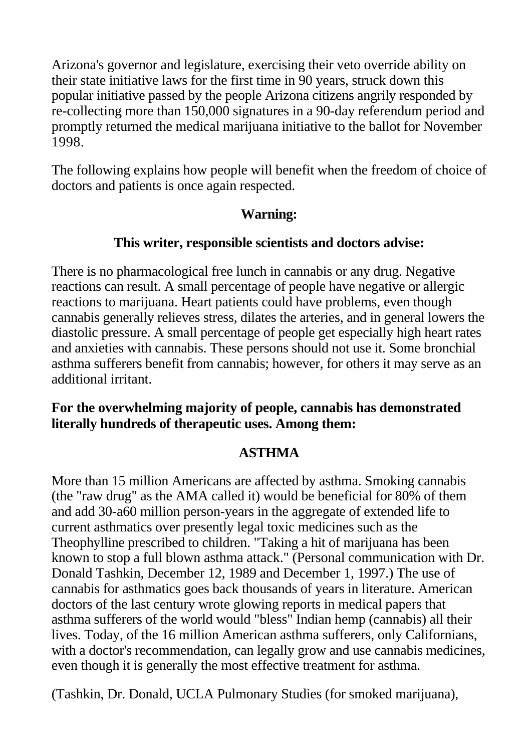Arizona's governor and legislature, exercising their veto override ability on their state initiative laws for the first time in 90 years, struck down this popular initiative passed by the people Arizona citizens angrily responded by re-collecting more than 150,000 signatures in a 90-day referendum period and promptly returned the medical marijuana initiative to the ballot for November 1998.

The following explains how people will benefit when the freedom of choice of doctors and patients is once again respected.

#### **Warning:**

#### **This writer, responsible scientists and doctors advise:**

There is no pharmacological free lunch in cannabis or any drug. Negative reactions can result. A small percentage of people have negative or allergic reactions to marijuana. Heart patients could have problems, even though cannabis generally relieves stress, dilates the arteries, and in general lowers the diastolic pressure. A small percentage of people get especially high heart rates and anxieties with cannabis. These persons should not use it. Some bronchial asthma sufferers benefit from cannabis; however, for others it may serve as an additional irritant.

#### **For the overwhelming majority of people, cannabis has demonstrated literally hundreds of therapeutic uses. Among them:**

#### **ASTHMA**

More than 15 million Americans are affected by asthma. Smoking cannabis (the "raw drug" as the AMA called it) would be beneficial for 80% of them and add 30-a60 million person-years in the aggregate of extended life to current asthmatics over presently legal toxic medicines such as the Theophylline prescribed to children. "Taking a hit of marijuana has been known to stop a full blown asthma attack." (Personal communication with Dr. Donald Tashkin, December 12, 1989 and December 1, 1997.) The use of cannabis for asthmatics goes back thousands of years in literature. American doctors of the last century wrote glowing reports in medical papers that asthma sufferers of the world would "bless" Indian hemp (cannabis) all their lives. Today, of the 16 million American asthma sufferers, only Californians, with a doctor's recommendation, can legally grow and use cannabis medicines, even though it is generally the most effective treatment for asthma.

(Tashkin, Dr. Donald, UCLA Pulmonary Studies (for smoked marijuana),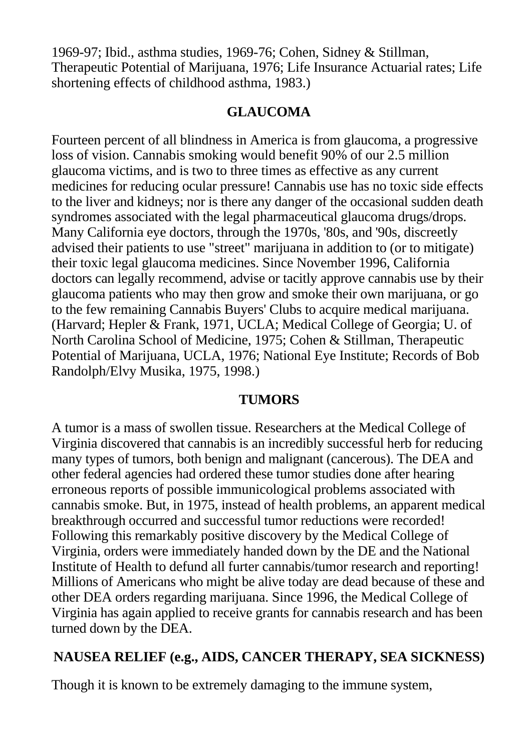1969-97; Ibid., asthma studies, 1969-76; Cohen, Sidney & Stillman, Therapeutic Potential of Marijuana, 1976; Life Insurance Actuarial rates; Life shortening effects of childhood asthma, 1983.)

#### **GLAUCOMA**

Fourteen percent of all blindness in America is from glaucoma, a progressive loss of vision. Cannabis smoking would benefit 90% of our 2.5 million glaucoma victims, and is two to three times as effective as any current medicines for reducing ocular pressure! Cannabis use has no toxic side effects to the liver and kidneys; nor is there any danger of the occasional sudden death syndromes associated with the legal pharmaceutical glaucoma drugs/drops. Many California eye doctors, through the 1970s, '80s, and '90s, discreetly advised their patients to use "street" marijuana in addition to (or to mitigate) their toxic legal glaucoma medicines. Since November 1996, California doctors can legally recommend, advise or tacitly approve cannabis use by their glaucoma patients who may then grow and smoke their own marijuana, or go to the few remaining Cannabis Buyers' Clubs to acquire medical marijuana. (Harvard; Hepler & Frank, 1971, UCLA; Medical College of Georgia; U. of North Carolina School of Medicine, 1975; Cohen & Stillman, Therapeutic Potential of Marijuana, UCLA, 1976; National Eye Institute; Records of Bob Randolph/Elvy Musika, 1975, 1998.)

#### **TUMORS**

A tumor is a mass of swollen tissue. Researchers at the Medical College of Virginia discovered that cannabis is an incredibly successful herb for reducing many types of tumors, both benign and malignant (cancerous). The DEA and other federal agencies had ordered these tumor studies done after hearing erroneous reports of possible immunicological problems associated with cannabis smoke. But, in 1975, instead of health problems, an apparent medical breakthrough occurred and successful tumor reductions were recorded! Following this remarkably positive discovery by the Medical College of Virginia, orders were immediately handed down by the DE and the National Institute of Health to defund all furter cannabis/tumor research and reporting! Millions of Americans who might be alive today are dead because of these and other DEA orders regarding marijuana. Since 1996, the Medical College of Virginia has again applied to receive grants for cannabis research and has been turned down by the DEA.

#### **NAUSEA RELIEF (e.g., AIDS, CANCER THERAPY, SEA SICKNESS)**

Though it is known to be extremely damaging to the immune system,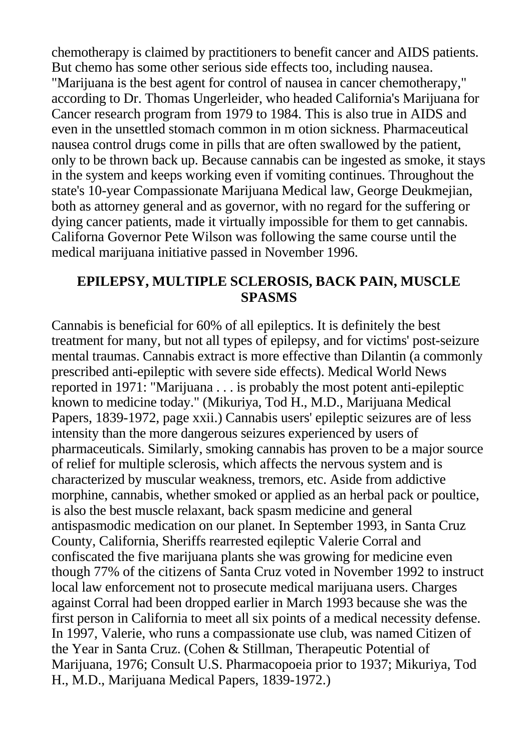chemotherapy is claimed by practitioners to benefit cancer and AIDS patients. But chemo has some other serious side effects too, including nausea. "Marijuana is the best agent for control of nausea in cancer chemotherapy," according to Dr. Thomas Ungerleider, who headed California's Marijuana for Cancer research program from 1979 to 1984. This is also true in AIDS and even in the unsettled stomach common in m otion sickness. Pharmaceutical nausea control drugs come in pills that are often swallowed by the patient, only to be thrown back up. Because cannabis can be ingested as smoke, it stays in the system and keeps working even if vomiting continues. Throughout the state's 10-year Compassionate Marijuana Medical law, George Deukmejian, both as attorney general and as governor, with no regard for the suffering or dying cancer patients, made it virtually impossible for them to get cannabis. Californa Governor Pete Wilson was following the same course until the medical marijuana initiative passed in November 1996.

#### **EPILEPSY, MULTIPLE SCLEROSIS, BACK PAIN, MUSCLE SPASMS**

Cannabis is beneficial for 60% of all epileptics. It is definitely the best treatment for many, but not all types of epilepsy, and for victims' post-seizure mental traumas. Cannabis extract is more effective than Dilantin (a commonly prescribed anti-epileptic with severe side effects). Medical World News reported in 1971: "Marijuana . . . is probably the most potent anti-epileptic known to medicine today." (Mikuriya, Tod H., M.D., Marijuana Medical Papers, 1839-1972, page xxii.) Cannabis users' epileptic seizures are of less intensity than the more dangerous seizures experienced by users of pharmaceuticals. Similarly, smoking cannabis has proven to be a major source of relief for multiple sclerosis, which affects the nervous system and is characterized by muscular weakness, tremors, etc. Aside from addictive morphine, cannabis, whether smoked or applied as an herbal pack or poultice, is also the best muscle relaxant, back spasm medicine and general antispasmodic medication on our planet. In September 1993, in Santa Cruz County, California, Sheriffs rearrested eqileptic Valerie Corral and confiscated the five marijuana plants she was growing for medicine even though 77% of the citizens of Santa Cruz voted in November 1992 to instruct local law enforcement not to prosecute medical marijuana users. Charges against Corral had been dropped earlier in March 1993 because she was the first person in California to meet all six points of a medical necessity defense. In 1997, Valerie, who runs a compassionate use club, was named Citizen of the Year in Santa Cruz. (Cohen & Stillman, Therapeutic Potential of Marijuana, 1976; Consult U.S. Pharmacopoeia prior to 1937; Mikuriya, Tod H., M.D., Marijuana Medical Papers, 1839-1972.)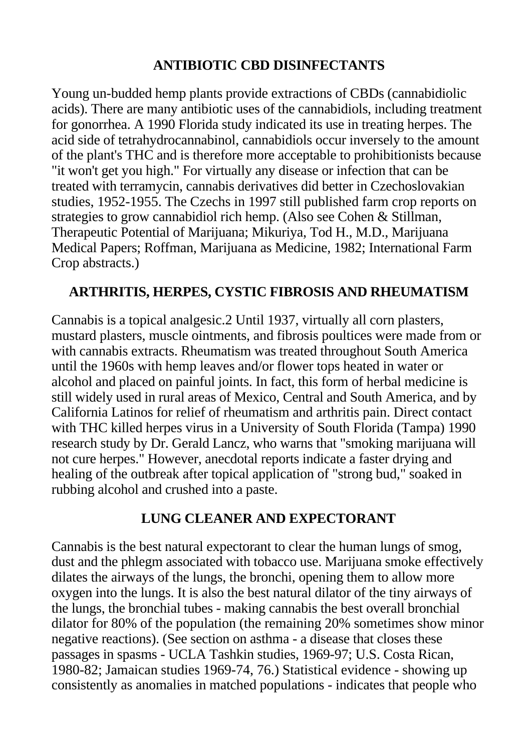#### **ANTIBIOTIC CBD DISINFECTANTS**

Young un-budded hemp plants provide extractions of CBDs (cannabidiolic acids). There are many antibiotic uses of the cannabidiols, including treatment for gonorrhea. A 1990 Florida study indicated its use in treating herpes. The acid side of tetrahydrocannabinol, cannabidiols occur inversely to the amount of the plant's THC and is therefore more acceptable to prohibitionists because "it won't get you high." For virtually any disease or infection that can be treated with terramycin, cannabis derivatives did better in Czechoslovakian studies, 1952-1955. The Czechs in 1997 still published farm crop reports on strategies to grow cannabidiol rich hemp. (Also see Cohen & Stillman, Therapeutic Potential of Marijuana; Mikuriya, Tod H., M.D., Marijuana Medical Papers; Roffman, Marijuana as Medicine, 1982; International Farm Crop abstracts.)

#### **ARTHRITIS, HERPES, CYSTIC FIBROSIS AND RHEUMATISM**

Cannabis is a topical analgesic.2 Until 1937, virtually all corn plasters, mustard plasters, muscle ointments, and fibrosis poultices were made from or with cannabis extracts. Rheumatism was treated throughout South America until the 1960s with hemp leaves and/or flower tops heated in water or alcohol and placed on painful joints. In fact, this form of herbal medicine is still widely used in rural areas of Mexico, Central and South America, and by California Latinos for relief of rheumatism and arthritis pain. Direct contact with THC killed herpes virus in a University of South Florida (Tampa) 1990 research study by Dr. Gerald Lancz, who warns that "smoking marijuana will not cure herpes." However, anecdotal reports indicate a faster drying and healing of the outbreak after topical application of "strong bud," soaked in rubbing alcohol and crushed into a paste.

#### **LUNG CLEANER AND EXPECTORANT**

Cannabis is the best natural expectorant to clear the human lungs of smog, dust and the phlegm associated with tobacco use. Marijuana smoke effectively dilates the airways of the lungs, the bronchi, opening them to allow more oxygen into the lungs. It is also the best natural dilator of the tiny airways of the lungs, the bronchial tubes - making cannabis the best overall bronchial dilator for 80% of the population (the remaining 20% sometimes show minor negative reactions). (See section on asthma - a disease that closes these passages in spasms - UCLA Tashkin studies, 1969-97; U.S. Costa Rican, 1980-82; Jamaican studies 1969-74, 76.) Statistical evidence - showing up consistently as anomalies in matched populations - indicates that people who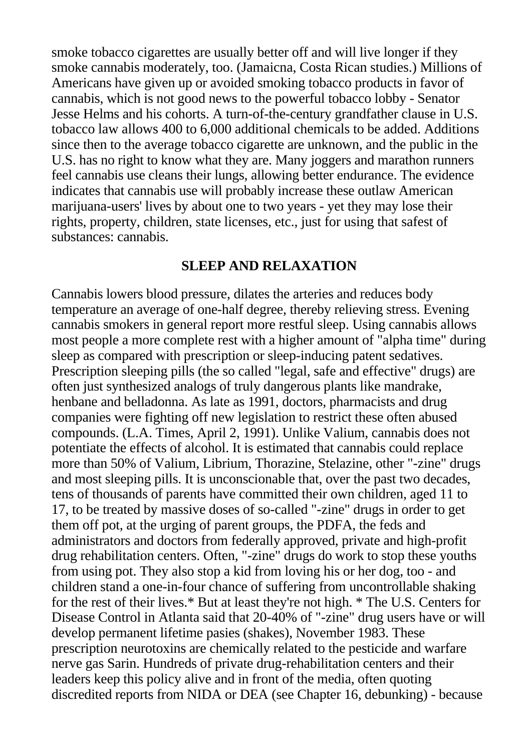smoke tobacco cigarettes are usually better off and will live longer if they smoke cannabis moderately, too. (Jamaicna, Costa Rican studies.) Millions of Americans have given up or avoided smoking tobacco products in favor of cannabis, which is not good news to the powerful tobacco lobby - Senator Jesse Helms and his cohorts. A turn-of-the-century grandfather clause in U.S. tobacco law allows 400 to 6,000 additional chemicals to be added. Additions since then to the average tobacco cigarette are unknown, and the public in the U.S. has no right to know what they are. Many joggers and marathon runners feel cannabis use cleans their lungs, allowing better endurance. The evidence indicates that cannabis use will probably increase these outlaw American marijuana-users' lives by about one to two years - yet they may lose their rights, property, children, state licenses, etc., just for using that safest of substances: cannabis.

#### **SLEEP AND RELAXATION**

Cannabis lowers blood pressure, dilates the arteries and reduces body temperature an average of one-half degree, thereby relieving stress. Evening cannabis smokers in general report more restful sleep. Using cannabis allows most people a more complete rest with a higher amount of "alpha time" during sleep as compared with prescription or sleep-inducing patent sedatives. Prescription sleeping pills (the so called "legal, safe and effective" drugs) are often just synthesized analogs of truly dangerous plants like mandrake, henbane and belladonna. As late as 1991, doctors, pharmacists and drug companies were fighting off new legislation to restrict these often abused compounds. (L.A. Times, April 2, 1991). Unlike Valium, cannabis does not potentiate the effects of alcohol. It is estimated that cannabis could replace more than 50% of Valium, Librium, Thorazine, Stelazine, other "-zine" drugs and most sleeping pills. It is unconscionable that, over the past two decades, tens of thousands of parents have committed their own children, aged 11 to 17, to be treated by massive doses of so-called "-zine" drugs in order to get them off pot, at the urging of parent groups, the PDFA, the feds and administrators and doctors from federally approved, private and high-profit drug rehabilitation centers. Often, "-zine" drugs do work to stop these youths from using pot. They also stop a kid from loving his or her dog, too - and children stand a one-in-four chance of suffering from uncontrollable shaking for the rest of their lives.\* But at least they're not high. \* The U.S. Centers for Disease Control in Atlanta said that 20-40% of "-zine" drug users have or will develop permanent lifetime pasies (shakes), November 1983. These prescription neurotoxins are chemically related to the pesticide and warfare nerve gas Sarin. Hundreds of private drug-rehabilitation centers and their leaders keep this policy alive and in front of the media, often quoting discredited reports from NIDA or DEA (see Chapter 16, debunking) - because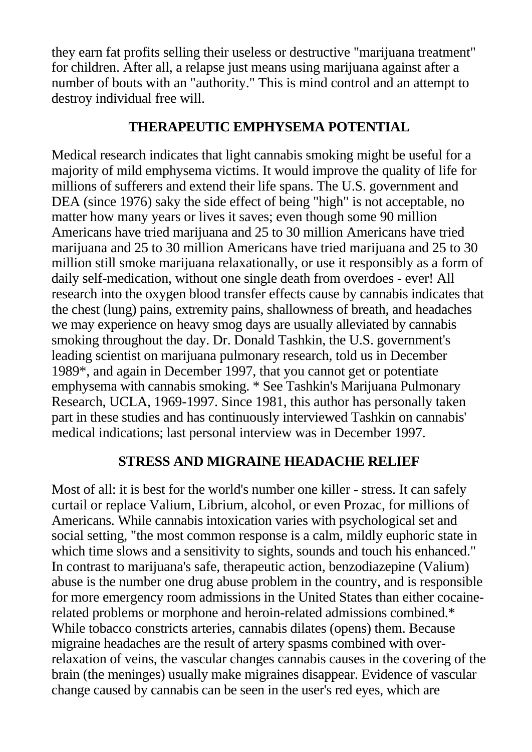they earn fat profits selling their useless or destructive "marijuana treatment" for children. After all, a relapse just means using marijuana against after a number of bouts with an "authority." This is mind control and an attempt to destroy individual free will.

#### **THERAPEUTIC EMPHYSEMA POTENTIAL**

Medical research indicates that light cannabis smoking might be useful for a majority of mild emphysema victims. It would improve the quality of life for millions of sufferers and extend their life spans. The U.S. government and DEA (since 1976) saky the side effect of being "high" is not acceptable, no matter how many years or lives it saves; even though some 90 million Americans have tried marijuana and 25 to 30 million Americans have tried marijuana and 25 to 30 million Americans have tried marijuana and 25 to 30 million still smoke marijuana relaxationally, or use it responsibly as a form of daily self-medication, without one single death from overdoes - ever! All research into the oxygen blood transfer effects cause by cannabis indicates that the chest (lung) pains, extremity pains, shallowness of breath, and headaches we may experience on heavy smog days are usually alleviated by cannabis smoking throughout the day. Dr. Donald Tashkin, the U.S. government's leading scientist on marijuana pulmonary research, told us in December 1989\*, and again in December 1997, that you cannot get or potentiate emphysema with cannabis smoking. \* See Tashkin's Marijuana Pulmonary Research, UCLA, 1969-1997. Since 1981, this author has personally taken part in these studies and has continuously interviewed Tashkin on cannabis' medical indications; last personal interview was in December 1997.

#### **STRESS AND MIGRAINE HEADACHE RELIEF**

Most of all: it is best for the world's number one killer - stress. It can safely curtail or replace Valium, Librium, alcohol, or even Prozac, for millions of Americans. While cannabis intoxication varies with psychological set and social setting, "the most common response is a calm, mildly euphoric state in which time slows and a sensitivity to sights, sounds and touch his enhanced." In contrast to marijuana's safe, therapeutic action, benzodiazepine (Valium) abuse is the number one drug abuse problem in the country, and is responsible for more emergency room admissions in the United States than either cocainerelated problems or morphone and heroin-related admissions combined.\* While tobacco constricts arteries, cannabis dilates (opens) them. Because migraine headaches are the result of artery spasms combined with overrelaxation of veins, the vascular changes cannabis causes in the covering of the brain (the meninges) usually make migraines disappear. Evidence of vascular change caused by cannabis can be seen in the user's red eyes, which are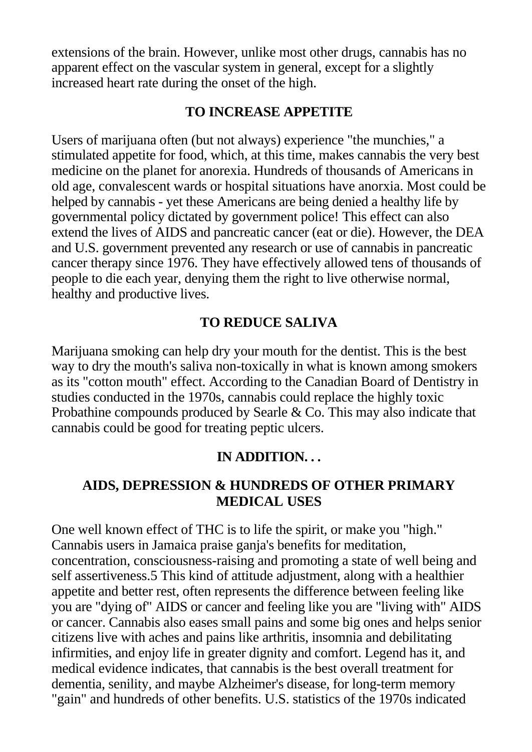extensions of the brain. However, unlike most other drugs, cannabis has no apparent effect on the vascular system in general, except for a slightly increased heart rate during the onset of the high.

#### **TO INCREASE APPETITE**

Users of marijuana often (but not always) experience "the munchies," a stimulated appetite for food, which, at this time, makes cannabis the very best medicine on the planet for anorexia. Hundreds of thousands of Americans in old age, convalescent wards or hospital situations have anorxia. Most could be helped by cannabis - yet these Americans are being denied a healthy life by governmental policy dictated by government police! This effect can also extend the lives of AIDS and pancreatic cancer (eat or die). However, the DEA and U.S. government prevented any research or use of cannabis in pancreatic cancer therapy since 1976. They have effectively allowed tens of thousands of people to die each year, denying them the right to live otherwise normal, healthy and productive lives.

#### **TO REDUCE SALIVA**

Marijuana smoking can help dry your mouth for the dentist. This is the best way to dry the mouth's saliva non-toxically in what is known among smokers as its "cotton mouth" effect. According to the Canadian Board of Dentistry in studies conducted in the 1970s, cannabis could replace the highly toxic Probathine compounds produced by Searle & Co. This may also indicate that cannabis could be good for treating peptic ulcers.

#### **IN ADDITION. . .**

#### **AIDS, DEPRESSION & HUNDREDS OF OTHER PRIMARY MEDICAL USES**

One well known effect of THC is to life the spirit, or make you "high." Cannabis users in Jamaica praise ganja's benefits for meditation, concentration, consciousness-raising and promoting a state of well being and self assertiveness.5 This kind of attitude adjustment, along with a healthier appetite and better rest, often represents the difference between feeling like you are "dying of" AIDS or cancer and feeling like you are "living with" AIDS or cancer. Cannabis also eases small pains and some big ones and helps senior citizens live with aches and pains like arthritis, insomnia and debilitating infirmities, and enjoy life in greater dignity and comfort. Legend has it, and medical evidence indicates, that cannabis is the best overall treatment for dementia, senility, and maybe Alzheimer's disease, for long-term memory "gain" and hundreds of other benefits. U.S. statistics of the 1970s indicated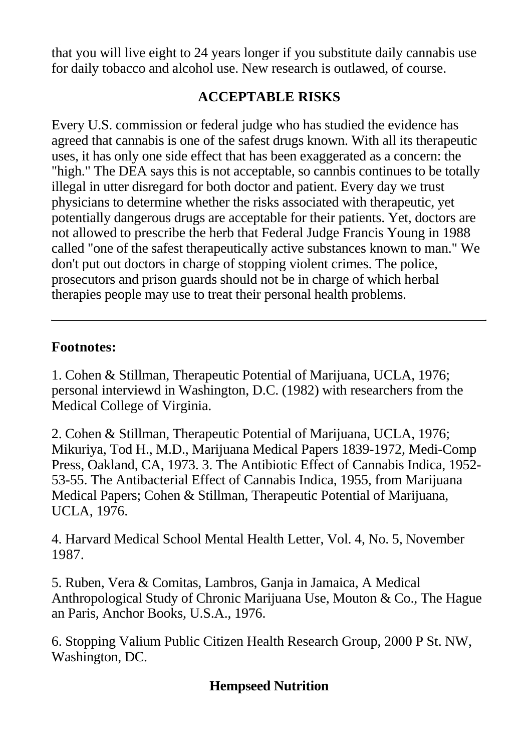"gain" and hundreds of other benefits. U.S. statistics of the 1970s indicated that you will live eight to 24 years longer if you substitute daily cannabis use for daily tobacco and alcohol use. New research is outlawed, of course.

## **ACCEPTABLE RISKS**

Every U.S. commission or federal judge who has studied the evidence has agreed that cannabis is one of the safest drugs known. With all its therapeutic uses, it has only one side effect that has been exaggerated as a concern: the "high." The DEA says this is not acceptable, so cannbis continues to be totally illegal in utter disregard for both doctor and patient. Every day we trust physicians to determine whether the risks associated with therapeutic, yet potentially dangerous drugs are acceptable for their patients. Yet, doctors are not allowed to prescribe the herb that Federal Judge Francis Young in 1988 called "one of the safest therapeutically active substances known to man." We don't put out doctors in charge of stopping violent crimes. The police, prosecutors and prison guards should not be in charge of which herbal therapies people may use to treat their personal health problems.

#### **Footnotes:**

1. Cohen & Stillman, Therapeutic Potential of Marijuana, UCLA, 1976; personal interviewd in Washington, D.C. (1982) with researchers from the Medical College of Virginia.

2. Cohen & Stillman, Therapeutic Potential of Marijuana, UCLA, 1976; Mikuriya, Tod H., M.D., Marijuana Medical Papers 1839-1972, Medi-Comp Press, Oakland, CA, 1973. 3. The Antibiotic Effect of Cannabis Indica, 1952- 53-55. The Antibacterial Effect of Cannabis Indica, 1955, from Marijuana Medical Papers; Cohen & Stillman, Therapeutic Potential of Marijuana, UCLA, 1976.

4. Harvard Medical School Mental Health Letter, Vol. 4, No. 5, November 1987.

5. Ruben, Vera & Comitas, Lambros, Ganja in Jamaica, A Medical Anthropological Study of Chronic Marijuana Use, Mouton & Co., The Hague an Paris, Anchor Books, U.S.A., 1976.

6. Stopping Valium Public Citizen Health Research Group, 2000 P St. NW, Washington, DC.

## **Hempseed Nutrition**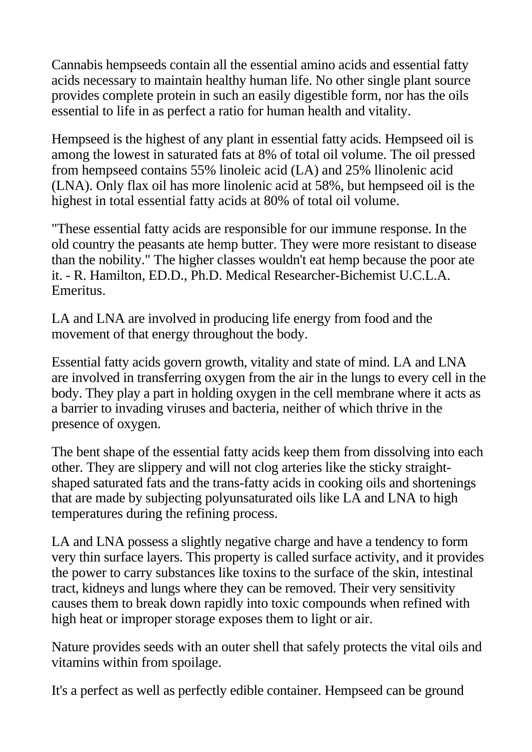Cannabis hempseeds contain all the essential amino acids and essential fatty acids necessary to maintain healthy human life. No other single plant source provides complete protein in such an easily digestible form, nor has the oils essential to life in as perfect a ratio for human health and vitality.

Hempseed is the highest of any plant in essential fatty acids. Hempseed oil is among the lowest in saturated fats at 8% of total oil volume. The oil pressed from hempseed contains 55% linoleic acid (LA) and 25% llinolenic acid (LNA). Only flax oil has more linolenic acid at 58%, but hempseed oil is the highest in total essential fatty acids at 80% of total oil volume.

"These essential fatty acids are responsible for our immune response. In the old country the peasants ate hemp butter. They were more resistant to disease than the nobility." The higher classes wouldn't eat hemp because the poor ate it. - R. Hamilton, ED.D., Ph.D. Medical Researcher-Bichemist U.C.L.A. Emeritus.

LA and LNA are involved in producing life energy from food and the movement of that energy throughout the body.

Essential fatty acids govern growth, vitality and state of mind. LA and LNA are involved in transferring oxygen from the air in the lungs to every cell in the body. They play a part in holding oxygen in the cell membrane where it acts as a barrier to invading viruses and bacteria, neither of which thrive in the presence of oxygen.

The bent shape of the essential fatty acids keep them from dissolving into each other. They are slippery and will not clog arteries like the sticky straightshaped saturated fats and the trans-fatty acids in cooking oils and shortenings that are made by subjecting polyunsaturated oils like LA and LNA to high temperatures during the refining process.

LA and LNA possess a slightly negative charge and have a tendency to form very thin surface layers. This property is called surface activity, and it provides the power to carry substances like toxins to the surface of the skin, intestinal tract, kidneys and lungs where they can be removed. Their very sensitivity causes them to break down rapidly into toxic compounds when refined with high heat or improper storage exposes them to light or air.

Nature provides seeds with an outer shell that safely protects the vital oils and vitamins within from spoilage.

It's a perfect as well as perfectly edible container. Hempseed can be ground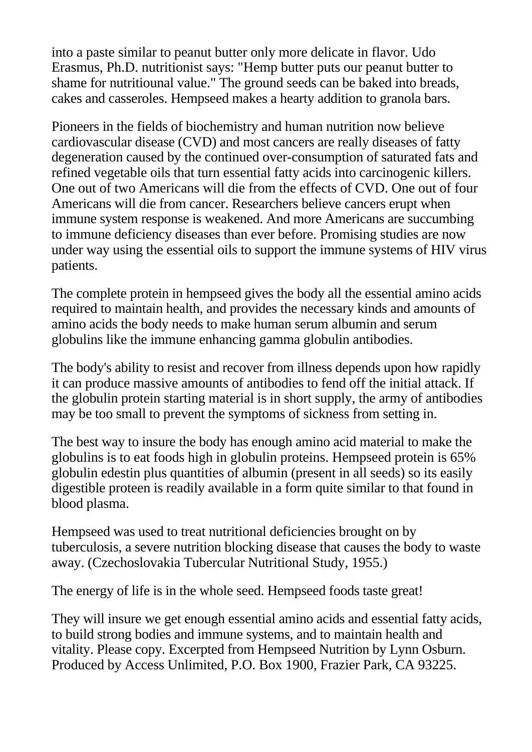into a paste similar to peanut butter only more delicate in flavor. Udo Erasmus, Ph.D. nutritionist says: "Hemp butter puts our peanut butter to shame for nutritiounal value." The ground seeds can be baked into breads, cakes and casseroles. Hempseed makes a hearty addition to granola bars.

Pioneers in the fields of biochemistry and human nutrition now believe cardiovascular disease (CVD) and most cancers are really diseases of fatty degeneration caused by the continued over-consumption of saturated fats and refined vegetable oils that turn essential fatty acids into carcinogenic killers. One out of two Americans will die from the effects of CVD. One out of four Americans will die from cancer. Researchers believe cancers erupt when immune system response is weakened. And more Americans are succumbing to immune deficiency diseases than ever before. Promising studies are now under way using the essential oils to support the immune systems of HIV virus patients.

The complete protein in hempseed gives the body all the essential amino acids required to maintain health, and provides the necessary kinds and amounts of amino acids the body needs to make human serum albumin and serum globulins like the immune enhancing gamma globulin antibodies.

The body's ability to resist and recover from illness depends upon how rapidly it can produce massive amounts of antibodies to fend off the initial attack. If the globulin protein starting material is in short supply, the army of antibodies may be too small to prevent the symptoms of sickness from setting in.

The best way to insure the body has enough amino acid material to make the globulins is to eat foods high in globulin proteins. Hempseed protein is 65% globulin edestin plus quantities of albumin (present in all seeds) so its easily digestible proteen is readily available in a form quite similar to that found in blood plasma.

Hempseed was used to treat nutritional deficiencies brought on by tuberculosis, a severe nutrition blocking disease that causes the body to waste away. (Czechoslovakia Tubercular Nutritional Study, 1955.)

The energy of life is in the whole seed. Hempseed foods taste great!

They will insure we get enough essential amino acids and essential fatty acids, to build strong bodies and immune systems, and to maintain health and vitality. Please copy. Excerpted from Hempseed Nutrition by Lynn Osburn. Produced by Access Unlimited, P.O. Box 1900, Frazier Park, CA 93225.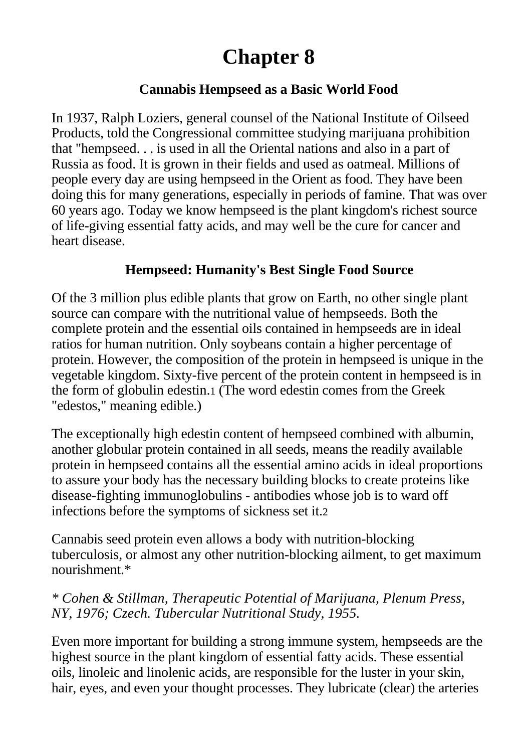# **Chapter 8**

## **Cannabis Hempseed as a Basic World Food**

In 1937, Ralph Loziers, general counsel of the National Institute of Oilseed Products, told the Congressional committee studying marijuana prohibition that "hempseed. . . is used in all the Oriental nations and also in a part of Russia as food. It is grown in their fields and used as oatmeal. Millions of people every day are using hempseed in the Orient as food. They have been doing this for many generations, especially in periods of famine. That was over 60 years ago. Today we know hempseed is the plant kingdom's richest source of life-giving essential fatty acids, and may well be the cure for cancer and heart disease.

## **Hempseed: Humanity's Best Single Food Source**

Of the 3 million plus edible plants that grow on Earth, no other single plant source can compare with the nutritional value of hempseeds. Both the complete protein and the essential oils contained in hempseeds are in ideal ratios for human nutrition. Only soybeans contain a higher percentage of protein. However, the composition of the protein in hempseed is unique in the vegetable kingdom. Sixty-five percent of the protein content in hempseed is in the form of globulin edestin.1 (The word edestin comes from the Greek "edestos," meaning edible.)

The exceptionally high edestin content of hempseed combined with albumin, another globular protein contained in all seeds, means the readily available protein in hempseed contains all the essential amino acids in ideal proportions to assure your body has the necessary building blocks to create proteins like disease-fighting immunoglobulins - antibodies whose job is to ward off infections before the symptoms of sickness set it.2

Cannabis seed protein even allows a body with nutrition-blocking tuberculosis, or almost any other nutrition-blocking ailment, to get maximum nourishment.\*

#### *\* Cohen & Stillman, Therapeutic Potential of Marijuana, Plenum Press, NY, 1976; Czech. Tubercular Nutritional Study, 1955.*

Even more important for building a strong immune system, hempseeds are the highest source in the plant kingdom of essential fatty acids. These essential oils, linoleic and linolenic acids, are responsible for the luster in your skin, hair, eyes, and even your thought processes. They lubricate (clear) the arteries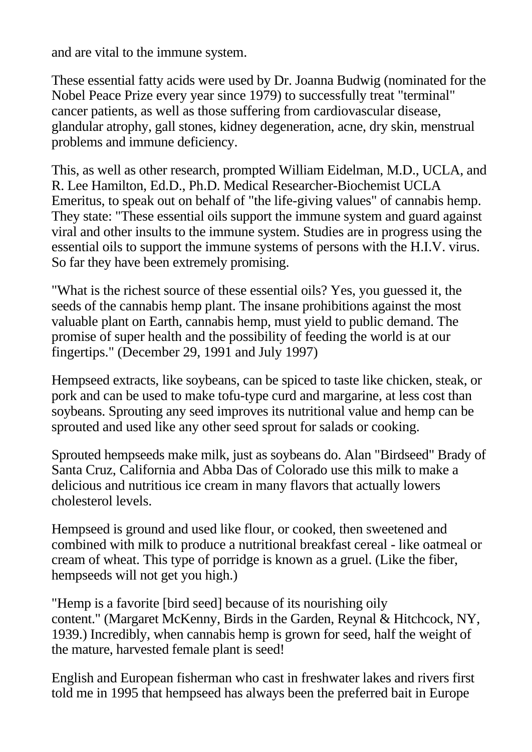and are vital to the immune system.

These essential fatty acids were used by Dr. Joanna Budwig (nominated for the Nobel Peace Prize every year since 1979) to successfully treat "terminal" cancer patients, as well as those suffering from cardiovascular disease, glandular atrophy, gall stones, kidney degeneration, acne, dry skin, menstrual problems and immune deficiency.

This, as well as other research, prompted William Eidelman, M.D., UCLA, and R. Lee Hamilton, Ed.D., Ph.D. Medical Researcher-Biochemist UCLA Emeritus, to speak out on behalf of "the life-giving values" of cannabis hemp. They state: "These essential oils support the immune system and guard against viral and other insults to the immune system. Studies are in progress using the essential oils to support the immune systems of persons with the H.I.V. virus. So far they have been extremely promising.

"What is the richest source of these essential oils? Yes, you guessed it, the seeds of the cannabis hemp plant. The insane prohibitions against the most valuable plant on Earth, cannabis hemp, must yield to public demand. The promise of super health and the possibility of feeding the world is at our fingertips." (December 29, 1991 and July 1997)

Hempseed extracts, like soybeans, can be spiced to taste like chicken, steak, or pork and can be used to make tofu-type curd and margarine, at less cost than soybeans. Sprouting any seed improves its nutritional value and hemp can be sprouted and used like any other seed sprout for salads or cooking.

Sprouted hempseeds make milk, just as soybeans do. Alan "Birdseed" Brady of Santa Cruz, California and Abba Das of Colorado use this milk to make a delicious and nutritious ice cream in many flavors that actually lowers cholesterol levels.

Hempseed is ground and used like flour, or cooked, then sweetened and combined with milk to produce a nutritional breakfast cereal - like oatmeal or cream of wheat. This type of porridge is known as a gruel. (Like the fiber, hempseeds will not get you high.)

"Hemp is a favorite [bird seed] because of its nourishing oily content." (Margaret McKenny, Birds in the Garden, Reynal & Hitchcock, NY, 1939.) Incredibly, when cannabis hemp is grown for seed, half the weight of the mature, harvested female plant is seed!

English and European fisherman who cast in freshwater lakes and rivers first told me in 1995 that hempseed has always been the preferred bait in Europe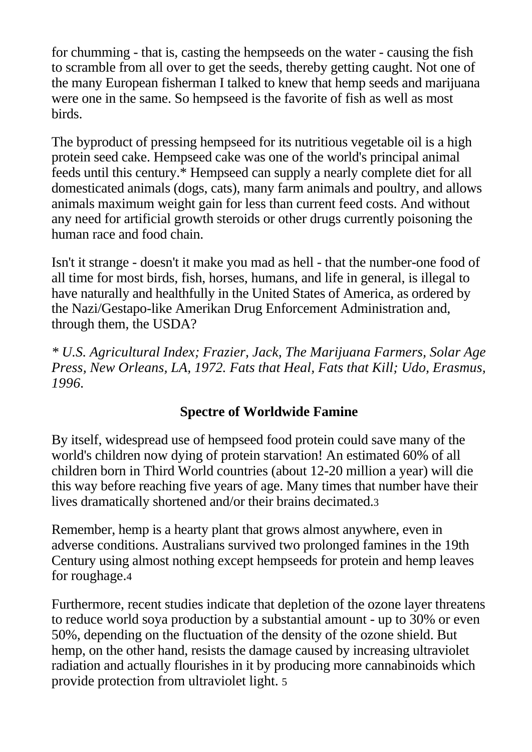for chumming - that is, casting the hempseeds on the water - causing the fish to scramble from all over to get the seeds, thereby getting caught. Not one of the many European fisherman I talked to knew that hemp seeds and marijuana were one in the same. So hempseed is the favorite of fish as well as most birds.

The byproduct of pressing hempseed for its nutritious vegetable oil is a high protein seed cake. Hempseed cake was one of the world's principal animal feeds until this century.\* Hempseed can supply a nearly complete diet for all domesticated animals (dogs, cats), many farm animals and poultry, and allows animals maximum weight gain for less than current feed costs. And without any need for artificial growth steroids or other drugs currently poisoning the human race and food chain.

Isn't it strange - doesn't it make you mad as hell - that the number-one food of all time for most birds, fish, horses, humans, and life in general, is illegal to have naturally and healthfully in the United States of America, as ordered by the Nazi/Gestapo-like Amerikan Drug Enforcement Administration and, through them, the USDA?

*\* U.S. Agricultural Index; Frazier, Jack, The Marijuana Farmers, Solar Age Press, New Orleans, LA, 1972. Fats that Heal, Fats that Kill; Udo, Erasmus, 1996.* 

# **Spectre of Worldwide Famine**

By itself, widespread use of hempseed food protein could save many of the world's children now dying of protein starvation! An estimated 60% of all children born in Third World countries (about 12-20 million a year) will die this way before reaching five years of age. Many times that number have their lives dramatically shortened and/or their brains decimated.3

Remember, hemp is a hearty plant that grows almost anywhere, even in adverse conditions. Australians survived two prolonged famines in the 19th Century using almost nothing except hempseeds for protein and hemp leaves for roughage.4

Furthermore, recent studies indicate that depletion of the ozone layer threatens to reduce world soya production by a substantial amount - up to 30% or even 50%, depending on the fluctuation of the density of the ozone shield. But hemp, on the other hand, resists the damage caused by increasing ultraviolet radiation and actually flourishes in it by producing more cannabinoids which provide protection from ultraviolet light. 5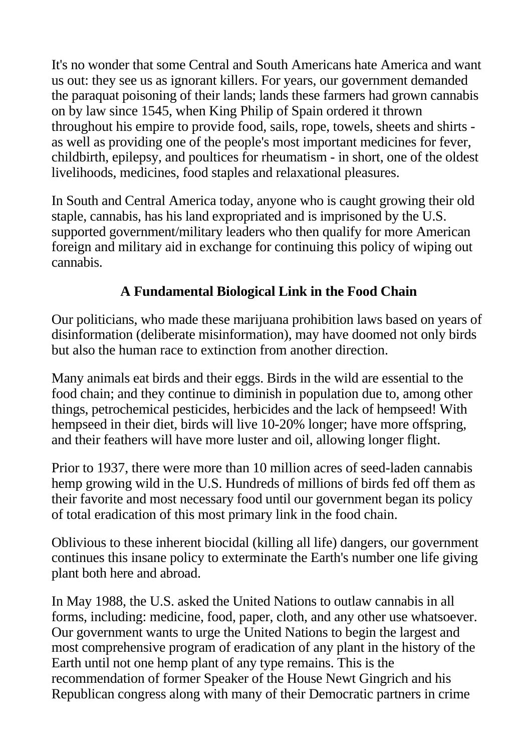It's no wonder that some Central and South Americans hate America and want us out: they see us as ignorant killers. For years, our government demanded the paraquat poisoning of their lands; lands these farmers had grown cannabis on by law since 1545, when King Philip of Spain ordered it thrown throughout his empire to provide food, sails, rope, towels, sheets and shirts as well as providing one of the people's most important medicines for fever, childbirth, epilepsy, and poultices for rheumatism - in short, one of the oldest livelihoods, medicines, food staples and relaxational pleasures.

In South and Central America today, anyone who is caught growing their old staple, cannabis, has his land expropriated and is imprisoned by the U.S. supported government/military leaders who then qualify for more American foreign and military aid in exchange for continuing this policy of wiping out cannabis.

# **A Fundamental Biological Link in the Food Chain**

Our politicians, who made these marijuana prohibition laws based on years of disinformation (deliberate misinformation), may have doomed not only birds but also the human race to extinction from another direction.

Many animals eat birds and their eggs. Birds in the wild are essential to the food chain; and they continue to diminish in population due to, among other things, petrochemical pesticides, herbicides and the lack of hempseed! With hempseed in their diet, birds will live 10-20% longer; have more offspring, and their feathers will have more luster and oil, allowing longer flight.

Prior to 1937, there were more than 10 million acres of seed-laden cannabis hemp growing wild in the U.S. Hundreds of millions of birds fed off them as their favorite and most necessary food until our government began its policy of total eradication of this most primary link in the food chain.

Oblivious to these inherent biocidal (killing all life) dangers, our government continues this insane policy to exterminate the Earth's number one life giving plant both here and abroad.

In May 1988, the U.S. asked the United Nations to outlaw cannabis in all forms, including: medicine, food, paper, cloth, and any other use whatsoever. Our government wants to urge the United Nations to begin the largest and most comprehensive program of eradication of any plant in the history of the Earth until not one hemp plant of any type remains. This is the recommendation of former Speaker of the House Newt Gingrich and his Republican congress along with many of their Democratic partners in crime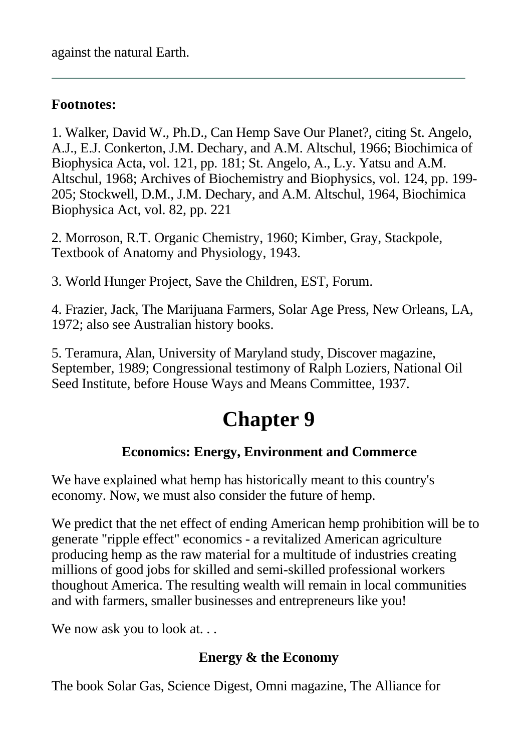against the natural Earth.

#### **Footnotes:**

1. Walker, David W., Ph.D., Can Hemp Save Our Planet?, citing St. Angelo, A.J., E.J. Conkerton, J.M. Dechary, and A.M. Altschul, 1966; Biochimica of Biophysica Acta, vol. 121, pp. 181; St. Angelo, A., L.y. Yatsu and A.M. Altschul, 1968; Archives of Biochemistry and Biophysics, vol. 124, pp. 199- 205; Stockwell, D.M., J.M. Dechary, and A.M. Altschul, 1964, Biochimica Biophysica Act, vol. 82, pp. 221

2. Morroson, R.T. Organic Chemistry, 1960; Kimber, Gray, Stackpole, Textbook of Anatomy and Physiology, 1943.

3. World Hunger Project, Save the Children, EST, Forum.

4. Frazier, Jack, The Marijuana Farmers, Solar Age Press, New Orleans, LA, 1972; also see Australian history books.

5. Teramura, Alan, University of Maryland study, Discover magazine, September, 1989; Congressional testimony of Ralph Loziers, National Oil Seed Institute, before House Ways and Means Committee, 1937.

# **Chapter 9**

## **Economics: Energy, Environment and Commerce**

We have explained what hemp has historically meant to this country's economy. Now, we must also consider the future of hemp.

We predict that the net effect of ending American hemp prohibition will be to generate "ripple effect" economics - a revitalized American agriculture producing hemp as the raw material for a multitude of industries creating millions of good jobs for skilled and semi-skilled professional workers thoughout America. The resulting wealth will remain in local communities and with farmers, smaller businesses and entrepreneurs like you!

We now ask you to look at...

#### **Energy & the Economy**

The book Solar Gas, Science Digest, Omni magazine, The Alliance for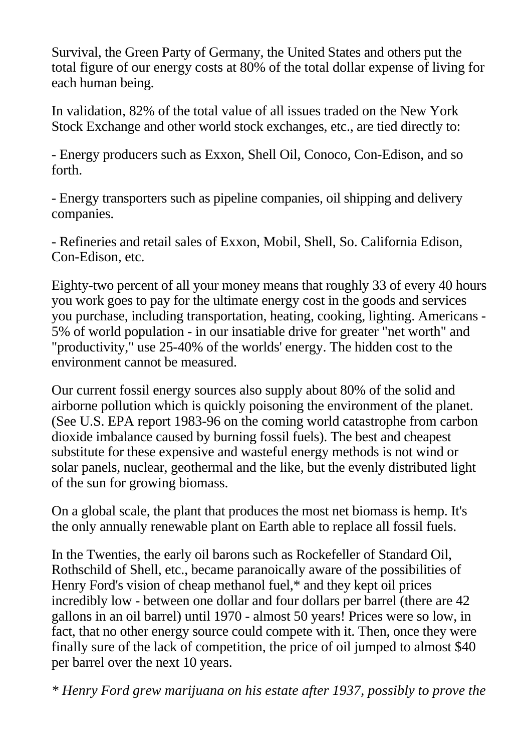Survival, the Green Party of Germany, the United States and others put the total figure of our energy costs at 80% of the total dollar expense of living for each human being.

In validation, 82% of the total value of all issues traded on the New York Stock Exchange and other world stock exchanges, etc., are tied directly to:

- Energy producers such as Exxon, Shell Oil, Conoco, Con-Edison, and so forth.

- Energy transporters such as pipeline companies, oil shipping and delivery companies.

- Refineries and retail sales of Exxon, Mobil, Shell, So. California Edison, Con-Edison, etc.

Eighty-two percent of all your money means that roughly 33 of every 40 hours you work goes to pay for the ultimate energy cost in the goods and services you purchase, including transportation, heating, cooking, lighting. Americans - 5% of world population - in our insatiable drive for greater "net worth" and "productivity," use 25-40% of the worlds' energy. The hidden cost to the environment cannot be measured.

Our current fossil energy sources also supply about 80% of the solid and airborne pollution which is quickly poisoning the environment of the planet. (See U.S. EPA report 1983-96 on the coming world catastrophe from carbon dioxide imbalance caused by burning fossil fuels). The best and cheapest substitute for these expensive and wasteful energy methods is not wind or solar panels, nuclear, geothermal and the like, but the evenly distributed light of the sun for growing biomass.

On a global scale, the plant that produces the most net biomass is hemp. It's the only annually renewable plant on Earth able to replace all fossil fuels.

In the Twenties, the early oil barons such as Rockefeller of Standard Oil, Rothschild of Shell, etc., became paranoically aware of the possibilities of Henry Ford's vision of cheap methanol fuel,\* and they kept oil prices incredibly low - between one dollar and four dollars per barrel (there are 42 gallons in an oil barrel) until 1970 - almost 50 years! Prices were so low, in fact, that no other energy source could compete with it. Then, once they were finally sure of the lack of competition, the price of oil jumped to almost \$40 per barrel over the next 10 years.

*\* Henry Ford grew marijuana on his estate after 1937, possibly to prove the*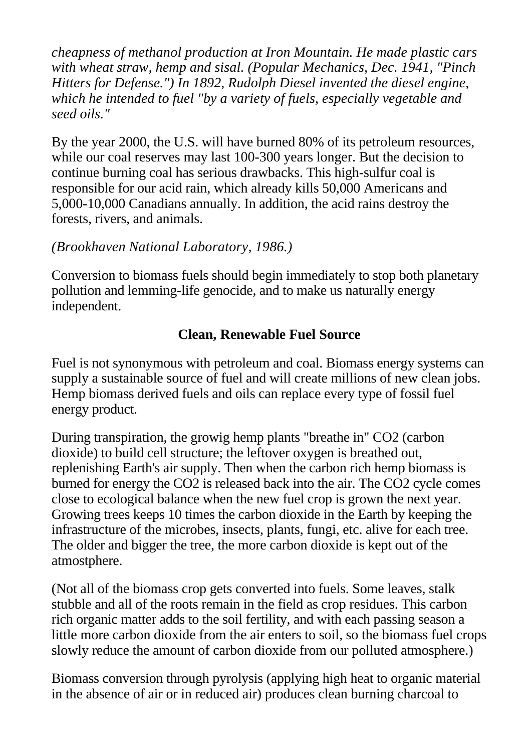*cheapness of methanol production at Iron Mountain. He made plastic cars with wheat straw, hemp and sisal. (Popular Mechanics, Dec. 1941, "Pinch Hitters for Defense.") In 1892, Rudolph Diesel invented the diesel engine, which he intended to fuel "by a variety of fuels, especially vegetable and seed oils."* 

By the year 2000, the U.S. will have burned 80% of its petroleum resources, while our coal reserves may last 100-300 years longer. But the decision to continue burning coal has serious drawbacks. This high-sulfur coal is responsible for our acid rain, which already kills 50,000 Americans and 5,000-10,000 Canadians annually. In addition, the acid rains destroy the forests, rivers, and animals.

## *(Brookhaven National Laboratory, 1986.)*

Conversion to biomass fuels should begin immediately to stop both planetary pollution and lemming-life genocide, and to make us naturally energy independent.

## **Clean, Renewable Fuel Source**

Fuel is not synonymous with petroleum and coal. Biomass energy systems can supply a sustainable source of fuel and will create millions of new clean jobs. Hemp biomass derived fuels and oils can replace every type of fossil fuel energy product.

During transpiration, the growig hemp plants "breathe in" CO2 (carbon dioxide) to build cell structure; the leftover oxygen is breathed out, replenishing Earth's air supply. Then when the carbon rich hemp biomass is burned for energy the CO2 is released back into the air. The CO2 cycle comes close to ecological balance when the new fuel crop is grown the next year. Growing trees keeps 10 times the carbon dioxide in the Earth by keeping the infrastructure of the microbes, insects, plants, fungi, etc. alive for each tree. The older and bigger the tree, the more carbon dioxide is kept out of the atmostphere.

(Not all of the biomass crop gets converted into fuels. Some leaves, stalk stubble and all of the roots remain in the field as crop residues. This carbon rich organic matter adds to the soil fertility, and with each passing season a little more carbon dioxide from the air enters to soil, so the biomass fuel crops slowly reduce the amount of carbon dioxide from our polluted atmosphere.)

Biomass conversion through pyrolysis (applying high heat to organic material in the absence of air or in reduced air) produces clean burning charcoal to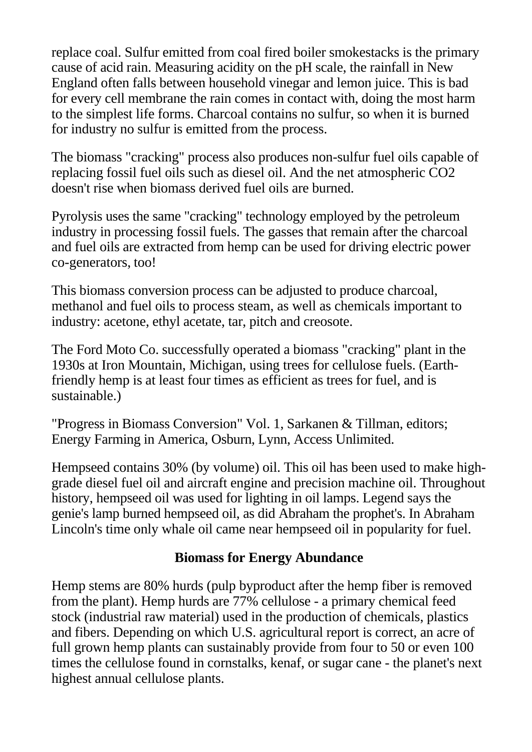replace coal. Sulfur emitted from coal fired boiler smokestacks is the primary cause of acid rain. Measuring acidity on the pH scale, the rainfall in New England often falls between household vinegar and lemon juice. This is bad for every cell membrane the rain comes in contact with, doing the most harm to the simplest life forms. Charcoal contains no sulfur, so when it is burned for industry no sulfur is emitted from the process.

The biomass "cracking" process also produces non-sulfur fuel oils capable of replacing fossil fuel oils such as diesel oil. And the net atmospheric CO2 doesn't rise when biomass derived fuel oils are burned.

Pyrolysis uses the same "cracking" technology employed by the petroleum industry in processing fossil fuels. The gasses that remain after the charcoal and fuel oils are extracted from hemp can be used for driving electric power co-generators, too!

This biomass conversion process can be adjusted to produce charcoal, methanol and fuel oils to process steam, as well as chemicals important to industry: acetone, ethyl acetate, tar, pitch and creosote.

The Ford Moto Co. successfully operated a biomass "cracking" plant in the 1930s at Iron Mountain, Michigan, using trees for cellulose fuels. (Earthfriendly hemp is at least four times as efficient as trees for fuel, and is sustainable.)

"Progress in Biomass Conversion" Vol. 1, Sarkanen & Tillman, editors; Energy Farming in America, Osburn, Lynn, Access Unlimited.

Hempseed contains 30% (by volume) oil. This oil has been used to make highgrade diesel fuel oil and aircraft engine and precision machine oil. Throughout history, hempseed oil was used for lighting in oil lamps. Legend says the genie's lamp burned hempseed oil, as did Abraham the prophet's. In Abraham Lincoln's time only whale oil came near hempseed oil in popularity for fuel.

## **Biomass for Energy Abundance**

Hemp stems are 80% hurds (pulp byproduct after the hemp fiber is removed from the plant). Hemp hurds are 77% cellulose - a primary chemical feed stock (industrial raw material) used in the production of chemicals, plastics and fibers. Depending on which U.S. agricultural report is correct, an acre of full grown hemp plants can sustainably provide from four to 50 or even 100 times the cellulose found in cornstalks, kenaf, or sugar cane - the planet's next highest annual cellulose plants.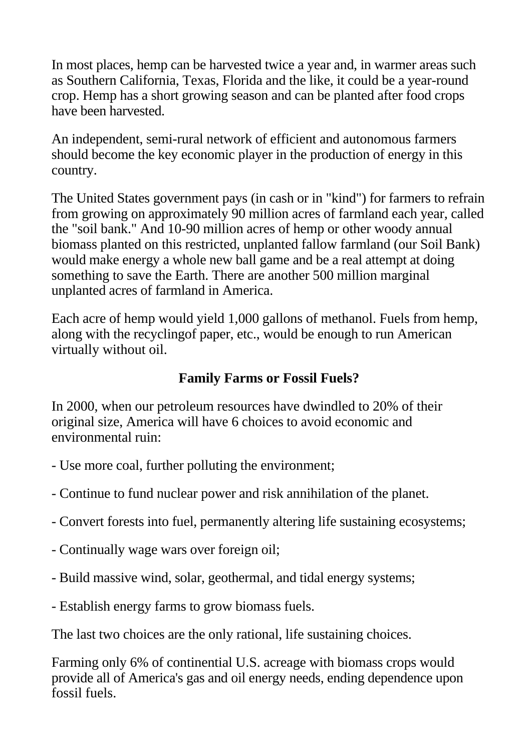In most places, hemp can be harvested twice a year and, in warmer areas such as Southern California, Texas, Florida and the like, it could be a year-round crop. Hemp has a short growing season and can be planted after food crops have been harvested.

An independent, semi-rural network of efficient and autonomous farmers should become the key economic player in the production of energy in this country.

The United States government pays (in cash or in "kind") for farmers to refrain from growing on approximately 90 million acres of farmland each year, called the "soil bank." And 10-90 million acres of hemp or other woody annual biomass planted on this restricted, unplanted fallow farmland (our Soil Bank) would make energy a whole new ball game and be a real attempt at doing something to save the Earth. There are another 500 million marginal unplanted acres of farmland in America.

Each acre of hemp would yield 1,000 gallons of methanol. Fuels from hemp, along with the recyclingof paper, etc., would be enough to run American virtually without oil.

## **Family Farms or Fossil Fuels?**

In 2000, when our petroleum resources have dwindled to 20% of their original size, America will have 6 choices to avoid economic and environmental ruin:

- Use more coal, further polluting the environment;
- Continue to fund nuclear power and risk annihilation of the planet.
- Convert forests into fuel, permanently altering life sustaining ecosystems;
- Continually wage wars over foreign oil;
- Build massive wind, solar, geothermal, and tidal energy systems;
- Establish energy farms to grow biomass fuels.

The last two choices are the only rational, life sustaining choices.

Farming only 6% of continential U.S. acreage with biomass crops would provide all of America's gas and oil energy needs, ending dependence upon fossil fuels.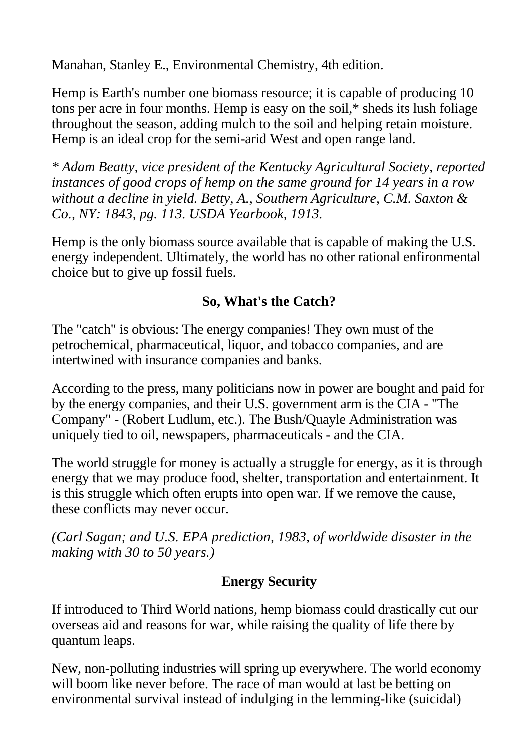Manahan, Stanley E., Environmental Chemistry, 4th edition.

Hemp is Earth's number one biomass resource; it is capable of producing 10 tons per acre in four months. Hemp is easy on the soil,\* sheds its lush foliage throughout the season, adding mulch to the soil and helping retain moisture. Hemp is an ideal crop for the semi-arid West and open range land.

*\* Adam Beatty, vice president of the Kentucky Agricultural Society, reported instances of good crops of hemp on the same ground for 14 years in a row without a decline in yield. Betty, A., Southern Agriculture, C.M. Saxton & Co., NY: 1843, pg. 113. USDA Yearbook, 1913.* 

Hemp is the only biomass source available that is capable of making the U.S. energy independent. Ultimately, the world has no other rational enfironmental choice but to give up fossil fuels.

# **So, What's the Catch?**

The "catch" is obvious: The energy companies! They own must of the petrochemical, pharmaceutical, liquor, and tobacco companies, and are intertwined with insurance companies and banks.

According to the press, many politicians now in power are bought and paid for by the energy companies, and their U.S. government arm is the CIA - "The Company" - (Robert Ludlum, etc.). The Bush/Quayle Administration was uniquely tied to oil, newspapers, pharmaceuticals - and the CIA.

The world struggle for money is actually a struggle for energy, as it is through energy that we may produce food, shelter, transportation and entertainment. It is this struggle which often erupts into open war. If we remove the cause, these conflicts may never occur.

*(Carl Sagan; and U.S. EPA prediction, 1983, of worldwide disaster in the making with 30 to 50 years.)* 

# **Energy Security**

If introduced to Third World nations, hemp biomass could drastically cut our overseas aid and reasons for war, while raising the quality of life there by quantum leaps.

New, non-polluting industries will spring up everywhere. The world economy will boom like never before. The race of man would at last be betting on environmental survival instead of indulging in the lemming-like (suicidal)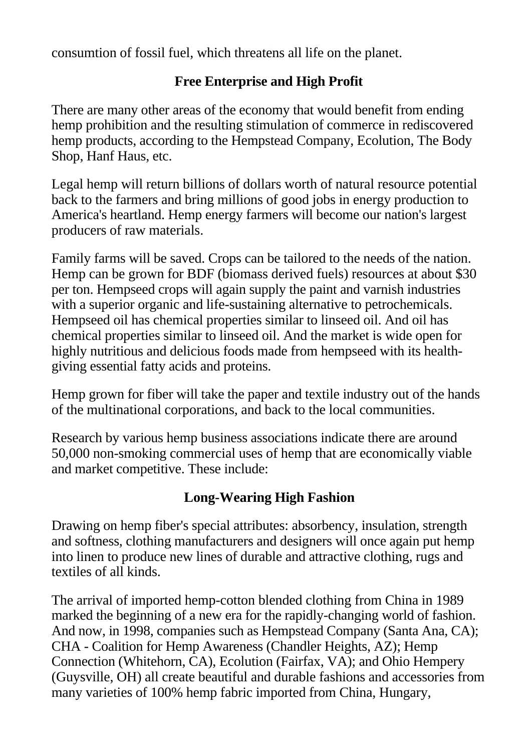environmental survival instead of indulging in the lemming-like (suicidal) consumtion of fossil fuel, which threatens all life on the planet.

## **Free Enterprise and High Profit**

There are many other areas of the economy that would benefit from ending hemp prohibition and the resulting stimulation of commerce in rediscovered hemp products, according to the Hempstead Company, Ecolution, The Body Shop, Hanf Haus, etc.

Legal hemp will return billions of dollars worth of natural resource potential back to the farmers and bring millions of good jobs in energy production to America's heartland. Hemp energy farmers will become our nation's largest producers of raw materials.

Family farms will be saved. Crops can be tailored to the needs of the nation. Hemp can be grown for BDF (biomass derived fuels) resources at about \$30 per ton. Hempseed crops will again supply the paint and varnish industries with a superior organic and life-sustaining alternative to petrochemicals. Hempseed oil has chemical properties similar to linseed oil. And oil has chemical properties similar to linseed oil. And the market is wide open for highly nutritious and delicious foods made from hempseed with its healthgiving essential fatty acids and proteins.

Hemp grown for fiber will take the paper and textile industry out of the hands of the multinational corporations, and back to the local communities.

Research by various hemp business associations indicate there are around 50,000 non-smoking commercial uses of hemp that are economically viable and market competitive. These include:

# **Long-Wearing High Fashion**

Drawing on hemp fiber's special attributes: absorbency, insulation, strength and softness, clothing manufacturers and designers will once again put hemp into linen to produce new lines of durable and attractive clothing, rugs and textiles of all kinds.

The arrival of imported hemp-cotton blended clothing from China in 1989 marked the beginning of a new era for the rapidly-changing world of fashion. And now, in 1998, companies such as Hempstead Company (Santa Ana, CA); CHA - Coalition for Hemp Awareness (Chandler Heights, AZ); Hemp Connection (Whitehorn, CA), Ecolution (Fairfax, VA); and Ohio Hempery (Guysville, OH) all create beautiful and durable fashions and accessories from many varieties of 100% hemp fabric imported from China, Hungary,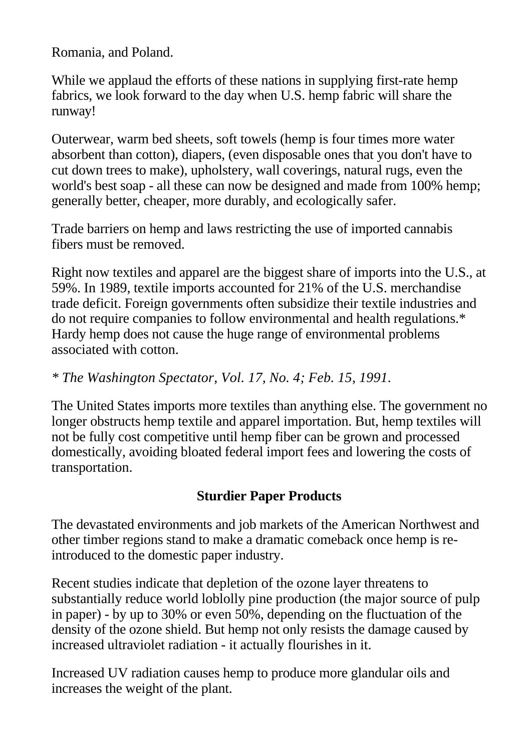Romania, and Poland.

While we applaud the efforts of these nations in supplying first-rate hemp fabrics, we look forward to the day when U.S. hemp fabric will share the runway!

Outerwear, warm bed sheets, soft towels (hemp is four times more water absorbent than cotton), diapers, (even disposable ones that you don't have to cut down trees to make), upholstery, wall coverings, natural rugs, even the world's best soap - all these can now be designed and made from 100% hemp; generally better, cheaper, more durably, and ecologically safer.

Trade barriers on hemp and laws restricting the use of imported cannabis fibers must be removed.

Right now textiles and apparel are the biggest share of imports into the U.S., at 59%. In 1989, textile imports accounted for 21% of the U.S. merchandise trade deficit. Foreign governments often subsidize their textile industries and do not require companies to follow environmental and health regulations.\* Hardy hemp does not cause the huge range of environmental problems associated with cotton.

*\* The Washington Spectator, Vol. 17, No. 4; Feb. 15, 1991.*

The United States imports more textiles than anything else. The government no longer obstructs hemp textile and apparel importation. But, hemp textiles will not be fully cost competitive until hemp fiber can be grown and processed domestically, avoiding bloated federal import fees and lowering the costs of transportation.

# **Sturdier Paper Products**

The devastated environments and job markets of the American Northwest and other timber regions stand to make a dramatic comeback once hemp is reintroduced to the domestic paper industry.

Recent studies indicate that depletion of the ozone layer threatens to substantially reduce world loblolly pine production (the major source of pulp in paper) - by up to 30% or even 50%, depending on the fluctuation of the density of the ozone shield. But hemp not only resists the damage caused by increased ultraviolet radiation - it actually flourishes in it.

Increased UV radiation causes hemp to produce more glandular oils and increases the weight of the plant.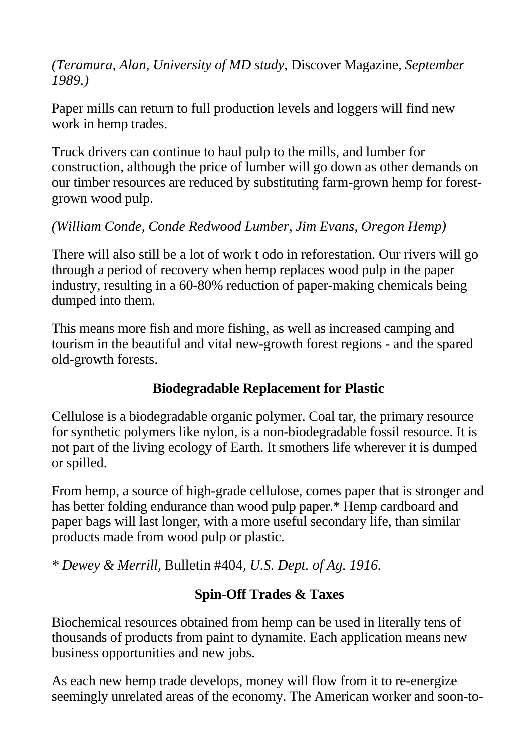*(Teramura, Alan, University of MD study,* Discover Magazine*, September 1989.)*

Paper mills can return to full production levels and loggers will find new work in hemp trades.

Truck drivers can continue to haul pulp to the mills, and lumber for construction, although the price of lumber will go down as other demands on our timber resources are reduced by substituting farm-grown hemp for forestgrown wood pulp.

# *(William Conde, Conde Redwood Lumber, Jim Evans, Oregon Hemp)*

There will also still be a lot of work t odo in reforestation. Our rivers will go through a period of recovery when hemp replaces wood pulp in the paper industry, resulting in a 60-80% reduction of paper-making chemicals being dumped into them.

This means more fish and more fishing, as well as increased camping and tourism in the beautiful and vital new-growth forest regions - and the spared old-growth forests.

## **Biodegradable Replacement for Plastic**

Cellulose is a biodegradable organic polymer. Coal tar, the primary resource for synthetic polymers like nylon, is a non-biodegradable fossil resource. It is not part of the living ecology of Earth. It smothers life wherever it is dumped or spilled.

From hemp, a source of high-grade cellulose, comes paper that is stronger and has better folding endurance than wood pulp paper.\* Hemp cardboard and paper bags will last longer, with a more useful secondary life, than similar products made from wood pulp or plastic.

*\* Dewey & Merrill,* Bulletin #404*, U.S. Dept. of Ag. 1916.*

# **Spin-Off Trades & Taxes**

Biochemical resources obtained from hemp can be used in literally tens of thousands of products from paint to dynamite. Each application means new business opportunities and new jobs.

As each new hemp trade develops, money will flow from it to re-energize seemingly unrelated areas of the economy. The American worker and soon-to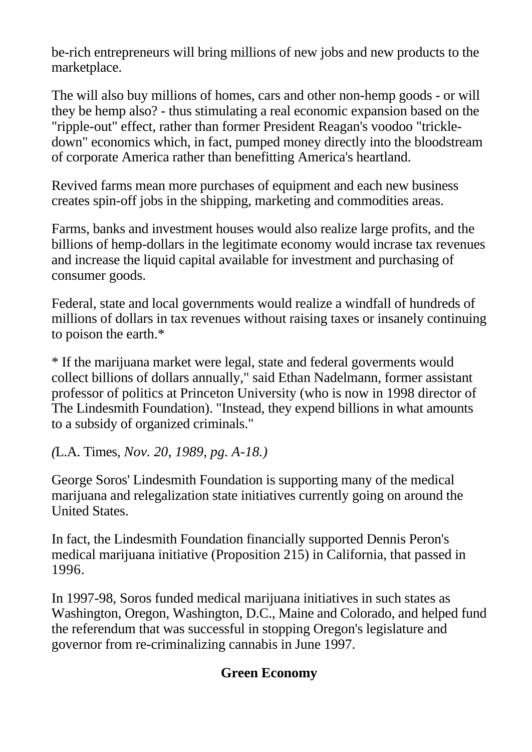be-rich entrepreneurs will bring millions of new jobs and new products to the marketplace.

The will also buy millions of homes, cars and other non-hemp goods - or will they be hemp also? - thus stimulating a real economic expansion based on the "ripple-out" effect, rather than former President Reagan's voodoo "trickledown" economics which, in fact, pumped money directly into the bloodstream of corporate America rather than benefitting America's heartland.

Revived farms mean more purchases of equipment and each new business creates spin-off jobs in the shipping, marketing and commodities areas.

Farms, banks and investment houses would also realize large profits, and the billions of hemp-dollars in the legitimate economy would incrase tax revenues and increase the liquid capital available for investment and purchasing of consumer goods.

Federal, state and local governments would realize a windfall of hundreds of millions of dollars in tax revenues without raising taxes or insanely continuing to poison the earth.\*

\* If the marijuana market were legal, state and federal goverments would collect billions of dollars annually," said Ethan Nadelmann, former assistant professor of politics at Princeton University (who is now in 1998 director of The Lindesmith Foundation). "Instead, they expend billions in what amounts to a subsidy of organized criminals."

*(*L.A. Times*, Nov. 20, 1989, pg. A-18.)*

George Soros' Lindesmith Foundation is supporting many of the medical marijuana and relegalization state initiatives currently going on around the United States.

In fact, the Lindesmith Foundation financially supported Dennis Peron's medical marijuana initiative (Proposition 215) in California, that passed in 1996.

In 1997-98, Soros funded medical marijuana initiatives in such states as Washington, Oregon, Washington, D.C., Maine and Colorado, and helped fund the referendum that was successful in stopping Oregon's legislature and governor from re-criminalizing cannabis in June 1997.

# **Green Economy**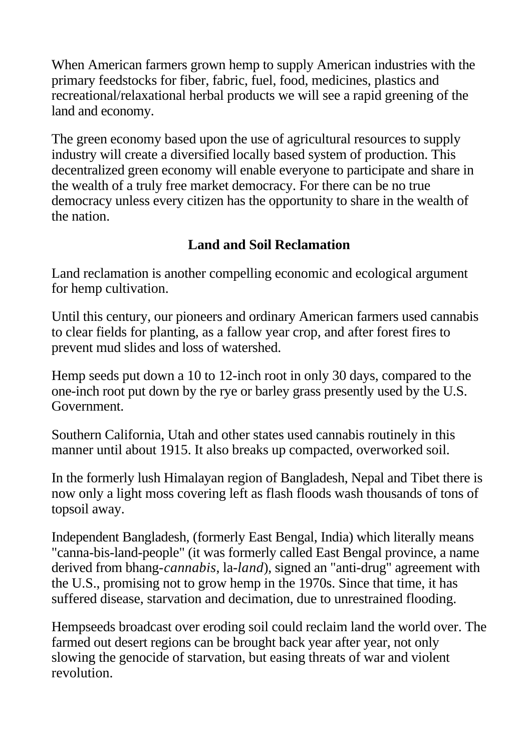When American farmers grown hemp to supply American industries with the primary feedstocks for fiber, fabric, fuel, food, medicines, plastics and recreational/relaxational herbal products we will see a rapid greening of the land and economy.

The green economy based upon the use of agricultural resources to supply industry will create a diversified locally based system of production. This decentralized green economy will enable everyone to participate and share in the wealth of a truly free market democracy. For there can be no true democracy unless every citizen has the opportunity to share in the wealth of the nation.

# **Land and Soil Reclamation**

Land reclamation is another compelling economic and ecological argument for hemp cultivation.

Until this century, our pioneers and ordinary American farmers used cannabis to clear fields for planting, as a fallow year crop, and after forest fires to prevent mud slides and loss of watershed.

Hemp seeds put down a 10 to 12-inch root in only 30 days, compared to the one-inch root put down by the rye or barley grass presently used by the U.S. Government.

Southern California, Utah and other states used cannabis routinely in this manner until about 1915. It also breaks up compacted, overworked soil.

In the formerly lush Himalayan region of Bangladesh, Nepal and Tibet there is now only a light moss covering left as flash floods wash thousands of tons of topsoil away.

Independent Bangladesh, (formerly East Bengal, India) which literally means "canna-bis-land-people" (it was formerly called East Bengal province, a name derived from bhang-*cannabis*, la-*land*), signed an "anti-drug" agreement with the U.S., promising not to grow hemp in the 1970s. Since that time, it has suffered disease, starvation and decimation, due to unrestrained flooding.

Hempseeds broadcast over eroding soil could reclaim land the world over. The farmed out desert regions can be brought back year after year, not only slowing the genocide of starvation, but easing threats of war and violent revolution.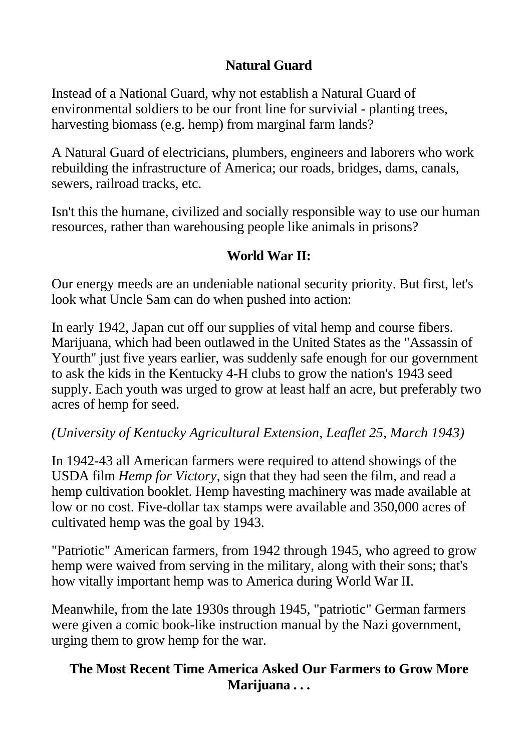# **Natural Guard**

Instead of a National Guard, why not establish a Natural Guard of environmental soldiers to be our front line for survivial - planting trees, harvesting biomass (e.g. hemp) from marginal farm lands?

A Natural Guard of electricians, plumbers, engineers and laborers who work rebuilding the infrastructure of America; our roads, bridges, dams, canals, sewers, railroad tracks, etc.

Isn't this the humane, civilized and socially responsible way to use our human resources, rather than warehousing people like animals in prisons?

## **World War II:**

Our energy meeds are an undeniable national security priority. But first, let's look what Uncle Sam can do when pushed into action:

In early 1942, Japan cut off our supplies of vital hemp and course fibers. Marijuana, which had been outlawed in the United States as the "Assassin of Yourth" just five years earlier, was suddenly safe enough for our government to ask the kids in the Kentucky 4-H clubs to grow the nation's 1943 seed supply. Each youth was urged to grow at least half an acre, but preferably two acres of hemp for seed.

*(University of Kentucky Agricultural Extension, Leaflet 25, March 1943)* 

In 1942-43 all American farmers were required to attend showings of the USDA film *Hemp for Victory,* sign that they had seen the film, and read a hemp cultivation booklet. Hemp havesting machinery was made available at low or no cost. Five-dollar tax stamps were available and 350,000 acres of cultivated hemp was the goal by 1943.

"Patriotic" American farmers, from 1942 through 1945, who agreed to grow hemp were waived from serving in the military, along with their sons; that's how vitally important hemp was to America during World War II.

Meanwhile, from the late 1930s through 1945, "patriotic" German farmers were given a comic book-like instruction manual by the Nazi government, urging them to grow hemp for the war.

## **The Most Recent Time America Asked Our Farmers to Grow More Marijuana . . .**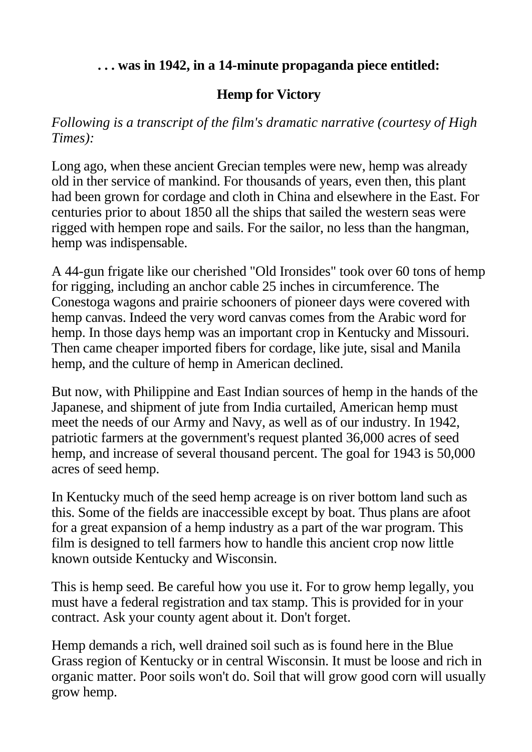## **. . . was in 1942, in a 14-minute propaganda piece entitled:**

# **Hemp for Victory**

*Following is a transcript of the film's dramatic narrative (courtesy of High Times):*

Long ago, when these ancient Grecian temples were new, hemp was already old in ther service of mankind. For thousands of years, even then, this plant had been grown for cordage and cloth in China and elsewhere in the East. For centuries prior to about 1850 all the ships that sailed the western seas were rigged with hempen rope and sails. For the sailor, no less than the hangman, hemp was indispensable.

A 44-gun frigate like our cherished "Old Ironsides" took over 60 tons of hemp for rigging, including an anchor cable 25 inches in circumference. The Conestoga wagons and prairie schooners of pioneer days were covered with hemp canvas. Indeed the very word canvas comes from the Arabic word for hemp. In those days hemp was an important crop in Kentucky and Missouri. Then came cheaper imported fibers for cordage, like jute, sisal and Manila hemp, and the culture of hemp in American declined.

But now, with Philippine and East Indian sources of hemp in the hands of the Japanese, and shipment of jute from India curtailed, American hemp must meet the needs of our Army and Navy, as well as of our industry. In 1942, patriotic farmers at the government's request planted 36,000 acres of seed hemp, and increase of several thousand percent. The goal for 1943 is 50,000 acres of seed hemp.

In Kentucky much of the seed hemp acreage is on river bottom land such as this. Some of the fields are inaccessible except by boat. Thus plans are afoot for a great expansion of a hemp industry as a part of the war program. This film is designed to tell farmers how to handle this ancient crop now little known outside Kentucky and Wisconsin.

This is hemp seed. Be careful how you use it. For to grow hemp legally, you must have a federal registration and tax stamp. This is provided for in your contract. Ask your county agent about it. Don't forget.

Hemp demands a rich, well drained soil such as is found here in the Blue Grass region of Kentucky or in central Wisconsin. It must be loose and rich in organic matter. Poor soils won't do. Soil that will grow good corn will usually grow hemp.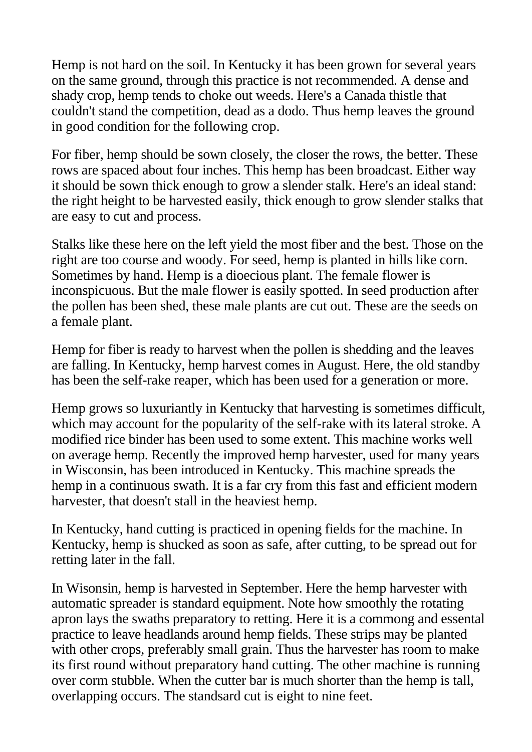Hemp is not hard on the soil. In Kentucky it has been grown for several years on the same ground, through this practice is not recommended. A dense and shady crop, hemp tends to choke out weeds. Here's a Canada thistle that couldn't stand the competition, dead as a dodo. Thus hemp leaves the ground in good condition for the following crop.

For fiber, hemp should be sown closely, the closer the rows, the better. These rows are spaced about four inches. This hemp has been broadcast. Either way it should be sown thick enough to grow a slender stalk. Here's an ideal stand: the right height to be harvested easily, thick enough to grow slender stalks that are easy to cut and process.

Stalks like these here on the left yield the most fiber and the best. Those on the right are too course and woody. For seed, hemp is planted in hills like corn. Sometimes by hand. Hemp is a dioecious plant. The female flower is inconspicuous. But the male flower is easily spotted. In seed production after the pollen has been shed, these male plants are cut out. These are the seeds on a female plant.

Hemp for fiber is ready to harvest when the pollen is shedding and the leaves are falling. In Kentucky, hemp harvest comes in August. Here, the old standby has been the self-rake reaper, which has been used for a generation or more.

Hemp grows so luxuriantly in Kentucky that harvesting is sometimes difficult, which may account for the popularity of the self-rake with its lateral stroke. A modified rice binder has been used to some extent. This machine works well on average hemp. Recently the improved hemp harvester, used for many years in Wisconsin, has been introduced in Kentucky. This machine spreads the hemp in a continuous swath. It is a far cry from this fast and efficient modern harvester, that doesn't stall in the heaviest hemp.

In Kentucky, hand cutting is practiced in opening fields for the machine. In Kentucky, hemp is shucked as soon as safe, after cutting, to be spread out for retting later in the fall.

In Wisonsin, hemp is harvested in September. Here the hemp harvester with automatic spreader is standard equipment. Note how smoothly the rotating apron lays the swaths preparatory to retting. Here it is a commong and essental practice to leave headlands around hemp fields. These strips may be planted with other crops, preferably small grain. Thus the harvester has room to make its first round without preparatory hand cutting. The other machine is running over corm stubble. When the cutter bar is much shorter than the hemp is tall, overlapping occurs. The standsard cut is eight to nine feet.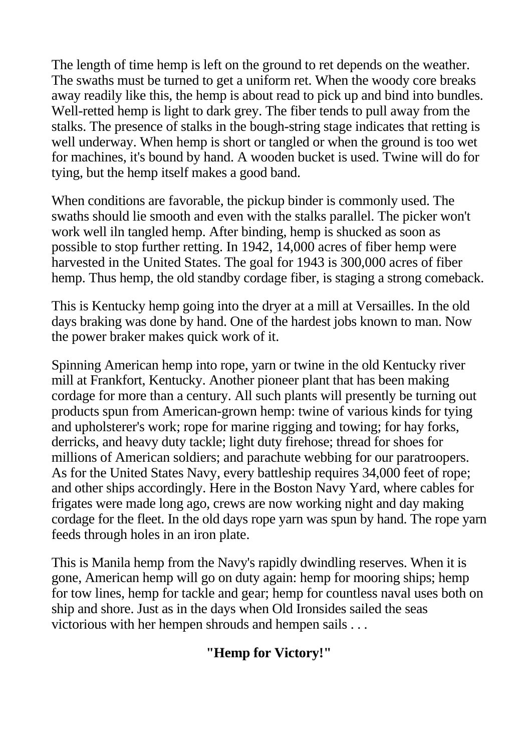The length of time hemp is left on the ground to ret depends on the weather. The swaths must be turned to get a uniform ret. When the woody core breaks away readily like this, the hemp is about read to pick up and bind into bundles. Well-retted hemp is light to dark grey. The fiber tends to pull away from the stalks. The presence of stalks in the bough-string stage indicates that retting is well underway. When hemp is short or tangled or when the ground is too wet for machines, it's bound by hand. A wooden bucket is used. Twine will do for tying, but the hemp itself makes a good band.

When conditions are favorable, the pickup binder is commonly used. The swaths should lie smooth and even with the stalks parallel. The picker won't work well iln tangled hemp. After binding, hemp is shucked as soon as possible to stop further retting. In 1942, 14,000 acres of fiber hemp were harvested in the United States. The goal for 1943 is 300,000 acres of fiber hemp. Thus hemp, the old standby cordage fiber, is staging a strong comeback.

This is Kentucky hemp going into the dryer at a mill at Versailles. In the old days braking was done by hand. One of the hardest jobs known to man. Now the power braker makes quick work of it.

Spinning American hemp into rope, yarn or twine in the old Kentucky river mill at Frankfort, Kentucky. Another pioneer plant that has been making cordage for more than a century. All such plants will presently be turning out products spun from American-grown hemp: twine of various kinds for tying and upholsterer's work; rope for marine rigging and towing; for hay forks, derricks, and heavy duty tackle; light duty firehose; thread for shoes for millions of American soldiers; and parachute webbing for our paratroopers. As for the United States Navy, every battleship requires 34,000 feet of rope; and other ships accordingly. Here in the Boston Navy Yard, where cables for frigates were made long ago, crews are now working night and day making cordage for the fleet. In the old days rope yarn was spun by hand. The rope yarn feeds through holes in an iron plate.

This is Manila hemp from the Navy's rapidly dwindling reserves. When it is gone, American hemp will go on duty again: hemp for mooring ships; hemp for tow lines, hemp for tackle and gear; hemp for countless naval uses both on ship and shore. Just as in the days when Old Ironsides sailed the seas victorious with her hempen shrouds and hempen sails . . .

# **"Hemp for Victory!"**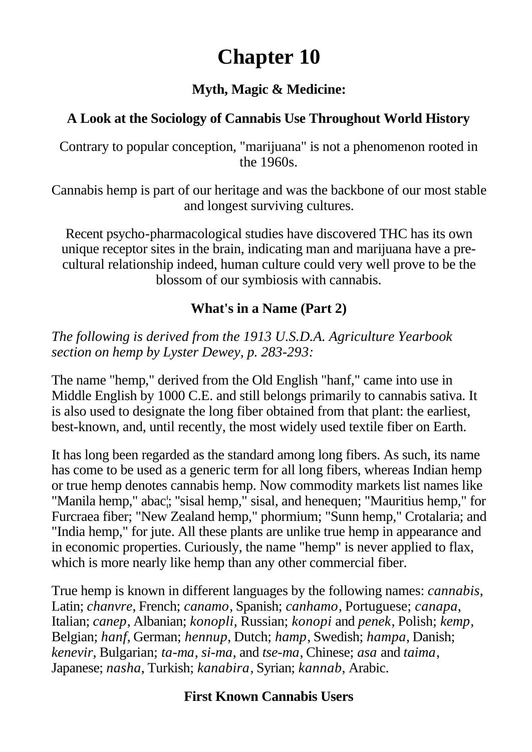# **Chapter 10**

# **Myth, Magic & Medicine:**

# **A Look at the Sociology of Cannabis Use Throughout World History**

Contrary to popular conception, "marijuana" is not a phenomenon rooted in the 1960s.

Cannabis hemp is part of our heritage and was the backbone of our most stable and longest surviving cultures.

Recent psycho-pharmacological studies have discovered THC has its own unique receptor sites in the brain, indicating man and marijuana have a precultural relationship indeed, human culture could very well prove to be the blossom of our symbiosis with cannabis.

# **What's in a Name (Part 2)**

## *The following is derived from the 1913 U.S.D.A. Agriculture Yearbook section on hemp by Lyster Dewey, p. 283-293:*

The name "hemp," derived from the Old English "hanf," came into use in Middle English by 1000 C.E. and still belongs primarily to cannabis sativa. It is also used to designate the long fiber obtained from that plant: the earliest, best-known, and, until recently, the most widely used textile fiber on Earth.

It has long been regarded as the standard among long fibers. As such, its name has come to be used as a generic term for all long fibers, whereas Indian hemp or true hemp denotes cannabis hemp. Now commodity markets list names like "Manila hemp," abac¦; "sisal hemp," sisal, and henequen; "Mauritius hemp," for Furcraea fiber; "New Zealand hemp," phormium; "Sunn hemp," Crotalaria; and "India hemp," for jute. All these plants are unlike true hemp in appearance and in economic properties. Curiously, the name "hemp" is never applied to flax, which is more nearly like hemp than any other commercial fiber.

True hemp is known in different languages by the following names: *cannabis*, Latin; *chanvre*, French; *canamo*, Spanish; *canhamo*, Portuguese; *canapa*, Italian; *canep*, Albanian; *konopli,* Russian; *konopi* and *penek*, Polish; *kemp*, Belgian; *hanf*, German; *hennup*, Dutch; *hamp*, Swedish; *hampa*, Danish; *kenevir*, Bulgarian; *ta-ma*, *si-ma*, and *tse-ma*, Chinese; *asa* and *taima*, Japanese; *nasha*, Turkish; *kanabira*, Syrian; *kannab*, Arabic.

# **First Known Cannabis Users**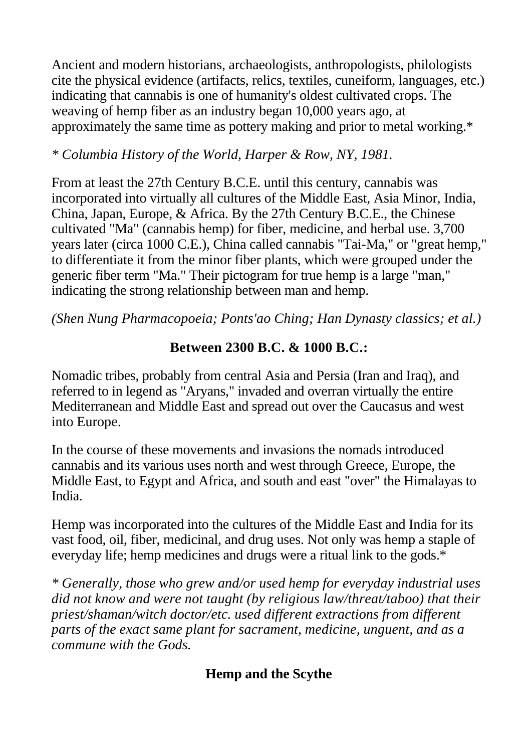Ancient and modern historians, archaeologists, anthropologists, philologists cite the physical evidence (artifacts, relics, textiles, cuneiform, languages, etc.) indicating that cannabis is one of humanity's oldest cultivated crops. The weaving of hemp fiber as an industry began 10,000 years ago, at approximately the same time as pottery making and prior to metal working.\*

## *\* Columbia History of the World, Harper & Row, NY, 1981.*

From at least the 27th Century B.C.E. until this century, cannabis was incorporated into virtually all cultures of the Middle East, Asia Minor, India, China, Japan, Europe, & Africa. By the 27th Century B.C.E., the Chinese cultivated "Ma" (cannabis hemp) for fiber, medicine, and herbal use. 3,700 years later (circa 1000 C.E.), China called cannabis "Tai-Ma," or "great hemp," to differentiate it from the minor fiber plants, which were grouped under the generic fiber term "Ma." Their pictogram for true hemp is a large "man," indicating the strong relationship between man and hemp.

*(Shen Nung Pharmacopoeia; Ponts'ao Ching; Han Dynasty classics; et al.)* 

# **Between 2300 B.C. & 1000 B.C.:**

Nomadic tribes, probably from central Asia and Persia (Iran and Iraq), and referred to in legend as "Aryans," invaded and overran virtually the entire Mediterranean and Middle East and spread out over the Caucasus and west into Europe.

In the course of these movements and invasions the nomads introduced cannabis and its various uses north and west through Greece, Europe, the Middle East, to Egypt and Africa, and south and east "over" the Himalayas to India.

Hemp was incorporated into the cultures of the Middle East and India for its vast food, oil, fiber, medicinal, and drug uses. Not only was hemp a staple of everyday life; hemp medicines and drugs were a ritual link to the gods.\*

*\* Generally, those who grew and/or used hemp for everyday industrial uses did not know and were not taught (by religious law/threat/taboo) that their priest/shaman/witch doctor/etc. used different extractions from different parts of the exact same plant for sacrament, medicine, unguent, and as a commune with the Gods.* 

# **Hemp and the Scythe**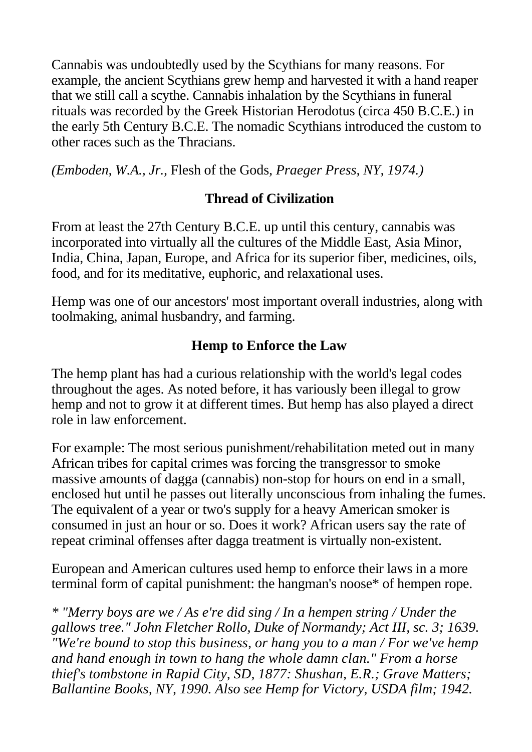Cannabis was undoubtedly used by the Scythians for many reasons. For example, the ancient Scythians grew hemp and harvested it with a hand reaper that we still call a scythe. Cannabis inhalation by the Scythians in funeral rituals was recorded by the Greek Historian Herodotus (circa 450 B.C.E.) in the early 5th Century B.C.E. The nomadic Scythians introduced the custom to other races such as the Thracians.

*(Emboden, W.A., Jr.,* Flesh of the Gods*, Praeger Press, NY, 1974.)* 

## **Thread of Civilization**

From at least the 27th Century B.C.E. up until this century, cannabis was incorporated into virtually all the cultures of the Middle East, Asia Minor, India, China, Japan, Europe, and Africa for its superior fiber, medicines, oils, food, and for its meditative, euphoric, and relaxational uses.

Hemp was one of our ancestors' most important overall industries, along with toolmaking, animal husbandry, and farming.

# **Hemp to Enforce the Law**

The hemp plant has had a curious relationship with the world's legal codes throughout the ages. As noted before, it has variously been illegal to grow hemp and not to grow it at different times. But hemp has also played a direct role in law enforcement.

For example: The most serious punishment/rehabilitation meted out in many African tribes for capital crimes was forcing the transgressor to smoke massive amounts of dagga (cannabis) non-stop for hours on end in a small, enclosed hut until he passes out literally unconscious from inhaling the fumes. The equivalent of a year or two's supply for a heavy American smoker is consumed in just an hour or so. Does it work? African users say the rate of repeat criminal offenses after dagga treatment is virtually non-existent.

European and American cultures used hemp to enforce their laws in a more terminal form of capital punishment: the hangman's noose\* of hempen rope.

*\* "Merry boys are we / As e're did sing / In a hempen string / Under the gallows tree." John Fletcher Rollo, Duke of Normandy; Act III, sc. 3; 1639. "We're bound to stop this business, or hang you to a man / For we've hemp and hand enough in town to hang the whole damn clan." From a horse thief's tombstone in Rapid City, SD, 1877: Shushan, E.R.; Grave Matters; Ballantine Books, NY, 1990. Also see Hemp for Victory, USDA film; 1942.*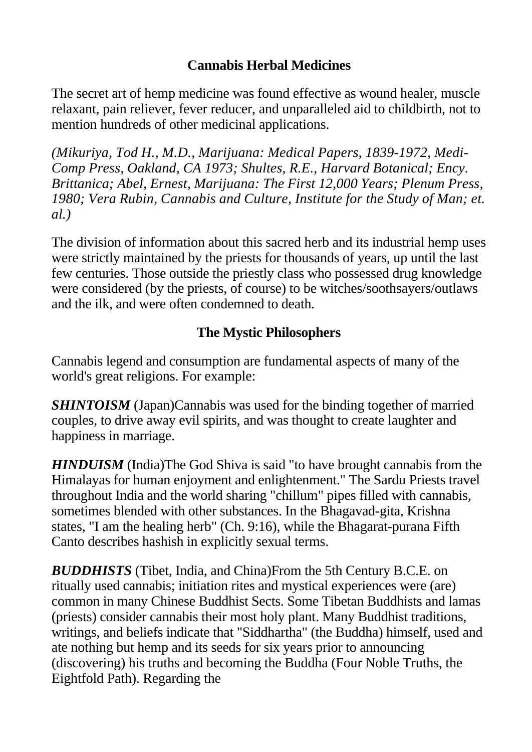# **Cannabis Herbal Medicines**

The secret art of hemp medicine was found effective as wound healer, muscle relaxant, pain reliever, fever reducer, and unparalleled aid to childbirth, not to mention hundreds of other medicinal applications.

*(Mikuriya, Tod H., M.D., Marijuana: Medical Papers, 1839-1972, Medi-Comp Press, Oakland, CA 1973; Shultes, R.E., Harvard Botanical; Ency. Brittanica; Abel, Ernest, Marijuana: The First 12,000 Years; Plenum Press, 1980; Vera Rubin, Cannabis and Culture, Institute for the Study of Man; et. al.)* 

The division of information about this sacred herb and its industrial hemp uses were strictly maintained by the priests for thousands of years, up until the last few centuries. Those outside the priestly class who possessed drug knowledge were considered (by the priests, of course) to be witches/soothsayers/outlaws and the ilk, and were often condemned to death.

## **The Mystic Philosophers**

Cannabis legend and consumption are fundamental aspects of many of the world's great religions. For example:

*SHINTOISM* (Japan)Cannabis was used for the binding together of married couples, to drive away evil spirits, and was thought to create laughter and happiness in marriage.

*HINDUISM* (India)The God Shiva is said "to have brought cannabis from the Himalayas for human enjoyment and enlightenment." The Sardu Priests travel throughout India and the world sharing "chillum" pipes filled with cannabis, sometimes blended with other substances. In the Bhagavad-gita, Krishna states, "I am the healing herb" (Ch. 9:16), while the Bhagarat-purana Fifth Canto describes hashish in explicitly sexual terms.

*BUDDHISTS* (Tibet, India, and China)From the 5th Century B.C.E. on ritually used cannabis; initiation rites and mystical experiences were (are) common in many Chinese Buddhist Sects. Some Tibetan Buddhists and lamas (priests) consider cannabis their most holy plant. Many Buddhist traditions, writings, and beliefs indicate that "Siddhartha" (the Buddha) himself, used and ate nothing but hemp and its seeds for six years prior to announcing (discovering) his truths and becoming the Buddha (Four Noble Truths, the Eightfold Path). Regarding the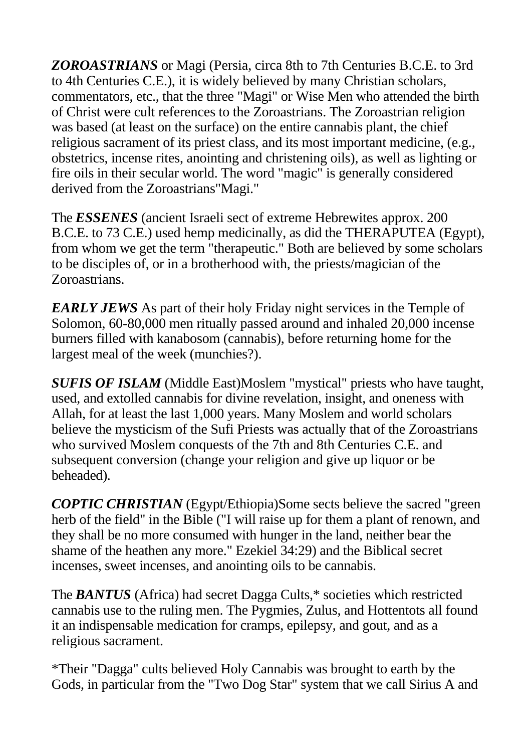*ZOROASTRIANS* or Magi (Persia, circa 8th to 7th Centuries B.C.E. to 3rd to 4th Centuries C.E.), it is widely believed by many Christian scholars, commentators, etc., that the three "Magi" or Wise Men who attended the birth of Christ were cult references to the Zoroastrians. The Zoroastrian religion was based (at least on the surface) on the entire cannabis plant, the chief religious sacrament of its priest class, and its most important medicine, (e.g., obstetrics, incense rites, anointing and christening oils), as well as lighting or fire oils in their secular world. The word "magic" is generally considered derived from the Zoroastrians"Magi."

The *ESSENES* (ancient Israeli sect of extreme Hebrewites approx. 200 B.C.E. to 73 C.E.) used hemp medicinally, as did the THERAPUTEA (Egypt), from whom we get the term "therapeutic." Both are believed by some scholars to be disciples of, or in a brotherhood with, the priests/magician of the Zoroastrians.

*EARLY JEWS* As part of their holy Friday night services in the Temple of Solomon, 60-80,000 men ritually passed around and inhaled 20,000 incense burners filled with kanabosom (cannabis), before returning home for the largest meal of the week (munchies?).

*SUFIS OF ISLAM* (Middle East)Moslem "mystical" priests who have taught, used, and extolled cannabis for divine revelation, insight, and oneness with Allah, for at least the last 1,000 years. Many Moslem and world scholars believe the mysticism of the Sufi Priests was actually that of the Zoroastrians who survived Moslem conquests of the 7th and 8th Centuries C.E. and subsequent conversion (change your religion and give up liquor or be beheaded).

*COPTIC CHRISTIAN* (Egypt/Ethiopia)Some sects believe the sacred "green herb of the field" in the Bible ("I will raise up for them a plant of renown, and they shall be no more consumed with hunger in the land, neither bear the shame of the heathen any more." Ezekiel 34:29) and the Biblical secret incenses, sweet incenses, and anointing oils to be cannabis.

The *BANTUS* (Africa) had secret Dagga Cults,\* societies which restricted cannabis use to the ruling men. The Pygmies, Zulus, and Hottentots all found it an indispensable medication for cramps, epilepsy, and gout, and as a religious sacrament.

\*Their "Dagga" cults believed Holy Cannabis was brought to earth by the Gods, in particular from the "Two Dog Star" system that we call Sirius A and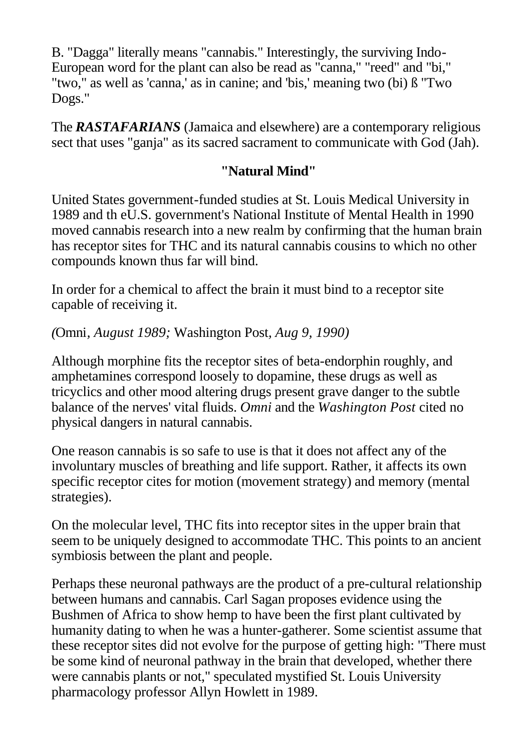B. "Dagga" literally means "cannabis." Interestingly, the surviving Indo-European word for the plant can also be read as "canna," "reed" and "bi," "two," as well as 'canna,' as in canine; and 'bis,' meaning two (bi) ß "Two Dogs."

The *RASTAFARIANS* (Jamaica and elsewhere) are a contemporary religious sect that uses "ganja" as its sacred sacrament to communicate with God (Jah).

## **"Natural Mind"**

United States government-funded studies at St. Louis Medical University in 1989 and th eU.S. government's National Institute of Mental Health in 1990 moved cannabis research into a new realm by confirming that the human brain has receptor sites for THC and its natural cannabis cousins to which no other compounds known thus far will bind.

In order for a chemical to affect the brain it must bind to a receptor site capable of receiving it.

*(*Omni*, August 1989;* Washington Post*, Aug 9, 1990)*

Although morphine fits the receptor sites of beta-endorphin roughly, and amphetamines correspond loosely to dopamine, these drugs as well as tricyclics and other mood altering drugs present grave danger to the subtle balance of the nerves' vital fluids. *Omni* and the *Washington Post* cited no physical dangers in natural cannabis.

One reason cannabis is so safe to use is that it does not affect any of the involuntary muscles of breathing and life support. Rather, it affects its own specific receptor cites for motion (movement strategy) and memory (mental strategies).

On the molecular level, THC fits into receptor sites in the upper brain that seem to be uniquely designed to accommodate THC. This points to an ancient symbiosis between the plant and people.

Perhaps these neuronal pathways are the product of a pre-cultural relationship between humans and cannabis. Carl Sagan proposes evidence using the Bushmen of Africa to show hemp to have been the first plant cultivated by humanity dating to when he was a hunter-gatherer. Some scientist assume that these receptor sites did not evolve for the purpose of getting high: "There must be some kind of neuronal pathway in the brain that developed, whether there were cannabis plants or not," speculated mystified St. Louis University pharmacology professor Allyn Howlett in 1989.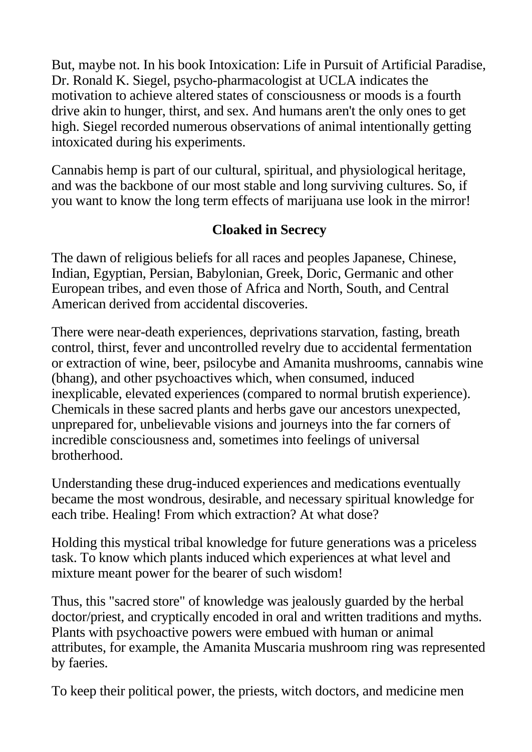But, maybe not. In his book Intoxication: Life in Pursuit of Artificial Paradise, Dr. Ronald K. Siegel, psycho-pharmacologist at UCLA indicates the motivation to achieve altered states of consciousness or moods is a fourth drive akin to hunger, thirst, and sex. And humans aren't the only ones to get high. Siegel recorded numerous observations of animal intentionally getting intoxicated during his experiments.

Cannabis hemp is part of our cultural, spiritual, and physiological heritage, and was the backbone of our most stable and long surviving cultures. So, if you want to know the long term effects of marijuana use look in the mirror!

## **Cloaked in Secrecy**

The dawn of religious beliefs for all races and peoples Japanese, Chinese, Indian, Egyptian, Persian, Babylonian, Greek, Doric, Germanic and other European tribes, and even those of Africa and North, South, and Central American derived from accidental discoveries.

There were near-death experiences, deprivations starvation, fasting, breath control, thirst, fever and uncontrolled revelry due to accidental fermentation or extraction of wine, beer, psilocybe and Amanita mushrooms, cannabis wine (bhang), and other psychoactives which, when consumed, induced inexplicable, elevated experiences (compared to normal brutish experience). Chemicals in these sacred plants and herbs gave our ancestors unexpected, unprepared for, unbelievable visions and journeys into the far corners of incredible consciousness and, sometimes into feelings of universal brotherhood.

Understanding these drug-induced experiences and medications eventually became the most wondrous, desirable, and necessary spiritual knowledge for each tribe. Healing! From which extraction? At what dose?

Holding this mystical tribal knowledge for future generations was a priceless task. To know which plants induced which experiences at what level and mixture meant power for the bearer of such wisdom!

Thus, this "sacred store" of knowledge was jealously guarded by the herbal doctor/priest, and cryptically encoded in oral and written traditions and myths. Plants with psychoactive powers were embued with human or animal attributes, for example, the Amanita Muscaria mushroom ring was represented by faeries.

To keep their political power, the priests, witch doctors, and medicine men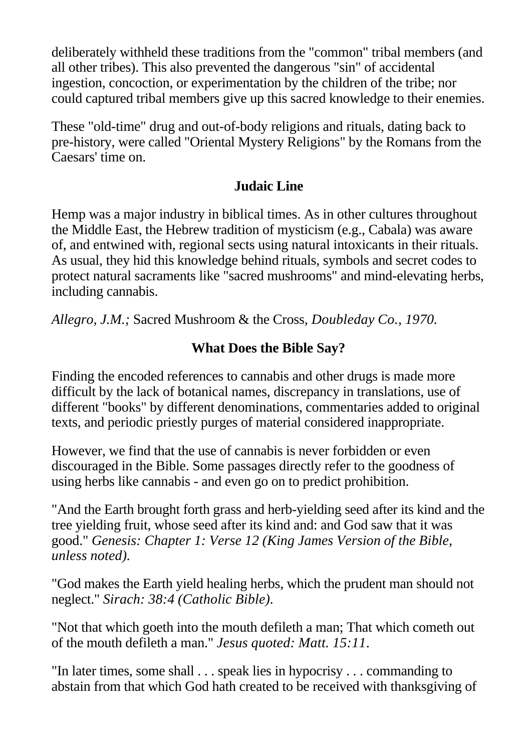deliberately withheld these traditions from the "common" tribal members (and all other tribes). This also prevented the dangerous "sin" of accidental ingestion, concoction, or experimentation by the children of the tribe; nor could captured tribal members give up this sacred knowledge to their enemies.

These "old-time" drug and out-of-body religions and rituals, dating back to pre-history, were called "Oriental Mystery Religions" by the Romans from the Caesars' time on.

## **Judaic Line**

Hemp was a major industry in biblical times. As in other cultures throughout the Middle East, the Hebrew tradition of mysticism (e.g., Cabala) was aware of, and entwined with, regional sects using natural intoxicants in their rituals. As usual, they hid this knowledge behind rituals, symbols and secret codes to protect natural sacraments like "sacred mushrooms" and mind-elevating herbs, including cannabis.

*Allegro, J.M.;* Sacred Mushroom & the Cross*, Doubleday Co., 1970.*

# **What Does the Bible Say?**

Finding the encoded references to cannabis and other drugs is made more difficult by the lack of botanical names, discrepancy in translations, use of different "books" by different denominations, commentaries added to original texts, and periodic priestly purges of material considered inappropriate.

However, we find that the use of cannabis is never forbidden or even discouraged in the Bible. Some passages directly refer to the goodness of using herbs like cannabis - and even go on to predict prohibition.

"And the Earth brought forth grass and herb-yielding seed after its kind and the tree yielding fruit, whose seed after its kind and: and God saw that it was good." *Genesis: Chapter 1: Verse 12 (King James Version of the Bible, unless noted).*

"God makes the Earth yield healing herbs, which the prudent man should not neglect." *Sirach: 38:4 (Catholic Bible).*

"Not that which goeth into the mouth defileth a man; That which cometh out of the mouth defileth a man." *Jesus quoted: Matt. 15:11*.

"In later times, some shall . . . speak lies in hypocrisy . . . commanding to abstain from that which God hath created to be received with thanksgiving of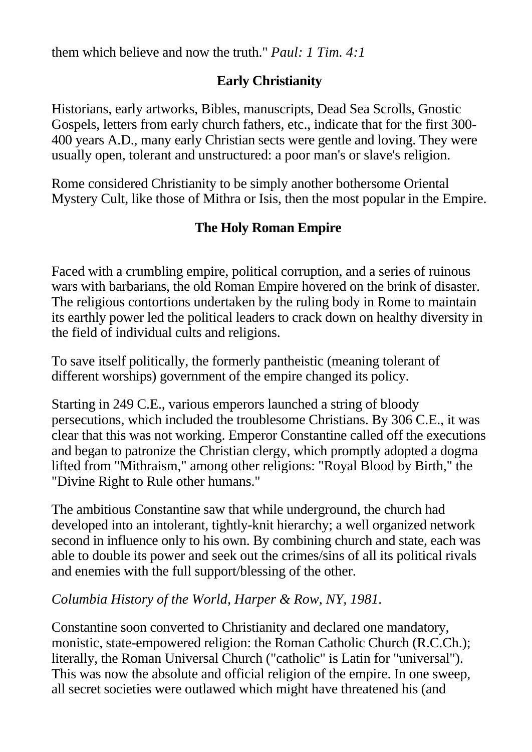them which believe and now the truth." *Paul: 1 Tim. 4:1*

## **Early Christianity**

Historians, early artworks, Bibles, manuscripts, Dead Sea Scrolls, Gnostic Gospels, letters from early church fathers, etc., indicate that for the first 300- 400 years A.D., many early Christian sects were gentle and loving. They were usually open, tolerant and unstructured: a poor man's or slave's religion.

Rome considered Christianity to be simply another bothersome Oriental Mystery Cult, like those of Mithra or Isis, then the most popular in the Empire.

# **The Holy Roman Empire**

Faced with a crumbling empire, political corruption, and a series of ruinous wars with barbarians, the old Roman Empire hovered on the brink of disaster. The religious contortions undertaken by the ruling body in Rome to maintain its earthly power led the political leaders to crack down on healthy diversity in the field of individual cults and religions.

To save itself politically, the formerly pantheistic (meaning tolerant of different worships) government of the empire changed its policy.

Starting in 249 C.E., various emperors launched a string of bloody persecutions, which included the troublesome Christians. By 306 C.E., it was clear that this was not working. Emperor Constantine called off the executions and began to patronize the Christian clergy, which promptly adopted a dogma lifted from "Mithraism," among other religions: "Royal Blood by Birth," the "Divine Right to Rule other humans."

The ambitious Constantine saw that while underground, the church had developed into an intolerant, tightly-knit hierarchy; a well organized network second in influence only to his own. By combining church and state, each was able to double its power and seek out the crimes/sins of all its political rivals and enemies with the full support/blessing of the other.

## *Columbia History of the World, Harper & Row, NY, 1981.*

Constantine soon converted to Christianity and declared one mandatory, monistic, state-empowered religion: the Roman Catholic Church (R.C.Ch.); literally, the Roman Universal Church ("catholic" is Latin for "universal"). This was now the absolute and official religion of the empire. In one sweep, all secret societies were outlawed which might have threatened his (and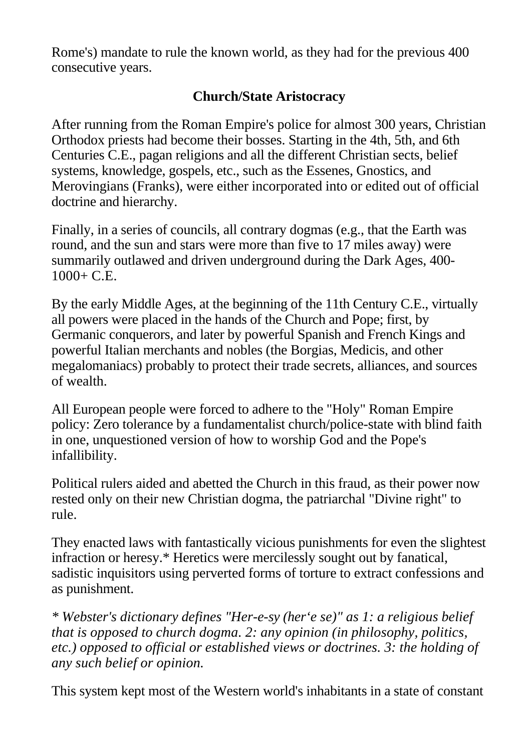Rome's) mandate to rule the known world, as they had for the previous 400 consecutive years.

# **Church/State Aristocracy**

After running from the Roman Empire's police for almost 300 years, Christian Orthodox priests had become their bosses. Starting in the 4th, 5th, and 6th Centuries C.E., pagan religions and all the different Christian sects, belief systems, knowledge, gospels, etc., such as the Essenes, Gnostics, and Merovingians (Franks), were either incorporated into or edited out of official doctrine and hierarchy.

Finally, in a series of councils, all contrary dogmas (e.g., that the Earth was round, and the sun and stars were more than five to 17 miles away) were summarily outlawed and driven underground during the Dark Ages, 400-  $1000 + C.E.$ 

By the early Middle Ages, at the beginning of the 11th Century C.E., virtually all powers were placed in the hands of the Church and Pope; first, by Germanic conquerors, and later by powerful Spanish and French Kings and powerful Italian merchants and nobles (the Borgias, Medicis, and other megalomaniacs) probably to protect their trade secrets, alliances, and sources of wealth.

All European people were forced to adhere to the "Holy" Roman Empire policy: Zero tolerance by a fundamentalist church/police-state with blind faith in one, unquestioned version of how to worship God and the Pope's infallibility.

Political rulers aided and abetted the Church in this fraud, as their power now rested only on their new Christian dogma, the patriarchal "Divine right" to rule.

They enacted laws with fantastically vicious punishments for even the slightest infraction or heresy.\* Heretics were mercilessly sought out by fanatical, sadistic inquisitors using perverted forms of torture to extract confessions and as punishment.

*\* Webster's dictionary defines "Her-e-sy (her'e se)" as 1: a religious belief that is opposed to church dogma. 2: any opinion (in philosophy, politics, etc.) opposed to official or established views or doctrines. 3: the holding of any such belief or opinion.* 

This system kept most of the Western world's inhabitants in a state of constant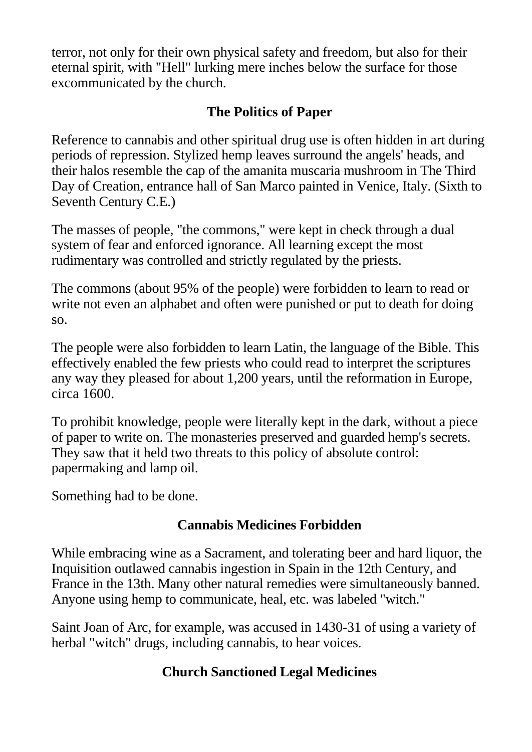terror, not only for their own physical safety and freedom, but also for their eternal spirit, with "Hell" lurking mere inches below the surface for those excommunicated by the church.

# **The Politics of Paper**

Reference to cannabis and other spiritual drug use is often hidden in art during periods of repression. Stylized hemp leaves surround the angels' heads, and their halos resemble the cap of the amanita muscaria mushroom in The Third Day of Creation, entrance hall of San Marco painted in Venice, Italy. (Sixth to Seventh Century C.E.)

The masses of people, "the commons," were kept in check through a dual system of fear and enforced ignorance. All learning except the most rudimentary was controlled and strictly regulated by the priests.

The commons (about 95% of the people) were forbidden to learn to read or write not even an alphabet and often were punished or put to death for doing so.

The people were also forbidden to learn Latin, the language of the Bible. This effectively enabled the few priests who could read to interpret the scriptures any way they pleased for about 1,200 years, until the reformation in Europe, circa 1600.

To prohibit knowledge, people were literally kept in the dark, without a piece of paper to write on. The monasteries preserved and guarded hemp's secrets. They saw that it held two threats to this policy of absolute control: papermaking and lamp oil.

Something had to be done.

# **Cannabis Medicines Forbidden**

While embracing wine as a Sacrament, and tolerating beer and hard liquor, the Inquisition outlawed cannabis ingestion in Spain in the 12th Century, and France in the 13th. Many other natural remedies were simultaneously banned. Anyone using hemp to communicate, heal, etc. was labeled "witch."

Saint Joan of Arc, for example, was accused in 1430-31 of using a variety of herbal "witch" drugs, including cannabis, to hear voices.

# **Church Sanctioned Legal Medicines**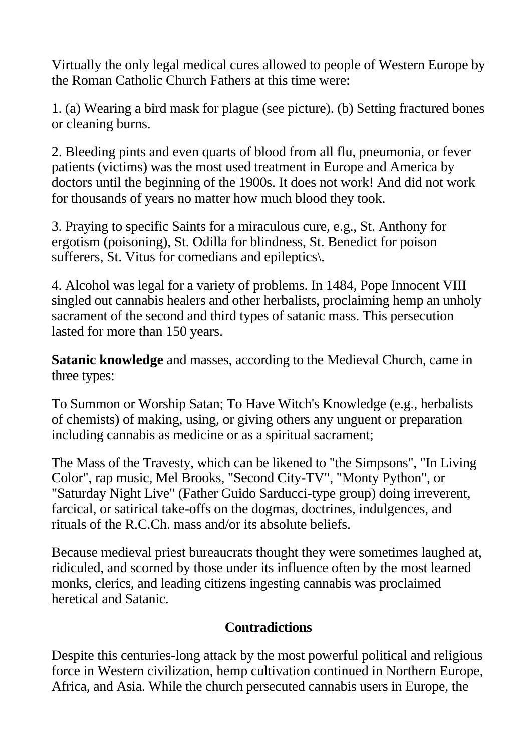Virtually the only legal medical cures allowed to people of Western Europe by the Roman Catholic Church Fathers at this time were:

1. (a) Wearing a bird mask for plague (see picture). (b) Setting fractured bones or cleaning burns.

2. Bleeding pints and even quarts of blood from all flu, pneumonia, or fever patients (victims) was the most used treatment in Europe and America by doctors until the beginning of the 1900s. It does not work! And did not work for thousands of years no matter how much blood they took.

3. Praying to specific Saints for a miraculous cure, e.g., St. Anthony for ergotism (poisoning), St. Odilla for blindness, St. Benedict for poison sufferers, St. Vitus for comedians and epileptics\.

4. Alcohol was legal for a variety of problems. In 1484, Pope Innocent VIII singled out cannabis healers and other herbalists, proclaiming hemp an unholy sacrament of the second and third types of satanic mass. This persecution lasted for more than 150 years.

**Satanic knowledge** and masses, according to the Medieval Church, came in three types:

To Summon or Worship Satan; To Have Witch's Knowledge (e.g., herbalists of chemists) of making, using, or giving others any unguent or preparation including cannabis as medicine or as a spiritual sacrament;

The Mass of the Travesty, which can be likened to "the Simpsons", "In Living Color", rap music, Mel Brooks, "Second City-TV", "Monty Python", or "Saturday Night Live" (Father Guido Sarducci-type group) doing irreverent, farcical, or satirical take-offs on the dogmas, doctrines, indulgences, and rituals of the R.C.Ch. mass and/or its absolute beliefs.

Because medieval priest bureaucrats thought they were sometimes laughed at, ridiculed, and scorned by those under its influence often by the most learned monks, clerics, and leading citizens ingesting cannabis was proclaimed heretical and Satanic.

## **Contradictions**

Despite this centuries-long attack by the most powerful political and religious force in Western civilization, hemp cultivation continued in Northern Europe, Africa, and Asia. While the church persecuted cannabis users in Europe, the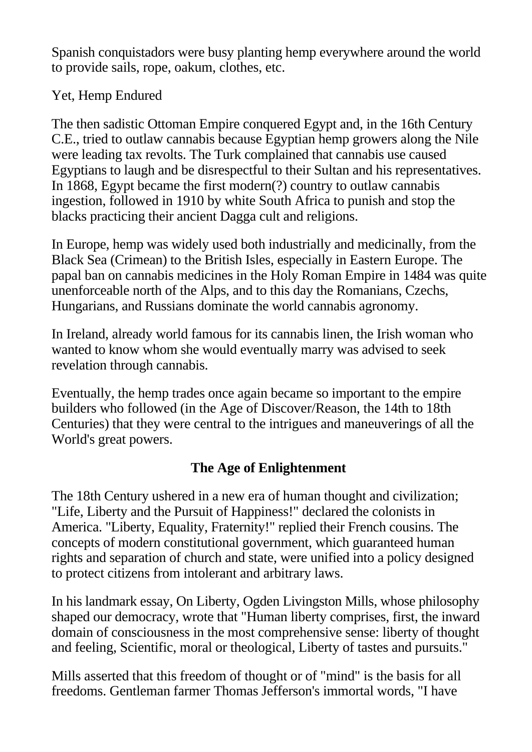Spanish conquistadors were busy planting hemp everywhere around the world to provide sails, rope, oakum, clothes, etc.

## Yet, Hemp Endured

The then sadistic Ottoman Empire conquered Egypt and, in the 16th Century C.E., tried to outlaw cannabis because Egyptian hemp growers along the Nile were leading tax revolts. The Turk complained that cannabis use caused Egyptians to laugh and be disrespectful to their Sultan and his representatives. In 1868, Egypt became the first modern(?) country to outlaw cannabis ingestion, followed in 1910 by white South Africa to punish and stop the blacks practicing their ancient Dagga cult and religions.

In Europe, hemp was widely used both industrially and medicinally, from the Black Sea (Crimean) to the British Isles, especially in Eastern Europe. The papal ban on cannabis medicines in the Holy Roman Empire in 1484 was quite unenforceable north of the Alps, and to this day the Romanians, Czechs, Hungarians, and Russians dominate the world cannabis agronomy.

In Ireland, already world famous for its cannabis linen, the Irish woman who wanted to know whom she would eventually marry was advised to seek revelation through cannabis.

Eventually, the hemp trades once again became so important to the empire builders who followed (in the Age of Discover/Reason, the 14th to 18th Centuries) that they were central to the intrigues and maneuverings of all the World's great powers.

# **The Age of Enlightenment**

The 18th Century ushered in a new era of human thought and civilization; "Life, Liberty and the Pursuit of Happiness!" declared the colonists in America. "Liberty, Equality, Fraternity!" replied their French cousins. The concepts of modern constitutional government, which guaranteed human rights and separation of church and state, were unified into a policy designed to protect citizens from intolerant and arbitrary laws.

In his landmark essay, On Liberty, Ogden Livingston Mills, whose philosophy shaped our democracy, wrote that "Human liberty comprises, first, the inward domain of consciousness in the most comprehensive sense: liberty of thought and feeling, Scientific, moral or theological, Liberty of tastes and pursuits."

Mills asserted that this freedom of thought or of "mind" is the basis for all freedoms. Gentleman farmer Thomas Jefferson's immortal words, "I have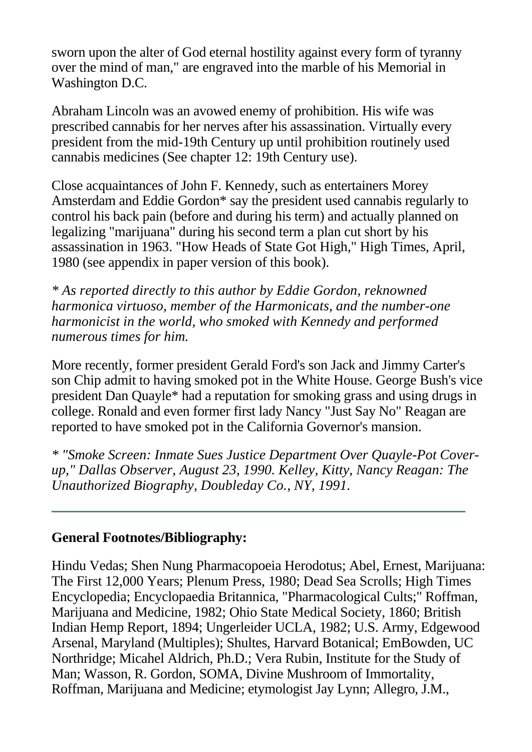sworn upon the alter of God eternal hostility against every form of tyranny over the mind of man," are engraved into the marble of his Memorial in Washington D.C.

Abraham Lincoln was an avowed enemy of prohibition. His wife was prescribed cannabis for her nerves after his assassination. Virtually every president from the mid-19th Century up until prohibition routinely used cannabis medicines (See chapter 12: 19th Century use).

Close acquaintances of John F. Kennedy, such as entertainers Morey Amsterdam and Eddie Gordon\* say the president used cannabis regularly to control his back pain (before and during his term) and actually planned on legalizing "marijuana" during his second term a plan cut short by his assassination in 1963. "How Heads of State Got High," High Times, April, 1980 (see appendix in paper version of this book).

*\* As reported directly to this author by Eddie Gordon, reknowned harmonica virtuoso, member of the Harmonicats, and the number-one harmonicist in the world, who smoked with Kennedy and performed numerous times for him.* 

More recently, former president Gerald Ford's son Jack and Jimmy Carter's son Chip admit to having smoked pot in the White House. George Bush's vice president Dan Quayle\* had a reputation for smoking grass and using drugs in college. Ronald and even former first lady Nancy "Just Say No" Reagan are reported to have smoked pot in the California Governor's mansion.

*\* "Smoke Screen: Inmate Sues Justice Department Over Quayle-Pot Coverup," Dallas Observer, August 23, 1990. Kelley, Kitty, Nancy Reagan: The Unauthorized Biography, Doubleday Co., NY, 1991.* 

#### **General Footnotes/Bibliography:**

Hindu Vedas; Shen Nung Pharmacopoeia Herodotus; Abel, Ernest, Marijuana: The First 12,000 Years; Plenum Press, 1980; Dead Sea Scrolls; High Times Encyclopedia; Encyclopaedia Britannica, "Pharmacological Cults;" Roffman, Marijuana and Medicine, 1982; Ohio State Medical Society, 1860; British Indian Hemp Report, 1894; Ungerleider UCLA, 1982; U.S. Army, Edgewood Arsenal, Maryland (Multiples); Shultes, Harvard Botanical; EmBowden, UC Northridge; Micahel Aldrich, Ph.D.; Vera Rubin, Institute for the Study of Man; Wasson, R. Gordon, SOMA, Divine Mushroom of Immortality, Roffman, Marijuana and Medicine; etymologist Jay Lynn; Allegro, J.M.,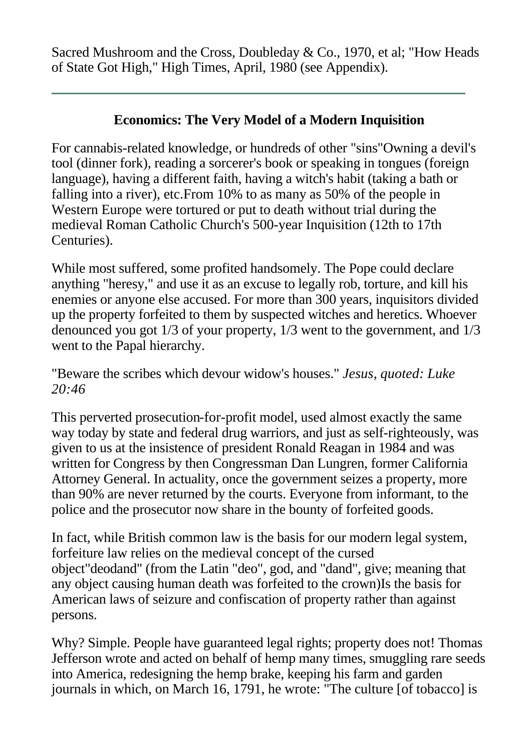Sacred Mushroom and the Cross, Doubleday & Co., 1970, et al; "How Heads of State Got High," High Times, April, 1980 (see Appendix).

## **Economics: The Very Model of a Modern Inquisition**

For cannabis-related knowledge, or hundreds of other "sins"Owning a devil's tool (dinner fork), reading a sorcerer's book or speaking in tongues (foreign language), having a different faith, having a witch's habit (taking a bath or falling into a river), etc.From 10% to as many as 50% of the people in Western Europe were tortured or put to death without trial during the medieval Roman Catholic Church's 500-year Inquisition (12th to 17th Centuries).

While most suffered, some profited handsomely. The Pope could declare anything "heresy," and use it as an excuse to legally rob, torture, and kill his enemies or anyone else accused. For more than 300 years, inquisitors divided up the property forfeited to them by suspected witches and heretics. Whoever denounced you got 1/3 of your property, 1/3 went to the government, and 1/3 went to the Papal hierarchy.

"Beware the scribes which devour widow's houses." *Jesus, quoted: Luke 20:46*

This perverted prosecution-for-profit model, used almost exactly the same way today by state and federal drug warriors, and just as self-righteously, was given to us at the insistence of president Ronald Reagan in 1984 and was written for Congress by then Congressman Dan Lungren, former California Attorney General. In actuality, once the government seizes a property, more than 90% are never returned by the courts. Everyone from informant, to the police and the prosecutor now share in the bounty of forfeited goods.

In fact, while British common law is the basis for our modern legal system, forfeiture law relies on the medieval concept of the cursed object"deodand" (from the Latin "deo", god, and "dand", give; meaning that any object causing human death was forfeited to the crown)Is the basis for American laws of seizure and confiscation of property rather than against persons.

Why? Simple. People have guaranteed legal rights; property does not! Thomas Jefferson wrote and acted on behalf of hemp many times, smuggling rare seeds into America, redesigning the hemp brake, keeping his farm and garden journals in which, on March 16, 1791, he wrote: "The culture [of tobacco] is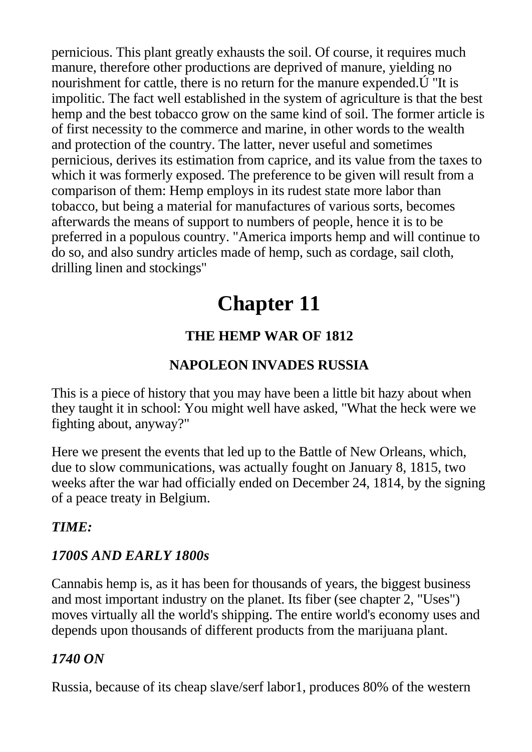pernicious. This plant greatly exhausts the soil. Of course, it requires much manure, therefore other productions are deprived of manure, yielding no nourishment for cattle, there is no return for the manure expended.Ú "It is impolitic. The fact well established in the system of agriculture is that the best hemp and the best tobacco grow on the same kind of soil. The former article is of first necessity to the commerce and marine, in other words to the wealth and protection of the country. The latter, never useful and sometimes pernicious, derives its estimation from caprice, and its value from the taxes to which it was formerly exposed. The preference to be given will result from a comparison of them: Hemp employs in its rudest state more labor than tobacco, but being a material for manufactures of various sorts, becomes afterwards the means of support to numbers of people, hence it is to be preferred in a populous country. "America imports hemp and will continue to do so, and also sundry articles made of hemp, such as cordage, sail cloth, drilling linen and stockings"

# **Chapter 11**

# **THE HEMP WAR OF 1812**

### **NAPOLEON INVADES RUSSIA**

This is a piece of history that you may have been a little bit hazy about when they taught it in school: You might well have asked, "What the heck were we fighting about, anyway?"

Here we present the events that led up to the Battle of New Orleans, which, due to slow communications, was actually fought on January 8, 1815, two weeks after the war had officially ended on December 24, 1814, by the signing of a peace treaty in Belgium.

#### *TIME:*

### *1700S AND EARLY 1800s*

Cannabis hemp is, as it has been for thousands of years, the biggest business and most important industry on the planet. Its fiber (see chapter 2, "Uses") moves virtually all the world's shipping. The entire world's economy uses and depends upon thousands of different products from the marijuana plant.

### *1740 ON*

Russia, because of its cheap slave/serf labor1, produces 80% of the western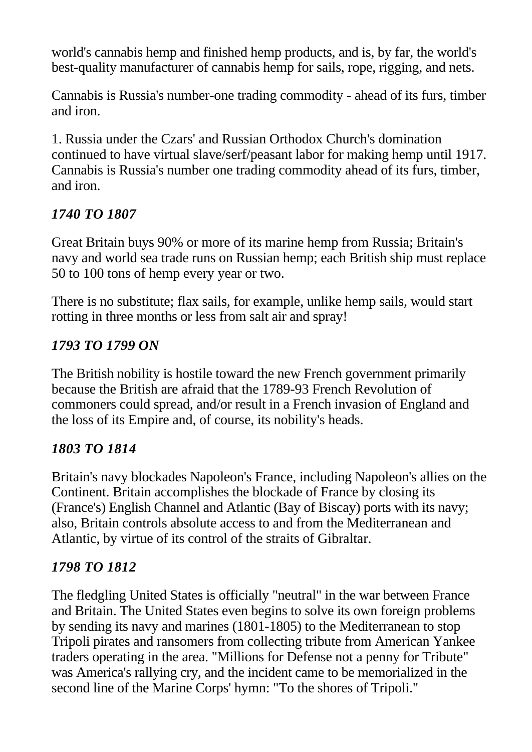world's cannabis hemp and finished hemp products, and is, by far, the world's best-quality manufacturer of cannabis hemp for sails, rope, rigging, and nets.

Cannabis is Russia's number-one trading commodity - ahead of its furs, timber and iron.

1. Russia under the Czars' and Russian Orthodox Church's domination continued to have virtual slave/serf/peasant labor for making hemp until 1917. Cannabis is Russia's number one trading commodity ahead of its furs, timber, and iron.

### *1740 TO 1807*

Great Britain buys 90% or more of its marine hemp from Russia; Britain's navy and world sea trade runs on Russian hemp; each British ship must replace 50 to 100 tons of hemp every year or two.

There is no substitute; flax sails, for example, unlike hemp sails, would start rotting in three months or less from salt air and spray!

# *1793 TO 1799 ON*

The British nobility is hostile toward the new French government primarily because the British are afraid that the 1789-93 French Revolution of commoners could spread, and/or result in a French invasion of England and the loss of its Empire and, of course, its nobility's heads.

### *1803 TO 1814*

Britain's navy blockades Napoleon's France, including Napoleon's allies on the Continent. Britain accomplishes the blockade of France by closing its (France's) English Channel and Atlantic (Bay of Biscay) ports with its navy; also, Britain controls absolute access to and from the Mediterranean and Atlantic, by virtue of its control of the straits of Gibraltar.

### *1798 TO 1812*

The fledgling United States is officially "neutral" in the war between France and Britain. The United States even begins to solve its own foreign problems by sending its navy and marines (1801-1805) to the Mediterranean to stop Tripoli pirates and ransomers from collecting tribute from American Yankee traders operating in the area. "Millions for Defense not a penny for Tribute" was America's rallying cry, and the incident came to be memorialized in the second line of the Marine Corps' hymn: "To the shores of Tripoli."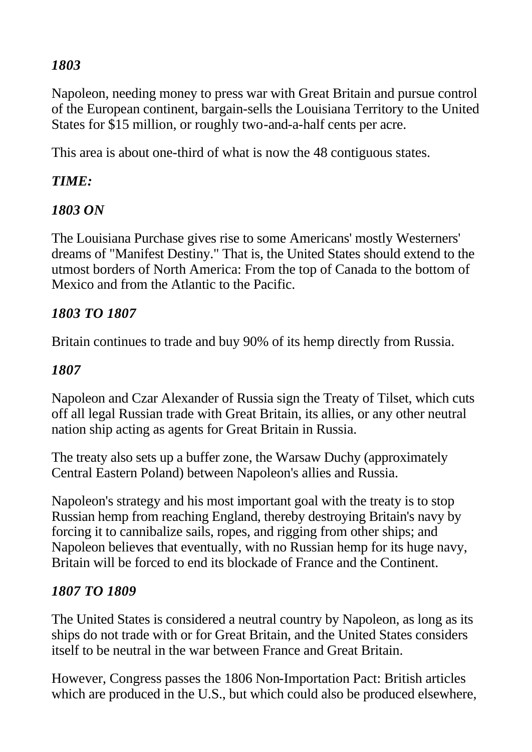# *1803*

Napoleon, needing money to press war with Great Britain and pursue control of the European continent, bargain-sells the Louisiana Territory to the United States for \$15 million, or roughly two-and-a-half cents per acre.

This area is about one-third of what is now the 48 contiguous states.

#### *TIME:*

# *1803 ON*

The Louisiana Purchase gives rise to some Americans' mostly Westerners' dreams of "Manifest Destiny." That is, the United States should extend to the utmost borders of North America: From the top of Canada to the bottom of Mexico and from the Atlantic to the Pacific.

# *1803 TO 1807*

Britain continues to trade and buy 90% of its hemp directly from Russia.

#### *1807*

Napoleon and Czar Alexander of Russia sign the Treaty of Tilset, which cuts off all legal Russian trade with Great Britain, its allies, or any other neutral nation ship acting as agents for Great Britain in Russia.

The treaty also sets up a buffer zone, the Warsaw Duchy (approximately Central Eastern Poland) between Napoleon's allies and Russia.

Napoleon's strategy and his most important goal with the treaty is to stop Russian hemp from reaching England, thereby destroying Britain's navy by forcing it to cannibalize sails, ropes, and rigging from other ships; and Napoleon believes that eventually, with no Russian hemp for its huge navy, Britain will be forced to end its blockade of France and the Continent.

### *1807 TO 1809*

The United States is considered a neutral country by Napoleon, as long as its ships do not trade with or for Great Britain, and the United States considers itself to be neutral in the war between France and Great Britain.

However, Congress passes the 1806 Non-Importation Pact: British articles which are produced in the U.S., but which could also be produced elsewhere,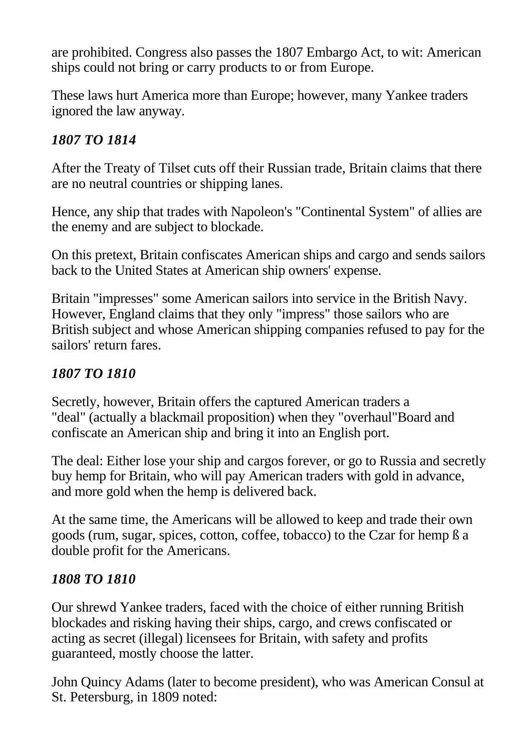are prohibited. Congress also passes the 1807 Embargo Act, to wit: American ships could not bring or carry products to or from Europe.

These laws hurt America more than Europe; however, many Yankee traders ignored the law anyway.

### *1807 TO 1814*

After the Treaty of Tilset cuts off their Russian trade, Britain claims that there are no neutral countries or shipping lanes.

Hence, any ship that trades with Napoleon's "Continental System" of allies are the enemy and are subject to blockade.

On this pretext, Britain confiscates American ships and cargo and sends sailors back to the United States at American ship owners' expense.

Britain "impresses" some American sailors into service in the British Navy. However, England claims that they only "impress" those sailors who are British subject and whose American shipping companies refused to pay for the sailors' return fares.

#### *1807 TO 1810*

Secretly, however, Britain offers the captured American traders a "deal" (actually a blackmail proposition) when they "overhaul"Board and confiscate an American ship and bring it into an English port.

The deal: Either lose your ship and cargos forever, or go to Russia and secretly buy hemp for Britain, who will pay American traders with gold in advance, and more gold when the hemp is delivered back.

At the same time, the Americans will be allowed to keep and trade their own goods (rum, sugar, spices, cotton, coffee, tobacco) to the Czar for hemp ß a double profit for the Americans.

#### *1808 TO 1810*

Our shrewd Yankee traders, faced with the choice of either running British blockades and risking having their ships, cargo, and crews confiscated or acting as secret (illegal) licensees for Britain, with safety and profits guaranteed, mostly choose the latter.

John Quincy Adams (later to become president), who was American Consul at St. Petersburg, in 1809 noted: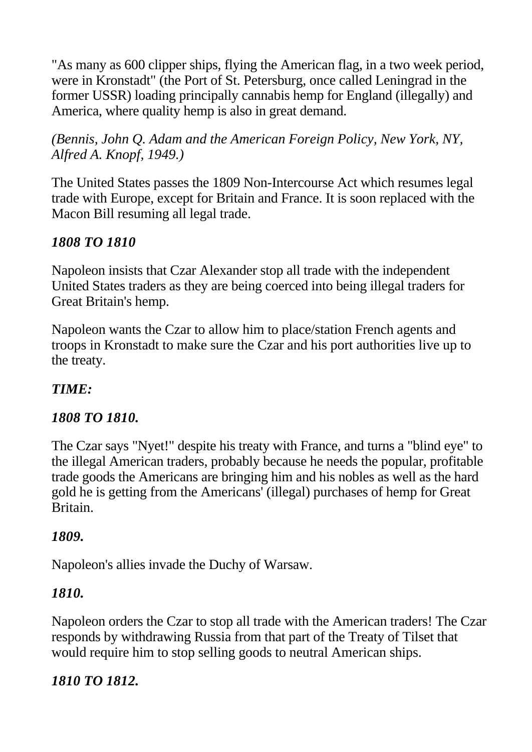"As many as 600 clipper ships, flying the American flag, in a two week period, were in Kronstadt" (the Port of St. Petersburg, once called Leningrad in the former USSR) loading principally cannabis hemp for England (illegally) and America, where quality hemp is also in great demand.

*(Bennis, John Q. Adam and the American Foreign Policy, New York, NY, Alfred A. Knopf, 1949.)* 

The United States passes the 1809 Non-Intercourse Act which resumes legal trade with Europe, except for Britain and France. It is soon replaced with the Macon Bill resuming all legal trade.

### *1808 TO 1810*

Napoleon insists that Czar Alexander stop all trade with the independent United States traders as they are being coerced into being illegal traders for Great Britain's hemp.

Napoleon wants the Czar to allow him to place/station French agents and troops in Kronstadt to make sure the Czar and his port authorities live up to the treaty.

### *TIME:*

### *1808 TO 1810.*

The Czar says "Nyet!" despite his treaty with France, and turns a "blind eye" to the illegal American traders, probably because he needs the popular, profitable trade goods the Americans are bringing him and his nobles as well as the hard gold he is getting from the Americans' (illegal) purchases of hemp for Great Britain.

### *1809.*

Napoleon's allies invade the Duchy of Warsaw.

### *1810.*

Napoleon orders the Czar to stop all trade with the American traders! The Czar responds by withdrawing Russia from that part of the Treaty of Tilset that would require him to stop selling goods to neutral American ships.

### *1810 TO 1812.*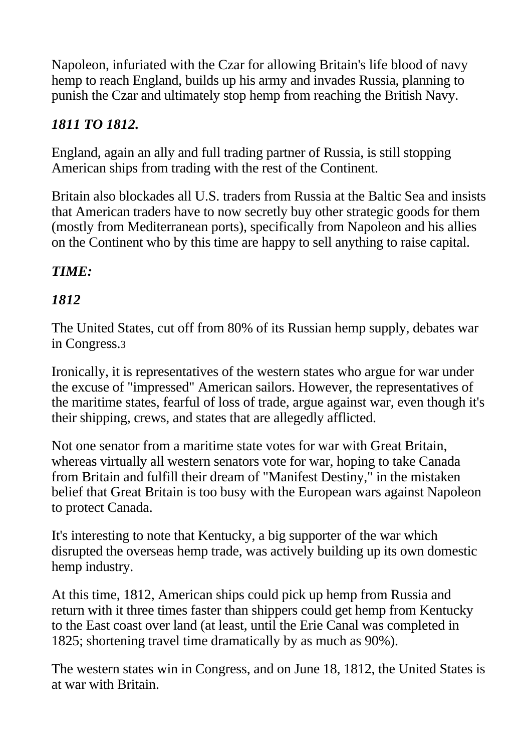Napoleon, infuriated with the Czar for allowing Britain's life blood of navy hemp to reach England, builds up his army and invades Russia, planning to punish the Czar and ultimately stop hemp from reaching the British Navy.

# *1811 TO 1812.*

England, again an ally and full trading partner of Russia, is still stopping American ships from trading with the rest of the Continent.

Britain also blockades all U.S. traders from Russia at the Baltic Sea and insists that American traders have to now secretly buy other strategic goods for them (mostly from Mediterranean ports), specifically from Napoleon and his allies on the Continent who by this time are happy to sell anything to raise capital.

# *TIME:*

# *1812*

The United States, cut off from 80% of its Russian hemp supply, debates war in Congress.3

Ironically, it is representatives of the western states who argue for war under the excuse of "impressed" American sailors. However, the representatives of the maritime states, fearful of loss of trade, argue against war, even though it's their shipping, crews, and states that are allegedly afflicted.

Not one senator from a maritime state votes for war with Great Britain, whereas virtually all western senators vote for war, hoping to take Canada from Britain and fulfill their dream of "Manifest Destiny," in the mistaken belief that Great Britain is too busy with the European wars against Napoleon to protect Canada.

It's interesting to note that Kentucky, a big supporter of the war which disrupted the overseas hemp trade, was actively building up its own domestic hemp industry.

At this time, 1812, American ships could pick up hemp from Russia and return with it three times faster than shippers could get hemp from Kentucky to the East coast over land (at least, until the Erie Canal was completed in 1825; shortening travel time dramatically by as much as 90%).

The western states win in Congress, and on June 18, 1812, the United States is at war with Britain.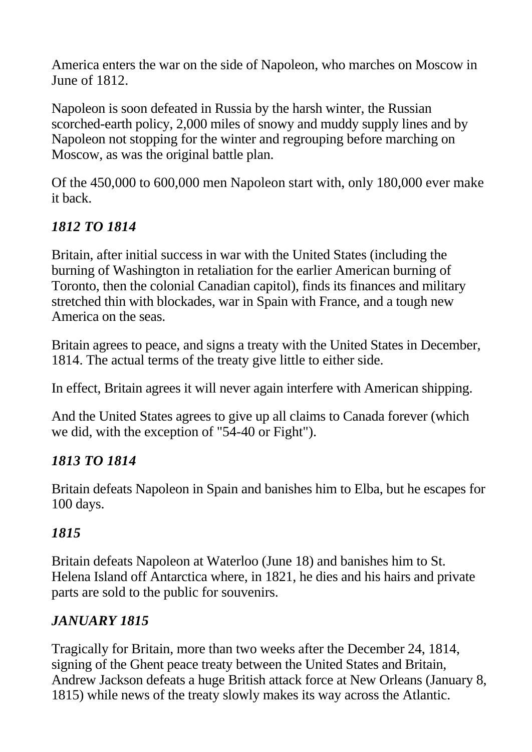America enters the war on the side of Napoleon, who marches on Moscow in June of 1812.

Napoleon is soon defeated in Russia by the harsh winter, the Russian scorched-earth policy, 2,000 miles of snowy and muddy supply lines and by Napoleon not stopping for the winter and regrouping before marching on Moscow, as was the original battle plan.

Of the 450,000 to 600,000 men Napoleon start with, only 180,000 ever make it back.

# *1812 TO 1814*

Britain, after initial success in war with the United States (including the burning of Washington in retaliation for the earlier American burning of Toronto, then the colonial Canadian capitol), finds its finances and military stretched thin with blockades, war in Spain with France, and a tough new America on the seas.

Britain agrees to peace, and signs a treaty with the United States in December, 1814. The actual terms of the treaty give little to either side.

In effect, Britain agrees it will never again interfere with American shipping.

And the United States agrees to give up all claims to Canada forever (which we did, with the exception of "54-40 or Fight").

#### *1813 TO 1814*

Britain defeats Napoleon in Spain and banishes him to Elba, but he escapes for 100 days.

#### *1815*

Britain defeats Napoleon at Waterloo (June 18) and banishes him to St. Helena Island off Antarctica where, in 1821, he dies and his hairs and private parts are sold to the public for souvenirs.

### *JANUARY 1815*

Tragically for Britain, more than two weeks after the December 24, 1814, signing of the Ghent peace treaty between the United States and Britain, Andrew Jackson defeats a huge British attack force at New Orleans (January 8, 1815) while news of the treaty slowly makes its way across the Atlantic.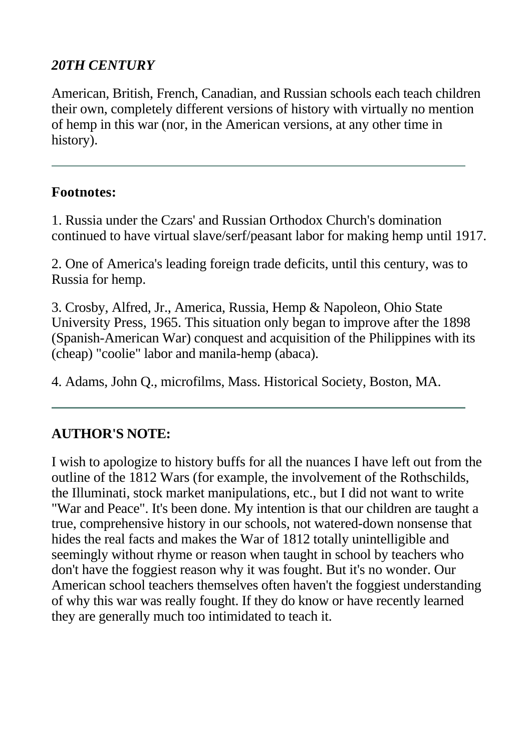#### *20TH CENTURY*

American, British, French, Canadian, and Russian schools each teach children their own, completely different versions of history with virtually no mention of hemp in this war (nor, in the American versions, at any other time in history).

#### **Footnotes:**

1. Russia under the Czars' and Russian Orthodox Church's domination continued to have virtual slave/serf/peasant labor for making hemp until 1917.

2. One of America's leading foreign trade deficits, until this century, was to Russia for hemp.

3. Crosby, Alfred, Jr., America, Russia, Hemp & Napoleon, Ohio State University Press, 1965. This situation only began to improve after the 1898 (Spanish-American War) conquest and acquisition of the Philippines with its (cheap) "coolie" labor and manila-hemp (abaca).

4. Adams, John Q., microfilms, Mass. Historical Society, Boston, MA.

### **AUTHOR'S NOTE:**

I wish to apologize to history buffs for all the nuances I have left out from the outline of the 1812 Wars (for example, the involvement of the Rothschilds, the Illuminati, stock market manipulations, etc., but I did not want to write "War and Peace". It's been done. My intention is that our children are taught a true, comprehensive history in our schools, not watered-down nonsense that hides the real facts and makes the War of 1812 totally unintelligible and seemingly without rhyme or reason when taught in school by teachers who don't have the foggiest reason why it was fought. But it's no wonder. Our American school teachers themselves often haven't the foggiest understanding of why this war was really fought. If they do know or have recently learned they are generally much too intimidated to teach it.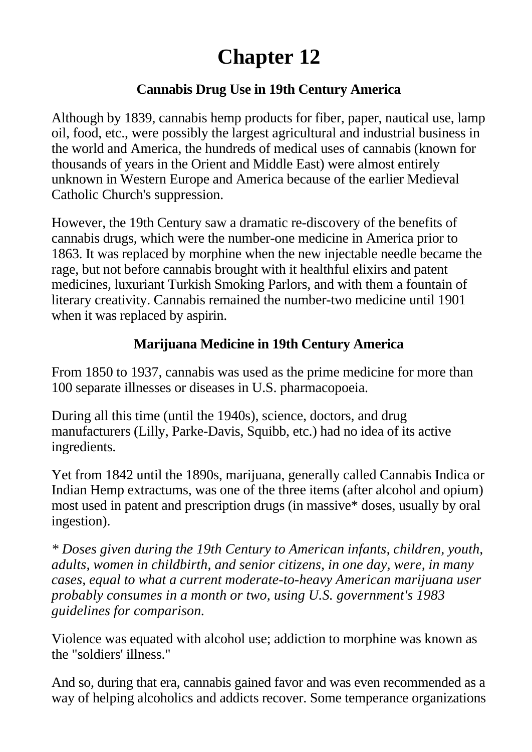# **Chapter 12**

### **Cannabis Drug Use in 19th Century America**

Although by 1839, cannabis hemp products for fiber, paper, nautical use, lamp oil, food, etc., were possibly the largest agricultural and industrial business in the world and America, the hundreds of medical uses of cannabis (known for thousands of years in the Orient and Middle East) were almost entirely unknown in Western Europe and America because of the earlier Medieval Catholic Church's suppression.

However, the 19th Century saw a dramatic re-discovery of the benefits of cannabis drugs, which were the number-one medicine in America prior to 1863. It was replaced by morphine when the new injectable needle became the rage, but not before cannabis brought with it healthful elixirs and patent medicines, luxuriant Turkish Smoking Parlors, and with them a fountain of literary creativity. Cannabis remained the number-two medicine until 1901 when it was replaced by aspirin.

#### **Marijuana Medicine in 19th Century America**

From 1850 to 1937, cannabis was used as the prime medicine for more than 100 separate illnesses or diseases in U.S. pharmacopoeia.

During all this time (until the 1940s), science, doctors, and drug manufacturers (Lilly, Parke-Davis, Squibb, etc.) had no idea of its active ingredients.

Yet from 1842 until the 1890s, marijuana, generally called Cannabis Indica or Indian Hemp extractums, was one of the three items (after alcohol and opium) most used in patent and prescription drugs (in massive\* doses, usually by oral ingestion).

*\* Doses given during the 19th Century to American infants, children, youth, adults, women in childbirth, and senior citizens, in one day, were, in many cases, equal to what a current moderate-to-heavy American marijuana user probably consumes in a month or two, using U.S. government's 1983 guidelines for comparison.* 

Violence was equated with alcohol use; addiction to morphine was known as the "soldiers' illness."

And so, during that era, cannabis gained favor and was even recommended as a way of helping alcoholics and addicts recover. Some temperance organizations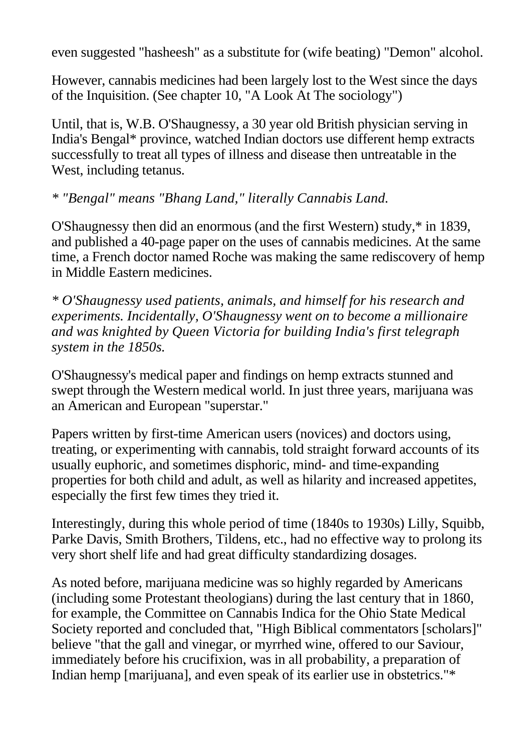even suggested "hasheesh" as a substitute for (wife beating) "Demon" alcohol.

However, cannabis medicines had been largely lost to the West since the days of the Inquisition. (See chapter 10, "A Look At The sociology")

Until, that is, W.B. O'Shaugnessy, a 30 year old British physician serving in India's Bengal\* province, watched Indian doctors use different hemp extracts successfully to treat all types of illness and disease then untreatable in the West, including tetanus.

#### *\* "Bengal" means "Bhang Land," literally Cannabis Land.*

O'Shaugnessy then did an enormous (and the first Western) study,\* in 1839, and published a 40-page paper on the uses of cannabis medicines. At the same time, a French doctor named Roche was making the same rediscovery of hemp in Middle Eastern medicines.

*\* O'Shaugnessy used patients, animals, and himself for his research and experiments. Incidentally, O'Shaugnessy went on to become a millionaire and was knighted by Queen Victoria for building India's first telegraph system in the 1850s.* 

O'Shaugnessy's medical paper and findings on hemp extracts stunned and swept through the Western medical world. In just three years, marijuana was an American and European "superstar."

Papers written by first-time American users (novices) and doctors using, treating, or experimenting with cannabis, told straight forward accounts of its usually euphoric, and sometimes disphoric, mind- and time-expanding properties for both child and adult, as well as hilarity and increased appetites, especially the first few times they tried it.

Interestingly, during this whole period of time (1840s to 1930s) Lilly, Squibb, Parke Davis, Smith Brothers, Tildens, etc., had no effective way to prolong its very short shelf life and had great difficulty standardizing dosages.

As noted before, marijuana medicine was so highly regarded by Americans (including some Protestant theologians) during the last century that in 1860, for example, the Committee on Cannabis Indica for the Ohio State Medical Society reported and concluded that, "High Biblical commentators [scholars]" believe "that the gall and vinegar, or myrrhed wine, offered to our Saviour, immediately before his crucifixion, was in all probability, a preparation of Indian hemp [marijuana], and even speak of its earlier use in obstetrics."\*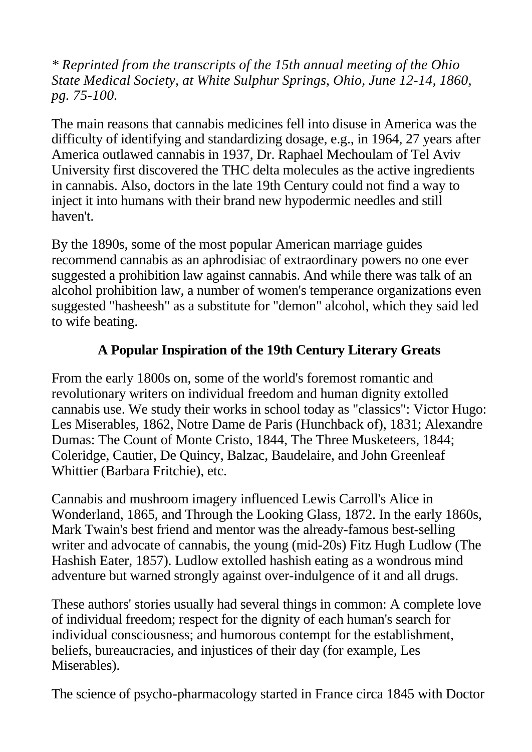*\* Reprinted from the transcripts of the 15th annual meeting of the Ohio State Medical Society, at White Sulphur Springs, Ohio, June 12-14, 1860, pg. 75-100.* 

The main reasons that cannabis medicines fell into disuse in America was the difficulty of identifying and standardizing dosage, e.g., in 1964, 27 years after America outlawed cannabis in 1937, Dr. Raphael Mechoulam of Tel Aviv University first discovered the THC delta molecules as the active ingredients in cannabis. Also, doctors in the late 19th Century could not find a way to inject it into humans with their brand new hypodermic needles and still haven't.

By the 1890s, some of the most popular American marriage guides recommend cannabis as an aphrodisiac of extraordinary powers no one ever suggested a prohibition law against cannabis. And while there was talk of an alcohol prohibition law, a number of women's temperance organizations even suggested "hasheesh" as a substitute for "demon" alcohol, which they said led to wife beating.

### **A Popular Inspiration of the 19th Century Literary Greats**

From the early 1800s on, some of the world's foremost romantic and revolutionary writers on individual freedom and human dignity extolled cannabis use. We study their works in school today as "classics": Victor Hugo: Les Miserables, 1862, Notre Dame de Paris (Hunchback of), 1831; Alexandre Dumas: The Count of Monte Cristo, 1844, The Three Musketeers, 1844; Coleridge, Cautier, De Quincy, Balzac, Baudelaire, and John Greenleaf Whittier (Barbara Fritchie), etc.

Cannabis and mushroom imagery influenced Lewis Carroll's Alice in Wonderland, 1865, and Through the Looking Glass, 1872. In the early 1860s, Mark Twain's best friend and mentor was the already-famous best-selling writer and advocate of cannabis, the young (mid-20s) Fitz Hugh Ludlow (The Hashish Eater, 1857). Ludlow extolled hashish eating as a wondrous mind adventure but warned strongly against over-indulgence of it and all drugs.

These authors' stories usually had several things in common: A complete love of individual freedom; respect for the dignity of each human's search for individual consciousness; and humorous contempt for the establishment, beliefs, bureaucracies, and injustices of their day (for example, Les Miserables).

The science of psycho-pharmacology started in France circa 1845 with Doctor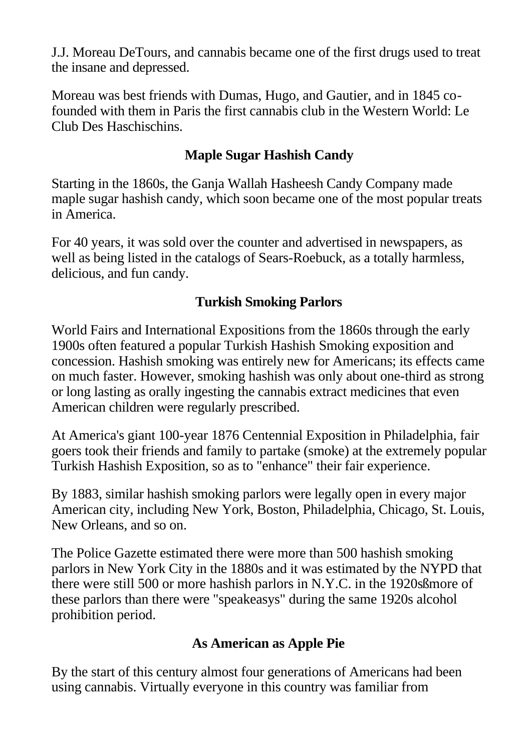J.J. Moreau DeTours, and cannabis became one of the first drugs used to treat the insane and depressed.

Moreau was best friends with Dumas, Hugo, and Gautier, and in 1845 cofounded with them in Paris the first cannabis club in the Western World: Le Club Des Haschischins.

#### **Maple Sugar Hashish Candy**

Starting in the 1860s, the Ganja Wallah Hasheesh Candy Company made maple sugar hashish candy, which soon became one of the most popular treats in America.

For 40 years, it was sold over the counter and advertised in newspapers, as well as being listed in the catalogs of Sears-Roebuck, as a totally harmless, delicious, and fun candy.

#### **Turkish Smoking Parlors**

World Fairs and International Expositions from the 1860s through the early 1900s often featured a popular Turkish Hashish Smoking exposition and concession. Hashish smoking was entirely new for Americans; its effects came on much faster. However, smoking hashish was only about one-third as strong or long lasting as orally ingesting the cannabis extract medicines that even American children were regularly prescribed.

At America's giant 100-year 1876 Centennial Exposition in Philadelphia, fair goers took their friends and family to partake (smoke) at the extremely popular Turkish Hashish Exposition, so as to "enhance" their fair experience.

By 1883, similar hashish smoking parlors were legally open in every major American city, including New York, Boston, Philadelphia, Chicago, St. Louis, New Orleans, and so on.

The Police Gazette estimated there were more than 500 hashish smoking parlors in New York City in the 1880s and it was estimated by the NYPD that there were still 500 or more hashish parlors in N.Y.C. in the 1920sßmore of these parlors than there were "speakeasys" during the same 1920s alcohol prohibition period.

#### **As American as Apple Pie**

By the start of this century almost four generations of Americans had been using cannabis. Virtually everyone in this country was familiar from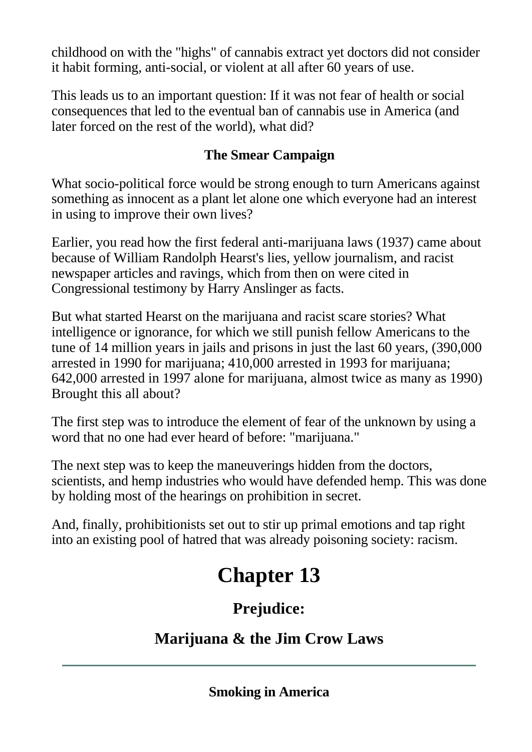childhood on with the "highs" of cannabis extract yet doctors did not consider it habit forming, anti-social, or violent at all after 60 years of use.

This leads us to an important question: If it was not fear of health or social consequences that led to the eventual ban of cannabis use in America (and later forced on the rest of the world), what did?

### **The Smear Campaign**

What socio-political force would be strong enough to turn Americans against something as innocent as a plant let alone one which everyone had an interest in using to improve their own lives?

Earlier, you read how the first federal anti-marijuana laws (1937) came about because of William Randolph Hearst's lies, yellow journalism, and racist newspaper articles and ravings, which from then on were cited in Congressional testimony by Harry Anslinger as facts.

But what started Hearst on the marijuana and racist scare stories? What intelligence or ignorance, for which we still punish fellow Americans to the tune of 14 million years in jails and prisons in just the last 60 years, (390,000 arrested in 1990 for marijuana; 410,000 arrested in 1993 for marijuana; 642,000 arrested in 1997 alone for marijuana, almost twice as many as 1990) Brought this all about?

The first step was to introduce the element of fear of the unknown by using a word that no one had ever heard of before: "marijuana."

The next step was to keep the maneuverings hidden from the doctors, scientists, and hemp industries who would have defended hemp. This was done by holding most of the hearings on prohibition in secret.

And, finally, prohibitionists set out to stir up primal emotions and tap right into an existing pool of hatred that was already poisoning society: racism.

# **Chapter 13**

# **Prejudice:**

# **Marijuana & the Jim Crow Laws**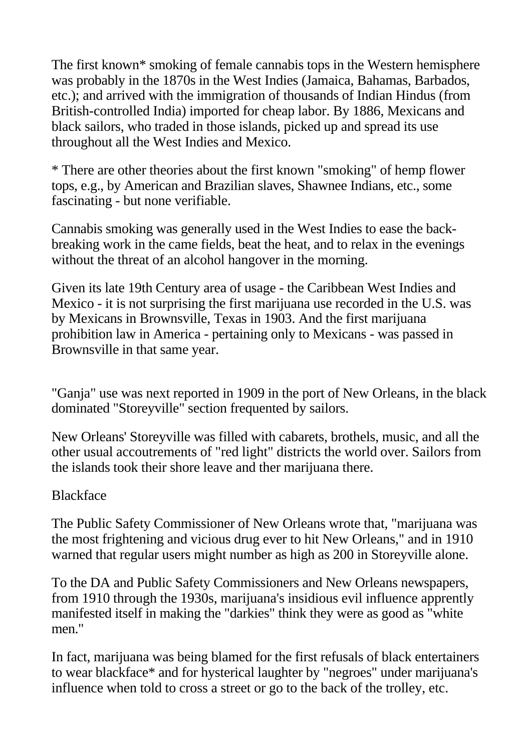The first known\* smoking of female cannabis tops in the Western hemisphere was probably in the 1870s in the West Indies (Jamaica, Bahamas, Barbados, etc.); and arrived with the immigration of thousands of Indian Hindus (from British-controlled India) imported for cheap labor. By 1886, Mexicans and black sailors, who traded in those islands, picked up and spread its use throughout all the West Indies and Mexico.

\* There are other theories about the first known "smoking" of hemp flower tops, e.g., by American and Brazilian slaves, Shawnee Indians, etc., some fascinating - but none verifiable.

Cannabis smoking was generally used in the West Indies to ease the backbreaking work in the came fields, beat the heat, and to relax in the evenings without the threat of an alcohol hangover in the morning.

Given its late 19th Century area of usage - the Caribbean West Indies and Mexico - it is not surprising the first marijuana use recorded in the U.S. was by Mexicans in Brownsville, Texas in 1903. And the first marijuana prohibition law in America - pertaining only to Mexicans - was passed in Brownsville in that same year.

"Ganja" use was next reported in 1909 in the port of New Orleans, in the black dominated "Storeyville" section frequented by sailors.

New Orleans' Storeyville was filled with cabarets, brothels, music, and all the other usual accoutrements of "red light" districts the world over. Sailors from the islands took their shore leave and ther marijuana there.

#### **Blackface**

The Public Safety Commissioner of New Orleans wrote that, "marijuana was the most frightening and vicious drug ever to hit New Orleans," and in 1910 warned that regular users might number as high as 200 in Storeyville alone.

To the DA and Public Safety Commissioners and New Orleans newspapers, from 1910 through the 1930s, marijuana's insidious evil influence apprently manifested itself in making the "darkies" think they were as good as "white men."

In fact, marijuana was being blamed for the first refusals of black entertainers to wear blackface\* and for hysterical laughter by "negroes" under marijuana's influence when told to cross a street or go to the back of the trolley, etc.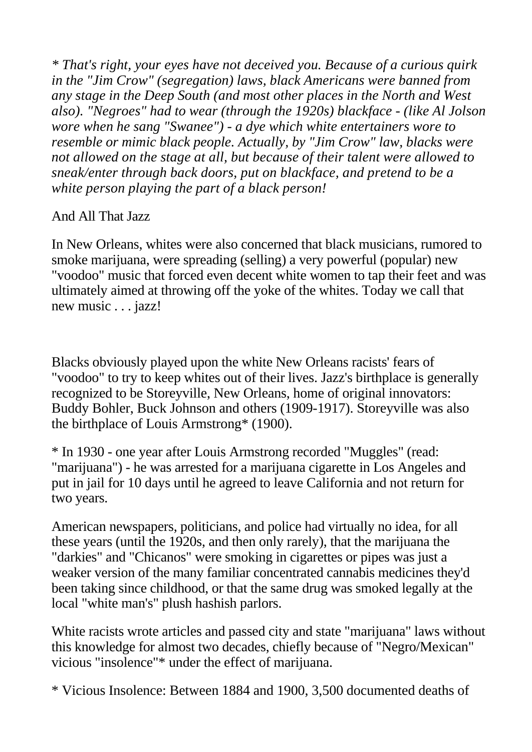*\* That's right, your eyes have not deceived you. Because of a curious quirk in the "Jim Crow" (segregation) laws, black Americans were banned from any stage in the Deep South (and most other places in the North and West also). "Negroes" had to wear (through the 1920s) blackface - (like Al Jolson wore when he sang "Swanee") - a dye which white entertainers wore to resemble or mimic black people. Actually, by "Jim Crow" law, blacks were not allowed on the stage at all, but because of their talent were allowed to sneak/enter through back doors, put on blackface, and pretend to be a white person playing the part of a black person!*

#### And All That Jazz

In New Orleans, whites were also concerned that black musicians, rumored to smoke marijuana, were spreading (selling) a very powerful (popular) new "voodoo" music that forced even decent white women to tap their feet and was ultimately aimed at throwing off the yoke of the whites. Today we call that new music . . . jazz!

Blacks obviously played upon the white New Orleans racists' fears of "voodoo" to try to keep whites out of their lives. Jazz's birthplace is generally recognized to be Storeyville, New Orleans, home of original innovators: Buddy Bohler, Buck Johnson and others (1909-1917). Storeyville was also the birthplace of Louis Armstrong\* (1900).

\* In 1930 - one year after Louis Armstrong recorded "Muggles" (read: "marijuana") - he was arrested for a marijuana cigarette in Los Angeles and put in jail for 10 days until he agreed to leave California and not return for two years.

American newspapers, politicians, and police had virtually no idea, for all these years (until the 1920s, and then only rarely), that the marijuana the "darkies" and "Chicanos" were smoking in cigarettes or pipes was just a weaker version of the many familiar concentrated cannabis medicines they'd been taking since childhood, or that the same drug was smoked legally at the local "white man's" plush hashish parlors.

White racists wrote articles and passed city and state "marijuana" laws without this knowledge for almost two decades, chiefly because of "Negro/Mexican" vicious "insolence"\* under the effect of marijuana.

\* Vicious Insolence: Between 1884 and 1900, 3,500 documented deaths of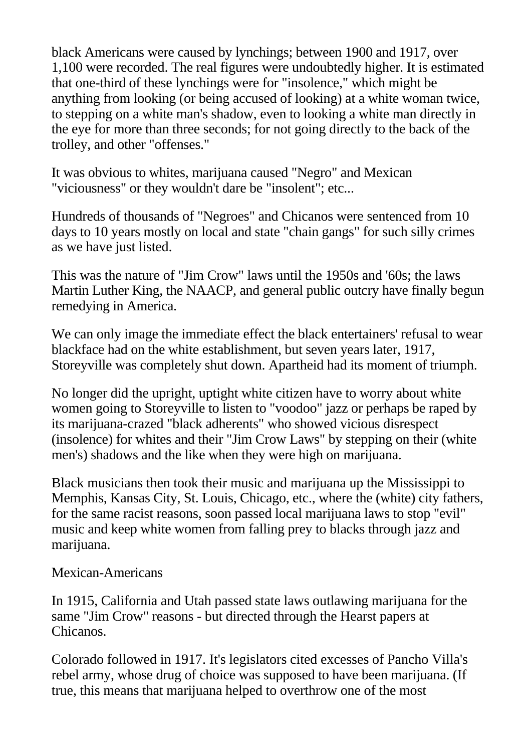black Americans were caused by lynchings; between 1900 and 1917, over 1,100 were recorded. The real figures were undoubtedly higher. It is estimated that one-third of these lynchings were for "insolence," which might be anything from looking (or being accused of looking) at a white woman twice, to stepping on a white man's shadow, even to looking a white man directly in the eye for more than three seconds; for not going directly to the back of the trolley, and other "offenses."

It was obvious to whites, marijuana caused "Negro" and Mexican "viciousness" or they wouldn't dare be "insolent"; etc...

Hundreds of thousands of "Negroes" and Chicanos were sentenced from 10 days to 10 years mostly on local and state "chain gangs" for such silly crimes as we have just listed.

This was the nature of "Jim Crow" laws until the 1950s and '60s; the laws Martin Luther King, the NAACP, and general public outcry have finally begun remedying in America.

We can only image the immediate effect the black entertainers' refusal to wear blackface had on the white establishment, but seven years later, 1917, Storeyville was completely shut down. Apartheid had its moment of triumph.

No longer did the upright, uptight white citizen have to worry about white women going to Storeyville to listen to "voodoo" jazz or perhaps be raped by its marijuana-crazed "black adherents" who showed vicious disrespect (insolence) for whites and their "Jim Crow Laws" by stepping on their (white men's) shadows and the like when they were high on marijuana.

Black musicians then took their music and marijuana up the Mississippi to Memphis, Kansas City, St. Louis, Chicago, etc., where the (white) city fathers, for the same racist reasons, soon passed local marijuana laws to stop "evil" music and keep white women from falling prey to blacks through jazz and marijuana.

Mexican-Americans

In 1915, California and Utah passed state laws outlawing marijuana for the same "Jim Crow" reasons - but directed through the Hearst papers at Chicanos.

Colorado followed in 1917. It's legislators cited excesses of Pancho Villa's rebel army, whose drug of choice was supposed to have been marijuana. (If true, this means that marijuana helped to overthrow one of the most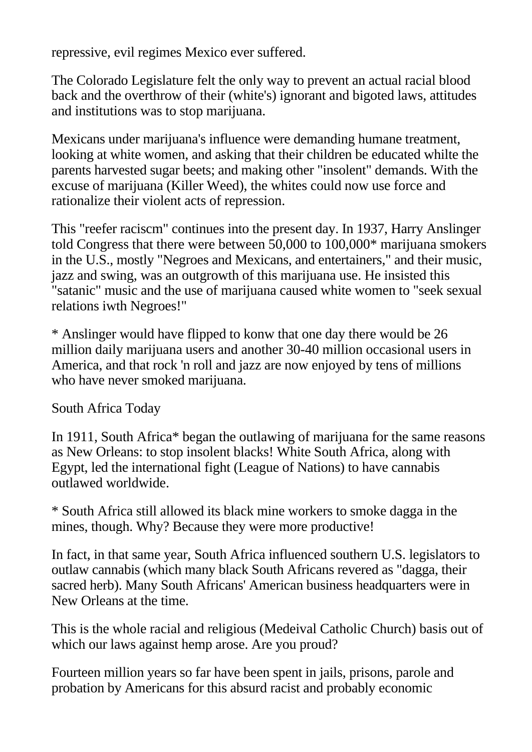repressive, evil regimes Mexico ever suffered.

The Colorado Legislature felt the only way to prevent an actual racial blood back and the overthrow of their (white's) ignorant and bigoted laws, attitudes and institutions was to stop marijuana.

Mexicans under marijuana's influence were demanding humane treatment, looking at white women, and asking that their children be educated whilte the parents harvested sugar beets; and making other "insolent" demands. With the excuse of marijuana (Killer Weed), the whites could now use force and rationalize their violent acts of repression.

This "reefer raciscm" continues into the present day. In 1937, Harry Anslinger told Congress that there were between 50,000 to 100,000\* marijuana smokers in the U.S., mostly "Negroes and Mexicans, and entertainers," and their music, jazz and swing, was an outgrowth of this marijuana use. He insisted this "satanic" music and the use of marijuana caused white women to "seek sexual relations iwth Negroes!"

\* Anslinger would have flipped to konw that one day there would be 26 million daily marijuana users and another 30-40 million occasional users in America, and that rock 'n roll and jazz are now enjoyed by tens of millions who have never smoked marijuana.

South Africa Today

In 1911, South Africa\* began the outlawing of marijuana for the same reasons as New Orleans: to stop insolent blacks! White South Africa, along with Egypt, led the international fight (League of Nations) to have cannabis outlawed worldwide.

\* South Africa still allowed its black mine workers to smoke dagga in the mines, though. Why? Because they were more productive!

In fact, in that same year, South Africa influenced southern U.S. legislators to outlaw cannabis (which many black South Africans revered as "dagga, their sacred herb). Many South Africans' American business headquarters were in New Orleans at the time.

This is the whole racial and religious (Medeival Catholic Church) basis out of which our laws against hemp arose. Are you proud?

Fourteen million years so far have been spent in jails, prisons, parole and probation by Americans for this absurd racist and probably economic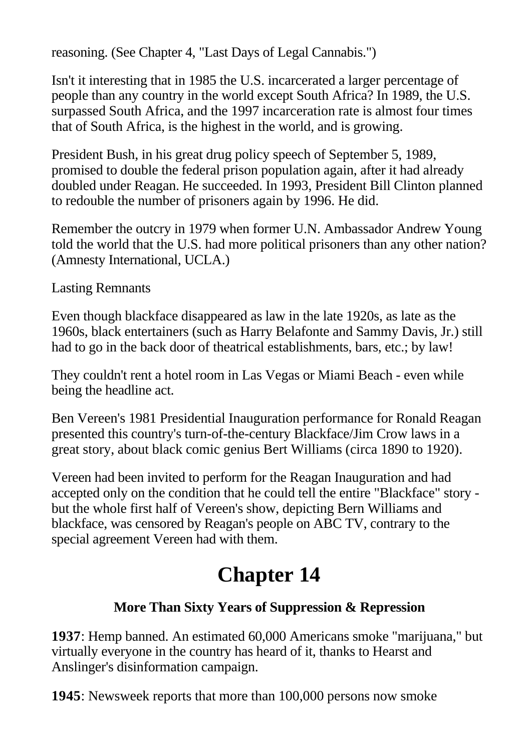reasoning. (See Chapter 4, "Last Days of Legal Cannabis.")

Isn't it interesting that in 1985 the U.S. incarcerated a larger percentage of people than any country in the world except South Africa? In 1989, the U.S. surpassed South Africa, and the 1997 incarceration rate is almost four times that of South Africa, is the highest in the world, and is growing.

President Bush, in his great drug policy speech of September 5, 1989, promised to double the federal prison population again, after it had already doubled under Reagan. He succeeded. In 1993, President Bill Clinton planned to redouble the number of prisoners again by 1996. He did.

Remember the outcry in 1979 when former U.N. Ambassador Andrew Young told the world that the U.S. had more political prisoners than any other nation? (Amnesty International, UCLA.)

Lasting Remnants

Even though blackface disappeared as law in the late 1920s, as late as the 1960s, black entertainers (such as Harry Belafonte and Sammy Davis, Jr.) still had to go in the back door of theatrical establishments, bars, etc.; by law!

They couldn't rent a hotel room in Las Vegas or Miami Beach - even while being the headline act.

Ben Vereen's 1981 Presidential Inauguration performance for Ronald Reagan presented this country's turn-of-the-century Blackface/Jim Crow laws in a great story, about black comic genius Bert Williams (circa 1890 to 1920).

Vereen had been invited to perform for the Reagan Inauguration and had accepted only on the condition that he could tell the entire "Blackface" story but the whole first half of Vereen's show, depicting Bern Williams and blackface, was censored by Reagan's people on ABC TV, contrary to the special agreement Vereen had with them.

# **Chapter 14**

### **More Than Sixty Years of Suppression & Repression**

**1937**: Hemp banned. An estimated 60,000 Americans smoke "marijuana," but virtually everyone in the country has heard of it, thanks to Hearst and Anslinger's disinformation campaign.

**1945**: Newsweek reports that more than 100,000 persons now smoke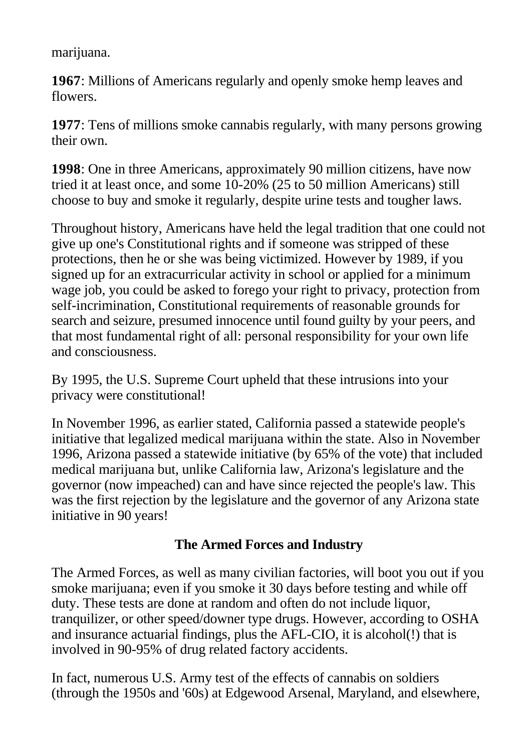marijuana.

**1967**: Millions of Americans regularly and openly smoke hemp leaves and flowers.

**1977**: Tens of millions smoke cannabis regularly, with many persons growing their own.

**1998**: One in three Americans, approximately 90 million citizens, have now tried it at least once, and some 10-20% (25 to 50 million Americans) still choose to buy and smoke it regularly, despite urine tests and tougher laws.

Throughout history, Americans have held the legal tradition that one could not give up one's Constitutional rights and if someone was stripped of these protections, then he or she was being victimized. However by 1989, if you signed up for an extracurricular activity in school or applied for a minimum wage job, you could be asked to forego your right to privacy, protection from self-incrimination, Constitutional requirements of reasonable grounds for search and seizure, presumed innocence until found guilty by your peers, and that most fundamental right of all: personal responsibility for your own life and consciousness.

By 1995, the U.S. Supreme Court upheld that these intrusions into your privacy were constitutional!

In November 1996, as earlier stated, California passed a statewide people's initiative that legalized medical marijuana within the state. Also in November 1996, Arizona passed a statewide initiative (by 65% of the vote) that included medical marijuana but, unlike California law, Arizona's legislature and the governor (now impeached) can and have since rejected the people's law. This was the first rejection by the legislature and the governor of any Arizona state initiative in 90 years!

### **The Armed Forces and Industry**

The Armed Forces, as well as many civilian factories, will boot you out if you smoke marijuana; even if you smoke it 30 days before testing and while off duty. These tests are done at random and often do not include liquor, tranquilizer, or other speed/downer type drugs. However, according to OSHA and insurance actuarial findings, plus the AFL-CIO, it is alcohol(!) that is involved in 90-95% of drug related factory accidents.

In fact, numerous U.S. Army test of the effects of cannabis on soldiers (through the 1950s and '60s) at Edgewood Arsenal, Maryland, and elsewhere,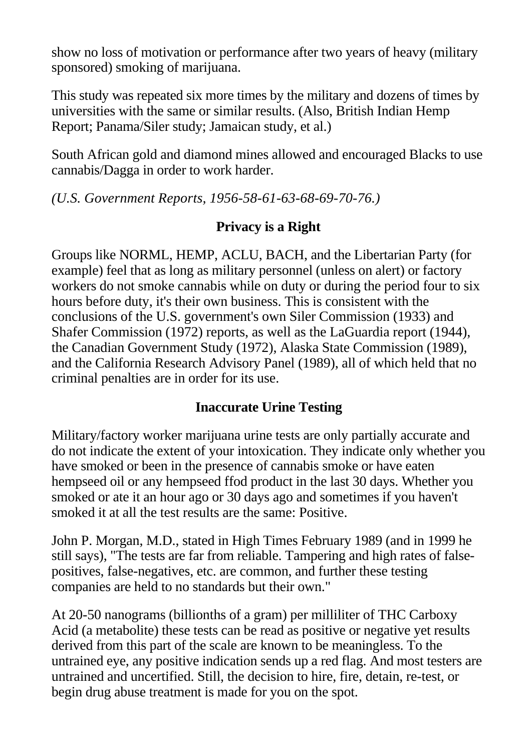show no loss of motivation or performance after two years of heavy (military sponsored) smoking of marijuana.

This study was repeated six more times by the military and dozens of times by universities with the same or similar results. (Also, British Indian Hemp Report; Panama/Siler study; Jamaican study, et al.)

South African gold and diamond mines allowed and encouraged Blacks to use cannabis/Dagga in order to work harder.

*(U.S. Government Reports, 1956-58-61-63-68-69-70-76.)* 

# **Privacy is a Right**

Groups like NORML, HEMP, ACLU, BACH, and the Libertarian Party (for example) feel that as long as military personnel (unless on alert) or factory workers do not smoke cannabis while on duty or during the period four to six hours before duty, it's their own business. This is consistent with the conclusions of the U.S. government's own Siler Commission (1933) and Shafer Commission (1972) reports, as well as the LaGuardia report (1944), the Canadian Government Study (1972), Alaska State Commission (1989), and the California Research Advisory Panel (1989), all of which held that no criminal penalties are in order for its use.

### **Inaccurate Urine Testing**

Military/factory worker marijuana urine tests are only partially accurate and do not indicate the extent of your intoxication. They indicate only whether you have smoked or been in the presence of cannabis smoke or have eaten hempseed oil or any hempseed ffod product in the last 30 days. Whether you smoked or ate it an hour ago or 30 days ago and sometimes if you haven't smoked it at all the test results are the same: Positive.

John P. Morgan, M.D., stated in High Times February 1989 (and in 1999 he still says), "The tests are far from reliable. Tampering and high rates of falsepositives, false-negatives, etc. are common, and further these testing companies are held to no standards but their own."

At 20-50 nanograms (billionths of a gram) per milliliter of THC Carboxy Acid (a metabolite) these tests can be read as positive or negative yet results derived from this part of the scale are known to be meaningless. To the untrained eye, any positive indication sends up a red flag. And most testers are untrained and uncertified. Still, the decision to hire, fire, detain, re-test, or begin drug abuse treatment is made for you on the spot.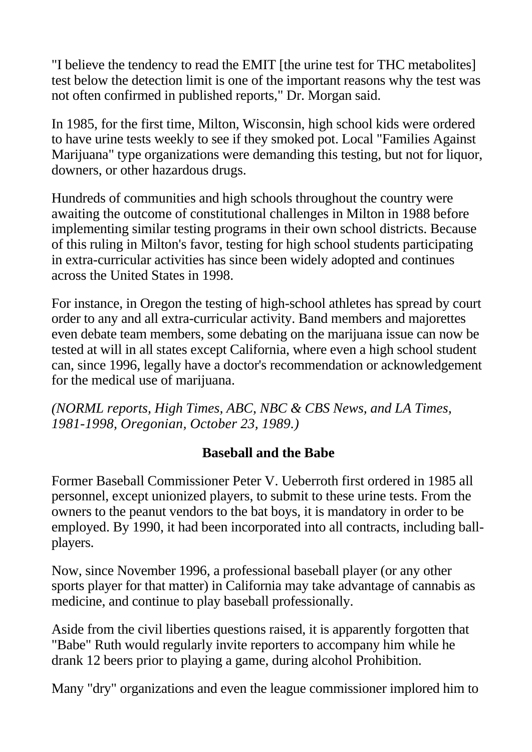"I believe the tendency to read the EMIT [the urine test for THC metabolites] test below the detection limit is one of the important reasons why the test was not often confirmed in published reports," Dr. Morgan said.

In 1985, for the first time, Milton, Wisconsin, high school kids were ordered to have urine tests weekly to see if they smoked pot. Local "Families Against Marijuana" type organizations were demanding this testing, but not for liquor, downers, or other hazardous drugs.

Hundreds of communities and high schools throughout the country were awaiting the outcome of constitutional challenges in Milton in 1988 before implementing similar testing programs in their own school districts. Because of this ruling in Milton's favor, testing for high school students participating in extra-curricular activities has since been widely adopted and continues across the United States in 1998.

For instance, in Oregon the testing of high-school athletes has spread by court order to any and all extra-curricular activity. Band members and majorettes even debate team members, some debating on the marijuana issue can now be tested at will in all states except California, where even a high school student can, since 1996, legally have a doctor's recommendation or acknowledgement for the medical use of marijuana.

*(NORML reports, High Times, ABC, NBC & CBS News, and LA Times, 1981-1998, Oregonian, October 23, 1989.)* 

### **Baseball and the Babe**

Former Baseball Commissioner Peter V. Ueberroth first ordered in 1985 all personnel, except unionized players, to submit to these urine tests. From the owners to the peanut vendors to the bat boys, it is mandatory in order to be employed. By 1990, it had been incorporated into all contracts, including ballplayers.

Now, since November 1996, a professional baseball player (or any other sports player for that matter) in California may take advantage of cannabis as medicine, and continue to play baseball professionally.

Aside from the civil liberties questions raised, it is apparently forgotten that "Babe" Ruth would regularly invite reporters to accompany him while he drank 12 beers prior to playing a game, during alcohol Prohibition.

Many "dry" organizations and even the league commissioner implored him to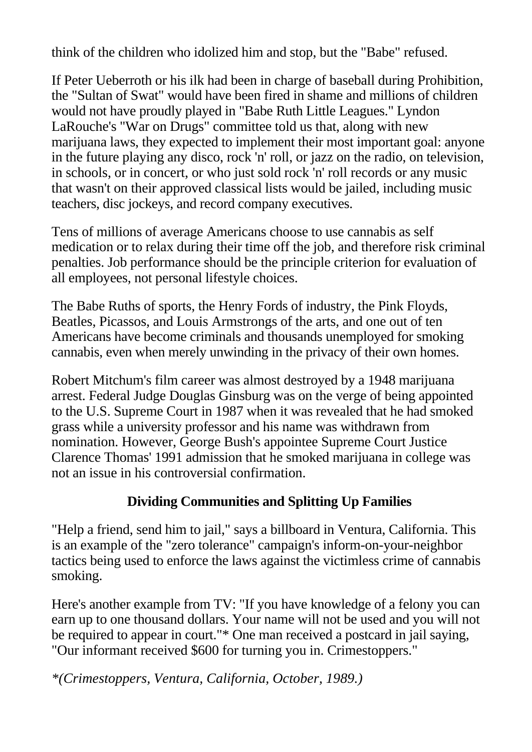think of the children who idolized him and stop, but the "Babe" refused.

If Peter Ueberroth or his ilk had been in charge of baseball during Prohibition, the "Sultan of Swat" would have been fired in shame and millions of children would not have proudly played in "Babe Ruth Little Leagues." Lyndon LaRouche's "War on Drugs" committee told us that, along with new marijuana laws, they expected to implement their most important goal: anyone in the future playing any disco, rock 'n' roll, or jazz on the radio, on television, in schools, or in concert, or who just sold rock 'n' roll records or any music that wasn't on their approved classical lists would be jailed, including music teachers, disc jockeys, and record company executives.

Tens of millions of average Americans choose to use cannabis as self medication or to relax during their time off the job, and therefore risk criminal penalties. Job performance should be the principle criterion for evaluation of all employees, not personal lifestyle choices.

The Babe Ruths of sports, the Henry Fords of industry, the Pink Floyds, Beatles, Picassos, and Louis Armstrongs of the arts, and one out of ten Americans have become criminals and thousands unemployed for smoking cannabis, even when merely unwinding in the privacy of their own homes.

Robert Mitchum's film career was almost destroyed by a 1948 marijuana arrest. Federal Judge Douglas Ginsburg was on the verge of being appointed to the U.S. Supreme Court in 1987 when it was revealed that he had smoked grass while a university professor and his name was withdrawn from nomination. However, George Bush's appointee Supreme Court Justice Clarence Thomas' 1991 admission that he smoked marijuana in college was not an issue in his controversial confirmation.

### **Dividing Communities and Splitting Up Families**

"Help a friend, send him to jail," says a billboard in Ventura, California. This is an example of the "zero tolerance" campaign's inform-on-your-neighbor tactics being used to enforce the laws against the victimless crime of cannabis smoking.

Here's another example from TV: "If you have knowledge of a felony you can earn up to one thousand dollars. Your name will not be used and you will not be required to appear in court."\* One man received a postcard in jail saying, "Our informant received \$600 for turning you in. Crimestoppers."

*\*(Crimestoppers, Ventura, California, October, 1989.)*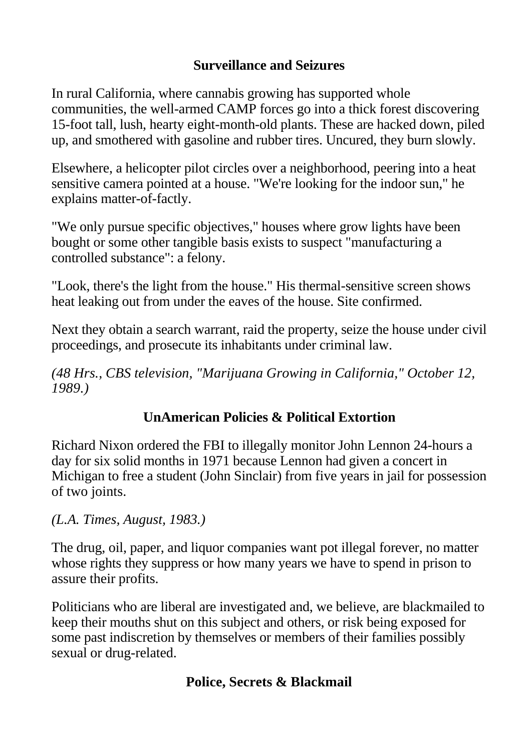#### **Surveillance and Seizures**

In rural California, where cannabis growing has supported whole communities, the well-armed CAMP forces go into a thick forest discovering 15-foot tall, lush, hearty eight-month-old plants. These are hacked down, piled up, and smothered with gasoline and rubber tires. Uncured, they burn slowly.

Elsewhere, a helicopter pilot circles over a neighborhood, peering into a heat sensitive camera pointed at a house. "We're looking for the indoor sun," he explains matter-of-factly.

"We only pursue specific objectives," houses where grow lights have been bought or some other tangible basis exists to suspect "manufacturing a controlled substance": a felony.

"Look, there's the light from the house." His thermal-sensitive screen shows heat leaking out from under the eaves of the house. Site confirmed.

Next they obtain a search warrant, raid the property, seize the house under civil proceedings, and prosecute its inhabitants under criminal law.

*(48 Hrs., CBS television, "Marijuana Growing in California," October 12, 1989.)* 

### **UnAmerican Policies & Political Extortion**

Richard Nixon ordered the FBI to illegally monitor John Lennon 24-hours a day for six solid months in 1971 because Lennon had given a concert in Michigan to free a student (John Sinclair) from five years in jail for possession of two joints.

*(L.A. Times, August, 1983.)* 

The drug, oil, paper, and liquor companies want pot illegal forever, no matter whose rights they suppress or how many years we have to spend in prison to assure their profits.

Politicians who are liberal are investigated and, we believe, are blackmailed to keep their mouths shut on this subject and others, or risk being exposed for some past indiscretion by themselves or members of their families possibly sexual or drug-related.

### **Police, Secrets & Blackmail**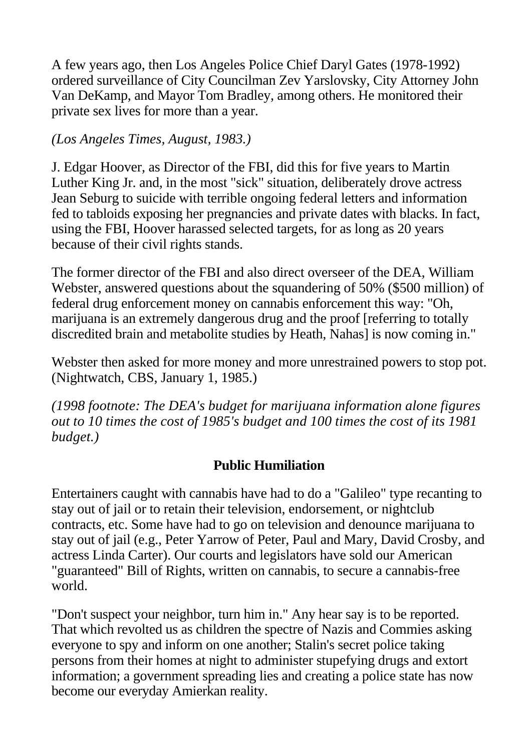A few years ago, then Los Angeles Police Chief Daryl Gates (1978-1992) ordered surveillance of City Councilman Zev Yarslovsky, City Attorney John Van DeKamp, and Mayor Tom Bradley, among others. He monitored their private sex lives for more than a year.

#### *(Los Angeles Times, August, 1983.)*

J. Edgar Hoover, as Director of the FBI, did this for five years to Martin Luther King Jr. and, in the most "sick" situation, deliberately drove actress Jean Seburg to suicide with terrible ongoing federal letters and information fed to tabloids exposing her pregnancies and private dates with blacks. In fact, using the FBI, Hoover harassed selected targets, for as long as 20 years because of their civil rights stands.

The former director of the FBI and also direct overseer of the DEA, William Webster, answered questions about the squandering of 50% (\$500 million) of federal drug enforcement money on cannabis enforcement this way: "Oh, marijuana is an extremely dangerous drug and the proof [referring to totally discredited brain and metabolite studies by Heath, Nahas] is now coming in."

Webster then asked for more money and more unrestrained powers to stop pot. (Nightwatch, CBS, January 1, 1985.)

*(1998 footnote: The DEA's budget for marijuana information alone figures out to 10 times the cost of 1985's budget and 100 times the cost of its 1981 budget.)* 

#### **Public Humiliation**

Entertainers caught with cannabis have had to do a "Galileo" type recanting to stay out of jail or to retain their television, endorsement, or nightclub contracts, etc. Some have had to go on television and denounce marijuana to stay out of jail (e.g., Peter Yarrow of Peter, Paul and Mary, David Crosby, and actress Linda Carter). Our courts and legislators have sold our American "guaranteed" Bill of Rights, written on cannabis, to secure a cannabis-free world.

"Don't suspect your neighbor, turn him in." Any hear say is to be reported. That which revolted us as children the spectre of Nazis and Commies asking everyone to spy and inform on one another; Stalin's secret police taking persons from their homes at night to administer stupefying drugs and extort information; a government spreading lies and creating a police state has now become our everyday Amierkan reality.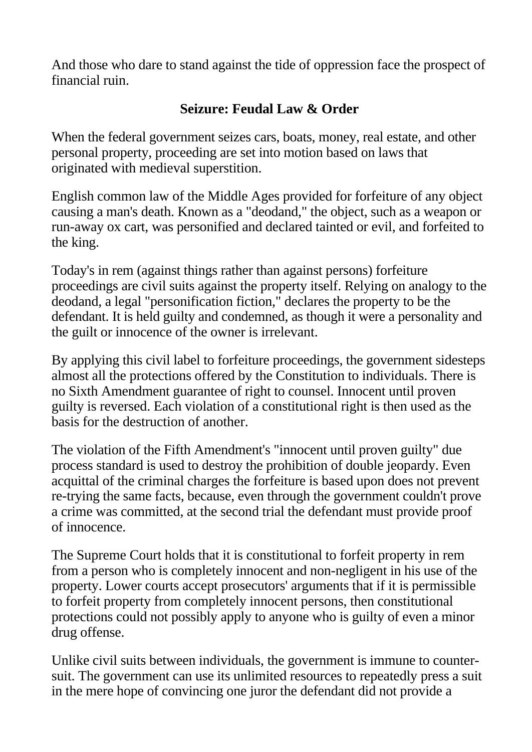And those who dare to stand against the tide of oppression face the prospect of financial ruin.

#### **Seizure: Feudal Law & Order**

When the federal government seizes cars, boats, money, real estate, and other personal property, proceeding are set into motion based on laws that originated with medieval superstition.

English common law of the Middle Ages provided for forfeiture of any object causing a man's death. Known as a "deodand," the object, such as a weapon or run-away ox cart, was personified and declared tainted or evil, and forfeited to the king.

Today's in rem (against things rather than against persons) forfeiture proceedings are civil suits against the property itself. Relying on analogy to the deodand, a legal "personification fiction," declares the property to be the defendant. It is held guilty and condemned, as though it were a personality and the guilt or innocence of the owner is irrelevant.

By applying this civil label to forfeiture proceedings, the government sidesteps almost all the protections offered by the Constitution to individuals. There is no Sixth Amendment guarantee of right to counsel. Innocent until proven guilty is reversed. Each violation of a constitutional right is then used as the basis for the destruction of another.

The violation of the Fifth Amendment's "innocent until proven guilty" due process standard is used to destroy the prohibition of double jeopardy. Even acquittal of the criminal charges the forfeiture is based upon does not prevent re-trying the same facts, because, even through the government couldn't prove a crime was committed, at the second trial the defendant must provide proof of innocence.

The Supreme Court holds that it is constitutional to forfeit property in rem from a person who is completely innocent and non-negligent in his use of the property. Lower courts accept prosecutors' arguments that if it is permissible to forfeit property from completely innocent persons, then constitutional protections could not possibly apply to anyone who is guilty of even a minor drug offense.

Unlike civil suits between individuals, the government is immune to countersuit. The government can use its unlimited resources to repeatedly press a suit in the mere hope of convincing one juror the defendant did not provide a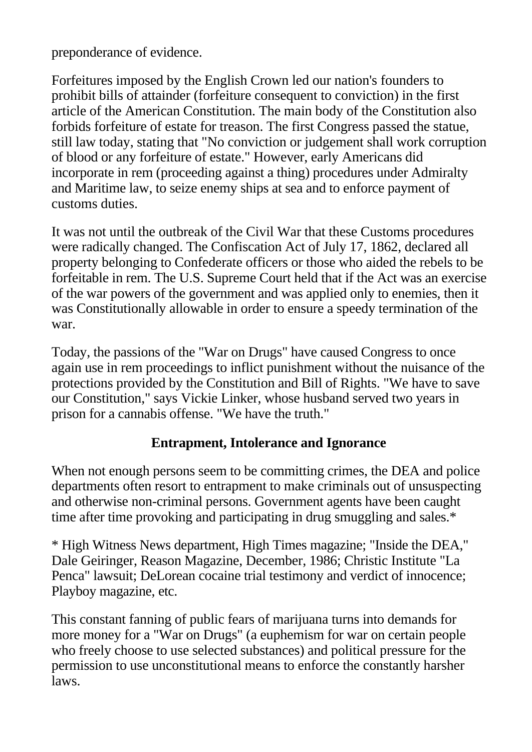preponderance of evidence.

Forfeitures imposed by the English Crown led our nation's founders to prohibit bills of attainder (forfeiture consequent to conviction) in the first article of the American Constitution. The main body of the Constitution also forbids forfeiture of estate for treason. The first Congress passed the statue, still law today, stating that "No conviction or judgement shall work corruption of blood or any forfeiture of estate." However, early Americans did incorporate in rem (proceeding against a thing) procedures under Admiralty and Maritime law, to seize enemy ships at sea and to enforce payment of customs duties.

It was not until the outbreak of the Civil War that these Customs procedures were radically changed. The Confiscation Act of July 17, 1862, declared all property belonging to Confederate officers or those who aided the rebels to be forfeitable in rem. The U.S. Supreme Court held that if the Act was an exercise of the war powers of the government and was applied only to enemies, then it was Constitutionally allowable in order to ensure a speedy termination of the war.

Today, the passions of the "War on Drugs" have caused Congress to once again use in rem proceedings to inflict punishment without the nuisance of the protections provided by the Constitution and Bill of Rights. "We have to save our Constitution," says Vickie Linker, whose husband served two years in prison for a cannabis offense. "We have the truth."

### **Entrapment, Intolerance and Ignorance**

When not enough persons seem to be committing crimes, the DEA and police departments often resort to entrapment to make criminals out of unsuspecting and otherwise non-criminal persons. Government agents have been caught time after time provoking and participating in drug smuggling and sales.\*

\* High Witness News department, High Times magazine; "Inside the DEA," Dale Geiringer, Reason Magazine, December, 1986; Christic Institute "La Penca" lawsuit; DeLorean cocaine trial testimony and verdict of innocence; Playboy magazine, etc.

This constant fanning of public fears of marijuana turns into demands for more money for a "War on Drugs" (a euphemism for war on certain people who freely choose to use selected substances) and political pressure for the permission to use unconstitutional means to enforce the constantly harsher laws.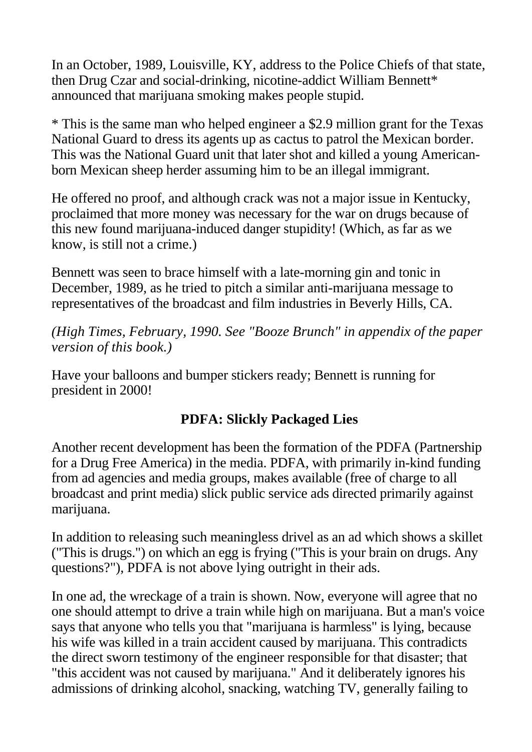In an October, 1989, Louisville, KY, address to the Police Chiefs of that state, then Drug Czar and social-drinking, nicotine-addict William Bennett\* announced that marijuana smoking makes people stupid.

\* This is the same man who helped engineer a \$2.9 million grant for the Texas National Guard to dress its agents up as cactus to patrol the Mexican border. This was the National Guard unit that later shot and killed a young Americanborn Mexican sheep herder assuming him to be an illegal immigrant.

He offered no proof, and although crack was not a major issue in Kentucky, proclaimed that more money was necessary for the war on drugs because of this new found marijuana-induced danger stupidity! (Which, as far as we know, is still not a crime.)

Bennett was seen to brace himself with a late-morning gin and tonic in December, 1989, as he tried to pitch a similar anti-marijuana message to representatives of the broadcast and film industries in Beverly Hills, CA.

*(High Times, February, 1990. See "Booze Brunch" in appendix of the paper version of this book.)* 

Have your balloons and bumper stickers ready; Bennett is running for president in 2000!

### **PDFA: Slickly Packaged Lies**

Another recent development has been the formation of the PDFA (Partnership for a Drug Free America) in the media. PDFA, with primarily in-kind funding from ad agencies and media groups, makes available (free of charge to all broadcast and print media) slick public service ads directed primarily against marijuana.

In addition to releasing such meaningless drivel as an ad which shows a skillet ("This is drugs.") on which an egg is frying ("This is your brain on drugs. Any questions?"), PDFA is not above lying outright in their ads.

In one ad, the wreckage of a train is shown. Now, everyone will agree that no one should attempt to drive a train while high on marijuana. But a man's voice says that anyone who tells you that "marijuana is harmless" is lying, because his wife was killed in a train accident caused by marijuana. This contradicts the direct sworn testimony of the engineer responsible for that disaster; that "this accident was not caused by marijuana." And it deliberately ignores his admissions of drinking alcohol, snacking, watching TV, generally failing to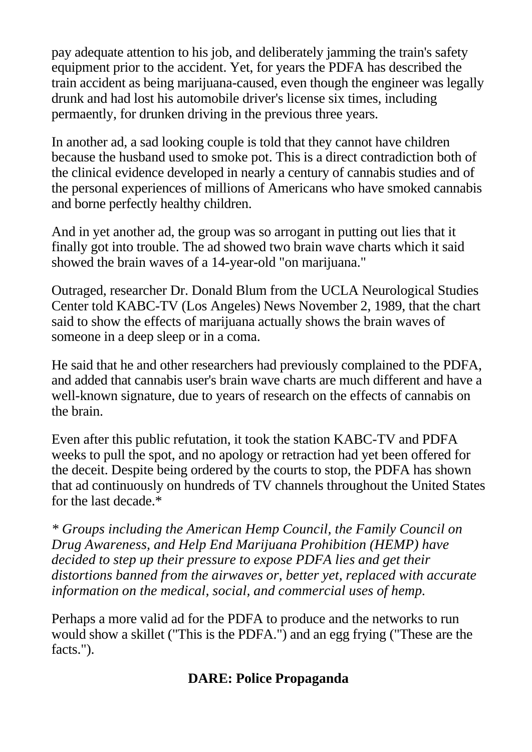pay adequate attention to his job, and deliberately jamming the train's safety equipment prior to the accident. Yet, for years the PDFA has described the train accident as being marijuana-caused, even though the engineer was legally drunk and had lost his automobile driver's license six times, including permaently, for drunken driving in the previous three years.

In another ad, a sad looking couple is told that they cannot have children because the husband used to smoke pot. This is a direct contradiction both of the clinical evidence developed in nearly a century of cannabis studies and of the personal experiences of millions of Americans who have smoked cannabis and borne perfectly healthy children.

And in yet another ad, the group was so arrogant in putting out lies that it finally got into trouble. The ad showed two brain wave charts which it said showed the brain waves of a 14-year-old "on marijuana."

Outraged, researcher Dr. Donald Blum from the UCLA Neurological Studies Center told KABC-TV (Los Angeles) News November 2, 1989, that the chart said to show the effects of marijuana actually shows the brain waves of someone in a deep sleep or in a coma.

He said that he and other researchers had previously complained to the PDFA, and added that cannabis user's brain wave charts are much different and have a well-known signature, due to years of research on the effects of cannabis on the brain.

Even after this public refutation, it took the station KABC-TV and PDFA weeks to pull the spot, and no apology or retraction had yet been offered for the deceit. Despite being ordered by the courts to stop, the PDFA has shown that ad continuously on hundreds of TV channels throughout the United States for the last decade.\*

*\* Groups including the American Hemp Council, the Family Council on Drug Awareness, and Help End Marijuana Prohibition (HEMP) have decided to step up their pressure to expose PDFA lies and get their distortions banned from the airwaves or, better yet, replaced with accurate information on the medical, social, and commercial uses of hemp.* 

Perhaps a more valid ad for the PDFA to produce and the networks to run would show a skillet ("This is the PDFA.") and an egg frying ("These are the facts.").

### **DARE: Police Propaganda**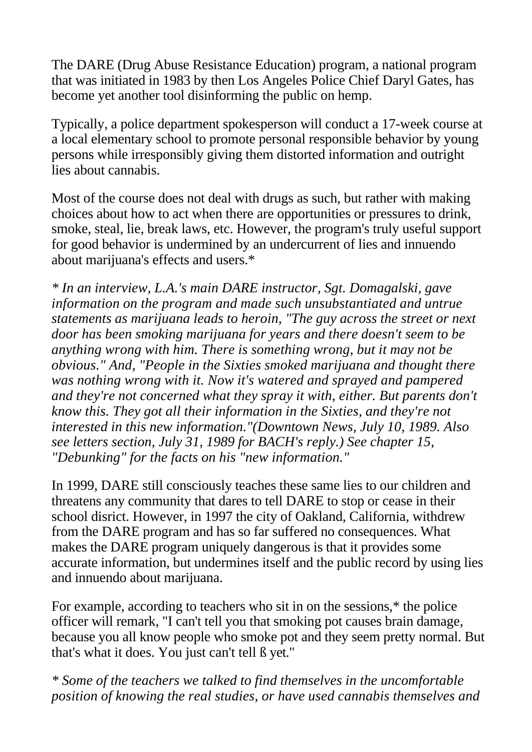The DARE (Drug Abuse Resistance Education) program, a national program that was initiated in 1983 by then Los Angeles Police Chief Daryl Gates, has become yet another tool disinforming the public on hemp.

Typically, a police department spokesperson will conduct a 17-week course at a local elementary school to promote personal responsible behavior by young persons while irresponsibly giving them distorted information and outright lies about cannabis.

Most of the course does not deal with drugs as such, but rather with making choices about how to act when there are opportunities or pressures to drink, smoke, steal, lie, break laws, etc. However, the program's truly useful support for good behavior is undermined by an undercurrent of lies and innuendo about marijuana's effects and users.\*

*\* In an interview, L.A.'s main DARE instructor, Sgt. Domagalski, gave information on the program and made such unsubstantiated and untrue statements as marijuana leads to heroin, "The guy across the street or next door has been smoking marijuana for years and there doesn't seem to be anything wrong with him. There is something wrong, but it may not be obvious." And, "People in the Sixties smoked marijuana and thought there was nothing wrong with it. Now it's watered and sprayed and pampered and they're not concerned what they spray it with, either. But parents don't know this. They got all their information in the Sixties, and they're not interested in this new information."(Downtown News, July 10, 1989. Also see letters section, July 31, 1989 for BACH's reply.) See chapter 15, "Debunking" for the facts on his "new information."* 

In 1999, DARE still consciously teaches these same lies to our children and threatens any community that dares to tell DARE to stop or cease in their school disrict. However, in 1997 the city of Oakland, California, withdrew from the DARE program and has so far suffered no consequences. What makes the DARE program uniquely dangerous is that it provides some accurate information, but undermines itself and the public record by using lies and innuendo about marijuana.

For example, according to teachers who sit in on the sessions,\* the police officer will remark, "I can't tell you that smoking pot causes brain damage, because you all know people who smoke pot and they seem pretty normal. But that's what it does. You just can't tell ß yet."

*\* Some of the teachers we talked to find themselves in the uncomfortable position of knowing the real studies, or have used cannabis themselves and*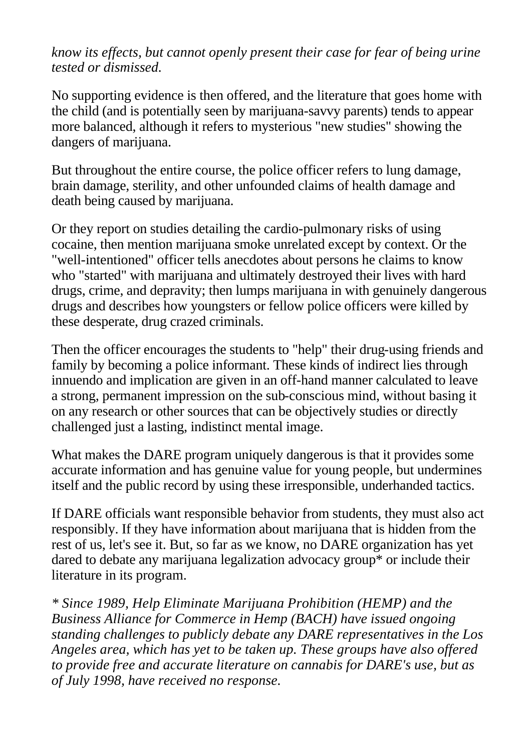*know its effects, but cannot openly present their case for fear of being urine tested or dismissed.* 

No supporting evidence is then offered, and the literature that goes home with the child (and is potentially seen by marijuana-savvy parents) tends to appear more balanced, although it refers to mysterious "new studies" showing the dangers of marijuana.

But throughout the entire course, the police officer refers to lung damage, brain damage, sterility, and other unfounded claims of health damage and death being caused by marijuana.

Or they report on studies detailing the cardio-pulmonary risks of using cocaine, then mention marijuana smoke unrelated except by context. Or the "well-intentioned" officer tells anecdotes about persons he claims to know who "started" with marijuana and ultimately destroyed their lives with hard drugs, crime, and depravity; then lumps marijuana in with genuinely dangerous drugs and describes how youngsters or fellow police officers were killed by these desperate, drug crazed criminals.

Then the officer encourages the students to "help" their drug-using friends and family by becoming a police informant. These kinds of indirect lies through innuendo and implication are given in an off-hand manner calculated to leave a strong, permanent impression on the sub-conscious mind, without basing it on any research or other sources that can be objectively studies or directly challenged just a lasting, indistinct mental image.

What makes the DARE program uniquely dangerous is that it provides some accurate information and has genuine value for young people, but undermines itself and the public record by using these irresponsible, underhanded tactics.

If DARE officials want responsible behavior from students, they must also act responsibly. If they have information about marijuana that is hidden from the rest of us, let's see it. But, so far as we know, no DARE organization has yet dared to debate any marijuana legalization advocacy group\* or include their literature in its program.

*\* Since 1989, Help Eliminate Marijuana Prohibition (HEMP) and the Business Alliance for Commerce in Hemp (BACH) have issued ongoing standing challenges to publicly debate any DARE representatives in the Los Angeles area, which has yet to be taken up. These groups have also offered to provide free and accurate literature on cannabis for DARE's use, but as of July 1998, have received no response.*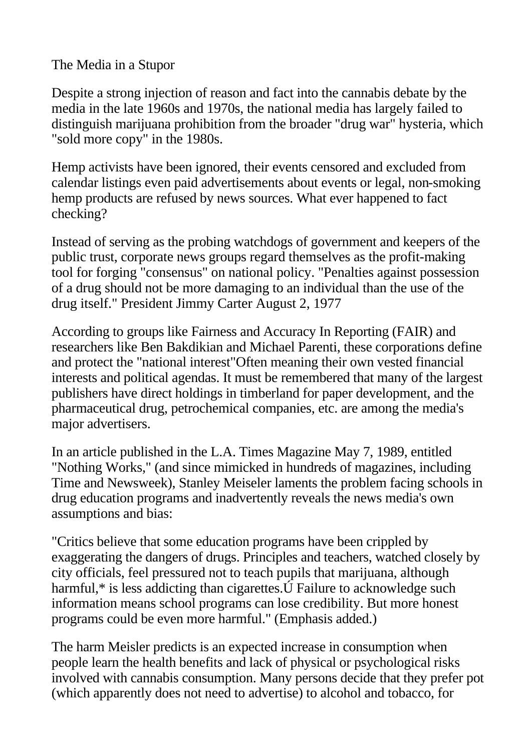The Media in a Stupor

Despite a strong injection of reason and fact into the cannabis debate by the media in the late 1960s and 1970s, the national media has largely failed to distinguish marijuana prohibition from the broader "drug war" hysteria, which "sold more copy" in the 1980s.

Hemp activists have been ignored, their events censored and excluded from calendar listings even paid advertisements about events or legal, non-smoking hemp products are refused by news sources. What ever happened to fact checking?

Instead of serving as the probing watchdogs of government and keepers of the public trust, corporate news groups regard themselves as the profit-making tool for forging "consensus" on national policy. "Penalties against possession of a drug should not be more damaging to an individual than the use of the drug itself." President Jimmy Carter August 2, 1977

According to groups like Fairness and Accuracy In Reporting (FAIR) and researchers like Ben Bakdikian and Michael Parenti, these corporations define and protect the "national interest"Often meaning their own vested financial interests and political agendas. It must be remembered that many of the largest publishers have direct holdings in timberland for paper development, and the pharmaceutical drug, petrochemical companies, etc. are among the media's major advertisers.

In an article published in the L.A. Times Magazine May 7, 1989, entitled "Nothing Works," (and since mimicked in hundreds of magazines, including Time and Newsweek), Stanley Meiseler laments the problem facing schools in drug education programs and inadvertently reveals the news media's own assumptions and bias:

"Critics believe that some education programs have been crippled by exaggerating the dangers of drugs. Principles and teachers, watched closely by city officials, feel pressured not to teach pupils that marijuana, although harmful,<sup>\*</sup> is less addicting than cigarettes. U Failure to acknowledge such information means school programs can lose credibility. But more honest programs could be even more harmful." (Emphasis added.)

The harm Meisler predicts is an expected increase in consumption when people learn the health benefits and lack of physical or psychological risks involved with cannabis consumption. Many persons decide that they prefer pot (which apparently does not need to advertise) to alcohol and tobacco, for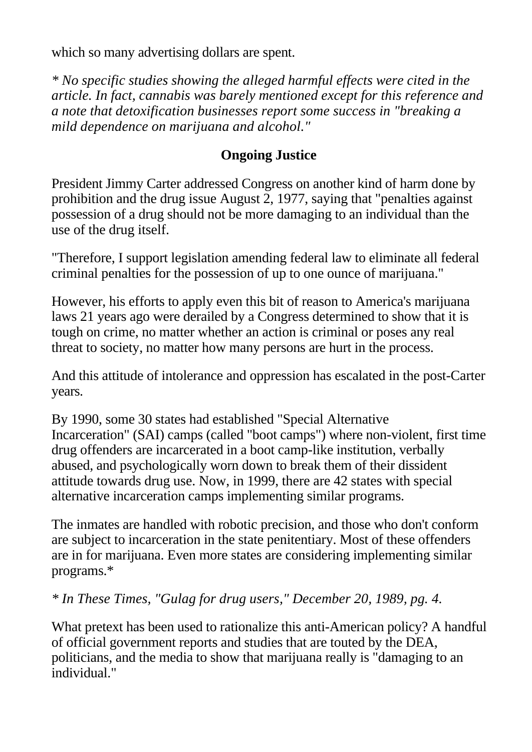which so many advertising dollars are spent.

*\* No specific studies showing the alleged harmful effects were cited in the article. In fact, cannabis was barely mentioned except for this reference and a note that detoxification businesses report some success in "breaking a mild dependence on marijuana and alcohol."* 

# **Ongoing Justice**

President Jimmy Carter addressed Congress on another kind of harm done by prohibition and the drug issue August 2, 1977, saying that "penalties against possession of a drug should not be more damaging to an individual than the use of the drug itself.

"Therefore, I support legislation amending federal law to eliminate all federal criminal penalties for the possession of up to one ounce of marijuana."

However, his efforts to apply even this bit of reason to America's marijuana laws 21 years ago were derailed by a Congress determined to show that it is tough on crime, no matter whether an action is criminal or poses any real threat to society, no matter how many persons are hurt in the process.

And this attitude of intolerance and oppression has escalated in the post-Carter years.

By 1990, some 30 states had established "Special Alternative Incarceration" (SAI) camps (called "boot camps") where non-violent, first time drug offenders are incarcerated in a boot camp-like institution, verbally abused, and psychologically worn down to break them of their dissident attitude towards drug use. Now, in 1999, there are 42 states with special alternative incarceration camps implementing similar programs.

The inmates are handled with robotic precision, and those who don't conform are subject to incarceration in the state penitentiary. Most of these offenders are in for marijuana. Even more states are considering implementing similar programs.\*

*\* In These Times, "Gulag for drug users," December 20, 1989, pg. 4.* 

What pretext has been used to rationalize this anti-American policy? A handful of official government reports and studies that are touted by the DEA, politicians, and the media to show that marijuana really is "damaging to an individual."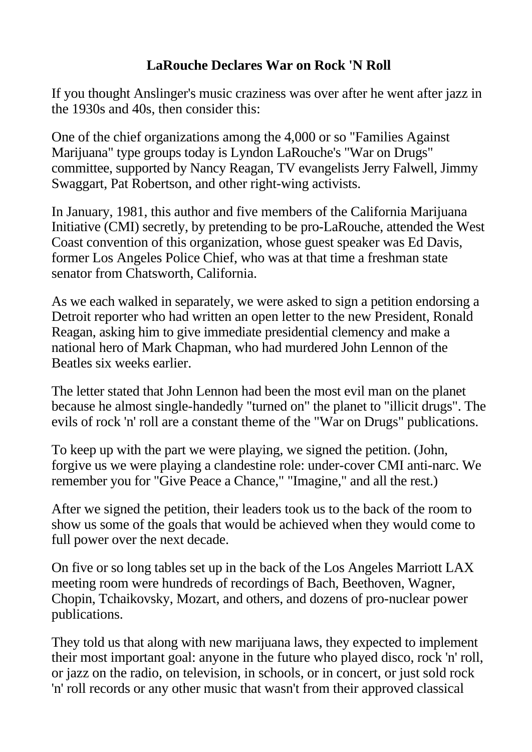#### **LaRouche Declares War on Rock 'N Roll**

If you thought Anslinger's music craziness was over after he went after jazz in the 1930s and 40s, then consider this:

One of the chief organizations among the 4,000 or so "Families Against Marijuana" type groups today is Lyndon LaRouche's "War on Drugs" committee, supported by Nancy Reagan, TV evangelists Jerry Falwell, Jimmy Swaggart, Pat Robertson, and other right-wing activists.

In January, 1981, this author and five members of the California Marijuana Initiative (CMI) secretly, by pretending to be pro-LaRouche, attended the West Coast convention of this organization, whose guest speaker was Ed Davis, former Los Angeles Police Chief, who was at that time a freshman state senator from Chatsworth, California.

As we each walked in separately, we were asked to sign a petition endorsing a Detroit reporter who had written an open letter to the new President, Ronald Reagan, asking him to give immediate presidential clemency and make a national hero of Mark Chapman, who had murdered John Lennon of the Beatles six weeks earlier.

The letter stated that John Lennon had been the most evil man on the planet because he almost single-handedly "turned on" the planet to "illicit drugs". The evils of rock 'n' roll are a constant theme of the "War on Drugs" publications.

To keep up with the part we were playing, we signed the petition. (John, forgive us we were playing a clandestine role: under-cover CMI anti-narc. We remember you for "Give Peace a Chance," "Imagine," and all the rest.)

After we signed the petition, their leaders took us to the back of the room to show us some of the goals that would be achieved when they would come to full power over the next decade.

On five or so long tables set up in the back of the Los Angeles Marriott LAX meeting room were hundreds of recordings of Bach, Beethoven, Wagner, Chopin, Tchaikovsky, Mozart, and others, and dozens of pro-nuclear power publications.

They told us that along with new marijuana laws, they expected to implement their most important goal: anyone in the future who played disco, rock 'n' roll, or jazz on the radio, on television, in schools, or in concert, or just sold rock 'n' roll records or any other music that wasn't from their approved classical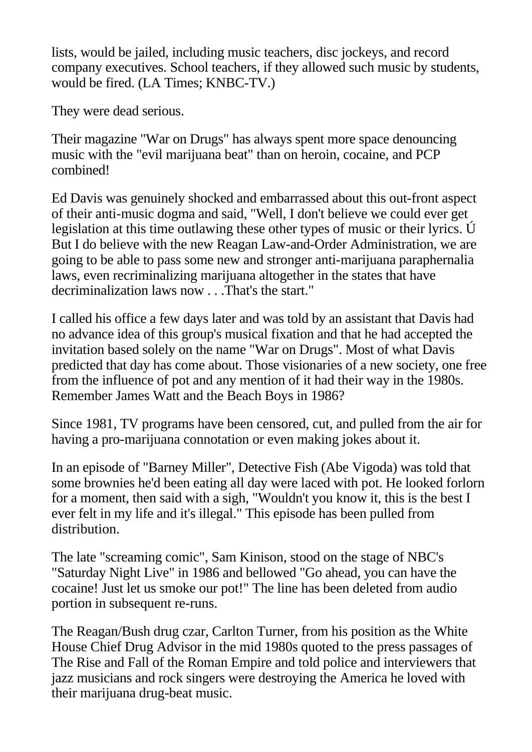lists, would be jailed, including music teachers, disc jockeys, and record company executives. School teachers, if they allowed such music by students, would be fired. (LA Times; KNBC-TV.)

They were dead serious.

Their magazine "War on Drugs" has always spent more space denouncing music with the "evil marijuana beat" than on heroin, cocaine, and PCP combined!

Ed Davis was genuinely shocked and embarrassed about this out-front aspect of their anti-music dogma and said, "Well, I don't believe we could ever get legislation at this time outlawing these other types of music or their lyrics. Ú But I do believe with the new Reagan Law-and-Order Administration, we are going to be able to pass some new and stronger anti-marijuana paraphernalia laws, even recriminalizing marijuana altogether in the states that have decriminalization laws now . . .That's the start."

I called his office a few days later and was told by an assistant that Davis had no advance idea of this group's musical fixation and that he had accepted the invitation based solely on the name "War on Drugs". Most of what Davis predicted that day has come about. Those visionaries of a new society, one free from the influence of pot and any mention of it had their way in the 1980s. Remember James Watt and the Beach Boys in 1986?

Since 1981, TV programs have been censored, cut, and pulled from the air for having a pro-marijuana connotation or even making jokes about it.

In an episode of "Barney Miller", Detective Fish (Abe Vigoda) was told that some brownies he'd been eating all day were laced with pot. He looked forlorn for a moment, then said with a sigh, "Wouldn't you know it, this is the best I ever felt in my life and it's illegal." This episode has been pulled from distribution.

The late "screaming comic", Sam Kinison, stood on the stage of NBC's "Saturday Night Live" in 1986 and bellowed "Go ahead, you can have the cocaine! Just let us smoke our pot!" The line has been deleted from audio portion in subsequent re-runs.

The Reagan/Bush drug czar, Carlton Turner, from his position as the White House Chief Drug Advisor in the mid 1980s quoted to the press passages of The Rise and Fall of the Roman Empire and told police and interviewers that jazz musicians and rock singers were destroying the America he loved with their marijuana drug-beat music.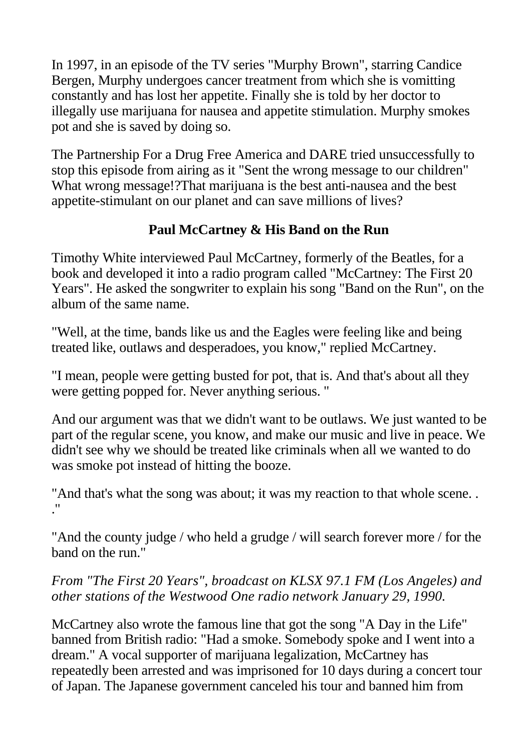In 1997, in an episode of the TV series "Murphy Brown", starring Candice Bergen, Murphy undergoes cancer treatment from which she is vomitting constantly and has lost her appetite. Finally she is told by her doctor to illegally use marijuana for nausea and appetite stimulation. Murphy smokes pot and she is saved by doing so.

The Partnership For a Drug Free America and DARE tried unsuccessfully to stop this episode from airing as it "Sent the wrong message to our children" What wrong message!?That marijuana is the best anti-nausea and the best appetite-stimulant on our planet and can save millions of lives?

#### **Paul McCartney & His Band on the Run**

Timothy White interviewed Paul McCartney, formerly of the Beatles, for a book and developed it into a radio program called "McCartney: The First 20 Years". He asked the songwriter to explain his song "Band on the Run", on the album of the same name.

"Well, at the time, bands like us and the Eagles were feeling like and being treated like, outlaws and desperadoes, you know," replied McCartney.

"I mean, people were getting busted for pot, that is. And that's about all they were getting popped for. Never anything serious. "

And our argument was that we didn't want to be outlaws. We just wanted to be part of the regular scene, you know, and make our music and live in peace. We didn't see why we should be treated like criminals when all we wanted to do was smoke pot instead of hitting the booze.

"And that's what the song was about; it was my reaction to that whole scene. . ."

"And the county judge / who held a grudge / will search forever more / for the band on the run."

#### *From "The First 20 Years", broadcast on KLSX 97.1 FM (Los Angeles) and other stations of the Westwood One radio network January 29, 1990.*

McCartney also wrote the famous line that got the song "A Day in the Life" banned from British radio: "Had a smoke. Somebody spoke and I went into a dream." A vocal supporter of marijuana legalization, McCartney has repeatedly been arrested and was imprisoned for 10 days during a concert tour of Japan. The Japanese government canceled his tour and banned him from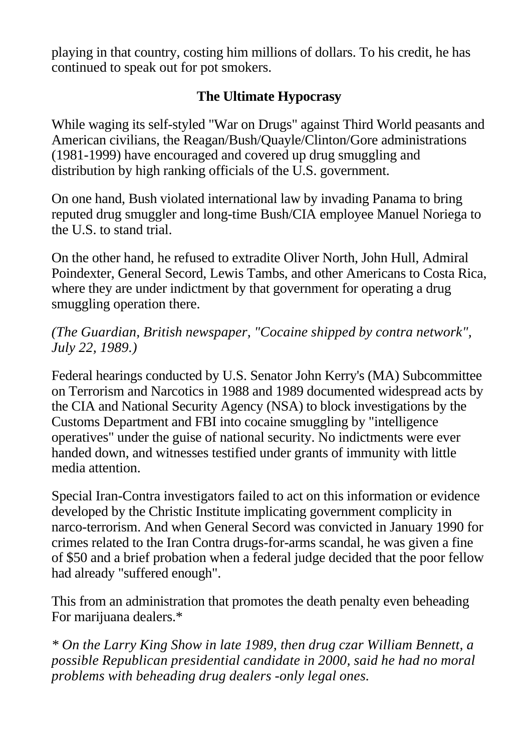playing in that country, costing him millions of dollars. To his credit, he has continued to speak out for pot smokers.

### **The Ultimate Hypocrasy**

While waging its self-styled "War on Drugs" against Third World peasants and American civilians, the Reagan/Bush/Quayle/Clinton/Gore administrations (1981-1999) have encouraged and covered up drug smuggling and distribution by high ranking officials of the U.S. government.

On one hand, Bush violated international law by invading Panama to bring reputed drug smuggler and long-time Bush/CIA employee Manuel Noriega to the U.S. to stand trial.

On the other hand, he refused to extradite Oliver North, John Hull, Admiral Poindexter, General Secord, Lewis Tambs, and other Americans to Costa Rica, where they are under indictment by that government for operating a drug smuggling operation there.

#### *(The Guardian, British newspaper, "Cocaine shipped by contra network", July 22, 1989.)*

Federal hearings conducted by U.S. Senator John Kerry's (MA) Subcommittee on Terrorism and Narcotics in 1988 and 1989 documented widespread acts by the CIA and National Security Agency (NSA) to block investigations by the Customs Department and FBI into cocaine smuggling by "intelligence operatives" under the guise of national security. No indictments were ever handed down, and witnesses testified under grants of immunity with little media attention.

Special Iran-Contra investigators failed to act on this information or evidence developed by the Christic Institute implicating government complicity in narco-terrorism. And when General Secord was convicted in January 1990 for crimes related to the Iran Contra drugs-for-arms scandal, he was given a fine of \$50 and a brief probation when a federal judge decided that the poor fellow had already "suffered enough".

This from an administration that promotes the death penalty even beheading For marijuana dealers.\*

*\* On the Larry King Show in late 1989, then drug czar William Bennett, a possible Republican presidential candidate in 2000, said he had no moral problems with beheading drug dealers -only legal ones.*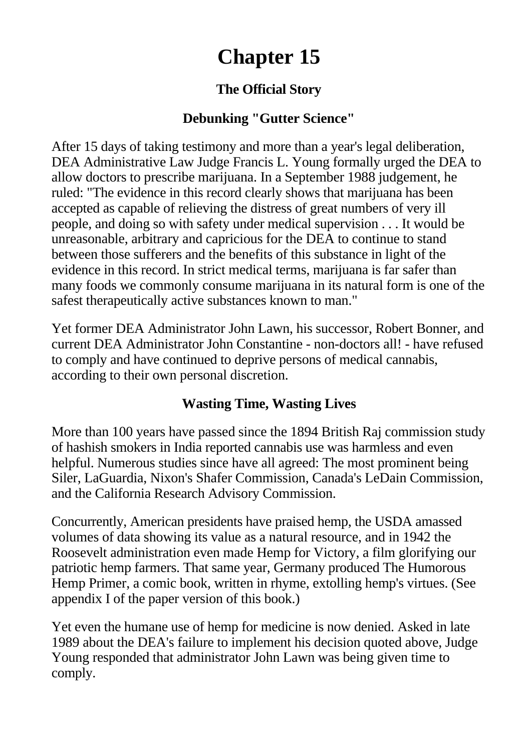# **Chapter 15**

# **The Official Story**

# **Debunking "Gutter Science"**

After 15 days of taking testimony and more than a year's legal deliberation, DEA Administrative Law Judge Francis L. Young formally urged the DEA to allow doctors to prescribe marijuana. In a September 1988 judgement, he ruled: "The evidence in this record clearly shows that marijuana has been accepted as capable of relieving the distress of great numbers of very ill people, and doing so with safety under medical supervision . . . It would be unreasonable, arbitrary and capricious for the DEA to continue to stand between those sufferers and the benefits of this substance in light of the evidence in this record. In strict medical terms, marijuana is far safer than many foods we commonly consume marijuana in its natural form is one of the safest therapeutically active substances known to man."

Yet former DEA Administrator John Lawn, his successor, Robert Bonner, and current DEA Administrator John Constantine - non-doctors all! - have refused to comply and have continued to deprive persons of medical cannabis, according to their own personal discretion.

# **Wasting Time, Wasting Lives**

More than 100 years have passed since the 1894 British Raj commission study of hashish smokers in India reported cannabis use was harmless and even helpful. Numerous studies since have all agreed: The most prominent being Siler, LaGuardia, Nixon's Shafer Commission, Canada's LeDain Commission, and the California Research Advisory Commission.

Concurrently, American presidents have praised hemp, the USDA amassed volumes of data showing its value as a natural resource, and in 1942 the Roosevelt administration even made Hemp for Victory, a film glorifying our patriotic hemp farmers. That same year, Germany produced The Humorous Hemp Primer, a comic book, written in rhyme, extolling hemp's virtues. (See appendix I of the paper version of this book.)

Yet even the humane use of hemp for medicine is now denied. Asked in late 1989 about the DEA's failure to implement his decision quoted above, Judge Young responded that administrator John Lawn was being given time to comply.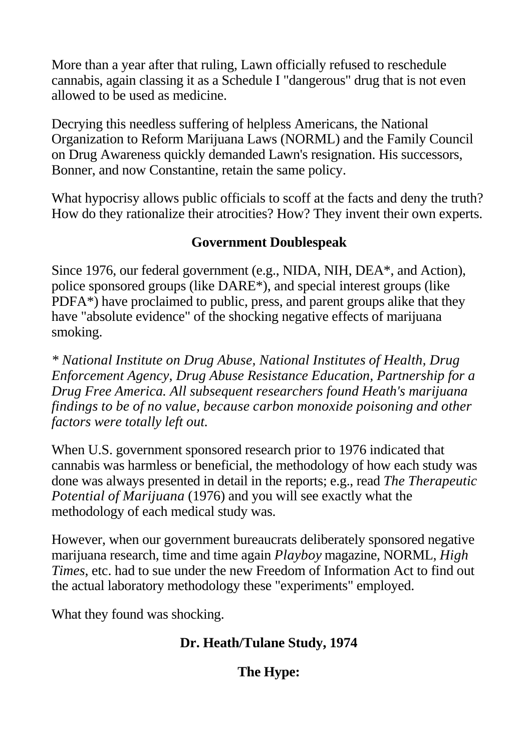More than a year after that ruling, Lawn officially refused to reschedule cannabis, again classing it as a Schedule I "dangerous" drug that is not even allowed to be used as medicine.

Decrying this needless suffering of helpless Americans, the National Organization to Reform Marijuana Laws (NORML) and the Family Council on Drug Awareness quickly demanded Lawn's resignation. His successors, Bonner, and now Constantine, retain the same policy.

What hypocrisy allows public officials to scoff at the facts and deny the truth? How do they rationalize their atrocities? How? They invent their own experts.

# **Government Doublespeak**

Since 1976, our federal government (e.g., NIDA, NIH, DEA\*, and Action), police sponsored groups (like DARE\*), and special interest groups (like PDFA\*) have proclaimed to public, press, and parent groups alike that they have "absolute evidence" of the shocking negative effects of marijuana smoking.

*\* National Institute on Drug Abuse, National Institutes of Health, Drug Enforcement Agency, Drug Abuse Resistance Education, Partnership for a Drug Free America. All subsequent researchers found Heath's marijuana findings to be of no value, because carbon monoxide poisoning and other factors were totally left out.* 

When U.S. government sponsored research prior to 1976 indicated that cannabis was harmless or beneficial, the methodology of how each study was done was always presented in detail in the reports; e.g., read *The Therapeutic Potential of Marijuana* (1976) and you will see exactly what the methodology of each medical study was.

However, when our government bureaucrats deliberately sponsored negative marijuana research, time and time again *Playboy* magazine, NORML, *High Times*, etc. had to sue under the new Freedom of Information Act to find out the actual laboratory methodology these "experiments" employed.

What they found was shocking.

# **Dr. Heath/Tulane Study, 1974**

**The Hype:**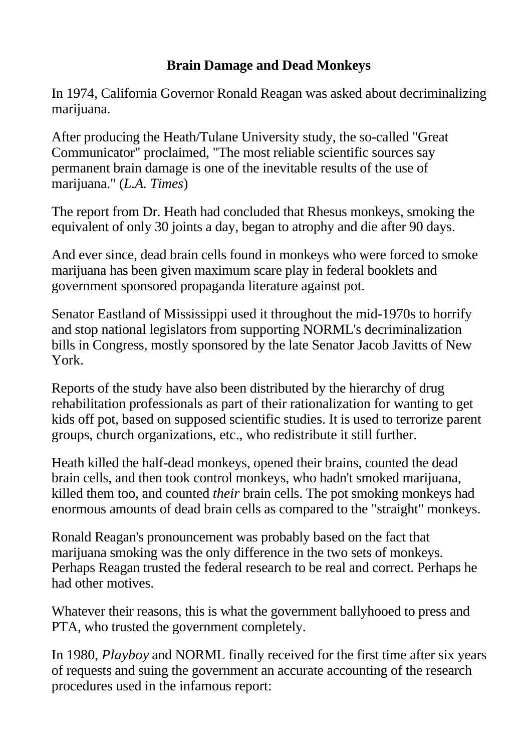### **Brain Damage and Dead Monkeys**

In 1974, California Governor Ronald Reagan was asked about decriminalizing marijuana.

After producing the Heath/Tulane University study, the so-called "Great Communicator" proclaimed, "The most reliable scientific sources say permanent brain damage is one of the inevitable results of the use of marijuana." (*L.A. Times*)

The report from Dr. Heath had concluded that Rhesus monkeys, smoking the equivalent of only 30 joints a day, began to atrophy and die after 90 days.

And ever since, dead brain cells found in monkeys who were forced to smoke marijuana has been given maximum scare play in federal booklets and government sponsored propaganda literature against pot.

Senator Eastland of Mississippi used it throughout the mid-1970s to horrify and stop national legislators from supporting NORML's decriminalization bills in Congress, mostly sponsored by the late Senator Jacob Javitts of New York.

Reports of the study have also been distributed by the hierarchy of drug rehabilitation professionals as part of their rationalization for wanting to get kids off pot, based on supposed scientific studies. It is used to terrorize parent groups, church organizations, etc., who redistribute it still further.

Heath killed the half-dead monkeys, opened their brains, counted the dead brain cells, and then took control monkeys, who hadn't smoked marijuana, killed them too, and counted *their* brain cells. The pot smoking monkeys had enormous amounts of dead brain cells as compared to the "straight" monkeys.

Ronald Reagan's pronouncement was probably based on the fact that marijuana smoking was the only difference in the two sets of monkeys. Perhaps Reagan trusted the federal research to be real and correct. Perhaps he had other motives.

Whatever their reasons, this is what the government ballyhooed to press and PTA, who trusted the government completely.

In 1980, *Playboy* and NORML finally received for the first time after six years of requests and suing the government an accurate accounting of the research procedures used in the infamous report: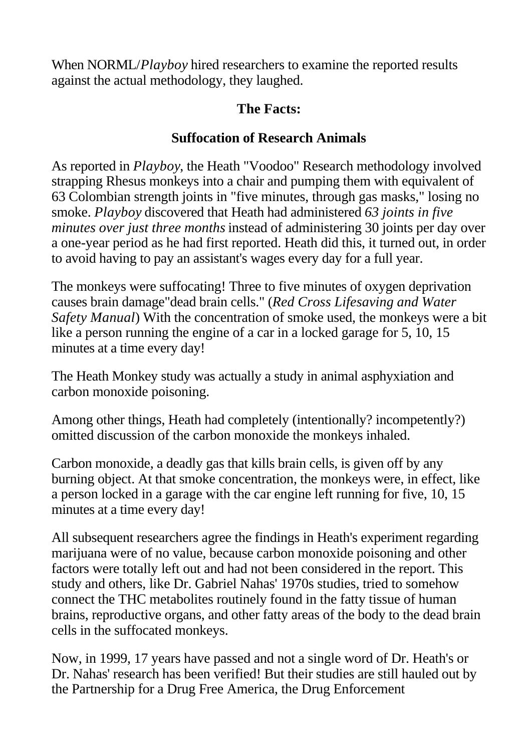When NORML/*Playboy* hired researchers to examine the reported results against the actual methodology, they laughed.

### **The Facts:**

# **Suffocation of Research Animals**

As reported in *Playboy*, the Heath "Voodoo" Research methodology involved strapping Rhesus monkeys into a chair and pumping them with equivalent of 63 Colombian strength joints in "five minutes, through gas masks," losing no smoke. *Playboy* discovered that Heath had administered *63 joints in five minutes over just three months* instead of administering 30 joints per day over a one-year period as he had first reported. Heath did this, it turned out, in order to avoid having to pay an assistant's wages every day for a full year.

The monkeys were suffocating! Three to five minutes of oxygen deprivation causes brain damage"dead brain cells." (*Red Cross Lifesaving and Water Safety Manual*) With the concentration of smoke used, the monkeys were a bit like a person running the engine of a car in a locked garage for 5, 10, 15 minutes at a time every day!

The Heath Monkey study was actually a study in animal asphyxiation and carbon monoxide poisoning.

Among other things, Heath had completely (intentionally? incompetently?) omitted discussion of the carbon monoxide the monkeys inhaled.

Carbon monoxide, a deadly gas that kills brain cells, is given off by any burning object. At that smoke concentration, the monkeys were, in effect, like a person locked in a garage with the car engine left running for five, 10, 15 minutes at a time every day!

All subsequent researchers agree the findings in Heath's experiment regarding marijuana were of no value, because carbon monoxide poisoning and other factors were totally left out and had not been considered in the report. This study and others, like Dr. Gabriel Nahas' 1970s studies, tried to somehow connect the THC metabolites routinely found in the fatty tissue of human brains, reproductive organs, and other fatty areas of the body to the dead brain cells in the suffocated monkeys.

Now, in 1999, 17 years have passed and not a single word of Dr. Heath's or Dr. Nahas' research has been verified! But their studies are still hauled out by the Partnership for a Drug Free America, the Drug Enforcement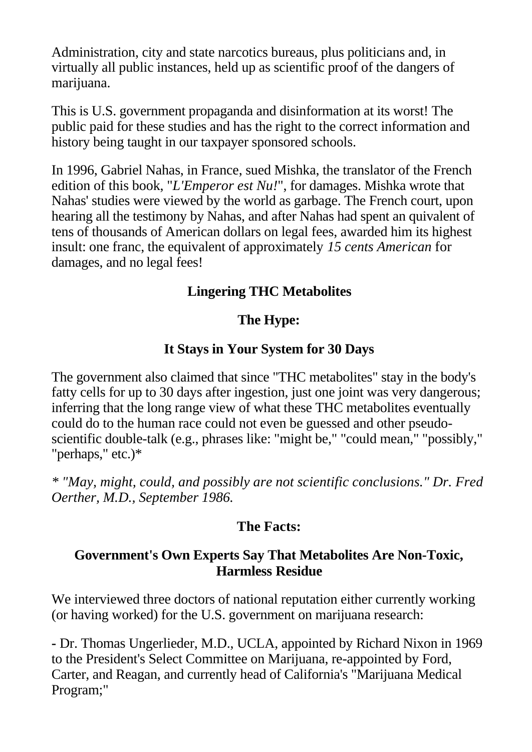Administration, city and state narcotics bureaus, plus politicians and, in virtually all public instances, held up as scientific proof of the dangers of marijuana.

This is U.S. government propaganda and disinformation at its worst! The public paid for these studies and has the right to the correct information and history being taught in our taxpayer sponsored schools.

In 1996, Gabriel Nahas, in France, sued Mishka, the translator of the French edition of this book, "*L'Emperor est Nu!*", for damages. Mishka wrote that Nahas' studies were viewed by the world as garbage. The French court, upon hearing all the testimony by Nahas, and after Nahas had spent an quivalent of tens of thousands of American dollars on legal fees, awarded him its highest insult: one franc, the equivalent of approximately *15 cents American* for damages, and no legal fees!

#### **Lingering THC Metabolites**

#### **The Hype:**

#### **It Stays in Your System for 30 Days**

The government also claimed that since "THC metabolites" stay in the body's fatty cells for up to 30 days after ingestion, just one joint was very dangerous; inferring that the long range view of what these THC metabolites eventually could do to the human race could not even be guessed and other pseudoscientific double-talk (e.g., phrases like: "might be," "could mean," "possibly," "perhaps," etc.)\*

*\* "May, might, could, and possibly are not scientific conclusions." Dr. Fred Oerther, M.D., September 1986.* 

#### **The Facts:**

#### **Government's Own Experts Say That Metabolites Are Non-Toxic, Harmless Residue**

We interviewed three doctors of national reputation either currently working (or having worked) for the U.S. government on marijuana research:

**-** Dr. Thomas Ungerlieder, M.D., UCLA, appointed by Richard Nixon in 1969 to the President's Select Committee on Marijuana, re-appointed by Ford, Carter, and Reagan, and currently head of California's "Marijuana Medical Program;"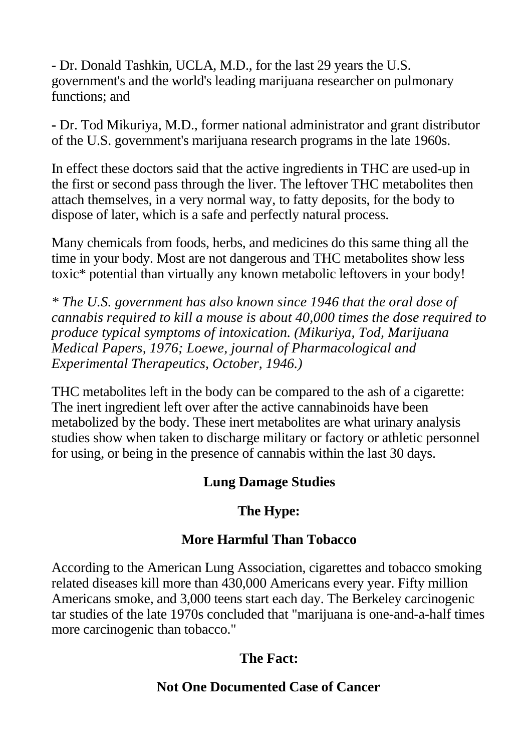**-** Dr. Donald Tashkin, UCLA, M.D., for the last 29 years the U.S. government's and the world's leading marijuana researcher on pulmonary functions; and

**-** Dr. Tod Mikuriya, M.D., former national administrator and grant distributor of the U.S. government's marijuana research programs in the late 1960s.

In effect these doctors said that the active ingredients in THC are used-up in the first or second pass through the liver. The leftover THC metabolites then attach themselves, in a very normal way, to fatty deposits, for the body to dispose of later, which is a safe and perfectly natural process.

Many chemicals from foods, herbs, and medicines do this same thing all the time in your body. Most are not dangerous and THC metabolites show less toxic\* potential than virtually any known metabolic leftovers in your body!

*\* The U.S. government has also known since 1946 that the oral dose of cannabis required to kill a mouse is about 40,000 times the dose required to produce typical symptoms of intoxication. (Mikuriya, Tod, Marijuana Medical Papers, 1976; Loewe, journal of Pharmacological and Experimental Therapeutics, October, 1946.)* 

THC metabolites left in the body can be compared to the ash of a cigarette: The inert ingredient left over after the active cannabinoids have been metabolized by the body. These inert metabolites are what urinary analysis studies show when taken to discharge military or factory or athletic personnel for using, or being in the presence of cannabis within the last 30 days.

# **Lung Damage Studies**

# **The Hype:**

# **More Harmful Than Tobacco**

According to the American Lung Association, cigarettes and tobacco smoking related diseases kill more than 430,000 Americans every year. Fifty million Americans smoke, and 3,000 teens start each day. The Berkeley carcinogenic tar studies of the late 1970s concluded that "marijuana is one-and-a-half times more carcinogenic than tobacco."

# **The Fact:**

# **Not One Documented Case of Cancer**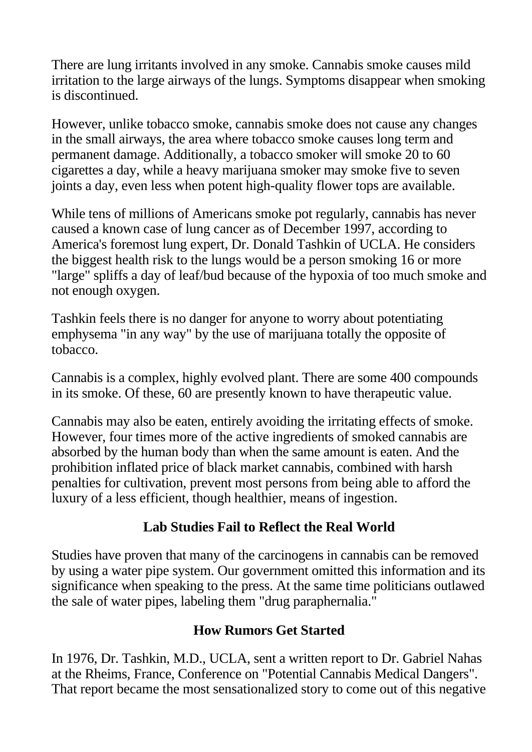There are lung irritants involved in any smoke. Cannabis smoke causes mild irritation to the large airways of the lungs. Symptoms disappear when smoking is discontinued.

However, unlike tobacco smoke, cannabis smoke does not cause any changes in the small airways, the area where tobacco smoke causes long term and permanent damage. Additionally, a tobacco smoker will smoke 20 to 60 cigarettes a day, while a heavy marijuana smoker may smoke five to seven joints a day, even less when potent high-quality flower tops are available.

While tens of millions of Americans smoke pot regularly, cannabis has never caused a known case of lung cancer as of December 1997, according to America's foremost lung expert, Dr. Donald Tashkin of UCLA. He considers the biggest health risk to the lungs would be a person smoking 16 or more "large" spliffs a day of leaf/bud because of the hypoxia of too much smoke and not enough oxygen.

Tashkin feels there is no danger for anyone to worry about potentiating emphysema "in any way" by the use of marijuana totally the opposite of tobacco.

Cannabis is a complex, highly evolved plant. There are some 400 compounds in its smoke. Of these, 60 are presently known to have therapeutic value.

Cannabis may also be eaten, entirely avoiding the irritating effects of smoke. However, four times more of the active ingredients of smoked cannabis are absorbed by the human body than when the same amount is eaten. And the prohibition inflated price of black market cannabis, combined with harsh penalties for cultivation, prevent most persons from being able to afford the luxury of a less efficient, though healthier, means of ingestion.

#### **Lab Studies Fail to Reflect the Real World**

Studies have proven that many of the carcinogens in cannabis can be removed by using a water pipe system. Our government omitted this information and its significance when speaking to the press. At the same time politicians outlawed the sale of water pipes, labeling them "drug paraphernalia."

#### **How Rumors Get Started**

In 1976, Dr. Tashkin, M.D., UCLA, sent a written report to Dr. Gabriel Nahas at the Rheims, France, Conference on "Potential Cannabis Medical Dangers". That report became the most sensationalized story to come out of this negative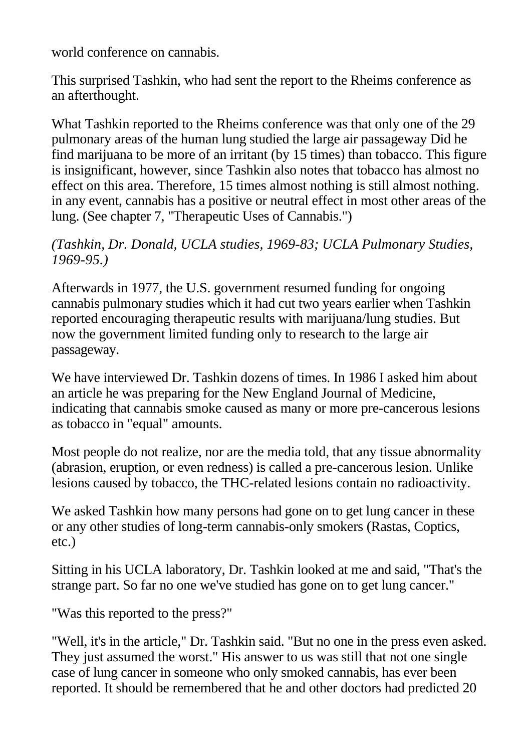world conference on cannabis.

This surprised Tashkin, who had sent the report to the Rheims conference as an afterthought.

What Tashkin reported to the Rheims conference was that only one of the 29 pulmonary areas of the human lung studied the large air passageway Did he find marijuana to be more of an irritant (by 15 times) than tobacco. This figure is insignificant, however, since Tashkin also notes that tobacco has almost no effect on this area. Therefore, 15 times almost nothing is still almost nothing. in any event, cannabis has a positive or neutral effect in most other areas of the lung. (See chapter 7, "Therapeutic Uses of Cannabis.")

#### *(Tashkin, Dr. Donald, UCLA studies, 1969-83; UCLA Pulmonary Studies, 1969-95.)*

Afterwards in 1977, the U.S. government resumed funding for ongoing cannabis pulmonary studies which it had cut two years earlier when Tashkin reported encouraging therapeutic results with marijuana/lung studies. But now the government limited funding only to research to the large air passageway.

We have interviewed Dr. Tashkin dozens of times. In 1986 I asked him about an article he was preparing for the New England Journal of Medicine, indicating that cannabis smoke caused as many or more pre-cancerous lesions as tobacco in "equal" amounts.

Most people do not realize, nor are the media told, that any tissue abnormality (abrasion, eruption, or even redness) is called a pre-cancerous lesion. Unlike lesions caused by tobacco, the THC-related lesions contain no radioactivity.

We asked Tashkin how many persons had gone on to get lung cancer in these or any other studies of long-term cannabis-only smokers (Rastas, Coptics, etc.)

Sitting in his UCLA laboratory, Dr. Tashkin looked at me and said, "That's the strange part. So far no one we've studied has gone on to get lung cancer."

"Was this reported to the press?"

"Well, it's in the article," Dr. Tashkin said. "But no one in the press even asked. They just assumed the worst." His answer to us was still that not one single case of lung cancer in someone who only smoked cannabis, has ever been reported. It should be remembered that he and other doctors had predicted 20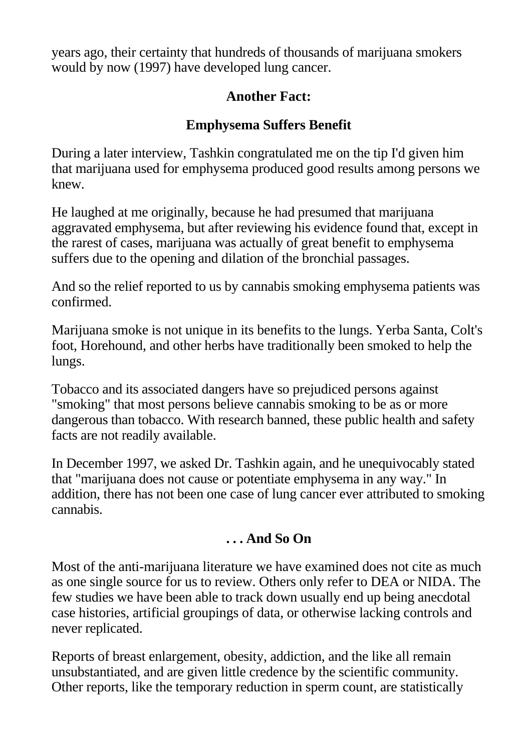years ago, their certainty that hundreds of thousands of marijuana smokers would by now (1997) have developed lung cancer.

### **Another Fact:**

# **Emphysema Suffers Benefit**

During a later interview, Tashkin congratulated me on the tip I'd given him that marijuana used for emphysema produced good results among persons we knew.

He laughed at me originally, because he had presumed that marijuana aggravated emphysema, but after reviewing his evidence found that, except in the rarest of cases, marijuana was actually of great benefit to emphysema suffers due to the opening and dilation of the bronchial passages.

And so the relief reported to us by cannabis smoking emphysema patients was confirmed.

Marijuana smoke is not unique in its benefits to the lungs. Yerba Santa, Colt's foot, Horehound, and other herbs have traditionally been smoked to help the lungs.

Tobacco and its associated dangers have so prejudiced persons against "smoking" that most persons believe cannabis smoking to be as or more dangerous than tobacco. With research banned, these public health and safety facts are not readily available.

In December 1997, we asked Dr. Tashkin again, and he unequivocably stated that "marijuana does not cause or potentiate emphysema in any way." In addition, there has not been one case of lung cancer ever attributed to smoking cannabis.

#### **. . . And So On**

Most of the anti-marijuana literature we have examined does not cite as much as one single source for us to review. Others only refer to DEA or NIDA. The few studies we have been able to track down usually end up being anecdotal case histories, artificial groupings of data, or otherwise lacking controls and never replicated.

Reports of breast enlargement, obesity, addiction, and the like all remain unsubstantiated, and are given little credence by the scientific community. Other reports, like the temporary reduction in sperm count, are statistically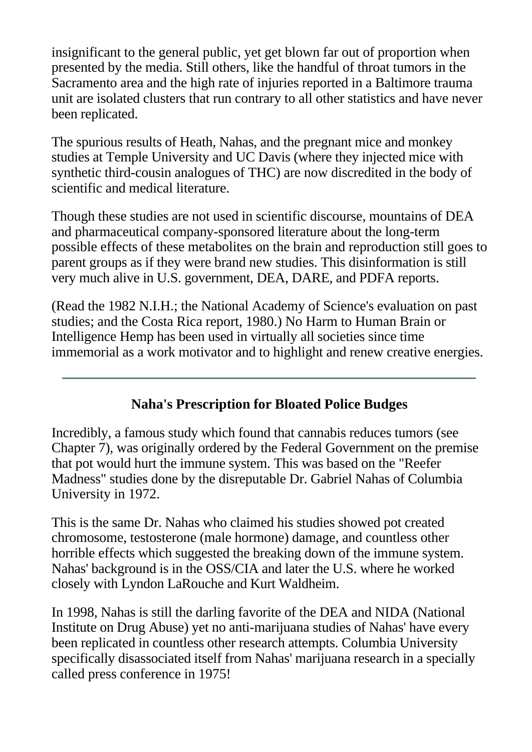insignificant to the general public, yet get blown far out of proportion when presented by the media. Still others, like the handful of throat tumors in the Sacramento area and the high rate of injuries reported in a Baltimore trauma unit are isolated clusters that run contrary to all other statistics and have never been replicated.

The spurious results of Heath, Nahas, and the pregnant mice and monkey studies at Temple University and UC Davis (where they injected mice with synthetic third-cousin analogues of THC) are now discredited in the body of scientific and medical literature.

Though these studies are not used in scientific discourse, mountains of DEA and pharmaceutical company-sponsored literature about the long-term possible effects of these metabolites on the brain and reproduction still goes to parent groups as if they were brand new studies. This disinformation is still very much alive in U.S. government, DEA, DARE, and PDFA reports.

(Read the 1982 N.I.H.; the National Academy of Science's evaluation on past studies; and the Costa Rica report, 1980.) No Harm to Human Brain or Intelligence Hemp has been used in virtually all societies since time immemorial as a work motivator and to highlight and renew creative energies.

# **Naha's Prescription for Bloated Police Budges**

Incredibly, a famous study which found that cannabis reduces tumors (see Chapter 7), was originally ordered by the Federal Government on the premise that pot would hurt the immune system. This was based on the "Reefer Madness" studies done by the disreputable Dr. Gabriel Nahas of Columbia University in 1972.

This is the same Dr. Nahas who claimed his studies showed pot created chromosome, testosterone (male hormone) damage, and countless other horrible effects which suggested the breaking down of the immune system. Nahas' background is in the OSS/CIA and later the U.S. where he worked closely with Lyndon LaRouche and Kurt Waldheim.

In 1998, Nahas is still the darling favorite of the DEA and NIDA (National Institute on Drug Abuse) yet no anti-marijuana studies of Nahas' have every been replicated in countless other research attempts. Columbia University specifically disassociated itself from Nahas' marijuana research in a specially called press conference in 1975!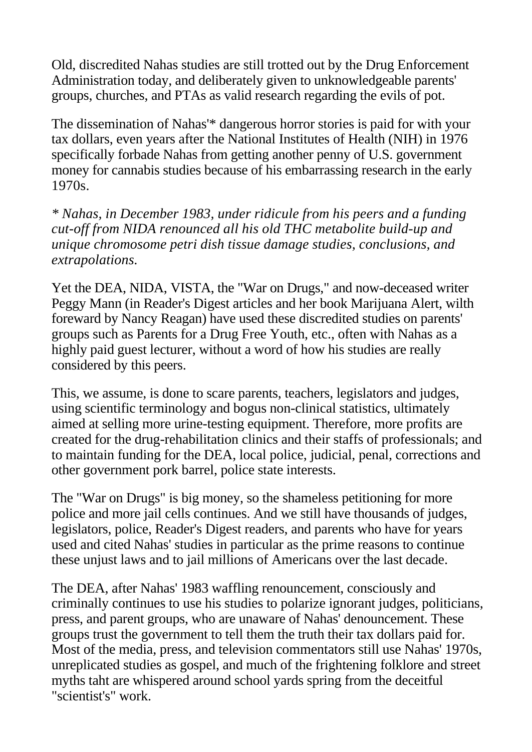Old, discredited Nahas studies are still trotted out by the Drug Enforcement Administration today, and deliberately given to unknowledgeable parents' groups, churches, and PTAs as valid research regarding the evils of pot.

The dissemination of Nahas'\* dangerous horror stories is paid for with your tax dollars, even years after the National Institutes of Health (NIH) in 1976 specifically forbade Nahas from getting another penny of U.S. government money for cannabis studies because of his embarrassing research in the early 1970s.

*\* Nahas, in December 1983, under ridicule from his peers and a funding cut-off from NIDA renounced all his old THC metabolite build-up and unique chromosome petri dish tissue damage studies, conclusions, and extrapolations.*

Yet the DEA, NIDA, VISTA, the "War on Drugs," and now-deceased writer Peggy Mann (in Reader's Digest articles and her book Marijuana Alert, wilth foreward by Nancy Reagan) have used these discredited studies on parents' groups such as Parents for a Drug Free Youth, etc., often with Nahas as a highly paid guest lecturer, without a word of how his studies are really considered by this peers.

This, we assume, is done to scare parents, teachers, legislators and judges, using scientific terminology and bogus non-clinical statistics, ultimately aimed at selling more urine-testing equipment. Therefore, more profits are created for the drug-rehabilitation clinics and their staffs of professionals; and to maintain funding for the DEA, local police, judicial, penal, corrections and other government pork barrel, police state interests.

The "War on Drugs" is big money, so the shameless petitioning for more police and more jail cells continues. And we still have thousands of judges, legislators, police, Reader's Digest readers, and parents who have for years used and cited Nahas' studies in particular as the prime reasons to continue these unjust laws and to jail millions of Americans over the last decade.

The DEA, after Nahas' 1983 waffling renouncement, consciously and criminally continues to use his studies to polarize ignorant judges, politicians, press, and parent groups, who are unaware of Nahas' denouncement. These groups trust the government to tell them the truth their tax dollars paid for. Most of the media, press, and television commentators still use Nahas' 1970s, unreplicated studies as gospel, and much of the frightening folklore and street myths taht are whispered around school yards spring from the deceitful "scientist's" work.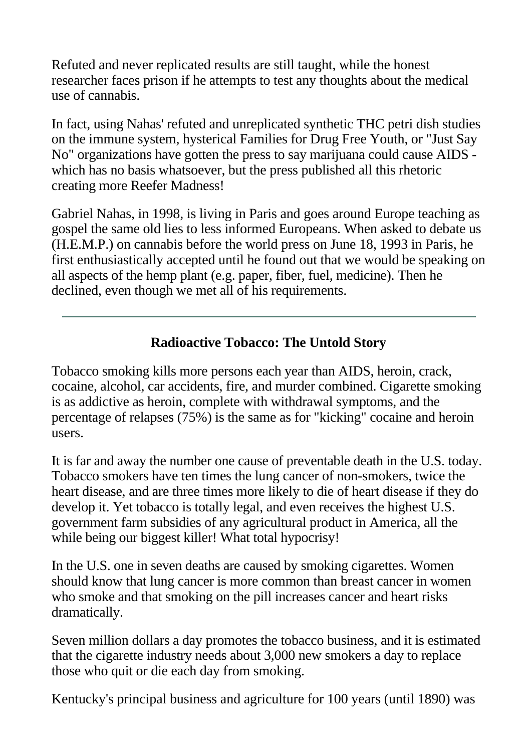Refuted and never replicated results are still taught, while the honest researcher faces prison if he attempts to test any thoughts about the medical use of cannabis.

In fact, using Nahas' refuted and unreplicated synthetic THC petri dish studies on the immune system, hysterical Families for Drug Free Youth, or "Just Say No" organizations have gotten the press to say marijuana could cause AIDS which has no basis whatsoever, but the press published all this rhetoric creating more Reefer Madness!

Gabriel Nahas, in 1998, is living in Paris and goes around Europe teaching as gospel the same old lies to less informed Europeans. When asked to debate us (H.E.M.P.) on cannabis before the world press on June 18, 1993 in Paris, he first enthusiastically accepted until he found out that we would be speaking on all aspects of the hemp plant (e.g. paper, fiber, fuel, medicine). Then he declined, even though we met all of his requirements.

# **Radioactive Tobacco: The Untold Story**

Tobacco smoking kills more persons each year than AIDS, heroin, crack, cocaine, alcohol, car accidents, fire, and murder combined. Cigarette smoking is as addictive as heroin, complete with withdrawal symptoms, and the percentage of relapses (75%) is the same as for "kicking" cocaine and heroin users.

It is far and away the number one cause of preventable death in the U.S. today. Tobacco smokers have ten times the lung cancer of non-smokers, twice the heart disease, and are three times more likely to die of heart disease if they do develop it. Yet tobacco is totally legal, and even receives the highest U.S. government farm subsidies of any agricultural product in America, all the while being our biggest killer! What total hypocrisy!

In the U.S. one in seven deaths are caused by smoking cigarettes. Women should know that lung cancer is more common than breast cancer in women who smoke and that smoking on the pill increases cancer and heart risks dramatically.

Seven million dollars a day promotes the tobacco business, and it is estimated that the cigarette industry needs about 3,000 new smokers a day to replace those who quit or die each day from smoking.

Kentucky's principal business and agriculture for 100 years (until 1890) was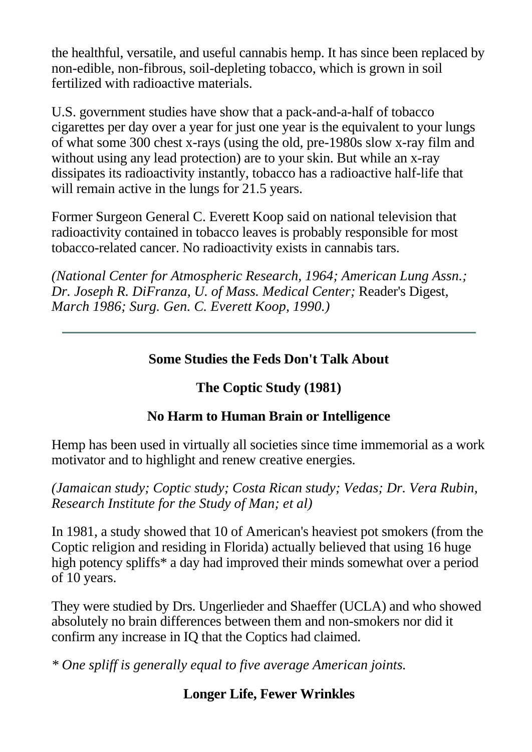Kentucky's principal business and agriculture for 100 years (until 1890) was the healthful, versatile, and useful cannabis hemp. It has since been replaced by non-edible, non-fibrous, soil-depleting tobacco, which is grown in soil fertilized with radioactive materials.

U.S. government studies have show that a pack-and-a-half of tobacco cigarettes per day over a year for just one year is the equivalent to your lungs of what some 300 chest x-rays (using the old, pre-1980s slow x-ray film and without using any lead protection) are to your skin. But while an x-ray dissipates its radioactivity instantly, tobacco has a radioactive half-life that will remain active in the lungs for 21.5 years.

Former Surgeon General C. Everett Koop said on national television that radioactivity contained in tobacco leaves is probably responsible for most tobacco-related cancer. No radioactivity exists in cannabis tars.

*(National Center for Atmospheric Research, 1964; American Lung Assn.; Dr. Joseph R. DiFranza, U. of Mass. Medical Center;* Reader's Digest*, March 1986; Surg. Gen. C. Everett Koop, 1990.)* 

#### **Some Studies the Feds Don't Talk About**

# **The Coptic Study (1981)**

# **No Harm to Human Brain or Intelligence**

Hemp has been used in virtually all societies since time immemorial as a work motivator and to highlight and renew creative energies.

*(Jamaican study; Coptic study; Costa Rican study; Vedas; Dr. Vera Rubin, Research Institute for the Study of Man; et al)* 

In 1981, a study showed that 10 of American's heaviest pot smokers (from the Coptic religion and residing in Florida) actually believed that using 16 huge high potency spliffs\* a day had improved their minds somewhat over a period of 10 years.

They were studied by Drs. Ungerlieder and Shaeffer (UCLA) and who showed absolutely no brain differences between them and non-smokers nor did it confirm any increase in IQ that the Coptics had claimed.

*\* One spliff is generally equal to five average American joints.*

# **Longer Life, Fewer Wrinkles**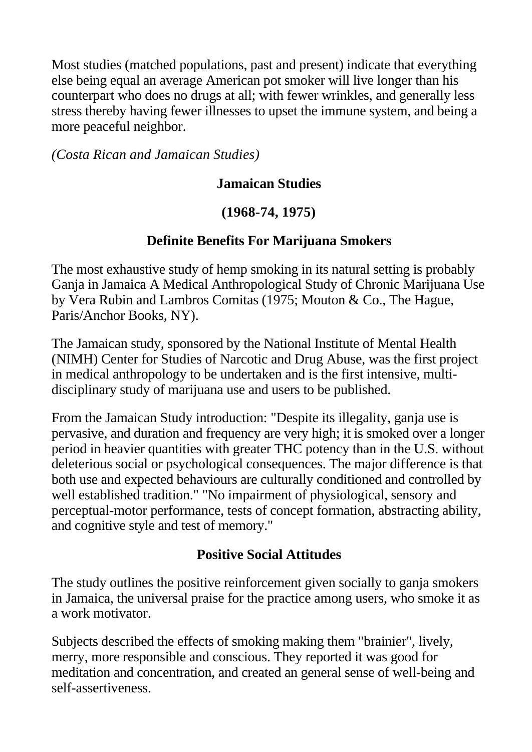Most studies (matched populations, past and present) indicate that everything else being equal an average American pot smoker will live longer than his counterpart who does no drugs at all; with fewer wrinkles, and generally less stress thereby having fewer illnesses to upset the immune system, and being a more peaceful neighbor.

*(Costa Rican and Jamaican Studies)* 

### **Jamaican Studies**

# **(1968-74, 1975)**

# **Definite Benefits For Marijuana Smokers**

The most exhaustive study of hemp smoking in its natural setting is probably Ganja in Jamaica A Medical Anthropological Study of Chronic Marijuana Use by Vera Rubin and Lambros Comitas (1975; Mouton & Co., The Hague, Paris/Anchor Books, NY).

The Jamaican study, sponsored by the National Institute of Mental Health (NIMH) Center for Studies of Narcotic and Drug Abuse, was the first project in medical anthropology to be undertaken and is the first intensive, multidisciplinary study of marijuana use and users to be published.

From the Jamaican Study introduction: "Despite its illegality, ganja use is pervasive, and duration and frequency are very high; it is smoked over a longer period in heavier quantities with greater THC potency than in the U.S. without deleterious social or psychological consequences. The major difference is that both use and expected behaviours are culturally conditioned and controlled by well established tradition." "No impairment of physiological, sensory and perceptual-motor performance, tests of concept formation, abstracting ability, and cognitive style and test of memory."

# **Positive Social Attitudes**

The study outlines the positive reinforcement given socially to ganja smokers in Jamaica, the universal praise for the practice among users, who smoke it as a work motivator.

Subjects described the effects of smoking making them "brainier", lively, merry, more responsible and conscious. They reported it was good for meditation and concentration, and created an general sense of well-being and self-assertiveness.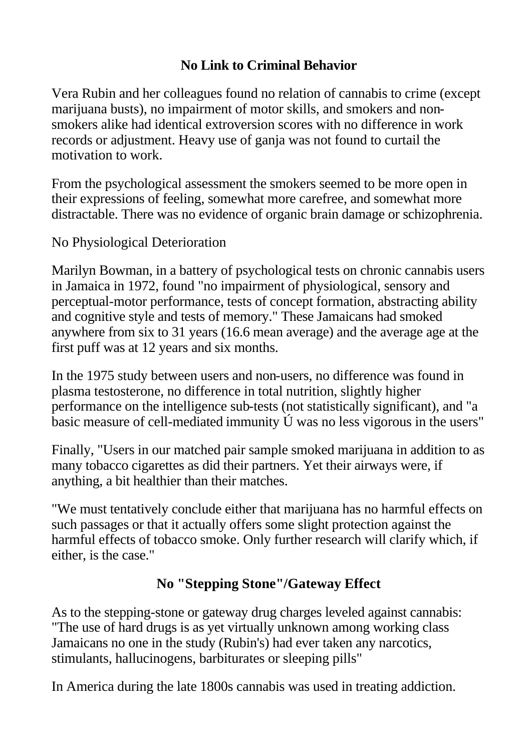# **No Link to Criminal Behavior**

Vera Rubin and her colleagues found no relation of cannabis to crime (except marijuana busts), no impairment of motor skills, and smokers and nonsmokers alike had identical extroversion scores with no difference in work records or adjustment. Heavy use of ganja was not found to curtail the motivation to work.

From the psychological assessment the smokers seemed to be more open in their expressions of feeling, somewhat more carefree, and somewhat more distractable. There was no evidence of organic brain damage or schizophrenia.

No Physiological Deterioration

Marilyn Bowman, in a battery of psychological tests on chronic cannabis users in Jamaica in 1972, found "no impairment of physiological, sensory and perceptual-motor performance, tests of concept formation, abstracting ability and cognitive style and tests of memory." These Jamaicans had smoked anywhere from six to 31 years (16.6 mean average) and the average age at the first puff was at 12 years and six months.

In the 1975 study between users and non-users, no difference was found in plasma testosterone, no difference in total nutrition, slightly higher performance on the intelligence sub-tests (not statistically significant), and "a basic measure of cell-mediated immunity Ú was no less vigorous in the users"

Finally, "Users in our matched pair sample smoked marijuana in addition to as many tobacco cigarettes as did their partners. Yet their airways were, if anything, a bit healthier than their matches.

"We must tentatively conclude either that marijuana has no harmful effects on such passages or that it actually offers some slight protection against the harmful effects of tobacco smoke. Only further research will clarify which, if either, is the case."

#### **No "Stepping Stone"/Gateway Effect**

As to the stepping-stone or gateway drug charges leveled against cannabis: "The use of hard drugs is as yet virtually unknown among working class Jamaicans no one in the study (Rubin's) had ever taken any narcotics, stimulants, hallucinogens, barbiturates or sleeping pills"

In America during the late 1800s cannabis was used in treating addiction.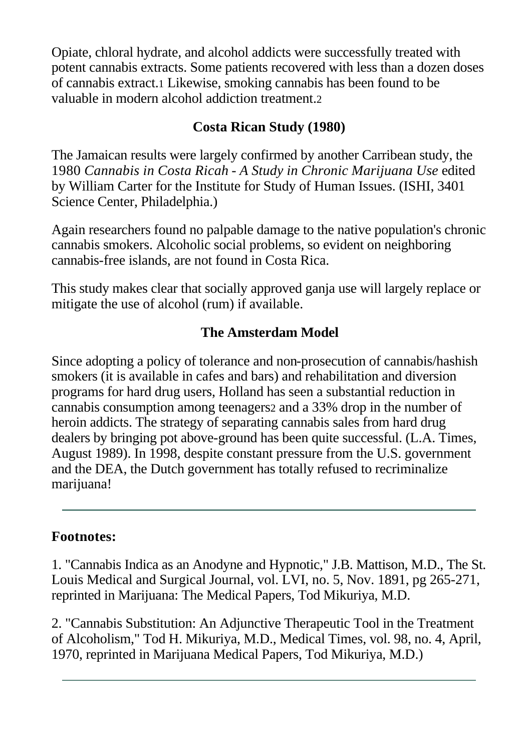Opiate, chloral hydrate, and alcohol addicts were successfully treated with potent cannabis extracts. Some patients recovered with less than a dozen doses of cannabis extract.1 Likewise, smoking cannabis has been found to be valuable in modern alcohol addiction treatment.2

# **Costa Rican Study (1980)**

The Jamaican results were largely confirmed by another Carribean study, the 1980 *Cannabis in Costa Ricah - A Study in Chronic Marijuana Use* edited by William Carter for the Institute for Study of Human Issues. (ISHI, 3401 Science Center, Philadelphia.)

Again researchers found no palpable damage to the native population's chronic cannabis smokers. Alcoholic social problems, so evident on neighboring cannabis-free islands, are not found in Costa Rica.

This study makes clear that socially approved ganja use will largely replace or mitigate the use of alcohol (rum) if available.

# **The Amsterdam Model**

Since adopting a policy of tolerance and non-prosecution of cannabis/hashish smokers (it is available in cafes and bars) and rehabilitation and diversion programs for hard drug users, Holland has seen a substantial reduction in cannabis consumption among teenagers2 and a 33% drop in the number of heroin addicts. The strategy of separating cannabis sales from hard drug dealers by bringing pot above-ground has been quite successful. (L.A. Times, August 1989). In 1998, despite constant pressure from the U.S. government and the DEA, the Dutch government has totally refused to recriminalize marijuana!

#### **Footnotes:**

1. "Cannabis Indica as an Anodyne and Hypnotic," J.B. Mattison, M.D., The St. Louis Medical and Surgical Journal, vol. LVI, no. 5, Nov. 1891, pg 265-271, reprinted in Marijuana: The Medical Papers, Tod Mikuriya, M.D.

2. "Cannabis Substitution: An Adjunctive Therapeutic Tool in the Treatment of Alcoholism," Tod H. Mikuriya, M.D., Medical Times, vol. 98, no. 4, April, 1970, reprinted in Marijuana Medical Papers, Tod Mikuriya, M.D.)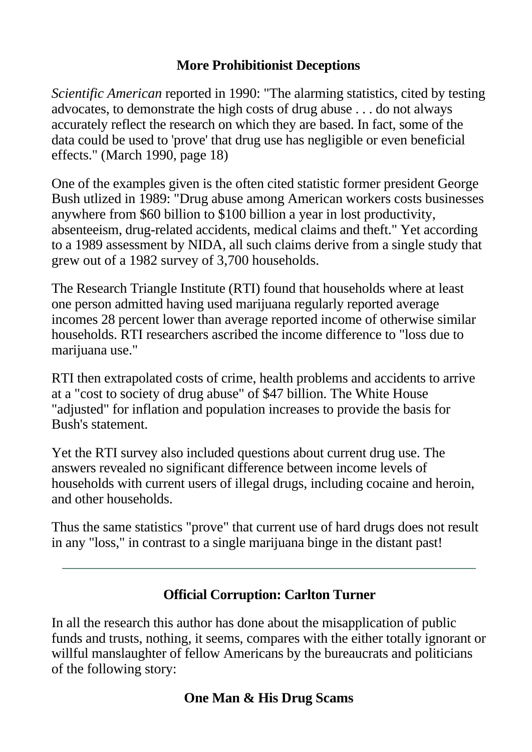#### **More Prohibitionist Deceptions**

*Scientific American* reported in 1990: "The alarming statistics, cited by testing advocates, to demonstrate the high costs of drug abuse . . . do not always accurately reflect the research on which they are based. In fact, some of the data could be used to 'prove' that drug use has negligible or even beneficial effects." (March 1990, page 18)

One of the examples given is the often cited statistic former president George Bush utlized in 1989: "Drug abuse among American workers costs businesses anywhere from \$60 billion to \$100 billion a year in lost productivity, absenteeism, drug-related accidents, medical claims and theft." Yet according to a 1989 assessment by NIDA, all such claims derive from a single study that grew out of a 1982 survey of 3,700 households.

The Research Triangle Institute (RTI) found that households where at least one person admitted having used marijuana regularly reported average incomes 28 percent lower than average reported income of otherwise similar households. RTI researchers ascribed the income difference to "loss due to marijuana use."

RTI then extrapolated costs of crime, health problems and accidents to arrive at a "cost to society of drug abuse" of \$47 billion. The White House "adjusted" for inflation and population increases to provide the basis for Bush's statement.

Yet the RTI survey also included questions about current drug use. The answers revealed no significant difference between income levels of households with current users of illegal drugs, including cocaine and heroin, and other households.

Thus the same statistics "prove" that current use of hard drugs does not result in any "loss," in contrast to a single marijuana binge in the distant past!

#### **Official Corruption: Carlton Turner**

In all the research this author has done about the misapplication of public funds and trusts, nothing, it seems, compares with the either totally ignorant or willful manslaughter of fellow Americans by the bureaucrats and politicians of the following story:

#### **One Man & His Drug Scams**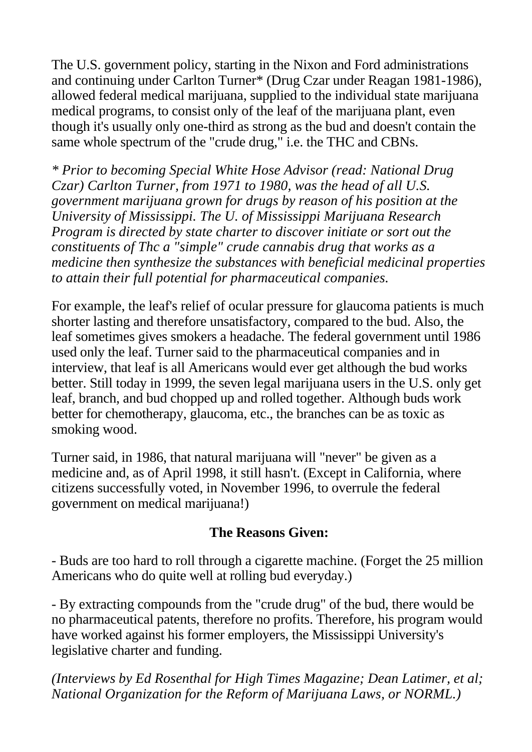The U.S. government policy, starting in the Nixon and Ford administrations and continuing under Carlton Turner\* (Drug Czar under Reagan 1981-1986), allowed federal medical marijuana, supplied to the individual state marijuana medical programs, to consist only of the leaf of the marijuana plant, even though it's usually only one-third as strong as the bud and doesn't contain the same whole spectrum of the "crude drug," i.e. the THC and CBNs.

*\* Prior to becoming Special White Hose Advisor (read: National Drug Czar) Carlton Turner, from 1971 to 1980, was the head of all U.S. government marijuana grown for drugs by reason of his position at the University of Mississippi. The U. of Mississippi Marijuana Research Program is directed by state charter to discover initiate or sort out the constituents of Thc a "simple" crude cannabis drug that works as a medicine then synthesize the substances with beneficial medicinal properties to attain their full potential for pharmaceutical companies.* 

For example, the leaf's relief of ocular pressure for glaucoma patients is much shorter lasting and therefore unsatisfactory, compared to the bud. Also, the leaf sometimes gives smokers a headache. The federal government until 1986 used only the leaf. Turner said to the pharmaceutical companies and in interview, that leaf is all Americans would ever get although the bud works better. Still today in 1999, the seven legal marijuana users in the U.S. only get leaf, branch, and bud chopped up and rolled together. Although buds work better for chemotherapy, glaucoma, etc., the branches can be as toxic as smoking wood.

Turner said, in 1986, that natural marijuana will "never" be given as a medicine and, as of April 1998, it still hasn't. (Except in California, where citizens successfully voted, in November 1996, to overrule the federal government on medical marijuana!)

#### **The Reasons Given:**

- Buds are too hard to roll through a cigarette machine. (Forget the 25 million Americans who do quite well at rolling bud everyday.)

- By extracting compounds from the "crude drug" of the bud, there would be no pharmaceutical patents, therefore no profits. Therefore, his program would have worked against his former employers, the Mississippi University's legislative charter and funding.

*(Interviews by Ed Rosenthal for High Times Magazine; Dean Latimer, et al; National Organization for the Reform of Marijuana Laws, or NORML.)*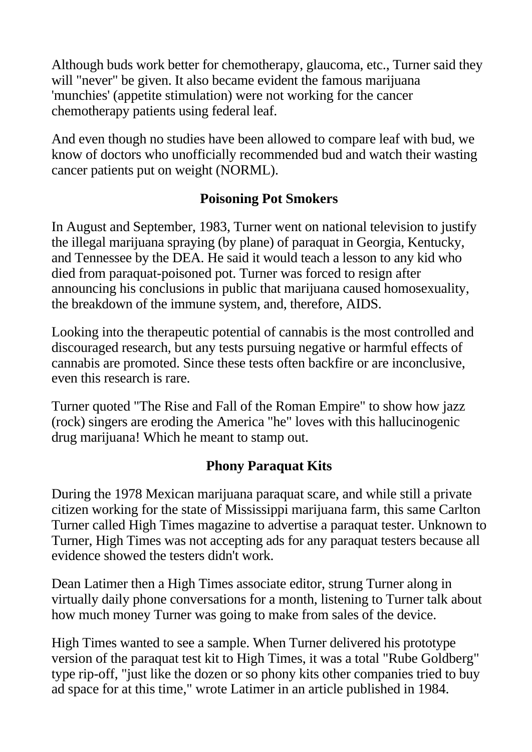Although buds work better for chemotherapy, glaucoma, etc., Turner said they will "never" be given. It also became evident the famous marijuana 'munchies' (appetite stimulation) were not working for the cancer chemotherapy patients using federal leaf.

And even though no studies have been allowed to compare leaf with bud, we know of doctors who unofficially recommended bud and watch their wasting cancer patients put on weight (NORML).

### **Poisoning Pot Smokers**

In August and September, 1983, Turner went on national television to justify the illegal marijuana spraying (by plane) of paraquat in Georgia, Kentucky, and Tennessee by the DEA. He said it would teach a lesson to any kid who died from paraquat-poisoned pot. Turner was forced to resign after announcing his conclusions in public that marijuana caused homosexuality, the breakdown of the immune system, and, therefore, AIDS.

Looking into the therapeutic potential of cannabis is the most controlled and discouraged research, but any tests pursuing negative or harmful effects of cannabis are promoted. Since these tests often backfire or are inconclusive, even this research is rare.

Turner quoted "The Rise and Fall of the Roman Empire" to show how jazz (rock) singers are eroding the America "he" loves with this hallucinogenic drug marijuana! Which he meant to stamp out.

# **Phony Paraquat Kits**

During the 1978 Mexican marijuana paraquat scare, and while still a private citizen working for the state of Mississippi marijuana farm, this same Carlton Turner called High Times magazine to advertise a paraquat tester. Unknown to Turner, High Times was not accepting ads for any paraquat testers because all evidence showed the testers didn't work.

Dean Latimer then a High Times associate editor, strung Turner along in virtually daily phone conversations for a month, listening to Turner talk about how much money Turner was going to make from sales of the device.

High Times wanted to see a sample. When Turner delivered his prototype version of the paraquat test kit to High Times, it was a total "Rube Goldberg" type rip-off, "just like the dozen or so phony kits other companies tried to buy ad space for at this time," wrote Latimer in an article published in 1984.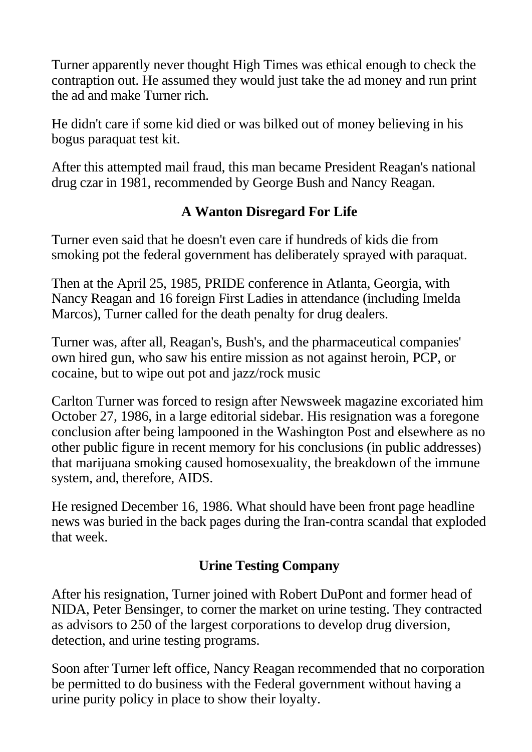Turner apparently never thought High Times was ethical enough to check the contraption out. He assumed they would just take the ad money and run print the ad and make Turner rich.

He didn't care if some kid died or was bilked out of money believing in his bogus paraquat test kit.

After this attempted mail fraud, this man became President Reagan's national drug czar in 1981, recommended by George Bush and Nancy Reagan.

# **A Wanton Disregard For Life**

Turner even said that he doesn't even care if hundreds of kids die from smoking pot the federal government has deliberately sprayed with paraquat.

Then at the April 25, 1985, PRIDE conference in Atlanta, Georgia, with Nancy Reagan and 16 foreign First Ladies in attendance (including Imelda Marcos), Turner called for the death penalty for drug dealers.

Turner was, after all, Reagan's, Bush's, and the pharmaceutical companies' own hired gun, who saw his entire mission as not against heroin, PCP, or cocaine, but to wipe out pot and jazz/rock music

Carlton Turner was forced to resign after Newsweek magazine excoriated him October 27, 1986, in a large editorial sidebar. His resignation was a foregone conclusion after being lampooned in the Washington Post and elsewhere as no other public figure in recent memory for his conclusions (in public addresses) that marijuana smoking caused homosexuality, the breakdown of the immune system, and, therefore, AIDS.

He resigned December 16, 1986. What should have been front page headline news was buried in the back pages during the Iran-contra scandal that exploded that week.

# **Urine Testing Company**

After his resignation, Turner joined with Robert DuPont and former head of NIDA, Peter Bensinger, to corner the market on urine testing. They contracted as advisors to 250 of the largest corporations to develop drug diversion, detection, and urine testing programs.

Soon after Turner left office, Nancy Reagan recommended that no corporation be permitted to do business with the Federal government without having a urine purity policy in place to show their loyalty.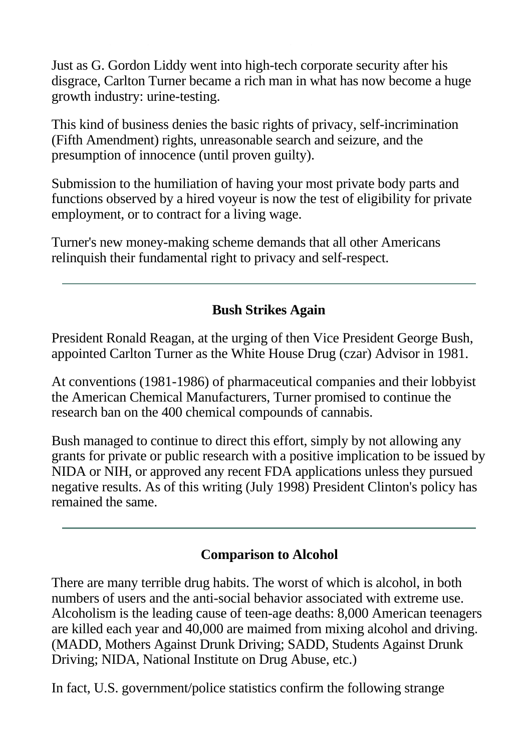Just as G. Gordon Liddy went into high-tech corporate security after his disgrace, Carlton Turner became a rich man in what has now become a huge growth industry: urine-testing.

 $u_{\rm{max}}$  in place to show the place to show the intervals of the intervals of the intervals of the intervals of the intervals of the intervals of the intervals of the intervals of the intervals of the intervals of the in

This kind of business denies the basic rights of privacy, self-incrimination (Fifth Amendment) rights, unreasonable search and seizure, and the presumption of innocence (until proven guilty).

Submission to the humiliation of having your most private body parts and functions observed by a hired voyeur is now the test of eligibility for private employment, or to contract for a living wage.

Turner's new money-making scheme demands that all other Americans relinquish their fundamental right to privacy and self-respect.

# **Bush Strikes Again**

President Ronald Reagan, at the urging of then Vice President George Bush, appointed Carlton Turner as the White House Drug (czar) Advisor in 1981.

At conventions (1981-1986) of pharmaceutical companies and their lobbyist the American Chemical Manufacturers, Turner promised to continue the research ban on the 400 chemical compounds of cannabis.

Bush managed to continue to direct this effort, simply by not allowing any grants for private or public research with a positive implication to be issued by NIDA or NIH, or approved any recent FDA applications unless they pursued negative results. As of this writing (July 1998) President Clinton's policy has remained the same.

#### **Comparison to Alcohol**

There are many terrible drug habits. The worst of which is alcohol, in both numbers of users and the anti-social behavior associated with extreme use. Alcoholism is the leading cause of teen-age deaths: 8,000 American teenagers are killed each year and 40,000 are maimed from mixing alcohol and driving. (MADD, Mothers Against Drunk Driving; SADD, Students Against Drunk Driving; NIDA, National Institute on Drug Abuse, etc.)

In fact, U.S. government/police statistics confirm the following strange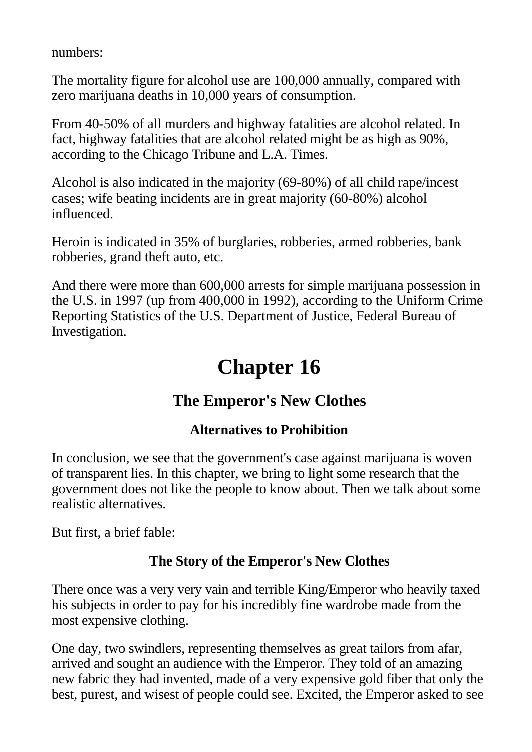numbers:

The mortality figure for alcohol use are 100,000 annually, compared with zero marijuana deaths in 10,000 years of consumption.

From 40-50% of all murders and highway fatalities are alcohol related. In fact, highway fatalities that are alcohol related might be as high as 90%, according to the Chicago Tribune and L.A. Times.

Alcohol is also indicated in the majority (69-80%) of all child rape/incest cases; wife beating incidents are in great majority (60-80%) alcohol influenced.

Heroin is indicated in 35% of burglaries, robberies, armed robberies, bank robberies, grand theft auto, etc.

And there were more than 600,000 arrests for simple marijuana possession in the U.S. in 1997 (up from 400,000 in 1992), according to the Uniform Crime Reporting Statistics of the U.S. Department of Justice, Federal Bureau of Investigation.

# **Chapter 16**

# **The Emperor's New Clothes**

# **Alternatives to Prohibition**

In conclusion, we see that the government's case against marijuana is woven of transparent lies. In this chapter, we bring to light some research that the government does not like the people to know about. Then we talk about some realistic alternatives.

But first, a brief fable:

# **The Story of the Emperor's New Clothes**

There once was a very very vain and terrible King/Emperor who heavily taxed his subjects in order to pay for his incredibly fine wardrobe made from the most expensive clothing.

One day, two swindlers, representing themselves as great tailors from afar, arrived and sought an audience with the Emperor. They told of an amazing new fabric they had invented, made of a very expensive gold fiber that only the best, purest, and wisest of people could see. Excited, the Emperor asked to see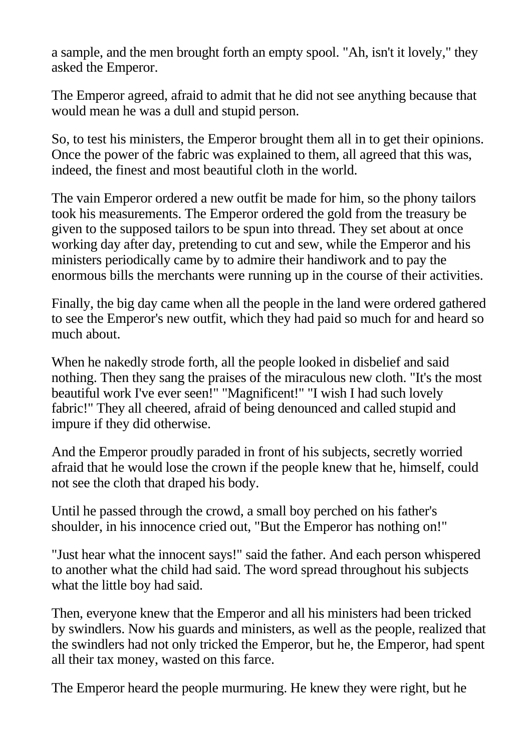a sample, and the men brought forth an empty spool. "Ah, isn't it lovely," they asked the Emperor.

The Emperor agreed, afraid to admit that he did not see anything because that would mean he was a dull and stupid person.

So, to test his ministers, the Emperor brought them all in to get their opinions. Once the power of the fabric was explained to them, all agreed that this was, indeed, the finest and most beautiful cloth in the world.

The vain Emperor ordered a new outfit be made for him, so the phony tailors took his measurements. The Emperor ordered the gold from the treasury be given to the supposed tailors to be spun into thread. They set about at once working day after day, pretending to cut and sew, while the Emperor and his ministers periodically came by to admire their handiwork and to pay the enormous bills the merchants were running up in the course of their activities.

Finally, the big day came when all the people in the land were ordered gathered to see the Emperor's new outfit, which they had paid so much for and heard so much about.

When he nakedly strode forth, all the people looked in disbelief and said nothing. Then they sang the praises of the miraculous new cloth. "It's the most beautiful work I've ever seen!" "Magnificent!" "I wish I had such lovely fabric!" They all cheered, afraid of being denounced and called stupid and impure if they did otherwise.

And the Emperor proudly paraded in front of his subjects, secretly worried afraid that he would lose the crown if the people knew that he, himself, could not see the cloth that draped his body.

Until he passed through the crowd, a small boy perched on his father's shoulder, in his innocence cried out, "But the Emperor has nothing on!"

"Just hear what the innocent says!" said the father. And each person whispered to another what the child had said. The word spread throughout his subjects what the little boy had said.

Then, everyone knew that the Emperor and all his ministers had been tricked by swindlers. Now his guards and ministers, as well as the people, realized that the swindlers had not only tricked the Emperor, but he, the Emperor, had spent all their tax money, wasted on this farce.

The Emperor heard the people murmuring. He knew they were right, but he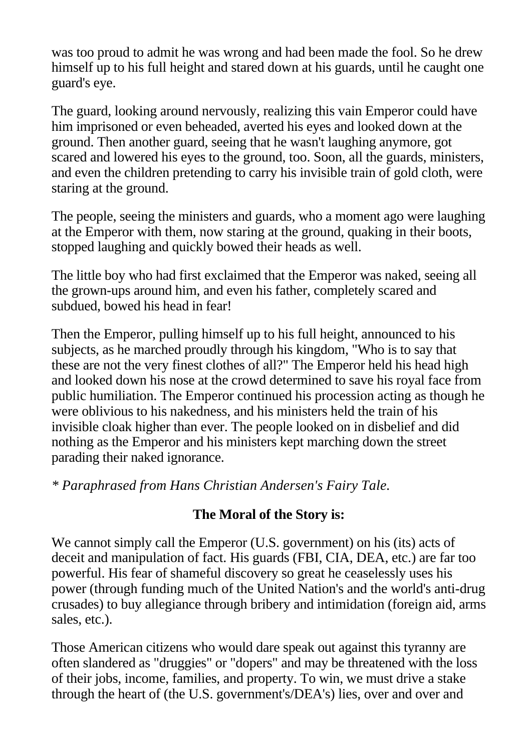was too proud to admit he was wrong and had been made the fool. So he drew himself up to his full height and stared down at his guards, until he caught one guard's eye.

The guard, looking around nervously, realizing this vain Emperor could have him imprisoned or even beheaded, averted his eyes and looked down at the ground. Then another guard, seeing that he wasn't laughing anymore, got scared and lowered his eyes to the ground, too. Soon, all the guards, ministers, and even the children pretending to carry his invisible train of gold cloth, were staring at the ground.

The people, seeing the ministers and guards, who a moment ago were laughing at the Emperor with them, now staring at the ground, quaking in their boots, stopped laughing and quickly bowed their heads as well.

The little boy who had first exclaimed that the Emperor was naked, seeing all the grown-ups around him, and even his father, completely scared and subdued, bowed his head in fear!

Then the Emperor, pulling himself up to his full height, announced to his subjects, as he marched proudly through his kingdom, "Who is to say that these are not the very finest clothes of all?" The Emperor held his head high and looked down his nose at the crowd determined to save his royal face from public humiliation. The Emperor continued his procession acting as though he were oblivious to his nakedness, and his ministers held the train of his invisible cloak higher than ever. The people looked on in disbelief and did nothing as the Emperor and his ministers kept marching down the street parading their naked ignorance.

*\* Paraphrased from Hans Christian Andersen's Fairy Tale.* 

# **The Moral of the Story is:**

We cannot simply call the Emperor (U.S. government) on his (its) acts of deceit and manipulation of fact. His guards (FBI, CIA, DEA, etc.) are far too powerful. His fear of shameful discovery so great he ceaselessly uses his power (through funding much of the United Nation's and the world's anti-drug crusades) to buy allegiance through bribery and intimidation (foreign aid, arms sales, etc.).

Those American citizens who would dare speak out against this tyranny are often slandered as "druggies" or "dopers" and may be threatened with the loss of their jobs, income, families, and property. To win, we must drive a stake through the heart of (the U.S. government's/DEA's) lies, over and over and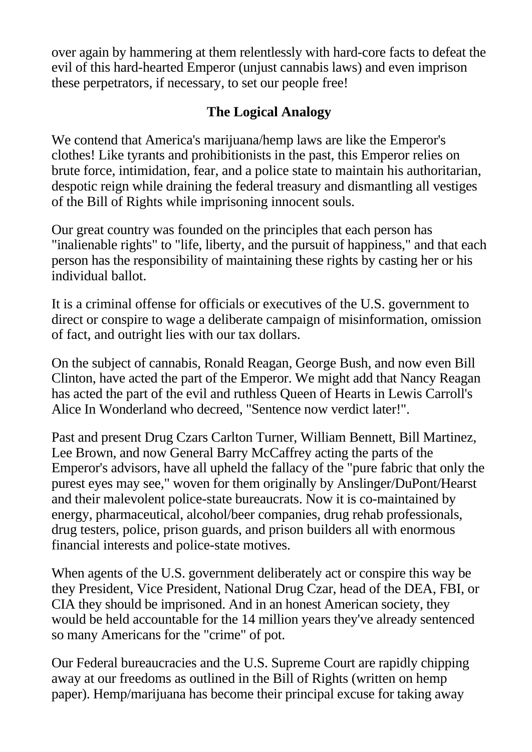over again by hammering at them relentlessly with hard-core facts to defeat the evil of this hard-hearted Emperor (unjust cannabis laws) and even imprison these perpetrators, if necessary, to set our people free!

# **The Logical Analogy**

We contend that America's marijuana/hemp laws are like the Emperor's clothes! Like tyrants and prohibitionists in the past, this Emperor relies on brute force, intimidation, fear, and a police state to maintain his authoritarian, despotic reign while draining the federal treasury and dismantling all vestiges of the Bill of Rights while imprisoning innocent souls.

Our great country was founded on the principles that each person has "inalienable rights" to "life, liberty, and the pursuit of happiness," and that each person has the responsibility of maintaining these rights by casting her or his individual ballot.

It is a criminal offense for officials or executives of the U.S. government to direct or conspire to wage a deliberate campaign of misinformation, omission of fact, and outright lies with our tax dollars.

On the subject of cannabis, Ronald Reagan, George Bush, and now even Bill Clinton, have acted the part of the Emperor. We might add that Nancy Reagan has acted the part of the evil and ruthless Queen of Hearts in Lewis Carroll's Alice In Wonderland who decreed, "Sentence now verdict later!".

Past and present Drug Czars Carlton Turner, William Bennett, Bill Martinez, Lee Brown, and now General Barry McCaffrey acting the parts of the Emperor's advisors, have all upheld the fallacy of the "pure fabric that only the purest eyes may see," woven for them originally by Anslinger/DuPont/Hearst and their malevolent police-state bureaucrats. Now it is co-maintained by energy, pharmaceutical, alcohol/beer companies, drug rehab professionals, drug testers, police, prison guards, and prison builders all with enormous financial interests and police-state motives.

When agents of the U.S. government deliberately act or conspire this way be they President, Vice President, National Drug Czar, head of the DEA, FBI, or CIA they should be imprisoned. And in an honest American society, they would be held accountable for the 14 million years they've already sentenced so many Americans for the "crime" of pot.

Our Federal bureaucracies and the U.S. Supreme Court are rapidly chipping away at our freedoms as outlined in the Bill of Rights (written on hemp paper). Hemp/marijuana has become their principal excuse for taking away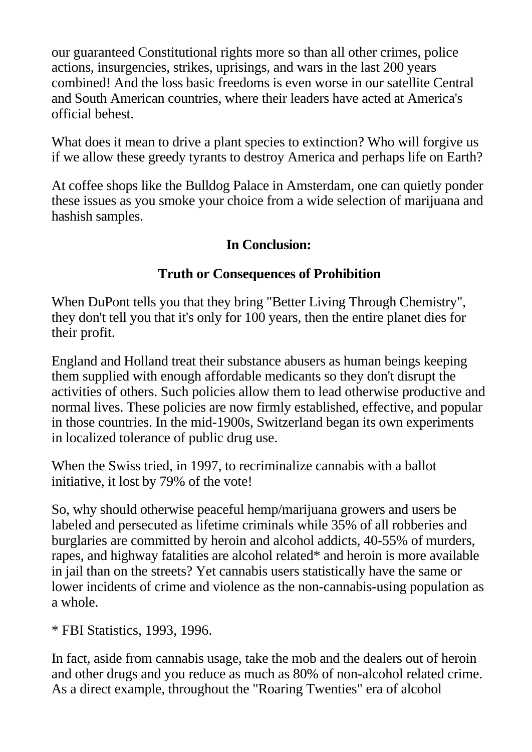our guaranteed Constitutional rights more so than all other crimes, police actions, insurgencies, strikes, uprisings, and wars in the last 200 years combined! And the loss basic freedoms is even worse in our satellite Central and South American countries, where their leaders have acted at America's official behest.

What does it mean to drive a plant species to extinction? Who will forgive us if we allow these greedy tyrants to destroy America and perhaps life on Earth?

At coffee shops like the Bulldog Palace in Amsterdam, one can quietly ponder these issues as you smoke your choice from a wide selection of marijuana and hashish samples.

#### **In Conclusion:**

#### **Truth or Consequences of Prohibition**

When DuPont tells you that they bring "Better Living Through Chemistry", they don't tell you that it's only for 100 years, then the entire planet dies for their profit.

England and Holland treat their substance abusers as human beings keeping them supplied with enough affordable medicants so they don't disrupt the activities of others. Such policies allow them to lead otherwise productive and normal lives. These policies are now firmly established, effective, and popular in those countries. In the mid-1900s, Switzerland began its own experiments in localized tolerance of public drug use.

When the Swiss tried, in 1997, to recriminalize cannabis with a ballot initiative, it lost by 79% of the vote!

So, why should otherwise peaceful hemp/marijuana growers and users be labeled and persecuted as lifetime criminals while 35% of all robberies and burglaries are committed by heroin and alcohol addicts, 40-55% of murders, rapes, and highway fatalities are alcohol related\* and heroin is more available in jail than on the streets? Yet cannabis users statistically have the same or lower incidents of crime and violence as the non-cannabis-using population as a whole.

\* FBI Statistics, 1993, 1996.

In fact, aside from cannabis usage, take the mob and the dealers out of heroin and other drugs and you reduce as much as 80% of non-alcohol related crime. As a direct example, throughout the "Roaring Twenties" era of alcohol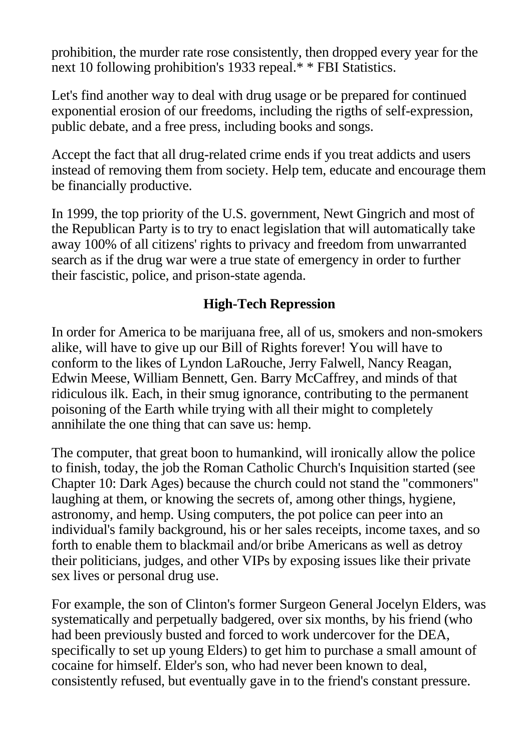prohibition, the murder rate rose consistently, then dropped every year for the next 10 following prohibition's 1933 repeal.\* \* FBI Statistics.

Let's find another way to deal with drug usage or be prepared for continued exponential erosion of our freedoms, including the rigths of self-expression, public debate, and a free press, including books and songs.

Accept the fact that all drug-related crime ends if you treat addicts and users instead of removing them from society. Help tem, educate and encourage them be financially productive.

In 1999, the top priority of the U.S. government, Newt Gingrich and most of the Republican Party is to try to enact legislation that will automatically take away 100% of all citizens' rights to privacy and freedom from unwarranted search as if the drug war were a true state of emergency in order to further their fascistic, police, and prison-state agenda.

#### **High-Tech Repression**

In order for America to be marijuana free, all of us, smokers and non-smokers alike, will have to give up our Bill of Rights forever! You will have to conform to the likes of Lyndon LaRouche, Jerry Falwell, Nancy Reagan, Edwin Meese, William Bennett, Gen. Barry McCaffrey, and minds of that ridiculous ilk. Each, in their smug ignorance, contributing to the permanent poisoning of the Earth while trying with all their might to completely annihilate the one thing that can save us: hemp.

The computer, that great boon to humankind, will ironically allow the police to finish, today, the job the Roman Catholic Church's Inquisition started (see Chapter 10: Dark Ages) because the church could not stand the "commoners" laughing at them, or knowing the secrets of, among other things, hygiene, astronomy, and hemp. Using computers, the pot police can peer into an individual's family background, his or her sales receipts, income taxes, and so forth to enable them to blackmail and/or bribe Americans as well as detroy their politicians, judges, and other VIPs by exposing issues like their private sex lives or personal drug use.

For example, the son of Clinton's former Surgeon General Jocelyn Elders, was systematically and perpetually badgered, over six months, by his friend (who had been previously busted and forced to work undercover for the DEA, specifically to set up young Elders) to get him to purchase a small amount of cocaine for himself. Elder's son, who had never been known to deal, consistently refused, but eventually gave in to the friend's constant pressure.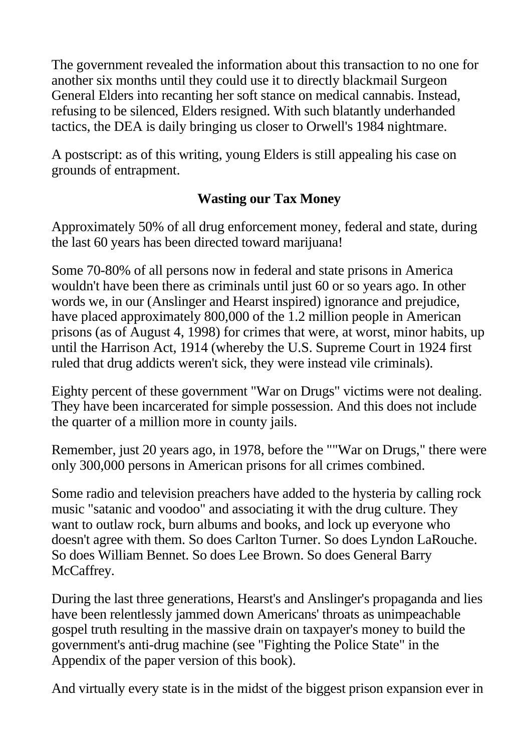The government revealed the information about this transaction to no one for another six months until they could use it to directly blackmail Surgeon General Elders into recanting her soft stance on medical cannabis. Instead, refusing to be silenced, Elders resigned. With such blatantly underhanded tactics, the DEA is daily bringing us closer to Orwell's 1984 nightmare.

A postscript: as of this writing, young Elders is still appealing his case on grounds of entrapment.

# **Wasting our Tax Money**

Approximately 50% of all drug enforcement money, federal and state, during the last 60 years has been directed toward marijuana!

Some 70-80% of all persons now in federal and state prisons in America wouldn't have been there as criminals until just 60 or so years ago. In other words we, in our (Anslinger and Hearst inspired) ignorance and prejudice, have placed approximately 800,000 of the 1.2 million people in American prisons (as of August 4, 1998) for crimes that were, at worst, minor habits, up until the Harrison Act, 1914 (whereby the U.S. Supreme Court in 1924 first ruled that drug addicts weren't sick, they were instead vile criminals).

Eighty percent of these government "War on Drugs" victims were not dealing. They have been incarcerated for simple possession. And this does not include the quarter of a million more in county jails.

Remember, just 20 years ago, in 1978, before the ""War on Drugs," there were only 300,000 persons in American prisons for all crimes combined.

Some radio and television preachers have added to the hysteria by calling rock music "satanic and voodoo" and associating it with the drug culture. They want to outlaw rock, burn albums and books, and lock up everyone who doesn't agree with them. So does Carlton Turner. So does Lyndon LaRouche. So does William Bennet. So does Lee Brown. So does General Barry McCaffrey.

During the last three generations, Hearst's and Anslinger's propaganda and lies have been relentlessly jammed down Americans' throats as unimpeachable gospel truth resulting in the massive drain on taxpayer's money to build the government's anti-drug machine (see "Fighting the Police State" in the Appendix of the paper version of this book).

And virtually every state is in the midst of the biggest prison expansion ever in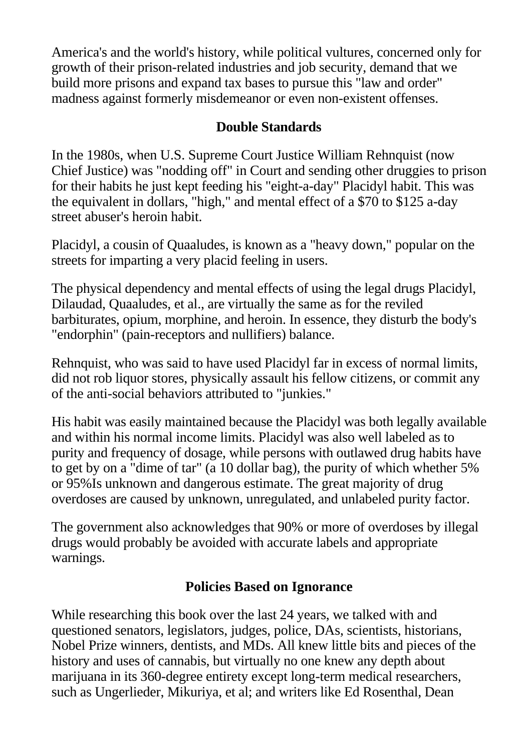America's and the world's history, while political vultures, concerned only for growth of their prison-related industries and job security, demand that we build more prisons and expand tax bases to pursue this "law and order" madness against formerly misdemeanor or even non-existent offenses.

### **Double Standards**

In the 1980s, when U.S. Supreme Court Justice William Rehnquist (now Chief Justice) was "nodding off" in Court and sending other druggies to prison for their habits he just kept feeding his "eight-a-day" Placidyl habit. This was the equivalent in dollars, "high," and mental effect of a \$70 to \$125 a-day street abuser's heroin habit.

Placidyl, a cousin of Quaaludes, is known as a "heavy down," popular on the streets for imparting a very placid feeling in users.

The physical dependency and mental effects of using the legal drugs Placidyl, Dilaudad, Quaaludes, et al., are virtually the same as for the reviled barbiturates, opium, morphine, and heroin. In essence, they disturb the body's "endorphin" (pain-receptors and nullifiers) balance.

Rehnquist, who was said to have used Placidyl far in excess of normal limits, did not rob liquor stores, physically assault his fellow citizens, or commit any of the anti-social behaviors attributed to "junkies."

His habit was easily maintained because the Placidyl was both legally available and within his normal income limits. Placidyl was also well labeled as to purity and frequency of dosage, while persons with outlawed drug habits have to get by on a "dime of tar" (a 10 dollar bag), the purity of which whether 5% or 95%Is unknown and dangerous estimate. The great majority of drug overdoses are caused by unknown, unregulated, and unlabeled purity factor.

The government also acknowledges that 90% or more of overdoses by illegal drugs would probably be avoided with accurate labels and appropriate warnings.

# **Policies Based on Ignorance**

While researching this book over the last 24 years, we talked with and questioned senators, legislators, judges, police, DAs, scientists, historians, Nobel Prize winners, dentists, and MDs. All knew little bits and pieces of the history and uses of cannabis, but virtually no one knew any depth about marijuana in its 360-degree entirety except long-term medical researchers, such as Ungerlieder, Mikuriya, et al; and writers like Ed Rosenthal, Dean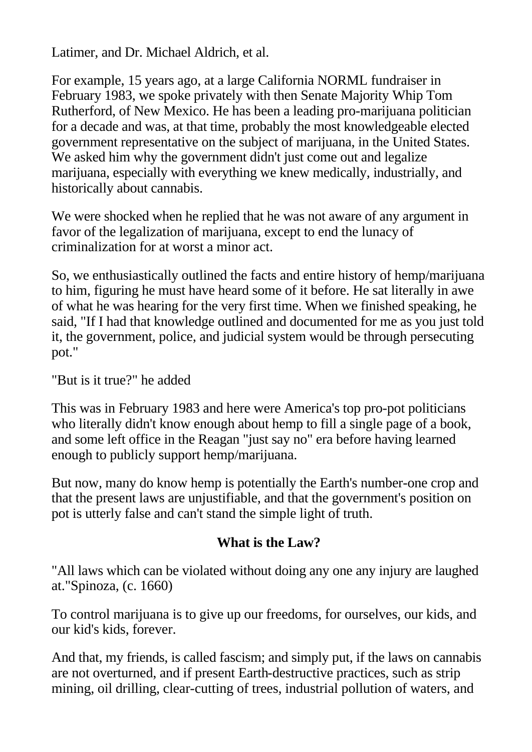Latimer, and Dr. Michael Aldrich, et al.

For example, 15 years ago, at a large California NORML fundraiser in February 1983, we spoke privately with then Senate Majority Whip Tom Rutherford, of New Mexico. He has been a leading pro-marijuana politician for a decade and was, at that time, probably the most knowledgeable elected government representative on the subject of marijuana, in the United States. We asked him why the government didn't just come out and legalize marijuana, especially with everything we knew medically, industrially, and historically about cannabis.

We were shocked when he replied that he was not aware of any argument in favor of the legalization of marijuana, except to end the lunacy of criminalization for at worst a minor act.

So, we enthusiastically outlined the facts and entire history of hemp/marijuana to him, figuring he must have heard some of it before. He sat literally in awe of what he was hearing for the very first time. When we finished speaking, he said, "If I had that knowledge outlined and documented for me as you just told it, the government, police, and judicial system would be through persecuting pot."

"But is it true?" he added

This was in February 1983 and here were America's top pro-pot politicians who literally didn't know enough about hemp to fill a single page of a book, and some left office in the Reagan "just say no" era before having learned enough to publicly support hemp/marijuana.

But now, many do know hemp is potentially the Earth's number-one crop and that the present laws are unjustifiable, and that the government's position on pot is utterly false and can't stand the simple light of truth.

#### **What is the Law?**

"All laws which can be violated without doing any one any injury are laughed at."Spinoza, (c. 1660)

To control marijuana is to give up our freedoms, for ourselves, our kids, and our kid's kids, forever.

And that, my friends, is called fascism; and simply put, if the laws on cannabis are not overturned, and if present Earth-destructive practices, such as strip mining, oil drilling, clear-cutting of trees, industrial pollution of waters, and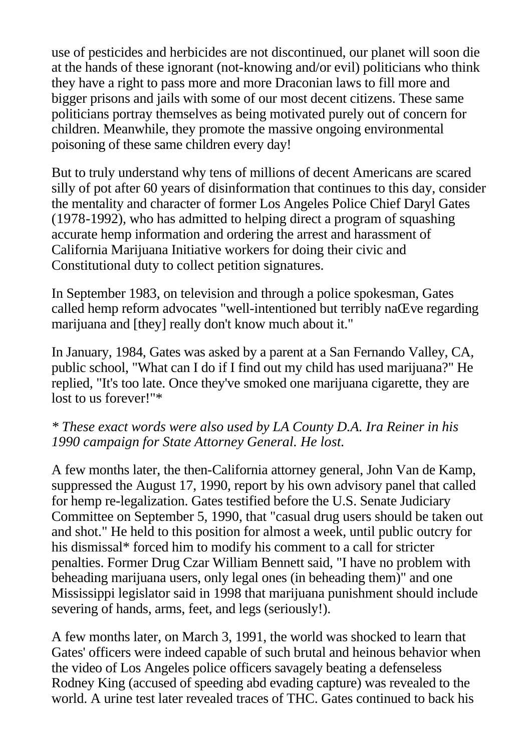use of pesticides and herbicides are not discontinued, our planet will soon die at the hands of these ignorant (not-knowing and/or evil) politicians who think they have a right to pass more and more Draconian laws to fill more and bigger prisons and jails with some of our most decent citizens. These same politicians portray themselves as being motivated purely out of concern for children. Meanwhile, they promote the massive ongoing environmental poisoning of these same children every day!

But to truly understand why tens of millions of decent Americans are scared silly of pot after 60 years of disinformation that continues to this day, consider the mentality and character of former Los Angeles Police Chief Daryl Gates (1978-1992), who has admitted to helping direct a program of squashing accurate hemp information and ordering the arrest and harassment of California Marijuana Initiative workers for doing their civic and Constitutional duty to collect petition signatures.

In September 1983, on television and through a police spokesman, Gates called hemp reform advocates "well-intentioned but terribly naŒve regarding marijuana and [they] really don't know much about it."

In January, 1984, Gates was asked by a parent at a San Fernando Valley, CA, public school, "What can I do if I find out my child has used marijuana?" He replied, "It's too late. Once they've smoked one marijuana cigarette, they are lost to us forever!"\*

#### *\* These exact words were also used by LA County D.A. Ira Reiner in his 1990 campaign for State Attorney General. He lost.*

A few months later, the then-California attorney general, John Van de Kamp, suppressed the August 17, 1990, report by his own advisory panel that called for hemp re-legalization. Gates testified before the U.S. Senate Judiciary Committee on September 5, 1990, that "casual drug users should be taken out and shot." He held to this position for almost a week, until public outcry for his dismissal\* forced him to modify his comment to a call for stricter penalties. Former Drug Czar William Bennett said, "I have no problem with beheading marijuana users, only legal ones (in beheading them)" and one Mississippi legislator said in 1998 that marijuana punishment should include severing of hands, arms, feet, and legs (seriously!).

A few months later, on March 3, 1991, the world was shocked to learn that Gates' officers were indeed capable of such brutal and heinous behavior when the video of Los Angeles police officers savagely beating a defenseless Rodney King (accused of speeding abd evading capture) was revealed to the world. A urine test later revealed traces of THC. Gates continued to back his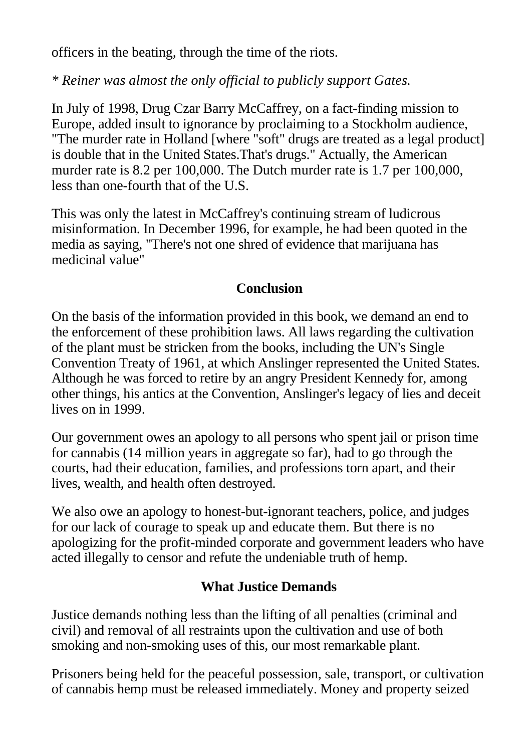officers in the beating, through the time of the riots.

*\* Reiner was almost the only official to publicly support Gates.* 

In July of 1998, Drug Czar Barry McCaffrey, on a fact-finding mission to Europe, added insult to ignorance by proclaiming to a Stockholm audience, "The murder rate in Holland [where "soft" drugs are treated as a legal product] is double that in the United States.That's drugs." Actually, the American murder rate is 8.2 per 100,000. The Dutch murder rate is 1.7 per 100,000, less than one-fourth that of the U.S.

This was only the latest in McCaffrey's continuing stream of ludicrous misinformation. In December 1996, for example, he had been quoted in the media as saying, "There's not one shred of evidence that marijuana has medicinal value"

### **Conclusion**

On the basis of the information provided in this book, we demand an end to the enforcement of these prohibition laws. All laws regarding the cultivation of the plant must be stricken from the books, including the UN's Single Convention Treaty of 1961, at which Anslinger represented the United States. Although he was forced to retire by an angry President Kennedy for, among other things, his antics at the Convention, Anslinger's legacy of lies and deceit lives on in 1999.

Our government owes an apology to all persons who spent jail or prison time for cannabis (14 million years in aggregate so far), had to go through the courts, had their education, families, and professions torn apart, and their lives, wealth, and health often destroyed.

We also owe an apology to honest-but-ignorant teachers, police, and judges for our lack of courage to speak up and educate them. But there is no apologizing for the profit-minded corporate and government leaders who have acted illegally to censor and refute the undeniable truth of hemp.

# **What Justice Demands**

Justice demands nothing less than the lifting of all penalties (criminal and civil) and removal of all restraints upon the cultivation and use of both smoking and non-smoking uses of this, our most remarkable plant.

Prisoners being held for the peaceful possession, sale, transport, or cultivation of cannabis hemp must be released immediately. Money and property seized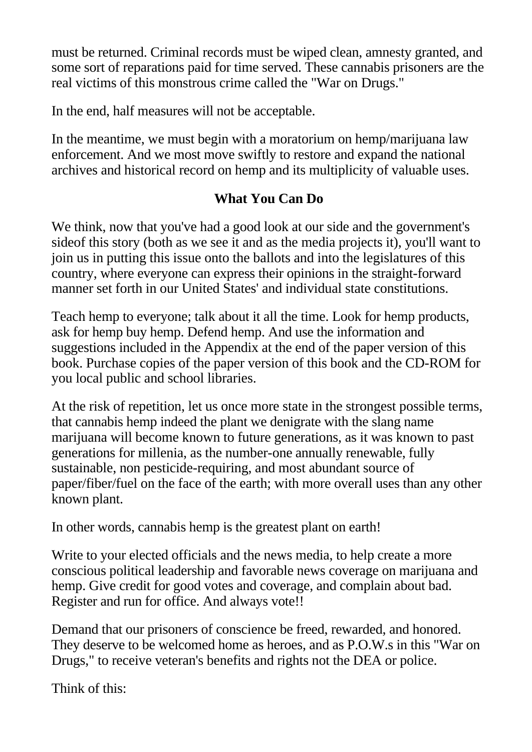must be returned. Criminal records must be wiped clean, amnesty granted, and some sort of reparations paid for time served. These cannabis prisoners are the real victims of this monstrous crime called the "War on Drugs."

In the end, half measures will not be acceptable.

In the meantime, we must begin with a moratorium on hemp/marijuana law enforcement. And we most move swiftly to restore and expand the national archives and historical record on hemp and its multiplicity of valuable uses.

# **What You Can Do**

We think, now that you've had a good look at our side and the government's sideof this story (both as we see it and as the media projects it), you'll want to join us in putting this issue onto the ballots and into the legislatures of this country, where everyone can express their opinions in the straight-forward manner set forth in our United States' and individual state constitutions.

Teach hemp to everyone; talk about it all the time. Look for hemp products, ask for hemp buy hemp. Defend hemp. And use the information and suggestions included in the Appendix at the end of the paper version of this book. Purchase copies of the paper version of this book and the CD-ROM for you local public and school libraries.

At the risk of repetition, let us once more state in the strongest possible terms, that cannabis hemp indeed the plant we denigrate with the slang name marijuana will become known to future generations, as it was known to past generations for millenia, as the number-one annually renewable, fully sustainable, non pesticide-requiring, and most abundant source of paper/fiber/fuel on the face of the earth; with more overall uses than any other known plant.

In other words, cannabis hemp is the greatest plant on earth!

Write to your elected officials and the news media, to help create a more conscious political leadership and favorable news coverage on marijuana and hemp. Give credit for good votes and coverage, and complain about bad. Register and run for office. And always vote!!

Demand that our prisoners of conscience be freed, rewarded, and honored. They deserve to be welcomed home as heroes, and as P.O.W.s in this "War on Drugs," to receive veteran's benefits and rights not the DEA or police.

Think of this: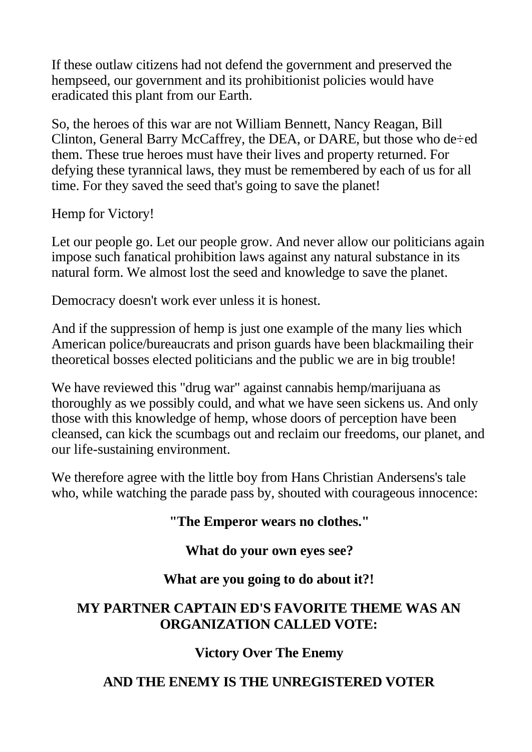If these outlaw citizens had not defend the government and preserved the hempseed, our government and its prohibitionist policies would have eradicated this plant from our Earth.

So, the heroes of this war are not William Bennett, Nancy Reagan, Bill Clinton, General Barry McCaffrey, the DEA, or DARE, but those who de÷ed them. These true heroes must have their lives and property returned. For defying these tyrannical laws, they must be remembered by each of us for all time. For they saved the seed that's going to save the planet!

Hemp for Victory!

Let our people go. Let our people grow. And never allow our politicians again impose such fanatical prohibition laws against any natural substance in its natural form. We almost lost the seed and knowledge to save the planet.

Democracy doesn't work ever unless it is honest.

And if the suppression of hemp is just one example of the many lies which American police/bureaucrats and prison guards have been blackmailing their theoretical bosses elected politicians and the public we are in big trouble!

We have reviewed this "drug war" against cannabis hemp/marijuana as thoroughly as we possibly could, and what we have seen sickens us. And only those with this knowledge of hemp, whose doors of perception have been cleansed, can kick the scumbags out and reclaim our freedoms, our planet, and our life-sustaining environment.

We therefore agree with the little boy from Hans Christian Andersens's tale who, while watching the parade pass by, shouted with courageous innocence:

#### **"The Emperor wears no clothes."**

#### **What do your own eyes see?**

#### **What are you going to do about it?!**

#### **MY PARTNER CAPTAIN ED'S FAVORITE THEME WAS AN ORGANIZATION CALLED VOTE:**

# **Victory Over The Enemy**

#### **AND THE ENEMY IS THE UNREGISTERED VOTER**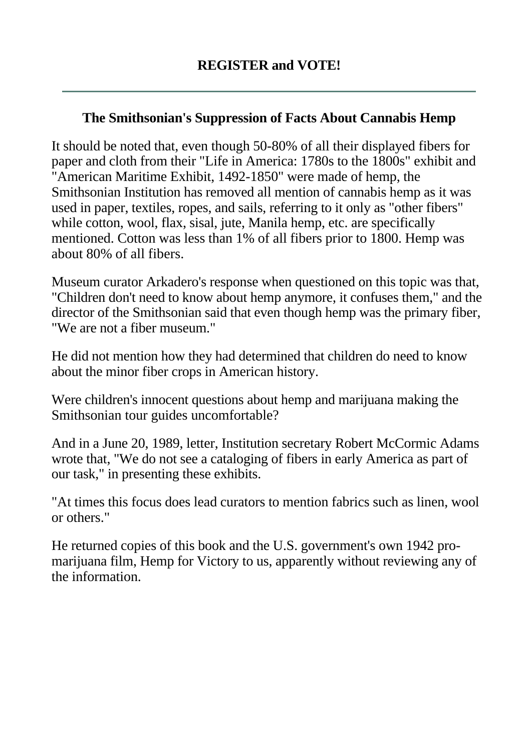#### **The Smithsonian's Suppression of Facts About Cannabis Hemp**

It should be noted that, even though 50-80% of all their displayed fibers for paper and cloth from their "Life in America: 1780s to the 1800s" exhibit and "American Maritime Exhibit, 1492-1850" were made of hemp, the Smithsonian Institution has removed all mention of cannabis hemp as it was used in paper, textiles, ropes, and sails, referring to it only as "other fibers" while cotton, wool, flax, sisal, jute, Manila hemp, etc. are specifically mentioned. Cotton was less than 1% of all fibers prior to 1800. Hemp was about 80% of all fibers.

Museum curator Arkadero's response when questioned on this topic was that, "Children don't need to know about hemp anymore, it confuses them," and the director of the Smithsonian said that even though hemp was the primary fiber, "We are not a fiber museum."

He did not mention how they had determined that children do need to know about the minor fiber crops in American history.

Were children's innocent questions about hemp and marijuana making the Smithsonian tour guides uncomfortable?

And in a June 20, 1989, letter, Institution secretary Robert McCormic Adams wrote that, "We do not see a cataloging of fibers in early America as part of our task," in presenting these exhibits.

"At times this focus does lead curators to mention fabrics such as linen, wool or others."

He returned copies of this book and the U.S. government's own 1942 promarijuana film, Hemp for Victory to us, apparently without reviewing any of the information.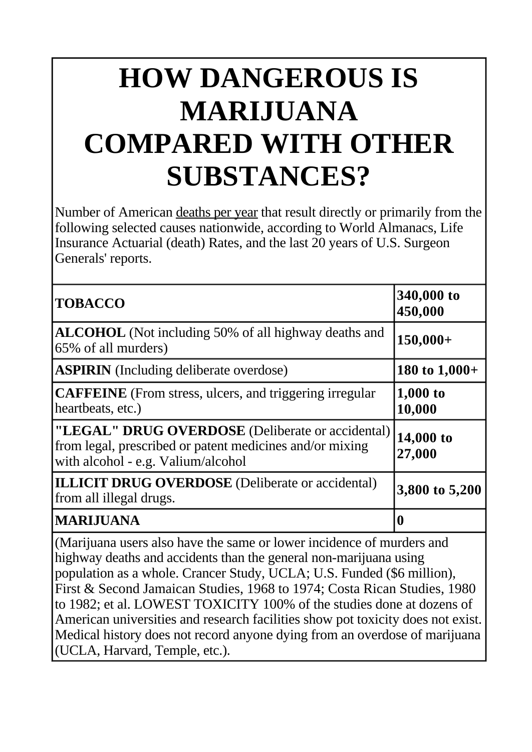# **HOW DANGEROUS IS MARIJUANA COMPARED WITH OTHER SUBSTANCES?**

Number of American deaths per year that result directly or primarily from the following selected causes nationwide, according to World Almanacs, Life Insurance Actuarial (death) Rates, and the last 20 years of U.S. Surgeon Generals' reports.

| <b>TOBACCO</b>                                                                                                                                                                                                                                                                                   | 340,000 to<br>450,000 |
|--------------------------------------------------------------------------------------------------------------------------------------------------------------------------------------------------------------------------------------------------------------------------------------------------|-----------------------|
| <b>ALCOHOL</b> (Not including 50% of all highway deaths and<br>65% of all murders)                                                                                                                                                                                                               | $150,000+$            |
| <b>ASPIRIN</b> (Including deliberate overdose)                                                                                                                                                                                                                                                   | 180 to $1,000+$       |
| <b>CAFFEINE</b> (From stress, ulcers, and triggering irregular)<br>heartbeats, etc.)                                                                                                                                                                                                             | $1,000$ to<br>10,000  |
| "LEGAL" DRUG OVERDOSE (Deliberate or accidental)<br>from legal, prescribed or patent medicines and/or mixing<br>with alcohol - e.g. Valium/alcohol                                                                                                                                               | 14,000 to<br>27,000   |
| <b>ILLICIT DRUG OVERDOSE</b> (Deliberate or accidental)<br>from all illegal drugs.                                                                                                                                                                                                               | 3,800 to 5,200        |
| <b>MARIJUANA</b>                                                                                                                                                                                                                                                                                 | $\boldsymbol{0}$      |
| (Marijuana users also have the same or lower incidence of murders and<br>highway deaths and accidents than the general non-marijuana using<br>population as a whole. Crancer Study, UCLA; U.S. Funded (\$6 million),<br>First & Second Jamaican Studies, 1968 to 1974; Costa Rican Studies, 1980 |                       |

to 1982; et al. LOWEST TOXICITY 100% of the studies done at dozens of American universities and research facilities show pot toxicity does not exist. Medical history does not record anyone dying from an overdose of marijuana (UCLA, Harvard, Temple, etc.).